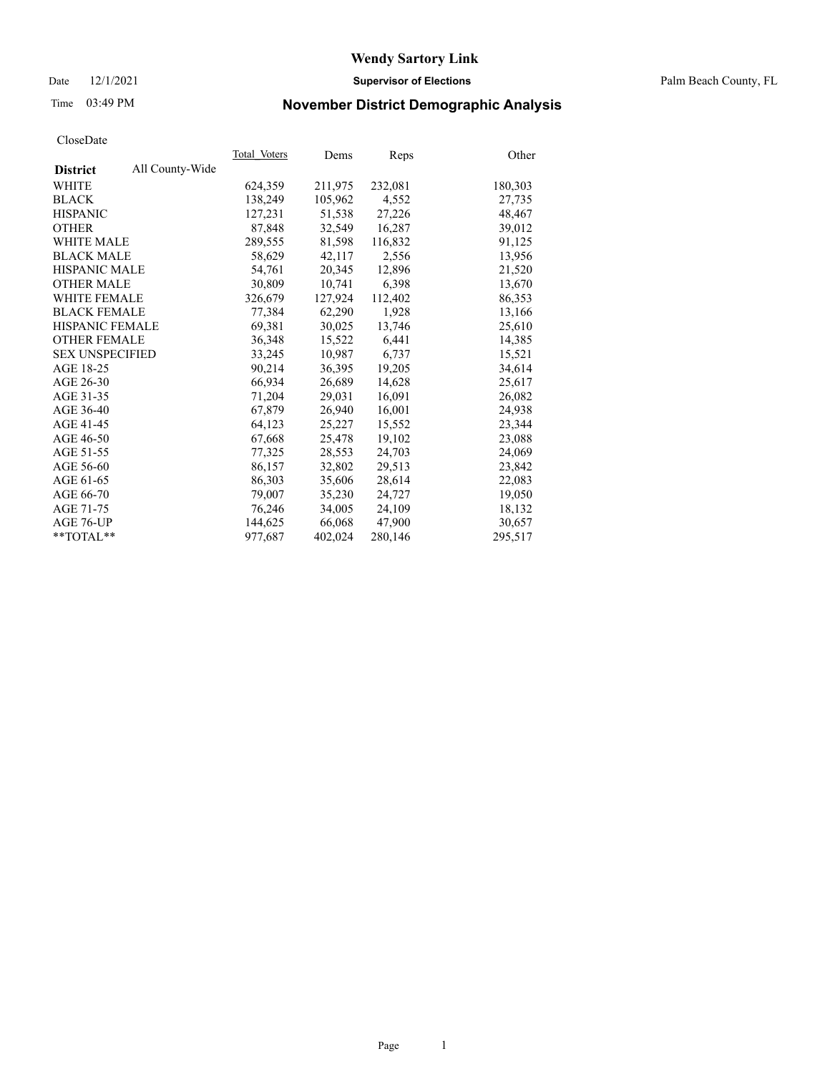#### Date 12/1/2021 **Supervisor of Elections** Palm Beach County, FL

## Time 03:49 PM **November District Demographic Analysis**

|                        |                 | Total Voters | Dems    | Reps    | Other   |
|------------------------|-----------------|--------------|---------|---------|---------|
| <b>District</b>        | All County-Wide |              |         |         |         |
| WHITE                  |                 | 624,359      | 211,975 | 232,081 | 180,303 |
| <b>BLACK</b>           |                 | 138,249      | 105,962 | 4,552   | 27,735  |
| <b>HISPANIC</b>        |                 | 127.231      | 51,538  | 27,226  | 48,467  |
| <b>OTHER</b>           |                 | 87,848       | 32,549  | 16,287  | 39,012  |
| <b>WHITE MALE</b>      |                 | 289,555      | 81,598  | 116,832 | 91,125  |
| <b>BLACK MALE</b>      |                 | 58,629       | 42,117  | 2,556   | 13,956  |
| <b>HISPANIC MALE</b>   |                 | 54,761       | 20,345  | 12,896  | 21,520  |
| <b>OTHER MALE</b>      |                 | 30,809       | 10.741  | 6,398   | 13,670  |
| <b>WHITE FEMALE</b>    |                 | 326,679      | 127,924 | 112,402 | 86,353  |
| <b>BLACK FEMALE</b>    |                 | 77,384       | 62,290  | 1,928   | 13,166  |
| HISPANIC FEMALE        |                 | 69,381       | 30,025  | 13,746  | 25,610  |
| <b>OTHER FEMALE</b>    |                 | 36,348       | 15,522  | 6,441   | 14,385  |
| <b>SEX UNSPECIFIED</b> |                 | 33,245       | 10,987  | 6,737   | 15,521  |
| AGE 18-25              |                 | 90,214       | 36,395  | 19,205  | 34,614  |
| AGE 26-30              |                 | 66,934       | 26,689  | 14,628  | 25,617  |
| AGE 31-35              |                 | 71,204       | 29,031  | 16,091  | 26,082  |
| AGE 36-40              |                 | 67,879       | 26,940  | 16,001  | 24,938  |
| AGE 41-45              |                 | 64,123       | 25,227  | 15,552  | 23,344  |
| AGE 46-50              |                 | 67,668       | 25,478  | 19,102  | 23,088  |
| AGE 51-55              |                 | 77,325       | 28,553  | 24,703  | 24,069  |
| AGE 56-60              |                 | 86,157       | 32,802  | 29,513  | 23,842  |
| AGE 61-65              |                 | 86,303       | 35,606  | 28,614  | 22,083  |
| AGE 66-70              |                 | 79,007       | 35,230  | 24,727  | 19,050  |
| AGE 71-75              |                 | 76,246       | 34,005  | 24,109  | 18,132  |
| AGE 76-UP              |                 | 144,625      | 66,068  | 47,900  | 30,657  |
| $*$ $TOTAL**$          |                 | 977,687      | 402,024 | 280,146 | 295,517 |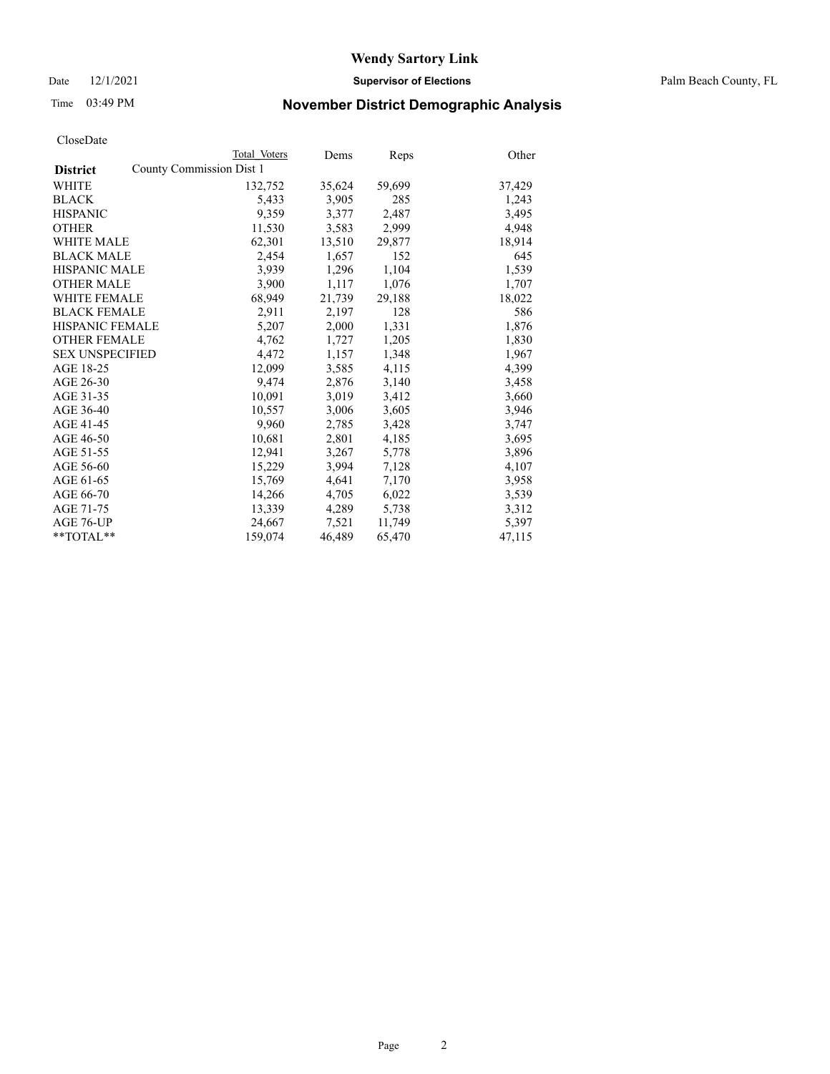Date 12/1/2021 **Supervisor of Elections** Palm Beach County, FL

## Time 03:49 PM **November District Demographic Analysis**

|                                             | Total Voters | Dems   | <b>Reps</b> | Other  |
|---------------------------------------------|--------------|--------|-------------|--------|
| County Commission Dist 1<br><b>District</b> |              |        |             |        |
| <b>WHITE</b>                                | 132,752      | 35,624 | 59,699      | 37,429 |
| <b>BLACK</b>                                | 5,433        | 3,905  | 285         | 1,243  |
| <b>HISPANIC</b>                             | 9,359        | 3,377  | 2,487       | 3,495  |
| <b>OTHER</b>                                | 11,530       | 3,583  | 2,999       | 4,948  |
| <b>WHITE MALE</b>                           | 62,301       | 13,510 | 29,877      | 18,914 |
| <b>BLACK MALE</b>                           | 2,454        | 1,657  | 152         | 645    |
| <b>HISPANIC MALE</b>                        | 3,939        | 1,296  | 1,104       | 1,539  |
| <b>OTHER MALE</b>                           | 3,900        | 1,117  | 1,076       | 1,707  |
| <b>WHITE FEMALE</b>                         | 68,949       | 21,739 | 29,188      | 18,022 |
| <b>BLACK FEMALE</b>                         | 2,911        | 2,197  | 128         | 586    |
| <b>HISPANIC FEMALE</b>                      | 5,207        | 2,000  | 1,331       | 1,876  |
| <b>OTHER FEMALE</b>                         | 4,762        | 1,727  | 1,205       | 1,830  |
| <b>SEX UNSPECIFIED</b>                      | 4,472        | 1,157  | 1,348       | 1,967  |
| AGE 18-25                                   | 12,099       | 3,585  | 4,115       | 4,399  |
| AGE 26-30                                   | 9,474        | 2,876  | 3,140       | 3,458  |
| AGE 31-35                                   | 10,091       | 3,019  | 3,412       | 3,660  |
| AGE 36-40                                   | 10,557       | 3,006  | 3,605       | 3,946  |
| AGE 41-45                                   | 9,960        | 2,785  | 3,428       | 3,747  |
| AGE 46-50                                   | 10,681       | 2,801  | 4,185       | 3,695  |
| AGE 51-55                                   | 12,941       | 3,267  | 5,778       | 3,896  |
| AGE 56-60                                   | 15,229       | 3,994  | 7,128       | 4,107  |
| AGE 61-65                                   | 15,769       | 4,641  | 7,170       | 3,958  |
| AGE 66-70                                   | 14,266       | 4,705  | 6,022       | 3,539  |
| AGE 71-75                                   | 13,339       | 4,289  | 5,738       | 3,312  |
| AGE 76-UP                                   | 24,667       | 7,521  | 11,749      | 5,397  |
| $*$ $TOTAL**$                               | 159,074      | 46,489 | 65,470      | 47,115 |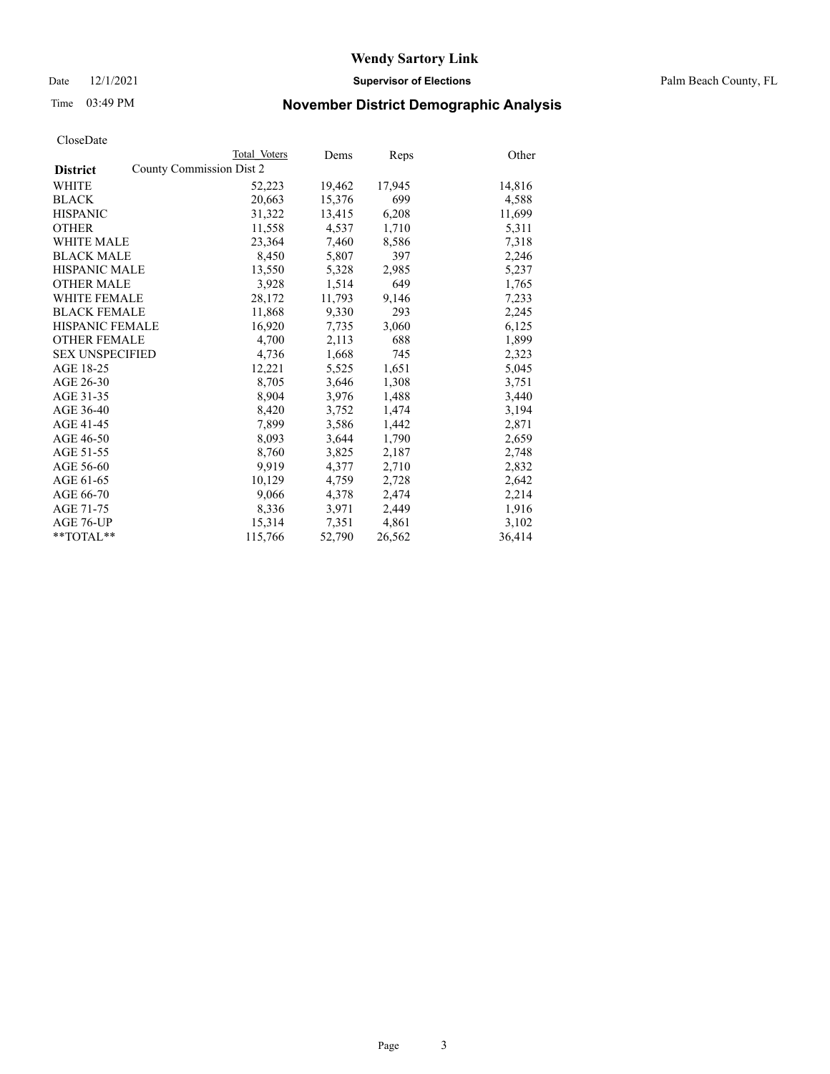Date 12/1/2021 **Supervisor of Elections** Palm Beach County, FL

## Time 03:49 PM **November District Demographic Analysis**

|                                             | Total Voters | Dems   | <b>Reps</b> | Other  |
|---------------------------------------------|--------------|--------|-------------|--------|
| County Commission Dist 2<br><b>District</b> |              |        |             |        |
| WHITE                                       | 52,223       | 19,462 | 17,945      | 14,816 |
| <b>BLACK</b>                                | 20,663       | 15,376 | 699         | 4,588  |
| <b>HISPANIC</b>                             | 31,322       | 13,415 | 6,208       | 11,699 |
| <b>OTHER</b>                                | 11,558       | 4,537  | 1,710       | 5,311  |
| <b>WHITE MALE</b>                           | 23,364       | 7,460  | 8,586       | 7,318  |
| <b>BLACK MALE</b>                           | 8,450        | 5,807  | 397         | 2,246  |
| <b>HISPANIC MALE</b>                        | 13,550       | 5,328  | 2,985       | 5,237  |
| <b>OTHER MALE</b>                           | 3,928        | 1,514  | 649         | 1,765  |
| <b>WHITE FEMALE</b>                         | 28,172       | 11,793 | 9,146       | 7,233  |
| <b>BLACK FEMALE</b>                         | 11,868       | 9,330  | 293         | 2,245  |
| <b>HISPANIC FEMALE</b>                      | 16,920       | 7,735  | 3,060       | 6,125  |
| <b>OTHER FEMALE</b>                         | 4,700        | 2,113  | 688         | 1,899  |
| <b>SEX UNSPECIFIED</b>                      | 4,736        | 1,668  | 745         | 2,323  |
| AGE 18-25                                   | 12,221       | 5,525  | 1,651       | 5,045  |
| AGE 26-30                                   | 8,705        | 3.646  | 1,308       | 3,751  |
| AGE 31-35                                   | 8,904        | 3,976  | 1,488       | 3,440  |
| AGE 36-40                                   | 8,420        | 3,752  | 1,474       | 3,194  |
| AGE 41-45                                   | 7,899        | 3,586  | 1,442       | 2,871  |
| AGE 46-50                                   | 8,093        | 3,644  | 1,790       | 2,659  |
| AGE 51-55                                   | 8,760        | 3,825  | 2,187       | 2,748  |
| AGE 56-60                                   | 9,919        | 4,377  | 2,710       | 2,832  |
| AGE 61-65                                   | 10,129       | 4,759  | 2,728       | 2,642  |
| AGE 66-70                                   | 9,066        | 4,378  | 2,474       | 2,214  |
| AGE 71-75                                   | 8,336        | 3,971  | 2,449       | 1,916  |
| AGE 76-UP                                   | 15,314       | 7,351  | 4,861       | 3,102  |
| **TOTAL**                                   | 115,766      | 52,790 | 26,562      | 36,414 |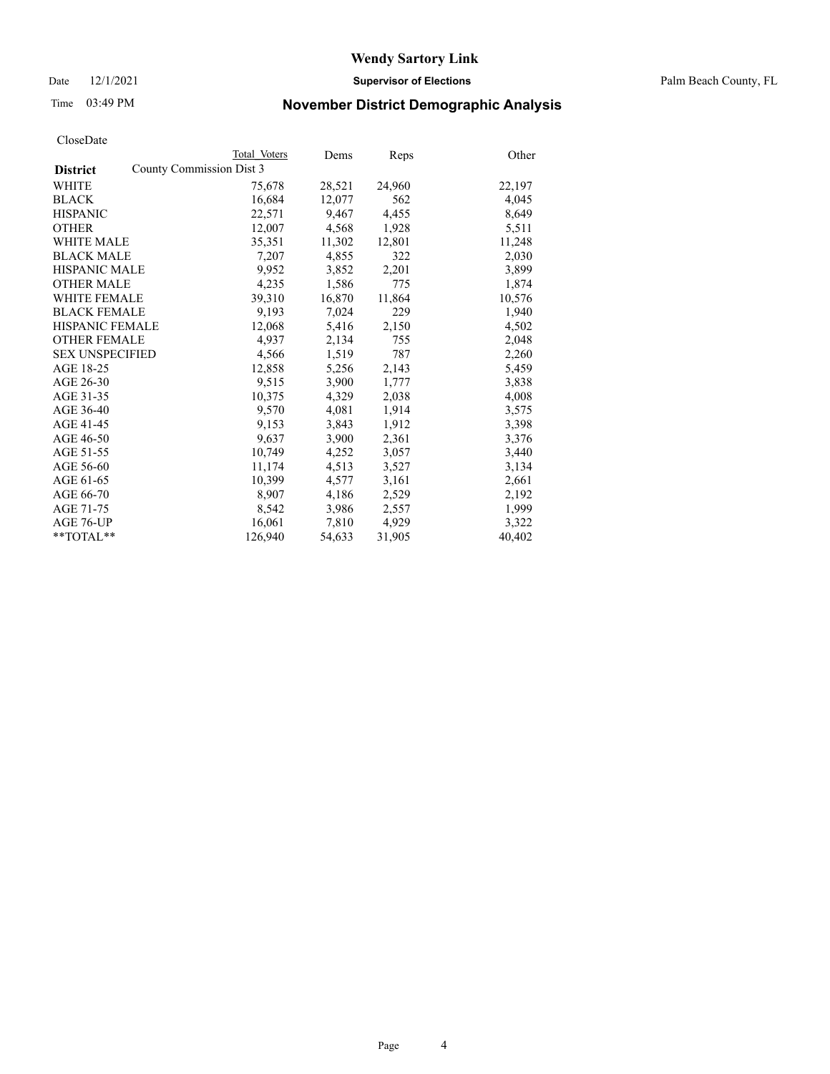Date 12/1/2021 **Supervisor of Elections** Palm Beach County, FL

## Time 03:49 PM **November District Demographic Analysis**

|                        |                          | Total Voters | Dems   | Reps   | Other  |
|------------------------|--------------------------|--------------|--------|--------|--------|
| <b>District</b>        | County Commission Dist 3 |              |        |        |        |
| <b>WHITE</b>           |                          | 75,678       | 28,521 | 24,960 | 22,197 |
| <b>BLACK</b>           |                          | 16,684       | 12,077 | 562    | 4,045  |
| <b>HISPANIC</b>        |                          | 22,571       | 9,467  | 4,455  | 8,649  |
| <b>OTHER</b>           |                          | 12,007       | 4,568  | 1,928  | 5,511  |
| <b>WHITE MALE</b>      |                          | 35,351       | 11,302 | 12,801 | 11,248 |
| <b>BLACK MALE</b>      |                          | 7,207        | 4,855  | 322    | 2,030  |
| <b>HISPANIC MALE</b>   |                          | 9,952        | 3,852  | 2,201  | 3,899  |
| <b>OTHER MALE</b>      |                          | 4,235        | 1,586  | 775    | 1,874  |
| <b>WHITE FEMALE</b>    |                          | 39,310       | 16,870 | 11,864 | 10,576 |
| <b>BLACK FEMALE</b>    |                          | 9.193        | 7,024  | 229    | 1,940  |
| <b>HISPANIC FEMALE</b> |                          | 12,068       | 5,416  | 2,150  | 4,502  |
| <b>OTHER FEMALE</b>    |                          | 4.937        | 2,134  | 755    | 2,048  |
| <b>SEX UNSPECIFIED</b> |                          | 4,566        | 1,519  | 787    | 2,260  |
| AGE 18-25              |                          | 12,858       | 5,256  | 2,143  | 5,459  |
| AGE 26-30              |                          | 9,515        | 3,900  | 1,777  | 3,838  |
| AGE 31-35              |                          | 10,375       | 4,329  | 2,038  | 4,008  |
| AGE 36-40              |                          | 9,570        | 4,081  | 1,914  | 3,575  |
| AGE 41-45              |                          | 9,153        | 3,843  | 1,912  | 3,398  |
| AGE 46-50              |                          | 9,637        | 3,900  | 2,361  | 3,376  |
| AGE 51-55              |                          | 10,749       | 4,252  | 3,057  | 3,440  |
| AGE 56-60              |                          | 11,174       | 4,513  | 3,527  | 3,134  |
| AGE 61-65              |                          | 10,399       | 4,577  | 3,161  | 2,661  |
| AGE 66-70              |                          | 8,907        | 4,186  | 2,529  | 2,192  |
| AGE 71-75              |                          | 8,542        | 3,986  | 2,557  | 1,999  |
| AGE 76-UP              |                          | 16,061       | 7,810  | 4,929  | 3,322  |
| $*$ $TOTAL**$          |                          | 126,940      | 54,633 | 31,905 | 40,402 |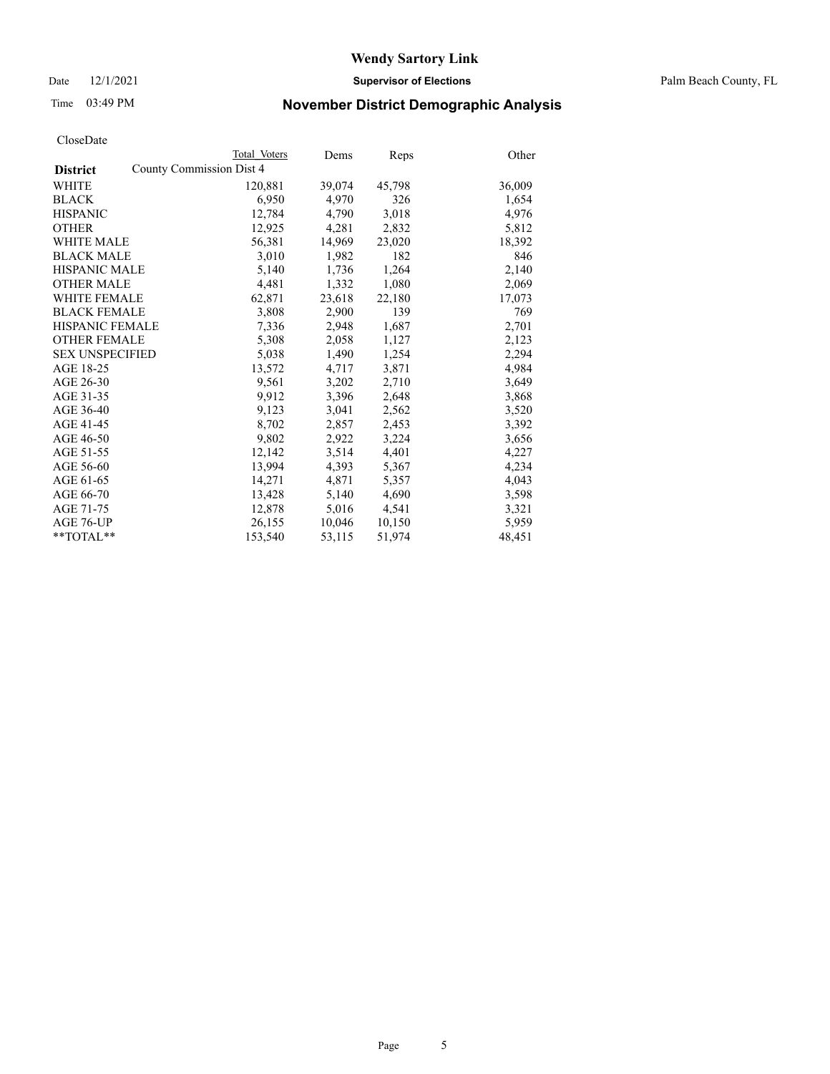Date 12/1/2021 **Supervisor of Elections** Palm Beach County, FL

## Time 03:49 PM **November District Demographic Analysis**

|                                             | Total Voters | Dems   | <b>Reps</b> | Other  |
|---------------------------------------------|--------------|--------|-------------|--------|
| County Commission Dist 4<br><b>District</b> |              |        |             |        |
| WHITE                                       | 120,881      | 39,074 | 45,798      | 36,009 |
| <b>BLACK</b>                                | 6,950        | 4,970  | 326         | 1,654  |
| <b>HISPANIC</b>                             | 12,784       | 4,790  | 3,018       | 4,976  |
| <b>OTHER</b>                                | 12,925       | 4,281  | 2,832       | 5,812  |
| <b>WHITE MALE</b>                           | 56,381       | 14,969 | 23,020      | 18,392 |
| <b>BLACK MALE</b>                           | 3,010        | 1,982  | 182         | 846    |
| <b>HISPANIC MALE</b>                        | 5,140        | 1,736  | 1,264       | 2,140  |
| <b>OTHER MALE</b>                           | 4,481        | 1,332  | 1,080       | 2,069  |
| <b>WHITE FEMALE</b>                         | 62,871       | 23,618 | 22,180      | 17,073 |
| <b>BLACK FEMALE</b>                         | 3,808        | 2,900  | 139         | 769    |
| <b>HISPANIC FEMALE</b>                      | 7,336        | 2,948  | 1,687       | 2,701  |
| <b>OTHER FEMALE</b>                         | 5,308        | 2,058  | 1,127       | 2,123  |
| <b>SEX UNSPECIFIED</b>                      | 5,038        | 1,490  | 1,254       | 2,294  |
| AGE 18-25                                   | 13,572       | 4,717  | 3,871       | 4,984  |
| AGE 26-30                                   | 9,561        | 3,202  | 2,710       | 3,649  |
| AGE 31-35                                   | 9,912        | 3,396  | 2,648       | 3,868  |
| AGE 36-40                                   | 9,123        | 3,041  | 2,562       | 3,520  |
| AGE 41-45                                   | 8,702        | 2,857  | 2,453       | 3,392  |
| AGE 46-50                                   | 9,802        | 2,922  | 3,224       | 3,656  |
| AGE 51-55                                   | 12,142       | 3,514  | 4,401       | 4,227  |
| AGE 56-60                                   | 13,994       | 4,393  | 5,367       | 4,234  |
| AGE 61-65                                   | 14,271       | 4,871  | 5,357       | 4,043  |
| AGE 66-70                                   | 13,428       | 5,140  | 4,690       | 3,598  |
| AGE 71-75                                   | 12,878       | 5,016  | 4,541       | 3,321  |
| AGE 76-UP                                   | 26,155       | 10,046 | 10,150      | 5,959  |
| **TOTAL**                                   | 153,540      | 53,115 | 51,974      | 48,451 |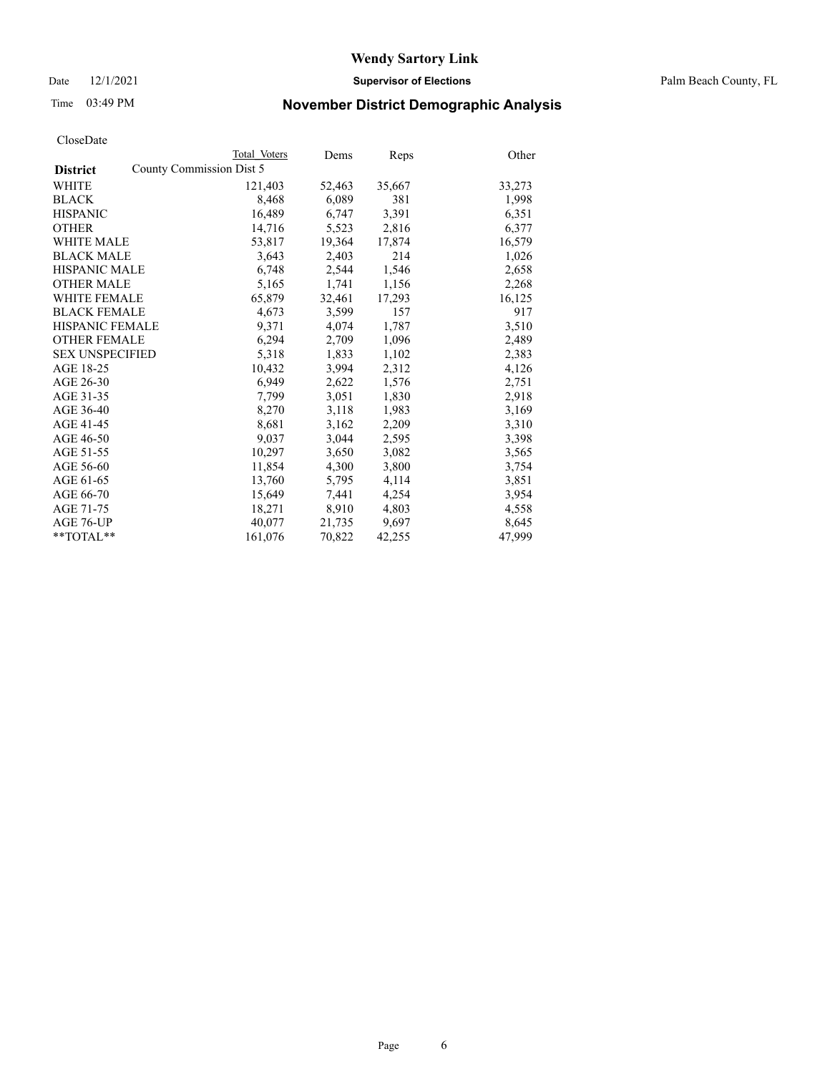Date 12/1/2021 **Supervisor of Elections** Palm Beach County, FL

## Time 03:49 PM **November District Demographic Analysis**

|                                             | Total Voters | Dems   | <b>Reps</b> | Other  |
|---------------------------------------------|--------------|--------|-------------|--------|
| County Commission Dist 5<br><b>District</b> |              |        |             |        |
| WHITE                                       | 121,403      | 52,463 | 35,667      | 33,273 |
| <b>BLACK</b>                                | 8,468        | 6,089  | 381         | 1,998  |
| <b>HISPANIC</b>                             | 16,489       | 6,747  | 3,391       | 6,351  |
| <b>OTHER</b>                                | 14,716       | 5,523  | 2,816       | 6,377  |
| <b>WHITE MALE</b>                           | 53,817       | 19,364 | 17,874      | 16,579 |
| <b>BLACK MALE</b>                           | 3,643        | 2,403  | 214         | 1,026  |
| <b>HISPANIC MALE</b>                        | 6,748        | 2,544  | 1,546       | 2,658  |
| <b>OTHER MALE</b>                           | 5,165        | 1,741  | 1,156       | 2,268  |
| <b>WHITE FEMALE</b>                         | 65,879       | 32,461 | 17,293      | 16,125 |
| <b>BLACK FEMALE</b>                         | 4,673        | 3,599  | 157         | 917    |
| <b>HISPANIC FEMALE</b>                      | 9,371        | 4,074  | 1,787       | 3,510  |
| <b>OTHER FEMALE</b>                         | 6,294        | 2,709  | 1,096       | 2,489  |
| <b>SEX UNSPECIFIED</b>                      | 5,318        | 1,833  | 1,102       | 2,383  |
| AGE 18-25                                   | 10,432       | 3,994  | 2,312       | 4,126  |
| AGE 26-30                                   | 6,949        | 2,622  | 1,576       | 2,751  |
| AGE 31-35                                   | 7,799        | 3,051  | 1,830       | 2,918  |
| AGE 36-40                                   | 8,270        | 3,118  | 1,983       | 3,169  |
| AGE 41-45                                   | 8,681        | 3,162  | 2,209       | 3,310  |
| AGE 46-50                                   | 9,037        | 3,044  | 2,595       | 3,398  |
| AGE 51-55                                   | 10,297       | 3,650  | 3,082       | 3,565  |
| AGE 56-60                                   | 11,854       | 4,300  | 3,800       | 3,754  |
| AGE 61-65                                   | 13,760       | 5,795  | 4,114       | 3,851  |
| AGE 66-70                                   | 15,649       | 7,441  | 4,254       | 3,954  |
| AGE 71-75                                   | 18,271       | 8,910  | 4,803       | 4,558  |
| AGE 76-UP                                   | 40,077       | 21,735 | 9,697       | 8,645  |
| **TOTAL**                                   | 161,076      | 70,822 | 42,255      | 47,999 |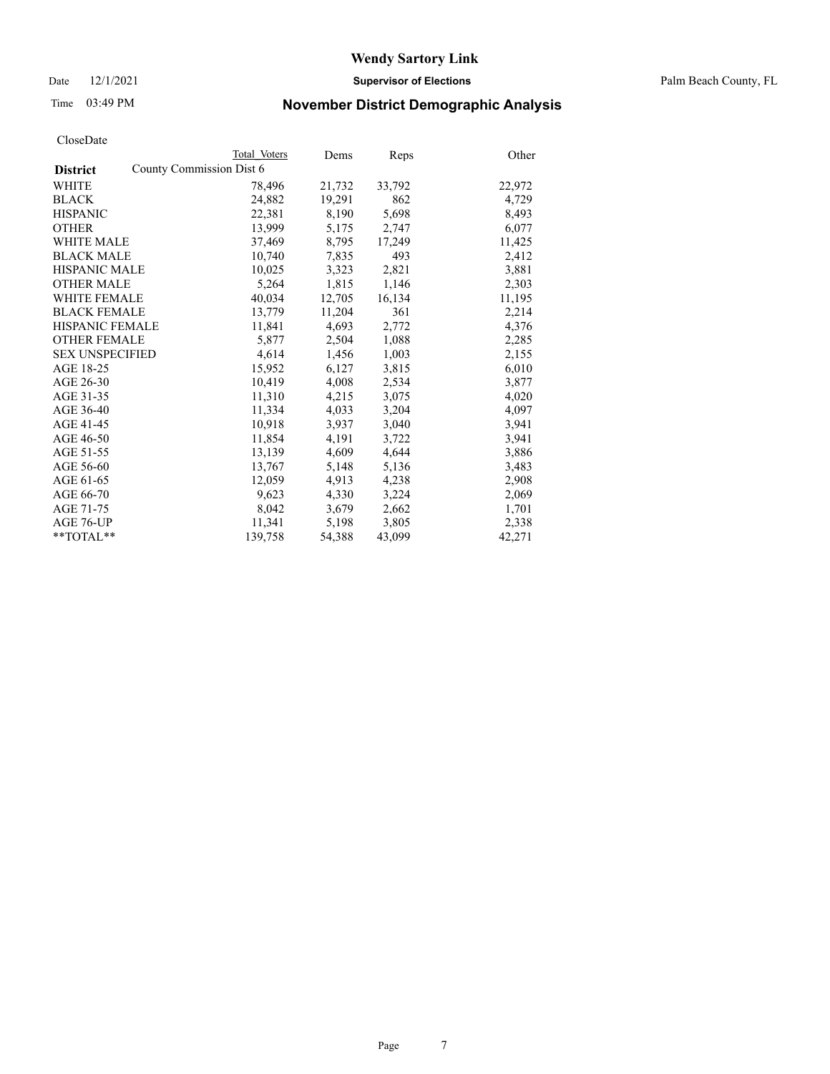Date 12/1/2021 **Supervisor of Elections** Palm Beach County, FL

## Time 03:49 PM **November District Demographic Analysis**

|                        | Total Voters             | Dems   | Reps   | Other  |
|------------------------|--------------------------|--------|--------|--------|
| <b>District</b>        | County Commission Dist 6 |        |        |        |
| <b>WHITE</b>           | 78,496                   | 21,732 | 33,792 | 22,972 |
| <b>BLACK</b>           | 24,882                   | 19,291 | 862    | 4,729  |
| <b>HISPANIC</b>        | 22,381                   | 8,190  | 5,698  | 8,493  |
| <b>OTHER</b>           | 13,999                   | 5,175  | 2,747  | 6,077  |
| <b>WHITE MALE</b>      | 37.469                   | 8,795  | 17,249 | 11,425 |
| <b>BLACK MALE</b>      | 10,740                   | 7,835  | 493    | 2,412  |
| <b>HISPANIC MALE</b>   | 10,025                   | 3,323  | 2,821  | 3,881  |
| <b>OTHER MALE</b>      | 5,264                    | 1,815  | 1,146  | 2,303  |
| <b>WHITE FEMALE</b>    | 40,034                   | 12,705 | 16,134 | 11,195 |
| <b>BLACK FEMALE</b>    | 13,779                   | 11,204 | 361    | 2,214  |
| HISPANIC FEMALE        | 11,841                   | 4,693  | 2,772  | 4,376  |
| <b>OTHER FEMALE</b>    | 5,877                    | 2,504  | 1,088  | 2,285  |
| <b>SEX UNSPECIFIED</b> | 4,614                    | 1,456  | 1,003  | 2,155  |
| AGE 18-25              | 15,952                   | 6,127  | 3,815  | 6,010  |
| AGE 26-30              | 10,419                   | 4,008  | 2,534  | 3,877  |
| AGE 31-35              | 11,310                   | 4,215  | 3,075  | 4,020  |
| AGE 36-40              | 11,334                   | 4,033  | 3,204  | 4,097  |
| AGE 41-45              | 10,918                   | 3,937  | 3,040  | 3,941  |
| AGE 46-50              | 11,854                   | 4,191  | 3,722  | 3,941  |
| AGE 51-55              | 13,139                   | 4,609  | 4,644  | 3,886  |
| AGE 56-60              | 13,767                   | 5,148  | 5,136  | 3,483  |
| AGE 61-65              | 12,059                   | 4,913  | 4,238  | 2,908  |
| AGE 66-70              | 9,623                    | 4,330  | 3,224  | 2,069  |
| AGE 71-75              | 8,042                    | 3,679  | 2,662  | 1,701  |
| AGE 76-UP              | 11,341                   | 5,198  | 3,805  | 2,338  |
| $*$ $TOTAL**$          | 139,758                  | 54,388 | 43,099 | 42,271 |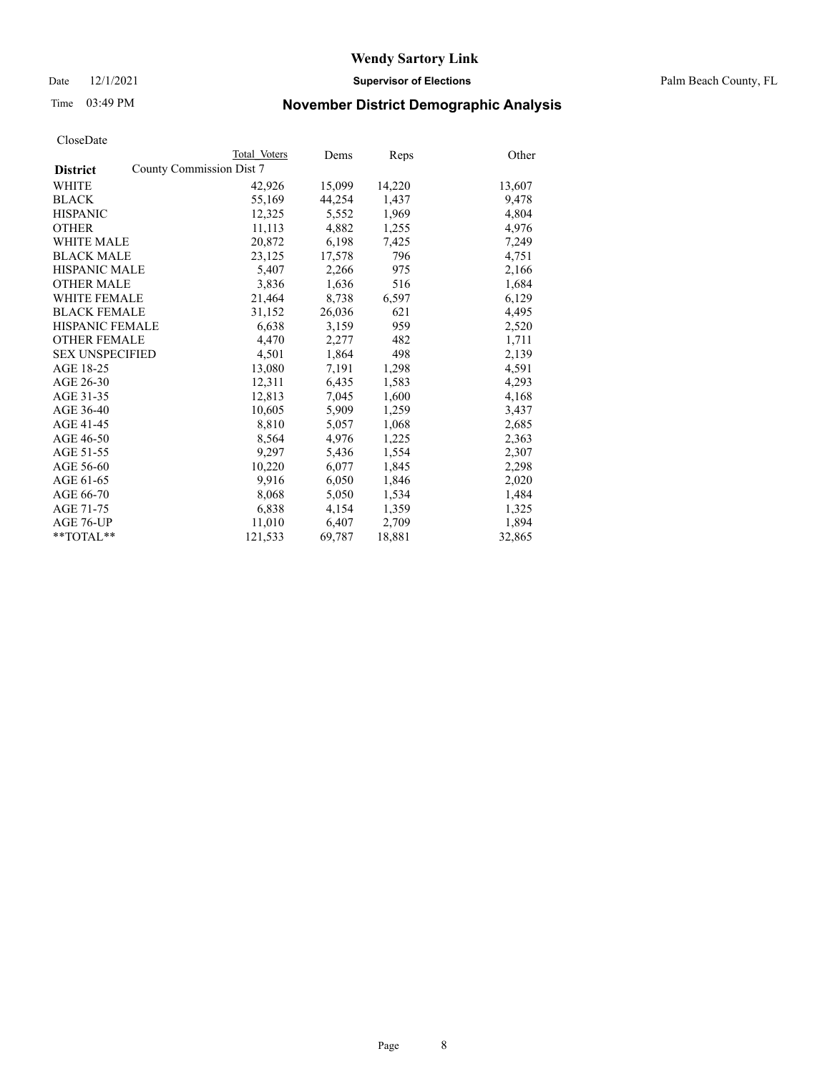Date 12/1/2021 **Supervisor of Elections** Palm Beach County, FL

## Time 03:49 PM **November District Demographic Analysis**

|                        | Total Voters             | Dems   | Reps   | Other  |
|------------------------|--------------------------|--------|--------|--------|
| <b>District</b>        | County Commission Dist 7 |        |        |        |
| <b>WHITE</b>           | 42,926                   | 15,099 | 14,220 | 13,607 |
| <b>BLACK</b>           | 55,169                   | 44,254 | 1,437  | 9,478  |
| <b>HISPANIC</b>        | 12,325                   | 5,552  | 1,969  | 4,804  |
| <b>OTHER</b>           | 11,113                   | 4,882  | 1,255  | 4,976  |
| <b>WHITE MALE</b>      | 20,872                   | 6,198  | 7,425  | 7,249  |
| <b>BLACK MALE</b>      | 23,125                   | 17,578 | 796    | 4,751  |
| <b>HISPANIC MALE</b>   | 5,407                    | 2,266  | 975    | 2,166  |
| <b>OTHER MALE</b>      | 3,836                    | 1,636  | 516    | 1,684  |
| <b>WHITE FEMALE</b>    | 21,464                   | 8,738  | 6,597  | 6,129  |
| <b>BLACK FEMALE</b>    | 31,152                   | 26,036 | 621    | 4,495  |
| HISPANIC FEMALE        | 6,638                    | 3,159  | 959    | 2,520  |
| <b>OTHER FEMALE</b>    | 4,470                    | 2,277  | 482    | 1,711  |
| <b>SEX UNSPECIFIED</b> | 4,501                    | 1,864  | 498    | 2,139  |
| AGE 18-25              | 13,080                   | 7,191  | 1,298  | 4,591  |
| AGE 26-30              | 12,311                   | 6,435  | 1,583  | 4,293  |
| AGE 31-35              | 12,813                   | 7,045  | 1,600  | 4,168  |
| AGE 36-40              | 10,605                   | 5,909  | 1,259  | 3,437  |
| AGE 41-45              | 8,810                    | 5,057  | 1,068  | 2,685  |
| AGE 46-50              | 8,564                    | 4,976  | 1,225  | 2,363  |
| AGE 51-55              | 9,297                    | 5,436  | 1,554  | 2,307  |
| AGE 56-60              | 10,220                   | 6,077  | 1,845  | 2,298  |
| AGE 61-65              | 9,916                    | 6,050  | 1,846  | 2,020  |
| AGE 66-70              | 8,068                    | 5,050  | 1,534  | 1,484  |
| AGE 71-75              | 6,838                    | 4,154  | 1,359  | 1,325  |
| AGE 76-UP              | 11,010                   | 6,407  | 2,709  | 1,894  |
| $*$ $TOTAL**$          | 121,533                  | 69,787 | 18,881 | 32,865 |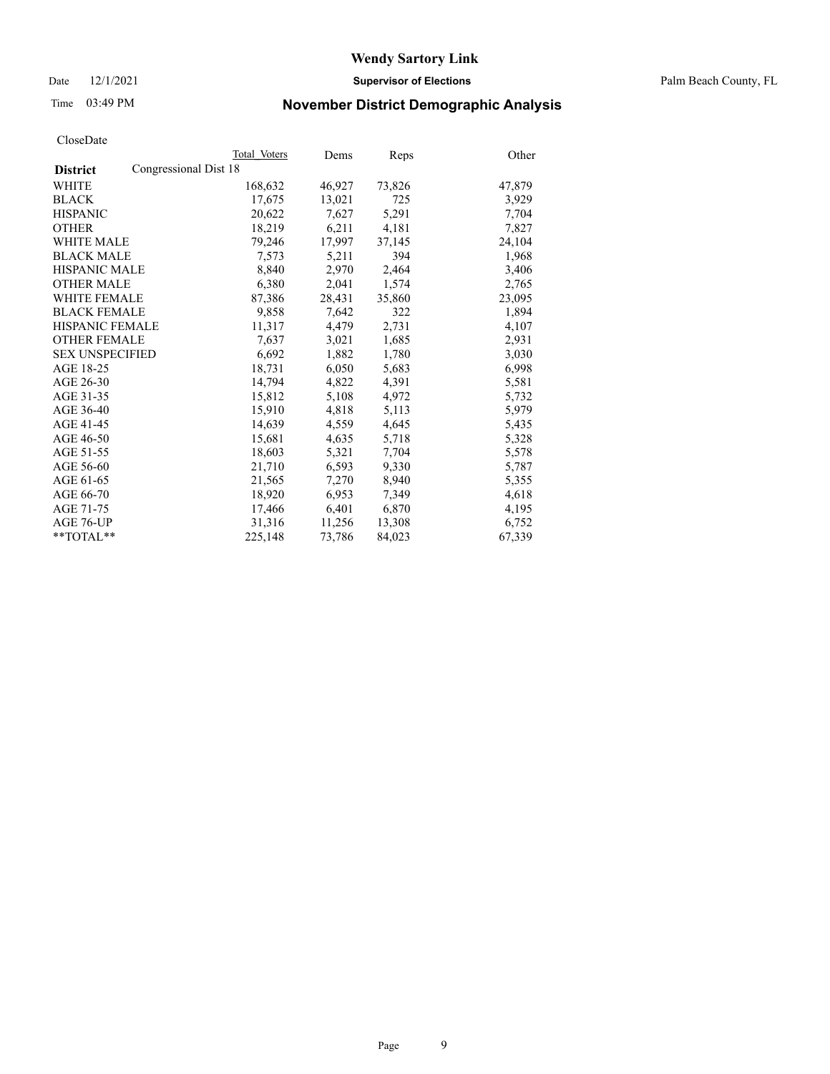Date 12/1/2021 **Supervisor of Elections** Palm Beach County, FL

## Time 03:49 PM **November District Demographic Analysis**

|                                          | Total Voters | Dems   | Reps   | Other  |
|------------------------------------------|--------------|--------|--------|--------|
| Congressional Dist 18<br><b>District</b> |              |        |        |        |
| <b>WHITE</b>                             | 168,632      | 46,927 | 73,826 | 47,879 |
| <b>BLACK</b>                             | 17,675       | 13,021 | 725    | 3,929  |
| <b>HISPANIC</b>                          | 20,622       | 7,627  | 5,291  | 7,704  |
| <b>OTHER</b>                             | 18,219       | 6,211  | 4,181  | 7,827  |
| <b>WHITE MALE</b>                        | 79,246       | 17,997 | 37,145 | 24,104 |
| <b>BLACK MALE</b>                        | 7,573        | 5,211  | 394    | 1,968  |
| <b>HISPANIC MALE</b>                     | 8,840        | 2,970  | 2,464  | 3,406  |
| <b>OTHER MALE</b>                        | 6.380        | 2,041  | 1,574  | 2,765  |
| <b>WHITE FEMALE</b>                      | 87,386       | 28,431 | 35,860 | 23,095 |
| <b>BLACK FEMALE</b>                      | 9,858        | 7,642  | 322    | 1,894  |
| <b>HISPANIC FEMALE</b>                   | 11,317       | 4,479  | 2,731  | 4,107  |
| <b>OTHER FEMALE</b>                      | 7,637        | 3,021  | 1,685  | 2,931  |
| <b>SEX UNSPECIFIED</b>                   | 6,692        | 1,882  | 1,780  | 3,030  |
| AGE 18-25                                | 18,731       | 6,050  | 5,683  | 6,998  |
| AGE 26-30                                | 14,794       | 4,822  | 4,391  | 5,581  |
| AGE 31-35                                | 15,812       | 5,108  | 4,972  | 5,732  |
| AGE 36-40                                | 15,910       | 4,818  | 5,113  | 5,979  |
| AGE 41-45                                | 14,639       | 4,559  | 4,645  | 5,435  |
| AGE 46-50                                | 15,681       | 4,635  | 5,718  | 5,328  |
| AGE 51-55                                | 18,603       | 5,321  | 7,704  | 5,578  |
| AGE 56-60                                | 21,710       | 6,593  | 9,330  | 5,787  |
| AGE 61-65                                | 21,565       | 7,270  | 8,940  | 5,355  |
| AGE 66-70                                | 18,920       | 6,953  | 7,349  | 4,618  |
| AGE 71-75                                | 17,466       | 6,401  | 6,870  | 4,195  |
| AGE 76-UP                                | 31,316       | 11,256 | 13,308 | 6,752  |
| $*$ $TOTAL**$                            | 225,148      | 73,786 | 84,023 | 67,339 |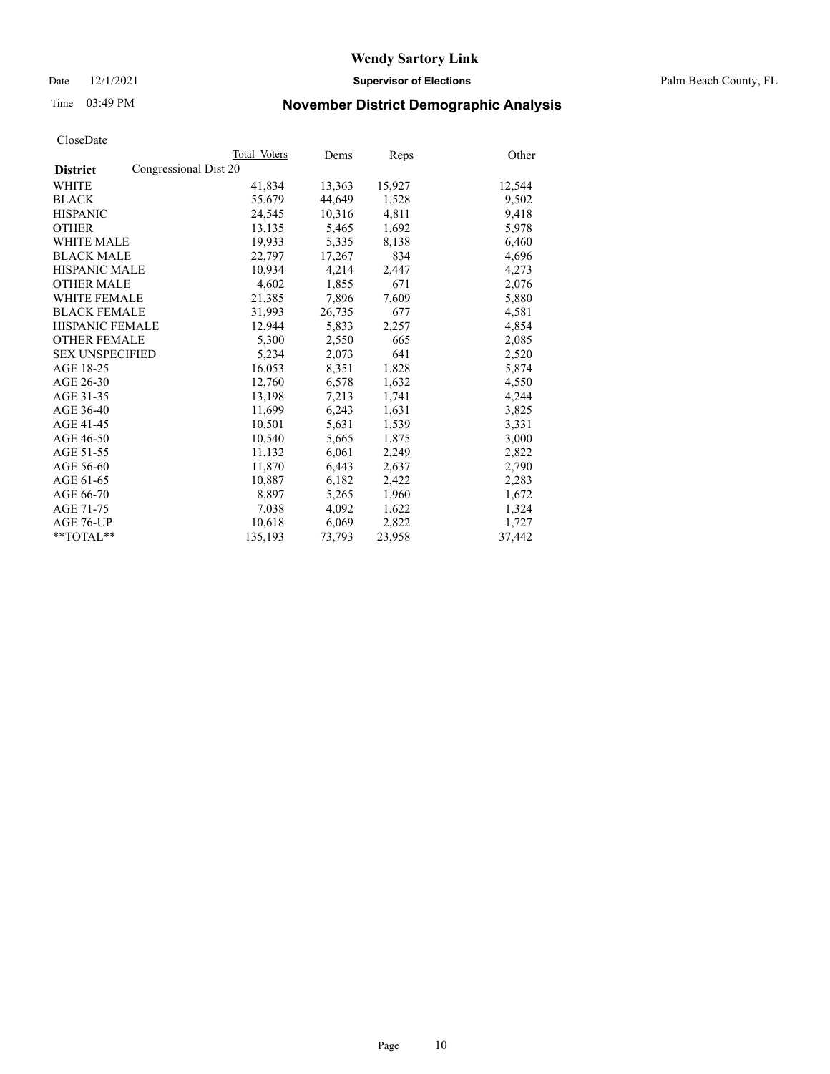Date 12/1/2021 **Supervisor of Elections** Palm Beach County, FL

## Time 03:49 PM **November District Demographic Analysis**

|                                          | Total Voters | Dems   | Reps   | Other  |
|------------------------------------------|--------------|--------|--------|--------|
| Congressional Dist 20<br><b>District</b> |              |        |        |        |
| WHITE                                    | 41,834       | 13,363 | 15,927 | 12,544 |
| <b>BLACK</b>                             | 55,679       | 44,649 | 1,528  | 9,502  |
| <b>HISPANIC</b>                          | 24,545       | 10,316 | 4,811  | 9,418  |
| <b>OTHER</b>                             | 13,135       | 5,465  | 1,692  | 5,978  |
| <b>WHITE MALE</b>                        | 19,933       | 5,335  | 8,138  | 6,460  |
| <b>BLACK MALE</b>                        | 22,797       | 17,267 | 834    | 4,696  |
| <b>HISPANIC MALE</b>                     | 10,934       | 4,214  | 2,447  | 4,273  |
| <b>OTHER MALE</b>                        | 4,602        | 1,855  | 671    | 2,076  |
| <b>WHITE FEMALE</b>                      | 21,385       | 7,896  | 7,609  | 5,880  |
| <b>BLACK FEMALE</b>                      | 31,993       | 26,735 | 677    | 4,581  |
| <b>HISPANIC FEMALE</b>                   | 12,944       | 5,833  | 2,257  | 4,854  |
| <b>OTHER FEMALE</b>                      | 5,300        | 2,550  | 665    | 2,085  |
| <b>SEX UNSPECIFIED</b>                   | 5,234        | 2,073  | 641    | 2,520  |
| AGE 18-25                                | 16,053       | 8,351  | 1,828  | 5,874  |
| AGE 26-30                                | 12,760       | 6,578  | 1,632  | 4,550  |
| AGE 31-35                                | 13,198       | 7,213  | 1,741  | 4,244  |
| AGE 36-40                                | 11,699       | 6,243  | 1,631  | 3,825  |
| AGE 41-45                                | 10,501       | 5,631  | 1,539  | 3,331  |
| AGE 46-50                                | 10,540       | 5,665  | 1,875  | 3,000  |
| AGE 51-55                                | 11,132       | 6,061  | 2,249  | 2,822  |
| AGE 56-60                                | 11,870       | 6,443  | 2,637  | 2,790  |
| AGE 61-65                                | 10,887       | 6,182  | 2,422  | 2,283  |
| AGE 66-70                                | 8,897        | 5,265  | 1,960  | 1,672  |
| AGE 71-75                                | 7,038        | 4,092  | 1,622  | 1,324  |
| AGE 76-UP                                | 10,618       | 6,069  | 2,822  | 1,727  |
| $*$ $TOTAL**$                            | 135,193      | 73,793 | 23,958 | 37,442 |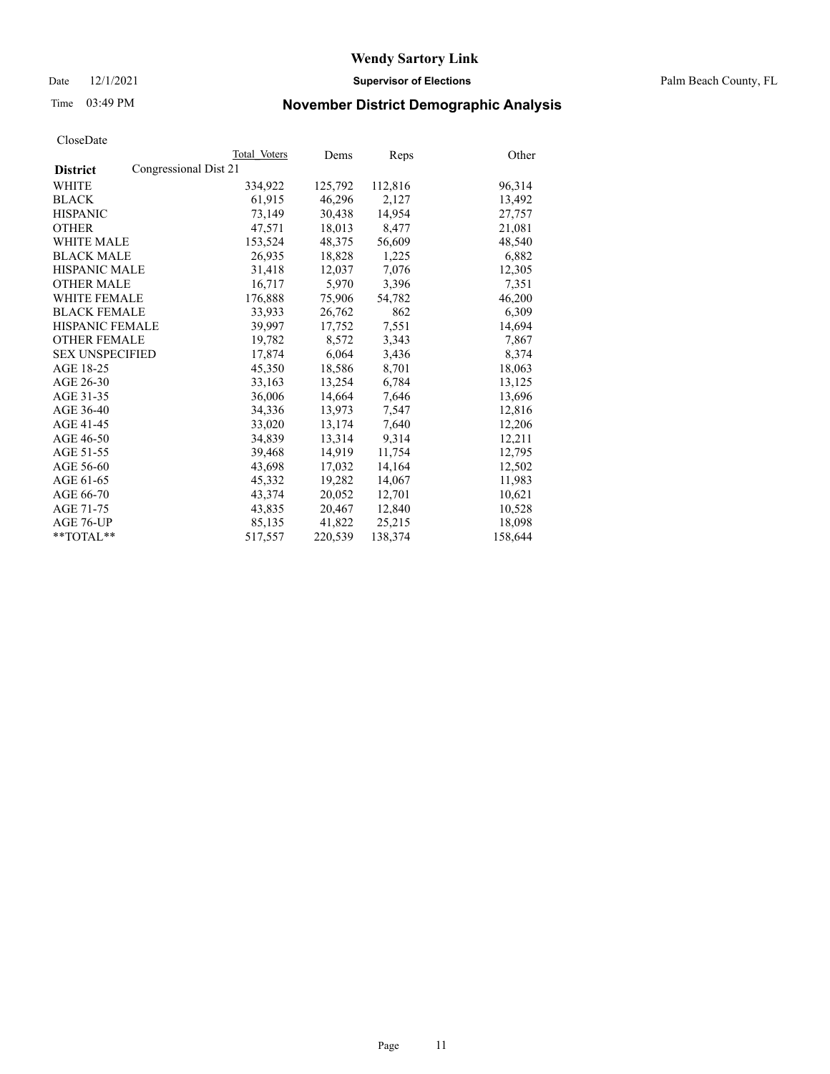Date 12/1/2021 **Supervisor of Elections** Palm Beach County, FL

## Time 03:49 PM **November District Demographic Analysis**

|                                          | Total Voters | Dems    | Reps    | Other   |
|------------------------------------------|--------------|---------|---------|---------|
| Congressional Dist 21<br><b>District</b> |              |         |         |         |
| WHITE                                    | 334,922      | 125,792 | 112,816 | 96,314  |
| <b>BLACK</b>                             | 61,915       | 46,296  | 2,127   | 13,492  |
| <b>HISPANIC</b>                          | 73.149       | 30,438  | 14,954  | 27,757  |
| <b>OTHER</b>                             | 47,571       | 18,013  | 8,477   | 21,081  |
| <b>WHITE MALE</b>                        | 153,524      | 48,375  | 56,609  | 48,540  |
| <b>BLACK MALE</b>                        | 26,935       | 18,828  | 1,225   | 6,882   |
| <b>HISPANIC MALE</b>                     | 31,418       | 12,037  | 7,076   | 12,305  |
| <b>OTHER MALE</b>                        | 16,717       | 5,970   | 3,396   | 7,351   |
| <b>WHITE FEMALE</b>                      | 176,888      | 75,906  | 54,782  | 46,200  |
| <b>BLACK FEMALE</b>                      | 33,933       | 26,762  | 862     | 6,309   |
| <b>HISPANIC FEMALE</b>                   | 39,997       | 17,752  | 7,551   | 14,694  |
| <b>OTHER FEMALE</b>                      | 19,782       | 8,572   | 3,343   | 7,867   |
| <b>SEX UNSPECIFIED</b>                   | 17,874       | 6,064   | 3,436   | 8,374   |
| AGE 18-25                                | 45,350       | 18,586  | 8,701   | 18,063  |
| AGE 26-30                                | 33,163       | 13,254  | 6,784   | 13,125  |
| AGE 31-35                                | 36,006       | 14,664  | 7,646   | 13,696  |
| AGE 36-40                                | 34,336       | 13,973  | 7,547   | 12,816  |
| AGE 41-45                                | 33,020       | 13,174  | 7,640   | 12,206  |
| AGE 46-50                                | 34,839       | 13,314  | 9,314   | 12,211  |
| AGE 51-55                                | 39,468       | 14,919  | 11,754  | 12,795  |
| AGE 56-60                                | 43,698       | 17,032  | 14,164  | 12,502  |
| AGE 61-65                                | 45,332       | 19,282  | 14,067  | 11,983  |
| AGE 66-70                                | 43,374       | 20,052  | 12,701  | 10,621  |
| AGE 71-75                                | 43,835       | 20,467  | 12,840  | 10,528  |
| AGE 76-UP                                | 85,135       | 41,822  | 25,215  | 18,098  |
| $*$ $TOTAL**$                            | 517,557      | 220,539 | 138,374 | 158,644 |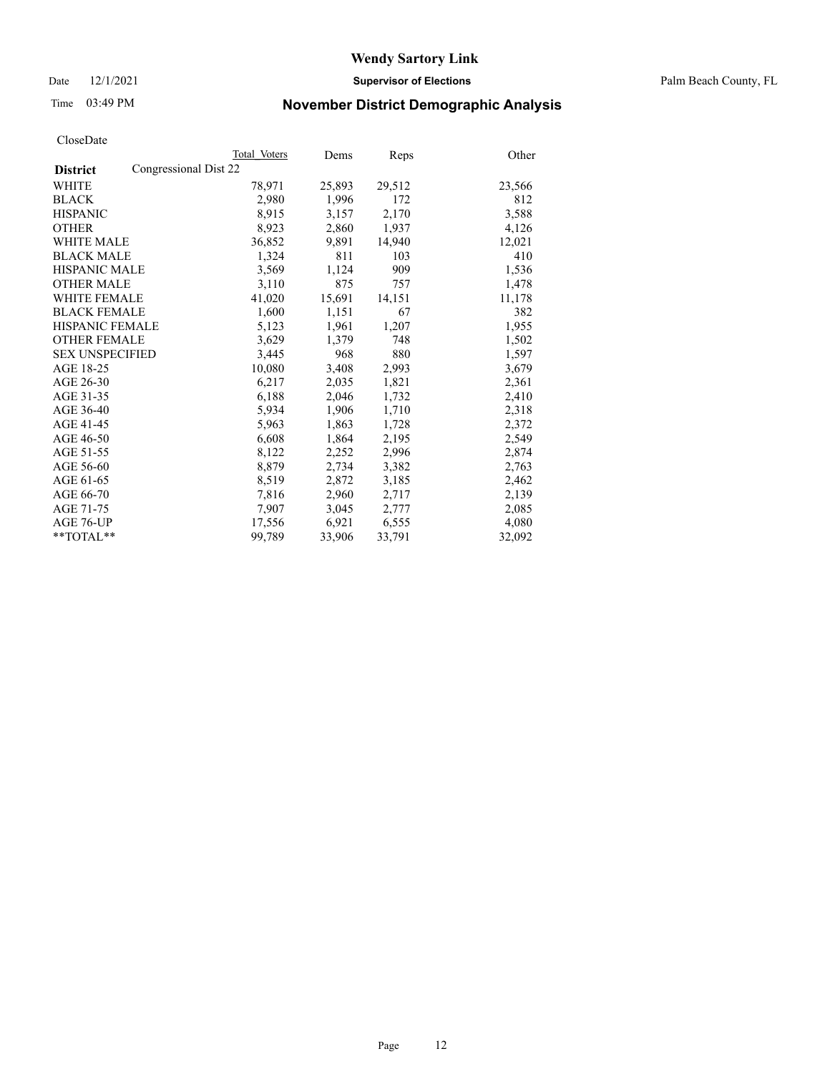Date 12/1/2021 **Supervisor of Elections** Palm Beach County, FL

## Time 03:49 PM **November District Demographic Analysis**

|                                          | Total Voters | Dems   | <b>Reps</b> | Other  |
|------------------------------------------|--------------|--------|-------------|--------|
| Congressional Dist 22<br><b>District</b> |              |        |             |        |
| <b>WHITE</b>                             | 78,971       | 25,893 | 29,512      | 23,566 |
| <b>BLACK</b>                             | 2,980        | 1,996  | 172         | 812    |
| <b>HISPANIC</b>                          | 8,915        | 3,157  | 2,170       | 3,588  |
| <b>OTHER</b>                             | 8,923        | 2,860  | 1,937       | 4,126  |
| <b>WHITE MALE</b>                        | 36,852       | 9,891  | 14,940      | 12,021 |
| <b>BLACK MALE</b>                        | 1,324        | 811    | 103         | 410    |
| <b>HISPANIC MALE</b>                     | 3,569        | 1,124  | 909         | 1,536  |
| <b>OTHER MALE</b>                        | 3,110        | 875    | 757         | 1,478  |
| <b>WHITE FEMALE</b>                      | 41,020       | 15,691 | 14,151      | 11,178 |
| <b>BLACK FEMALE</b>                      | 1,600        | 1,151  | 67          | 382    |
| HISPANIC FEMALE                          | 5,123        | 1,961  | 1,207       | 1,955  |
| <b>OTHER FEMALE</b>                      | 3,629        | 1,379  | 748         | 1,502  |
| <b>SEX UNSPECIFIED</b>                   | 3,445        | 968    | 880         | 1,597  |
| AGE 18-25                                | 10,080       | 3,408  | 2,993       | 3,679  |
| AGE 26-30                                | 6,217        | 2,035  | 1,821       | 2,361  |
| AGE 31-35                                | 6,188        | 2,046  | 1,732       | 2,410  |
| AGE 36-40                                | 5,934        | 1,906  | 1,710       | 2,318  |
| AGE 41-45                                | 5,963        | 1,863  | 1,728       | 2,372  |
| AGE 46-50                                | 6,608        | 1,864  | 2,195       | 2,549  |
| AGE 51-55                                | 8,122        | 2,252  | 2,996       | 2,874  |
| AGE 56-60                                | 8,879        | 2,734  | 3,382       | 2,763  |
| AGE 61-65                                | 8,519        | 2,872  | 3,185       | 2,462  |
| AGE 66-70                                | 7,816        | 2,960  | 2,717       | 2,139  |
| AGE 71-75                                | 7,907        | 3,045  | 2,777       | 2,085  |
| AGE 76-UP                                | 17,556       | 6,921  | 6,555       | 4,080  |
| $*$ $TOTAL**$                            | 99,789       | 33,906 | 33,791      | 32,092 |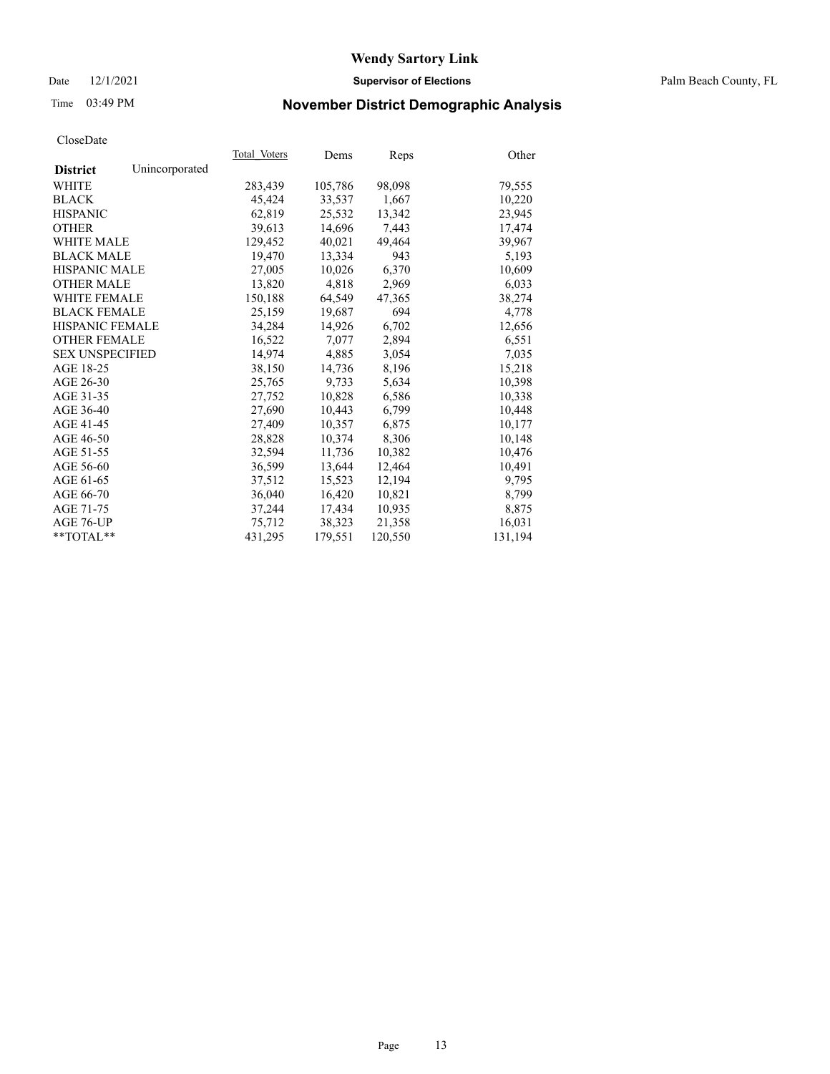#### Date 12/1/2021 **Supervisor of Elections** Palm Beach County, FL

## Time 03:49 PM **November District Demographic Analysis**

| Cioscizate             |                |              |         |         |         |
|------------------------|----------------|--------------|---------|---------|---------|
|                        |                | Total Voters | Dems    | Reps    | Other   |
| <b>District</b>        | Unincorporated |              |         |         |         |
| WHITE                  |                | 283,439      | 105,786 | 98,098  | 79,555  |
| <b>BLACK</b>           |                | 45,424       | 33,537  | 1,667   | 10,220  |
| <b>HISPANIC</b>        |                | 62,819       | 25,532  | 13,342  | 23,945  |
| <b>OTHER</b>           |                | 39,613       | 14,696  | 7,443   | 17,474  |
| <b>WHITE MALE</b>      |                | 129,452      | 40,021  | 49,464  | 39,967  |
| <b>BLACK MALE</b>      |                | 19,470       | 13,334  | 943     | 5,193   |
| <b>HISPANIC MALE</b>   |                | 27,005       | 10,026  | 6,370   | 10,609  |
| <b>OTHER MALE</b>      |                | 13,820       | 4,818   | 2,969   | 6,033   |
| <b>WHITE FEMALE</b>    |                | 150,188      | 64,549  | 47,365  | 38,274  |
| <b>BLACK FEMALE</b>    |                | 25,159       | 19,687  | 694     | 4,778   |
| HISPANIC FEMALE        |                | 34,284       | 14,926  | 6,702   | 12,656  |
| <b>OTHER FEMALE</b>    |                | 16,522       | 7,077   | 2,894   | 6,551   |
| <b>SEX UNSPECIFIED</b> |                | 14,974       | 4,885   | 3,054   | 7,035   |
| AGE 18-25              |                | 38,150       | 14,736  | 8,196   | 15,218  |
| AGE 26-30              |                | 25,765       | 9,733   | 5,634   | 10,398  |
| AGE 31-35              |                | 27,752       | 10,828  | 6,586   | 10,338  |
| AGE 36-40              |                | 27,690       | 10,443  | 6,799   | 10,448  |
| AGE 41-45              |                | 27,409       | 10,357  | 6,875   | 10,177  |
| AGE 46-50              |                | 28,828       | 10,374  | 8,306   | 10,148  |
| AGE 51-55              |                | 32,594       | 11,736  | 10,382  | 10,476  |
| AGE 56-60              |                | 36,599       | 13,644  | 12,464  | 10,491  |
| AGE 61-65              |                | 37,512       | 15,523  | 12,194  | 9,795   |
| AGE 66-70              |                | 36,040       | 16,420  | 10.821  | 8,799   |
| AGE 71-75              |                | 37,244       | 17,434  | 10,935  | 8,875   |
| AGE 76-UP              |                | 75,712       | 38,323  | 21,358  | 16,031  |
| $*$ TOTAL $*$          |                | 431,295      | 179,551 | 120,550 | 131,194 |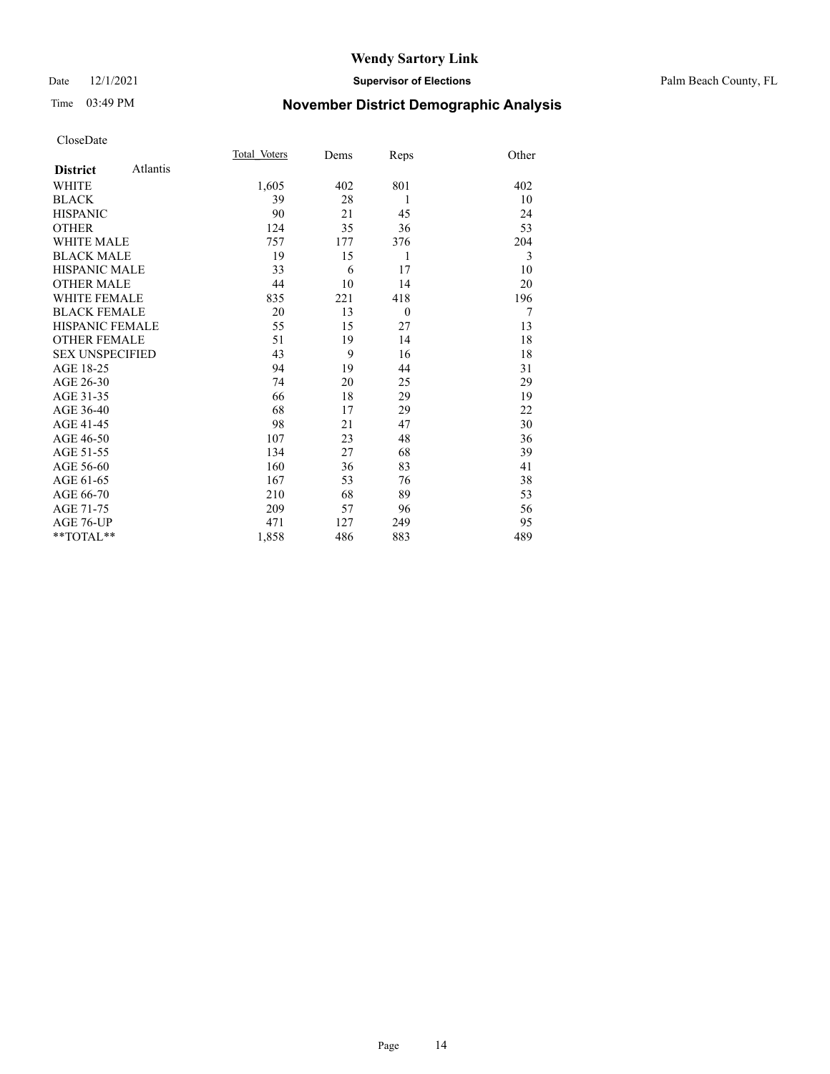#### Date 12/1/2021 **Supervisor of Elections** Palm Beach County, FL

## Time 03:49 PM **November District Demographic Analysis**

|                        |          | Total Voters | Dems | Reps     | Other |
|------------------------|----------|--------------|------|----------|-------|
| <b>District</b>        | Atlantis |              |      |          |       |
| WHITE                  |          | 1,605        | 402  | 801      | 402   |
| <b>BLACK</b>           |          | 39           | 28   | 1        | 10    |
| <b>HISPANIC</b>        |          | 90           | 21   | 45       | 24    |
| <b>OTHER</b>           |          | 124          | 35   | 36       | 53    |
| WHITE MALE             |          | 757          | 177  | 376      | 204   |
| <b>BLACK MALE</b>      |          | 19           | 15   | 1        | 3     |
| <b>HISPANIC MALE</b>   |          | 33           | 6    | 17       | 10    |
| <b>OTHER MALE</b>      |          | 44           | 10   | 14       | 20    |
| <b>WHITE FEMALE</b>    |          | 835          | 221  | 418      | 196   |
| <b>BLACK FEMALE</b>    |          | 20           | 13   | $\theta$ | 7     |
| <b>HISPANIC FEMALE</b> |          | 55           | 15   | 27       | 13    |
| <b>OTHER FEMALE</b>    |          | 51           | 19   | 14       | 18    |
| <b>SEX UNSPECIFIED</b> |          | 43           | 9    | 16       | 18    |
| AGE 18-25              |          | 94           | 19   | 44       | 31    |
| AGE 26-30              |          | 74           | 20   | 25       | 29    |
| AGE 31-35              |          | 66           | 18   | 29       | 19    |
| AGE 36-40              |          | 68           | 17   | 29       | 22    |
| AGE 41-45              |          | 98           | 21   | 47       | 30    |
| AGE 46-50              |          | 107          | 23   | 48       | 36    |
| AGE 51-55              |          | 134          | 27   | 68       | 39    |
| AGE 56-60              |          | 160          | 36   | 83       | 41    |
| AGE 61-65              |          | 167          | 53   | 76       | 38    |
| AGE 66-70              |          | 210          | 68   | 89       | 53    |
| AGE 71-75              |          | 209          | 57   | 96       | 56    |
| AGE 76-UP              |          | 471          | 127  | 249      | 95    |
| $*$ $TOTAL**$          |          | 1,858        | 486  | 883      | 489   |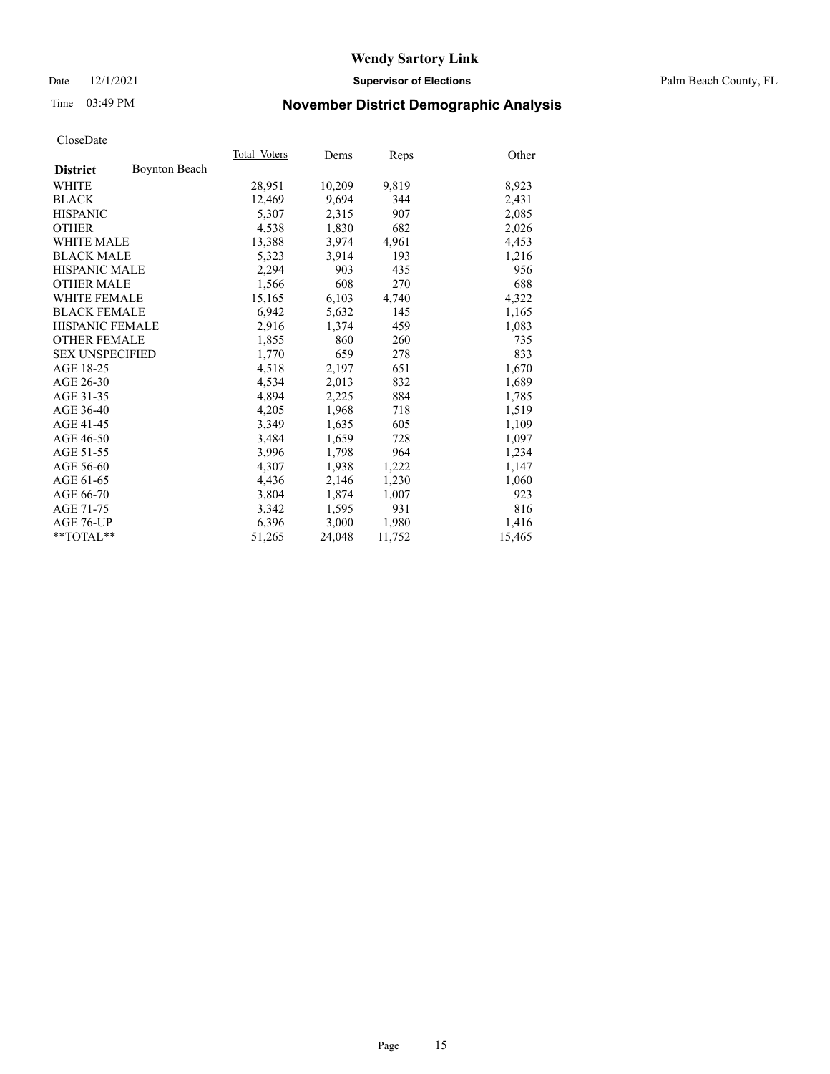#### Date 12/1/2021 **Supervisor of Elections** Palm Beach County, FL

## Time 03:49 PM **November District Demographic Analysis**

|                        |                      | Total Voters | Dems   | Reps   | Other  |
|------------------------|----------------------|--------------|--------|--------|--------|
| <b>District</b>        | <b>Boynton Beach</b> |              |        |        |        |
| WHITE                  |                      | 28,951       | 10,209 | 9,819  | 8,923  |
| <b>BLACK</b>           |                      | 12,469       | 9,694  | 344    | 2,431  |
| <b>HISPANIC</b>        |                      | 5.307        | 2,315  | 907    | 2,085  |
| <b>OTHER</b>           |                      | 4,538        | 1,830  | 682    | 2,026  |
| <b>WHITE MALE</b>      |                      | 13,388       | 3,974  | 4,961  | 4,453  |
| <b>BLACK MALE</b>      |                      | 5,323        | 3,914  | 193    | 1,216  |
| <b>HISPANIC MALE</b>   |                      | 2,294        | 903    | 435    | 956    |
| <b>OTHER MALE</b>      |                      | 1,566        | 608    | 270    | 688    |
| <b>WHITE FEMALE</b>    |                      | 15,165       | 6,103  | 4,740  | 4,322  |
| <b>BLACK FEMALE</b>    |                      | 6.942        | 5,632  | 145    | 1,165  |
| HISPANIC FEMALE        |                      | 2,916        | 1,374  | 459    | 1,083  |
| <b>OTHER FEMALE</b>    |                      | 1,855        | 860    | 260    | 735    |
| <b>SEX UNSPECIFIED</b> |                      | 1,770        | 659    | 278    | 833    |
| AGE 18-25              |                      | 4,518        | 2,197  | 651    | 1,670  |
| AGE 26-30              |                      | 4,534        | 2,013  | 832    | 1,689  |
| AGE 31-35              |                      | 4,894        | 2,225  | 884    | 1,785  |
| AGE 36-40              |                      | 4,205        | 1,968  | 718    | 1,519  |
| AGE 41-45              |                      | 3,349        | 1,635  | 605    | 1,109  |
| AGE 46-50              |                      | 3,484        | 1,659  | 728    | 1,097  |
| AGE 51-55              |                      | 3,996        | 1,798  | 964    | 1,234  |
| AGE 56-60              |                      | 4,307        | 1,938  | 1,222  | 1,147  |
| AGE 61-65              |                      | 4,436        | 2,146  | 1,230  | 1,060  |
| AGE 66-70              |                      | 3,804        | 1,874  | 1,007  | 923    |
| AGE 71-75              |                      | 3,342        | 1,595  | 931    | 816    |
| AGE 76-UP              |                      | 6,396        | 3,000  | 1,980  | 1,416  |
| $*$ $TOTAL**$          |                      | 51,265       | 24,048 | 11,752 | 15,465 |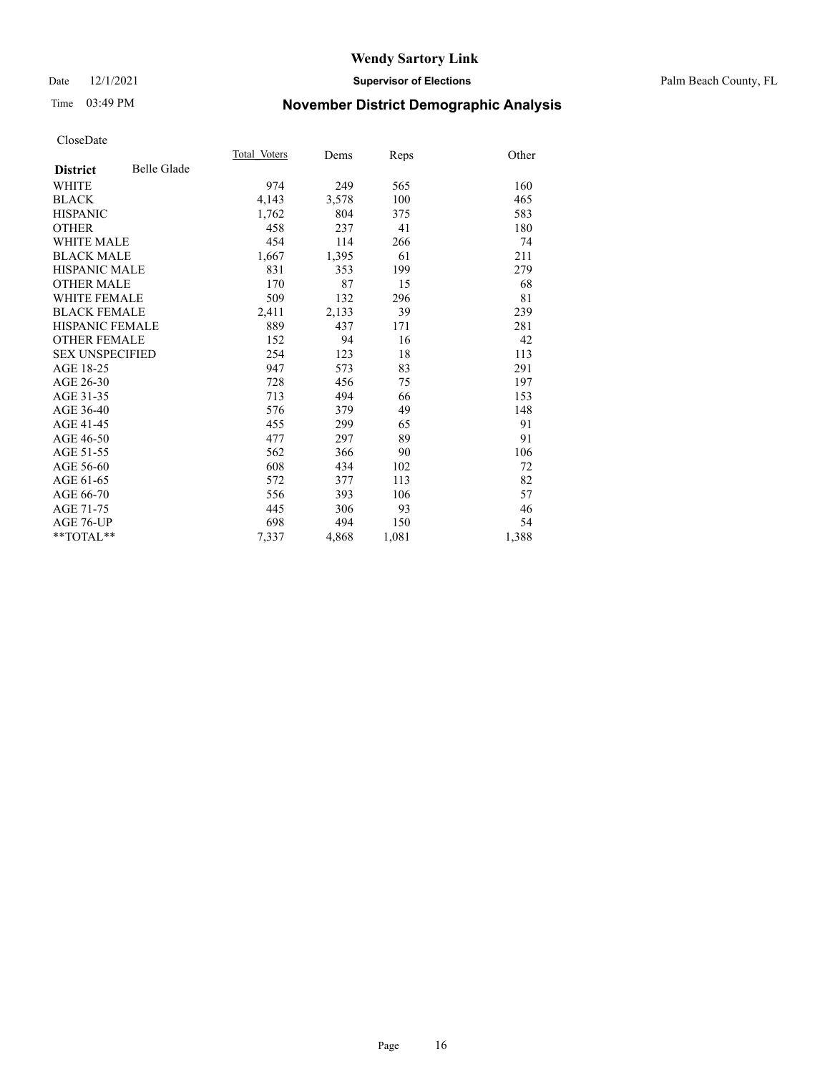#### Date 12/1/2021 **Supervisor of Elections** Palm Beach County, FL

## Time 03:49 PM **November District Demographic Analysis**

|                        |             | Total Voters | Dems  | Reps  | Other |
|------------------------|-------------|--------------|-------|-------|-------|
| <b>District</b>        | Belle Glade |              |       |       |       |
| WHITE                  |             | 974          | 249   | 565   | 160   |
| <b>BLACK</b>           |             | 4,143        | 3,578 | 100   | 465   |
| <b>HISPANIC</b>        |             | 1,762        | 804   | 375   | 583   |
| <b>OTHER</b>           |             | 458          | 237   | 41    | 180   |
| <b>WHITE MALE</b>      |             | 454          | 114   | 266   | 74    |
| <b>BLACK MALE</b>      |             | 1,667        | 1,395 | 61    | 211   |
| <b>HISPANIC MALE</b>   |             | 831          | 353   | 199   | 279   |
| <b>OTHER MALE</b>      |             | 170          | 87    | 15    | 68    |
| <b>WHITE FEMALE</b>    |             | 509          | 132   | 296   | 81    |
| <b>BLACK FEMALE</b>    |             | 2,411        | 2,133 | 39    | 239   |
| <b>HISPANIC FEMALE</b> |             | 889          | 437   | 171   | 281   |
| <b>OTHER FEMALE</b>    |             | 152          | 94    | 16    | 42    |
| <b>SEX UNSPECIFIED</b> |             | 254          | 123   | 18    | 113   |
| AGE 18-25              |             | 947          | 573   | 83    | 291   |
| AGE 26-30              |             | 728          | 456   | 75    | 197   |
| AGE 31-35              |             | 713          | 494   | 66    | 153   |
| AGE 36-40              |             | 576          | 379   | 49    | 148   |
| AGE 41-45              |             | 455          | 299   | 65    | 91    |
| AGE 46-50              |             | 477          | 297   | 89    | 91    |
| AGE 51-55              |             | 562          | 366   | 90    | 106   |
| AGE 56-60              |             | 608          | 434   | 102   | 72    |
| AGE 61-65              |             | 572          | 377   | 113   | 82    |
| AGE 66-70              |             | 556          | 393   | 106   | 57    |
| AGE 71-75              |             | 445          | 306   | 93    | 46    |
| <b>AGE 76-UP</b>       |             | 698          | 494   | 150   | 54    |
| $*$ $TOTAL**$          |             | 7,337        | 4,868 | 1,081 | 1,388 |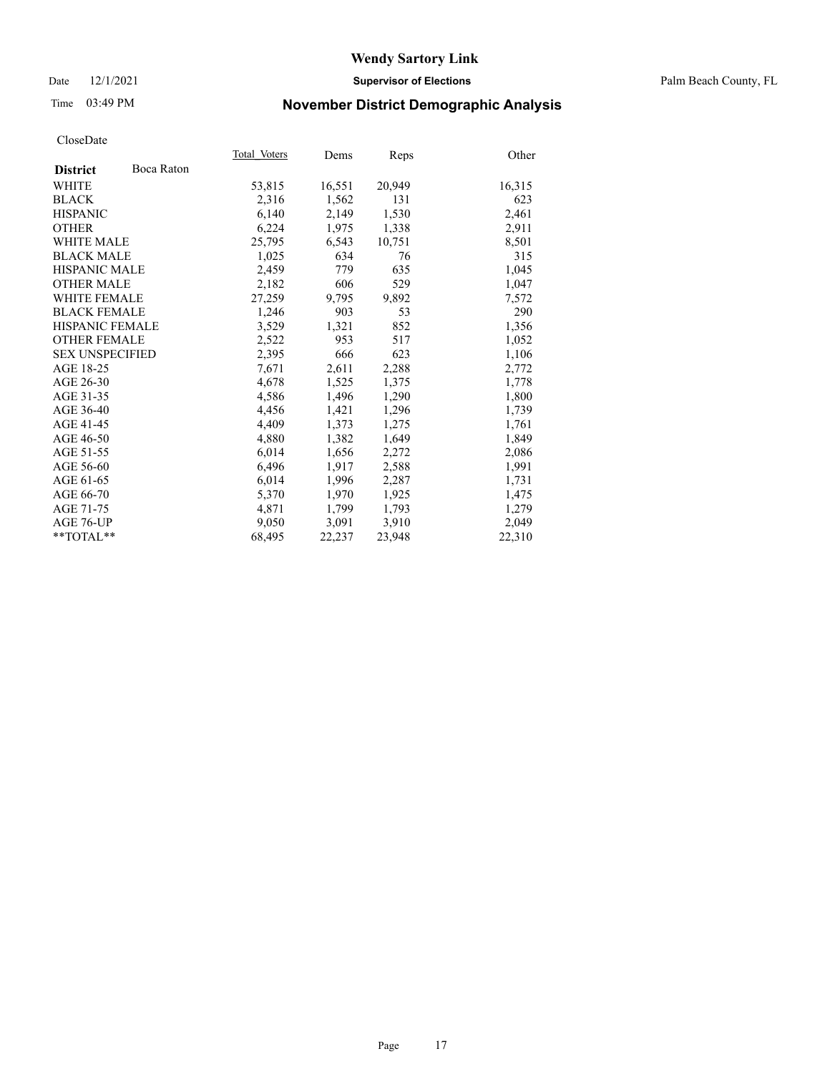#### Date 12/1/2021 **Supervisor of Elections** Palm Beach County, FL

## Time 03:49 PM **November District Demographic Analysis**

|                        |            | Total Voters | Dems   | Reps   | Other  |
|------------------------|------------|--------------|--------|--------|--------|
| <b>District</b>        | Boca Raton |              |        |        |        |
| WHITE                  |            | 53,815       | 16,551 | 20,949 | 16,315 |
| <b>BLACK</b>           |            | 2,316        | 1,562  | 131    | 623    |
| <b>HISPANIC</b>        |            | 6,140        | 2,149  | 1,530  | 2,461  |
| <b>OTHER</b>           |            | 6,224        | 1,975  | 1,338  | 2,911  |
| <b>WHITE MALE</b>      |            | 25,795       | 6,543  | 10,751 | 8,501  |
| <b>BLACK MALE</b>      |            | 1,025        | 634    | 76     | 315    |
| <b>HISPANIC MALE</b>   |            | 2,459        | 779    | 635    | 1,045  |
| <b>OTHER MALE</b>      |            | 2,182        | 606    | 529    | 1,047  |
| <b>WHITE FEMALE</b>    |            | 27,259       | 9,795  | 9,892  | 7,572  |
| <b>BLACK FEMALE</b>    |            | 1.246        | 903    | 53     | 290    |
| HISPANIC FEMALE        |            | 3,529        | 1,321  | 852    | 1,356  |
| <b>OTHER FEMALE</b>    |            | 2,522        | 953    | 517    | 1,052  |
| <b>SEX UNSPECIFIED</b> |            | 2,395        | 666    | 623    | 1,106  |
| AGE 18-25              |            | 7,671        | 2,611  | 2,288  | 2,772  |
| AGE 26-30              |            | 4,678        | 1,525  | 1,375  | 1,778  |
| AGE 31-35              |            | 4,586        | 1,496  | 1,290  | 1,800  |
| AGE 36-40              |            | 4,456        | 1,421  | 1,296  | 1,739  |
| AGE 41-45              |            | 4,409        | 1,373  | 1,275  | 1,761  |
| AGE 46-50              |            | 4,880        | 1,382  | 1,649  | 1,849  |
| AGE 51-55              |            | 6,014        | 1,656  | 2,272  | 2,086  |
| AGE 56-60              |            | 6,496        | 1,917  | 2,588  | 1,991  |
| AGE 61-65              |            | 6,014        | 1,996  | 2,287  | 1,731  |
| AGE 66-70              |            | 5,370        | 1,970  | 1,925  | 1,475  |
| AGE 71-75              |            | 4,871        | 1,799  | 1,793  | 1,279  |
| AGE 76-UP              |            | 9,050        | 3,091  | 3,910  | 2,049  |
| $*$ $TOTAL**$          |            | 68,495       | 22,237 | 23,948 | 22,310 |
|                        |            |              |        |        |        |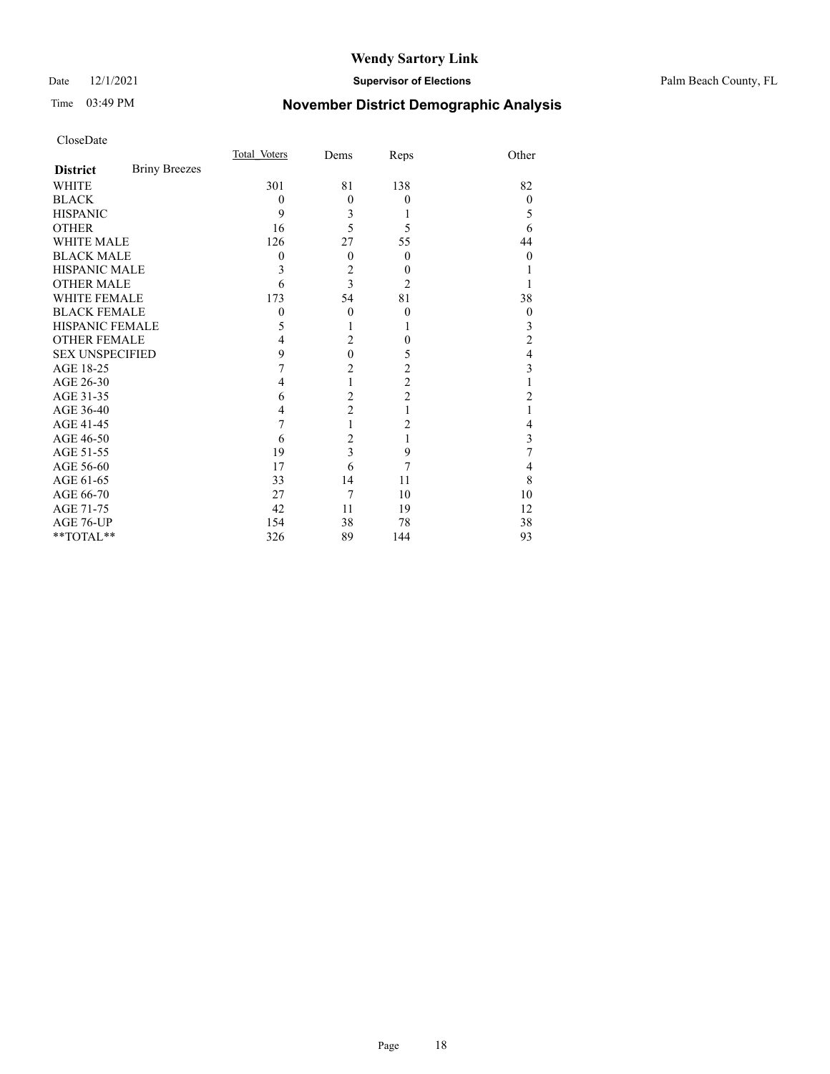Date 12/1/2021 **Supervisor of Elections** Palm Beach County, FL

## Time 03:49 PM **November District Demographic Analysis**

|                        |                      | Total Voters | Dems                    | Reps                    | Other            |
|------------------------|----------------------|--------------|-------------------------|-------------------------|------------------|
| <b>District</b>        | <b>Briny Breezes</b> |              |                         |                         |                  |
| WHITE                  |                      | 301          | 81                      | 138                     | 82               |
| <b>BLACK</b>           |                      | $\theta$     | $\theta$                | $\theta$                | $\theta$         |
| <b>HISPANIC</b>        |                      | 9            | 3                       | 1                       | 5                |
| <b>OTHER</b>           |                      | 16           | 5                       | 5                       | 6                |
| <b>WHITE MALE</b>      |                      | 126          | 27                      | 55                      | 44               |
| <b>BLACK MALE</b>      |                      | 0            | $\theta$                | $\overline{0}$          | 0                |
| <b>HISPANIC MALE</b>   |                      | 3            | $\overline{c}$          | $\theta$                |                  |
| <b>OTHER MALE</b>      |                      | 6            | 3                       | $\overline{2}$          |                  |
| <b>WHITE FEMALE</b>    |                      | 173          | 54                      | 81                      | 38               |
| <b>BLACK FEMALE</b>    |                      | $\mathbf{0}$ | $\theta$                | $\boldsymbol{0}$        | $\boldsymbol{0}$ |
| HISPANIC FEMALE        |                      | 5            |                         | 1                       | 3                |
| <b>OTHER FEMALE</b>    |                      | 4            | $\overline{2}$          | $\theta$                | $\overline{c}$   |
| <b>SEX UNSPECIFIED</b> |                      | 9            | $\mathbf{0}$            | 5                       | 4                |
| AGE 18-25              |                      | 7            | $\overline{c}$          | $\overline{\mathbf{c}}$ | 3                |
| AGE 26-30              |                      | 4            | $\mathbf{1}$            | $\overline{c}$          |                  |
| AGE 31-35              |                      | 6            | $\overline{c}$          | $\overline{c}$          | $\overline{c}$   |
| AGE 36-40              |                      | 4            | $\overline{c}$          | 1                       |                  |
| AGE 41-45              |                      | 7            | 1                       | $\overline{2}$          | 4                |
| AGE 46-50              |                      | 6            | $\overline{c}$          | 1                       | 3                |
| AGE 51-55              |                      | 19           | $\overline{\mathbf{3}}$ | 9                       | 7                |
| AGE 56-60              |                      | 17           | 6                       | 7                       | 4                |
| AGE 61-65              |                      | 33           | 14                      | 11                      | 8                |
| AGE 66-70              |                      | 27           | 7                       | 10                      | 10               |
| AGE 71-75              |                      | 42           | 11                      | 19                      | 12               |
| AGE 76-UP              |                      | 154          | 38                      | 78                      | 38               |
| **TOTAL**              |                      | 326          | 89                      | 144                     | 93               |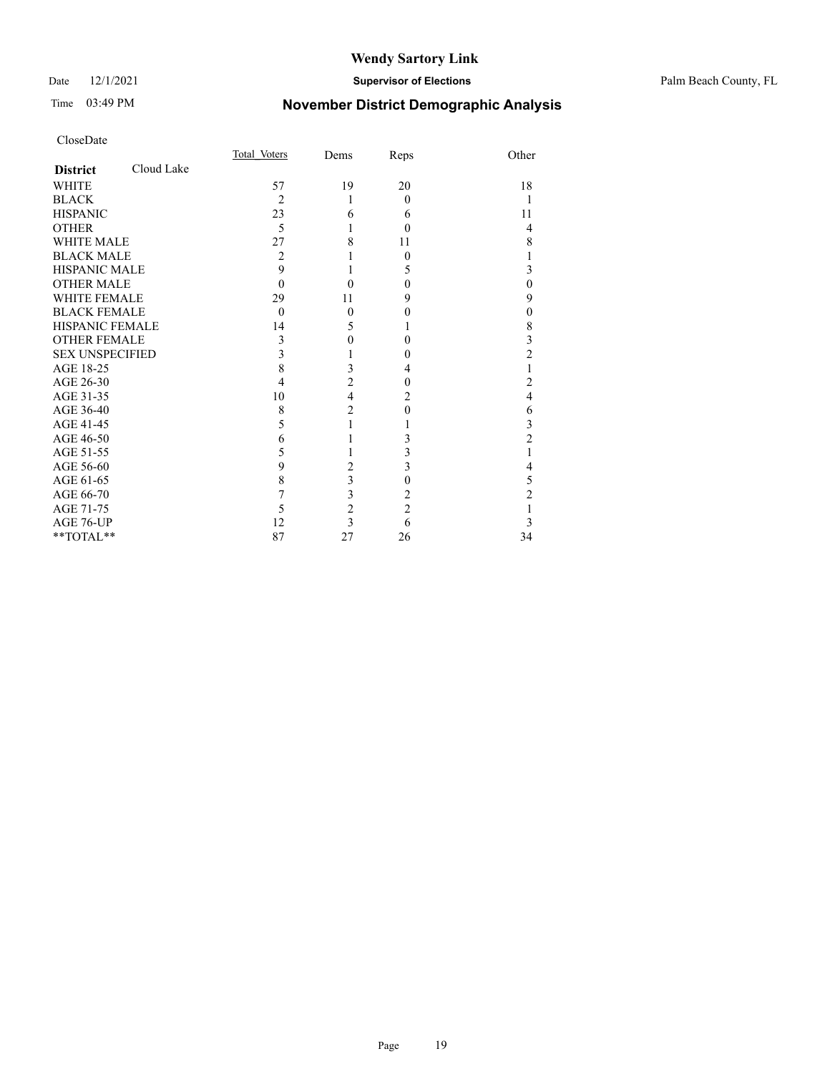#### Date 12/1/2021 **Supervisor of Elections** Palm Beach County, FL

## Time 03:49 PM **November District Demographic Analysis**

|                        |            | Total Voters   | Dems                    | Reps           | Other          |
|------------------------|------------|----------------|-------------------------|----------------|----------------|
| <b>District</b>        | Cloud Lake |                |                         |                |                |
| <b>WHITE</b>           |            | 57             | 19                      | 20             | 18             |
| <b>BLACK</b>           |            | $\overline{2}$ | 1                       | $\Omega$       |                |
| <b>HISPANIC</b>        |            | 23             | 6                       | 6              | 11             |
| <b>OTHER</b>           |            | 5              | 1                       | $\theta$       | $\overline{4}$ |
| WHITE MALE             |            | 27             | 8                       | 11             | 8              |
| <b>BLACK MALE</b>      |            | 2              |                         | $\Omega$       | 1              |
| <b>HISPANIC MALE</b>   |            | 9              |                         | 5              | 3              |
| <b>OTHER MALE</b>      |            | $\Omega$       | 0                       | $\theta$       | $\theta$       |
| <b>WHITE FEMALE</b>    |            | 29             | 11                      | 9              | 9              |
| <b>BLACK FEMALE</b>    |            | $\theta$       | $\mathbf{0}$            | $\theta$       | $\mathbf{0}$   |
| <b>HISPANIC FEMALE</b> |            | 14             | 5                       |                | 8              |
| <b>OTHER FEMALE</b>    |            | 3              | $\boldsymbol{0}$        | 0              | 3              |
| <b>SEX UNSPECIFIED</b> |            | 3              |                         | 0              | $\overline{2}$ |
| AGE 18-25              |            | 8              | 3                       | 4              |                |
| AGE 26-30              |            | 4              | $\overline{2}$          | 0              | 2              |
| AGE 31-35              |            | 10             | $\overline{\mathbf{4}}$ | 2              | 4              |
| AGE 36-40              |            | 8              | $\overline{c}$          | $\Omega$       | 6              |
| AGE 41-45              |            | 5              |                         |                | 3              |
| AGE 46-50              |            | 6              |                         | 3              | $\overline{2}$ |
| AGE 51-55              |            | 5              |                         | 3              | 1              |
| AGE 56-60              |            | 9              | $\sqrt{2}$              | 3              | 4              |
| AGE 61-65              |            | 8              | $\overline{\mathbf{3}}$ | $\theta$       | 5              |
| AGE 66-70              |            | 7              | 3                       | 2              | $\overline{c}$ |
| AGE 71-75              |            | 5              | $\overline{c}$          | $\overline{c}$ |                |
| AGE 76-UP              |            | 12             | $\overline{\mathbf{3}}$ | 6              | 3              |
| **TOTAL**              |            | 87             | 27                      | 26             | 34             |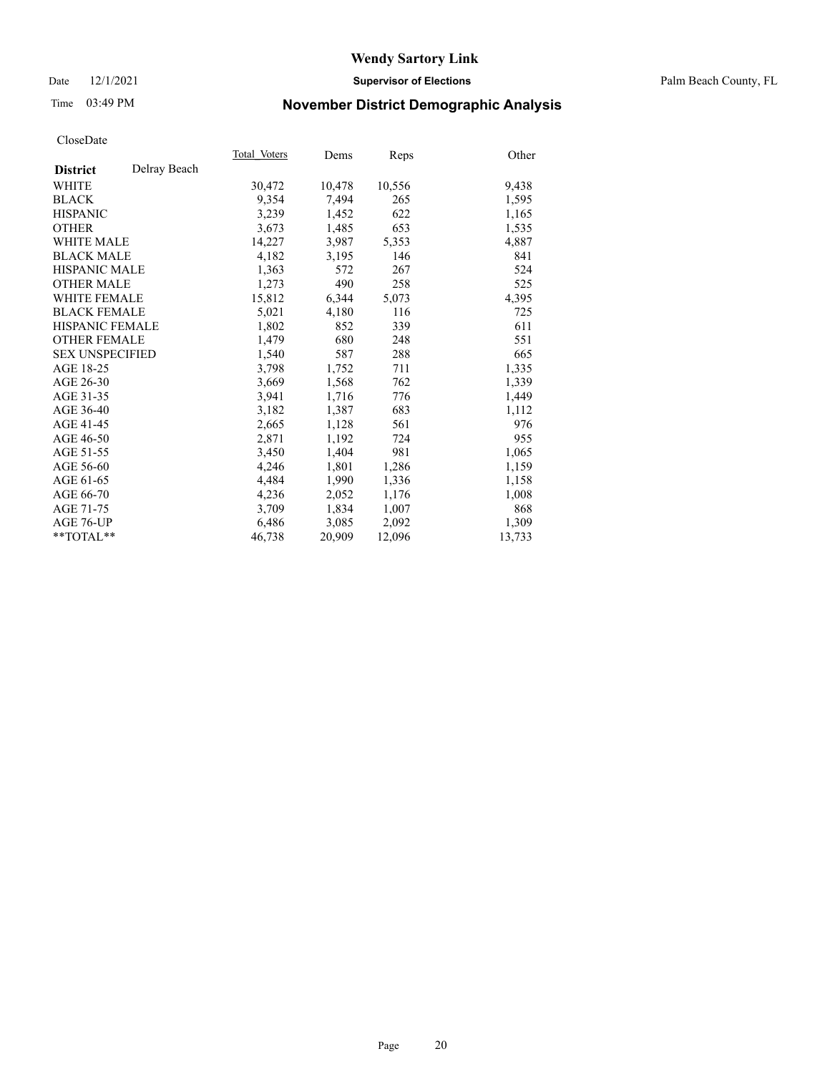#### Date 12/1/2021 **Supervisor of Elections** Palm Beach County, FL

## Time 03:49 PM **November District Demographic Analysis**

|                        |              | Total Voters | Dems   | Reps   | Other  |
|------------------------|--------------|--------------|--------|--------|--------|
| <b>District</b>        | Delray Beach |              |        |        |        |
| WHITE                  |              | 30,472       | 10,478 | 10,556 | 9,438  |
| <b>BLACK</b>           |              | 9,354        | 7,494  | 265    | 1,595  |
| <b>HISPANIC</b>        |              | 3,239        | 1,452  | 622    | 1,165  |
| <b>OTHER</b>           |              | 3,673        | 1,485  | 653    | 1,535  |
| <b>WHITE MALE</b>      |              | 14,227       | 3,987  | 5,353  | 4,887  |
| <b>BLACK MALE</b>      |              | 4,182        | 3,195  | 146    | 841    |
| <b>HISPANIC MALE</b>   |              | 1,363        | 572    | 267    | 524    |
| <b>OTHER MALE</b>      |              | 1,273        | 490    | 258    | 525    |
| WHITE FEMALE           |              | 15,812       | 6,344  | 5,073  | 4,395  |
| <b>BLACK FEMALE</b>    |              | 5,021        | 4,180  | 116    | 725    |
| HISPANIC FEMALE        |              | 1,802        | 852    | 339    | 611    |
| <b>OTHER FEMALE</b>    |              | 1,479        | 680    | 248    | 551    |
| <b>SEX UNSPECIFIED</b> |              | 1,540        | 587    | 288    | 665    |
| AGE 18-25              |              | 3,798        | 1,752  | 711    | 1,335  |
| AGE 26-30              |              | 3,669        | 1,568  | 762    | 1,339  |
| AGE 31-35              |              | 3,941        | 1,716  | 776    | 1,449  |
| AGE 36-40              |              | 3,182        | 1,387  | 683    | 1,112  |
| AGE 41-45              |              | 2,665        | 1,128  | 561    | 976    |
| AGE 46-50              |              | 2,871        | 1,192  | 724    | 955    |
| AGE 51-55              |              | 3,450        | 1,404  | 981    | 1,065  |
| AGE 56-60              |              | 4,246        | 1,801  | 1,286  | 1,159  |
| AGE 61-65              |              | 4,484        | 1,990  | 1,336  | 1,158  |
| AGE 66-70              |              | 4,236        | 2,052  | 1,176  | 1,008  |
| AGE 71-75              |              | 3,709        | 1,834  | 1,007  | 868    |
| AGE 76-UP              |              | 6,486        | 3,085  | 2,092  | 1,309  |
| $*$ $TOTAL**$          |              | 46,738       | 20,909 | 12,096 | 13,733 |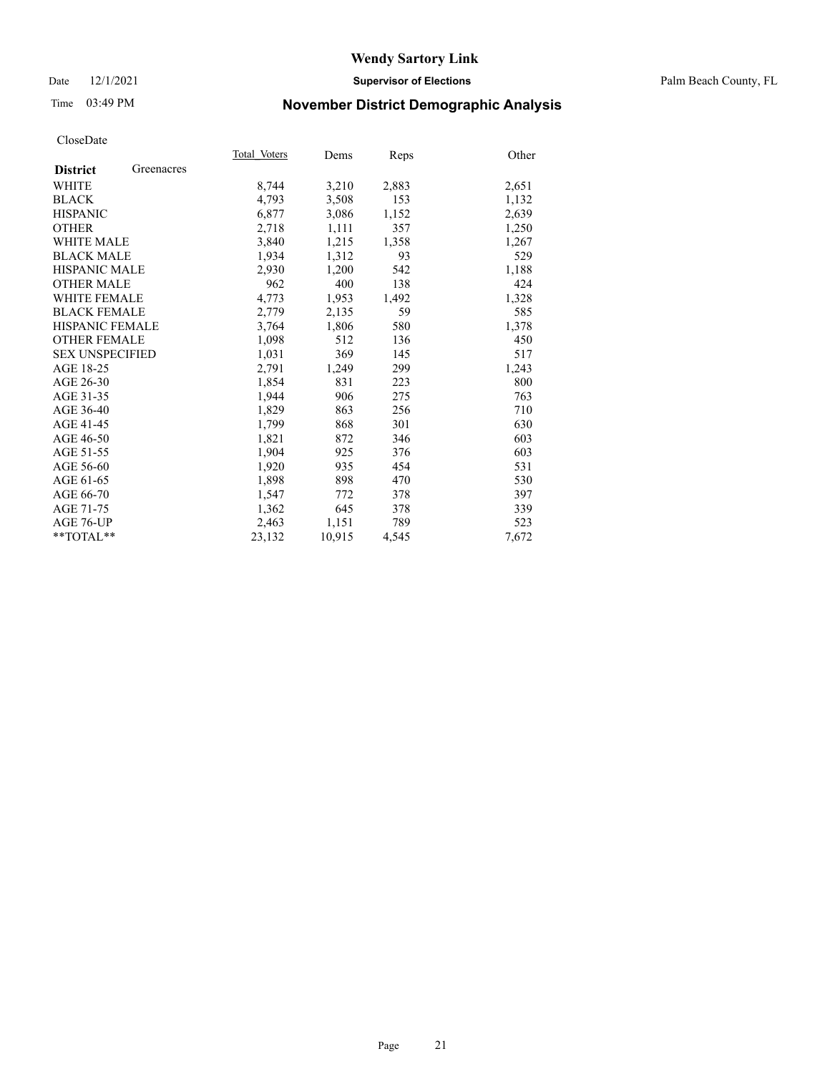#### Date 12/1/2021 **Supervisor of Elections** Palm Beach County, FL

## Time 03:49 PM **November District Demographic Analysis**

|                        |            | Total Voters | Dems   | Reps  | Other |
|------------------------|------------|--------------|--------|-------|-------|
| <b>District</b>        | Greenacres |              |        |       |       |
| WHITE                  |            | 8,744        | 3,210  | 2,883 | 2,651 |
| <b>BLACK</b>           |            | 4,793        | 3,508  | 153   | 1,132 |
| <b>HISPANIC</b>        |            | 6,877        | 3,086  | 1,152 | 2,639 |
| <b>OTHER</b>           |            | 2,718        | 1,111  | 357   | 1,250 |
| <b>WHITE MALE</b>      |            | 3,840        | 1,215  | 1,358 | 1,267 |
| <b>BLACK MALE</b>      |            | 1,934        | 1,312  | 93    | 529   |
| <b>HISPANIC MALE</b>   |            | 2,930        | 1,200  | 542   | 1,188 |
| <b>OTHER MALE</b>      |            | 962          | 400    | 138   | 424   |
| <b>WHITE FEMALE</b>    |            | 4,773        | 1,953  | 1,492 | 1,328 |
| <b>BLACK FEMALE</b>    |            | 2,779        | 2,135  | 59    | 585   |
| <b>HISPANIC FEMALE</b> |            | 3,764        | 1,806  | 580   | 1,378 |
| <b>OTHER FEMALE</b>    |            | 1,098        | 512    | 136   | 450   |
| <b>SEX UNSPECIFIED</b> |            | 1,031        | 369    | 145   | 517   |
| AGE 18-25              |            | 2,791        | 1,249  | 299   | 1,243 |
| AGE 26-30              |            | 1,854        | 831    | 223   | 800   |
| AGE 31-35              |            | 1,944        | 906    | 275   | 763   |
| AGE 36-40              |            | 1,829        | 863    | 256   | 710   |
| AGE 41-45              |            | 1,799        | 868    | 301   | 630   |
| AGE 46-50              |            | 1,821        | 872    | 346   | 603   |
| AGE 51-55              |            | 1,904        | 925    | 376   | 603   |
| AGE 56-60              |            | 1,920        | 935    | 454   | 531   |
| AGE 61-65              |            | 1,898        | 898    | 470   | 530   |
| AGE 66-70              |            | 1,547        | 772    | 378   | 397   |
| AGE 71-75              |            | 1,362        | 645    | 378   | 339   |
| AGE 76-UP              |            | 2,463        | 1,151  | 789   | 523   |
| $*$ $TOTAL**$          |            | 23,132       | 10,915 | 4,545 | 7,672 |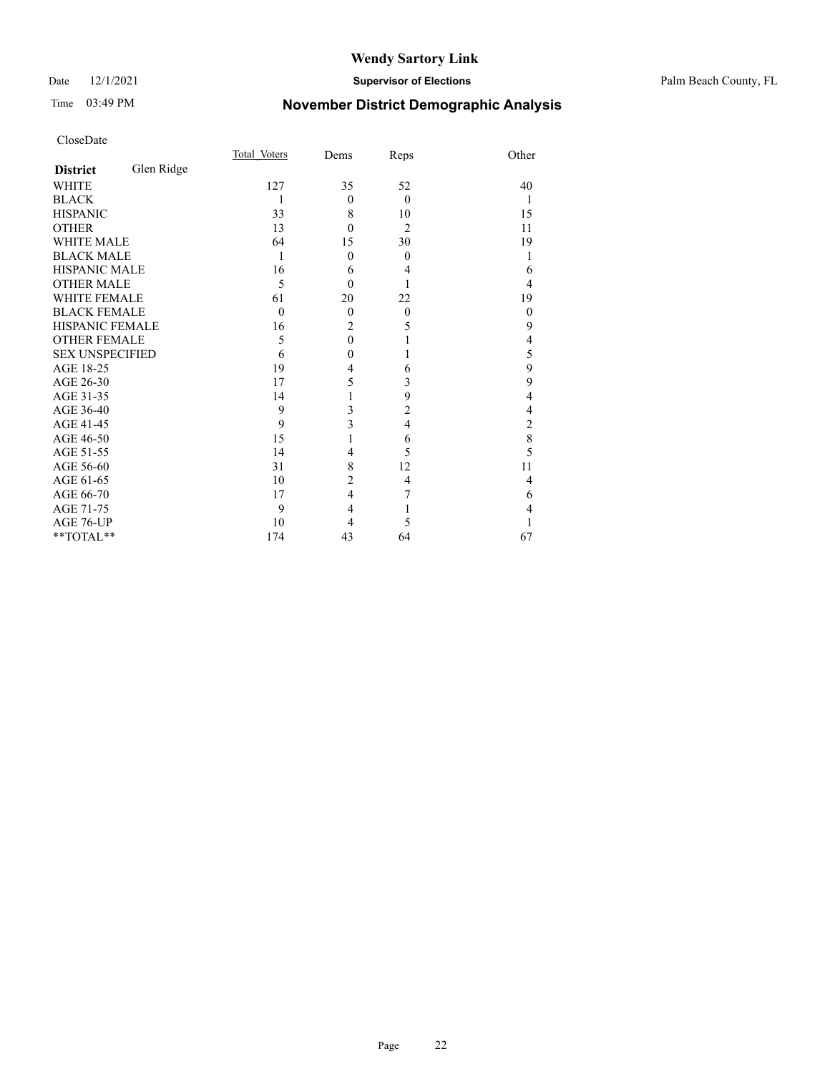#### Date 12/1/2021 **Supervisor of Elections** Palm Beach County, FL

## Time 03:49 PM **November District Demographic Analysis**

|                        |            | Total Voters | Dems           | Reps           | Other        |
|------------------------|------------|--------------|----------------|----------------|--------------|
| <b>District</b>        | Glen Ridge |              |                |                |              |
| WHITE                  |            | 127          | 35             | 52             | 40           |
| <b>BLACK</b>           |            | 1            | $\mathbf{0}$   | $\theta$       | 1            |
| <b>HISPANIC</b>        |            | 33           | 8              | 10             | 15           |
| <b>OTHER</b>           |            | 13           | $\theta$       | $\overline{2}$ | 11           |
| <b>WHITE MALE</b>      |            | 64           | 15             | 30             | 19           |
| <b>BLACK MALE</b>      |            | 1            | $\theta$       | $\theta$       |              |
| HISPANIC MALE          |            | 16           | 6              | 4              | 6            |
| <b>OTHER MALE</b>      |            | 5            | $\theta$       |                | 4            |
| WHITE FEMALE           |            | 61           | 20             | 22             | 19           |
| <b>BLACK FEMALE</b>    |            | $\theta$     | $\theta$       | $\theta$       | $\mathbf{0}$ |
| <b>HISPANIC FEMALE</b> |            | 16           | $\overline{2}$ | 5              | 9            |
| <b>OTHER FEMALE</b>    |            | 5            | $\theta$       |                | 4            |
| <b>SEX UNSPECIFIED</b> |            | 6            | 0              |                | 5            |
| AGE 18-25              |            | 19           | 4              | 6              | 9            |
| AGE 26-30              |            | 17           | 5              | 3              | 9            |
| AGE 31-35              |            | 14           |                | 9              | 4            |
| AGE 36-40              |            | 9            | 3              | 2              | 4            |
| AGE 41-45              |            | 9            | 3              | $\overline{4}$ | 2            |
| AGE 46-50              |            | 15           |                | 6              | 8            |
| AGE 51-55              |            | 14           | 4              | 5              | 5            |
| AGE 56-60              |            | 31           | 8              | 12             | 11           |
| AGE 61-65              |            | 10           | $\overline{c}$ | $\overline{4}$ | 4            |
| AGE 66-70              |            | 17           | 4              | 7              | 6            |
| AGE 71-75              |            | 9            | 4              | 1              | 4            |
| AGE 76-UP              |            | 10           | 4              | 5              |              |
| **TOTAL**              |            | 174          | 43             | 64             | 67           |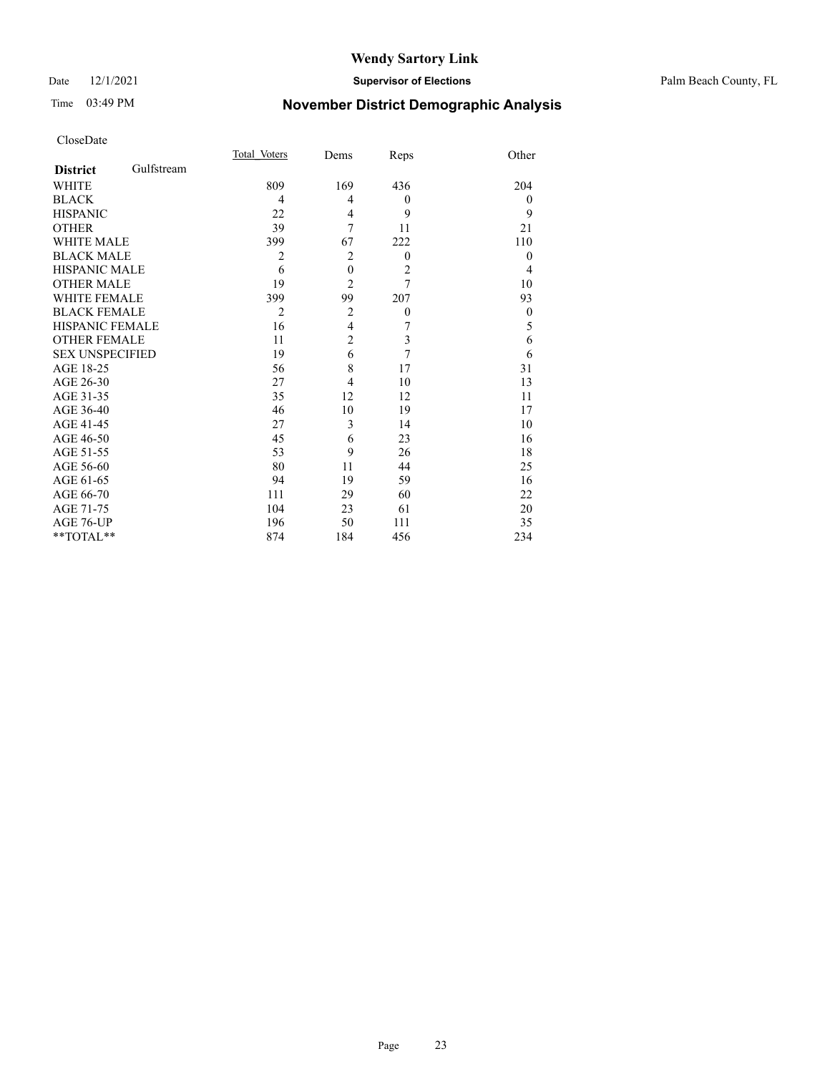#### Date 12/1/2021 **Supervisor of Elections** Palm Beach County, FL

## Time 03:49 PM **November District Demographic Analysis**

|                        |            | Total Voters   | Dems             | Reps           | Other          |
|------------------------|------------|----------------|------------------|----------------|----------------|
| <b>District</b>        | Gulfstream |                |                  |                |                |
| WHITE                  |            | 809            | 169              | 436            | 204            |
| <b>BLACK</b>           |            | 4              | 4                | $\theta$       | $\overline{0}$ |
| <b>HISPANIC</b>        |            | 22             | 4                | 9              | 9              |
| <b>OTHER</b>           |            | 39             | 7                | 11             | 21             |
| <b>WHITE MALE</b>      |            | 399            | 67               | 222            | 110            |
| <b>BLACK MALE</b>      |            | 2              | $\overline{2}$   | $\overline{0}$ | $\theta$       |
| <b>HISPANIC MALE</b>   |            | 6              | $\boldsymbol{0}$ | $\overline{c}$ | 4              |
| <b>OTHER MALE</b>      |            | 19             | $\overline{2}$   | 7              | 10             |
| <b>WHITE FEMALE</b>    |            | 399            | 99               | 207            | 93             |
| <b>BLACK FEMALE</b>    |            | $\overline{2}$ | 2                | $\theta$       | $\theta$       |
| <b>HISPANIC FEMALE</b> |            | 16             | $\overline{4}$   | 7              | 5              |
| <b>OTHER FEMALE</b>    |            | 11             | $\overline{2}$   | 3              | 6              |
| <b>SEX UNSPECIFIED</b> |            | 19             | 6                | 7              | 6              |
| AGE 18-25              |            | 56             | 8                | 17             | 31             |
| AGE 26-30              |            | 27             | $\overline{4}$   | 10             | 13             |
| AGE 31-35              |            | 35             | 12               | 12             | 11             |
| AGE 36-40              |            | 46             | 10               | 19             | 17             |
| AGE 41-45              |            | 27             | 3                | 14             | 10             |
| AGE 46-50              |            | 45             | 6                | 23             | 16             |
| AGE 51-55              |            | 53             | 9                | 26             | 18             |
| AGE 56-60              |            | 80             | 11               | 44             | 25             |
| AGE 61-65              |            | 94             | 19               | 59             | 16             |
| AGE 66-70              |            | 111            | 29               | 60             | 22             |
| AGE 71-75              |            | 104            | 23               | 61             | 20             |
| AGE 76-UP              |            | 196            | 50               | 111            | 35             |
| **TOTAL**              |            | 874            | 184              | 456            | 234            |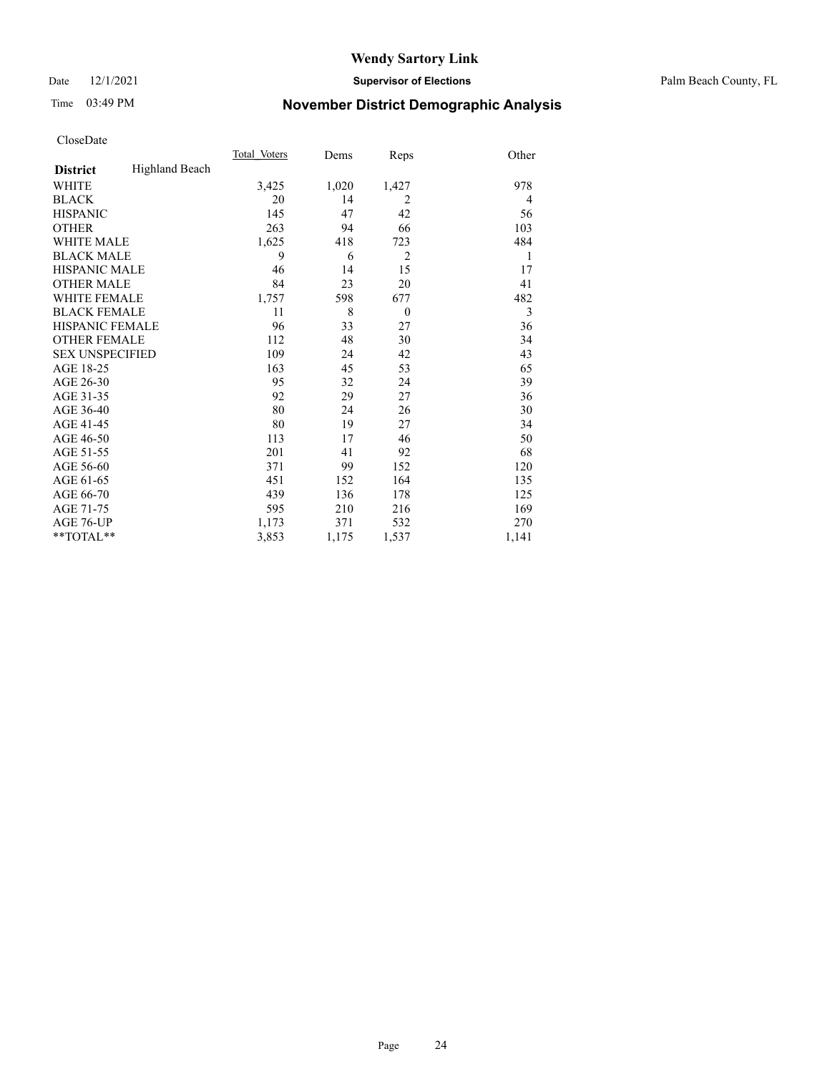#### Date 12/1/2021 **Supervisor of Elections** Palm Beach County, FL

## Time 03:49 PM **November District Demographic Analysis**

|                        |                       | Total Voters | Dems  | Reps           | Other |
|------------------------|-----------------------|--------------|-------|----------------|-------|
| <b>District</b>        | <b>Highland Beach</b> |              |       |                |       |
| <b>WHITE</b>           |                       | 3,425        | 1,020 | 1,427          | 978   |
| <b>BLACK</b>           |                       | 20           | 14    | 2              | 4     |
| <b>HISPANIC</b>        |                       | 145          | 47    | 42             | 56    |
| <b>OTHER</b>           |                       | 263          | 94    | 66             | 103   |
| WHITE MALE             |                       | 1,625        | 418   | 723            | 484   |
| <b>BLACK MALE</b>      |                       | 9            | 6     | $\overline{2}$ | 1     |
| <b>HISPANIC MALE</b>   |                       | 46           | 14    | 15             | 17    |
| <b>OTHER MALE</b>      |                       | 84           | 23    | 20             | 41    |
| WHITE FEMALE           |                       | 1,757        | 598   | 677            | 482   |
| <b>BLACK FEMALE</b>    |                       | 11           | 8     | $\theta$       | 3     |
| <b>HISPANIC FEMALE</b> |                       | 96           | 33    | 27             | 36    |
| <b>OTHER FEMALE</b>    |                       | 112          | 48    | 30             | 34    |
| <b>SEX UNSPECIFIED</b> |                       | 109          | 24    | 42             | 43    |
| AGE 18-25              |                       | 163          | 45    | 53             | 65    |
| AGE 26-30              |                       | 95           | 32    | 24             | 39    |
| AGE 31-35              |                       | 92           | 29    | 27             | 36    |
| AGE 36-40              |                       | 80           | 24    | 26             | 30    |
| AGE 41-45              |                       | 80           | 19    | 27             | 34    |
| AGE 46-50              |                       | 113          | 17    | 46             | 50    |
| AGE 51-55              |                       | 201          | 41    | 92             | 68    |
| AGE 56-60              |                       | 371          | 99    | 152            | 120   |
| AGE 61-65              |                       | 451          | 152   | 164            | 135   |
| AGE 66-70              |                       | 439          | 136   | 178            | 125   |
| AGE 71-75              |                       | 595          | 210   | 216            | 169   |
| AGE 76-UP              |                       | 1,173        | 371   | 532            | 270   |
| $*$ $TOTAL**$          |                       | 3,853        | 1,175 | 1,537          | 1,141 |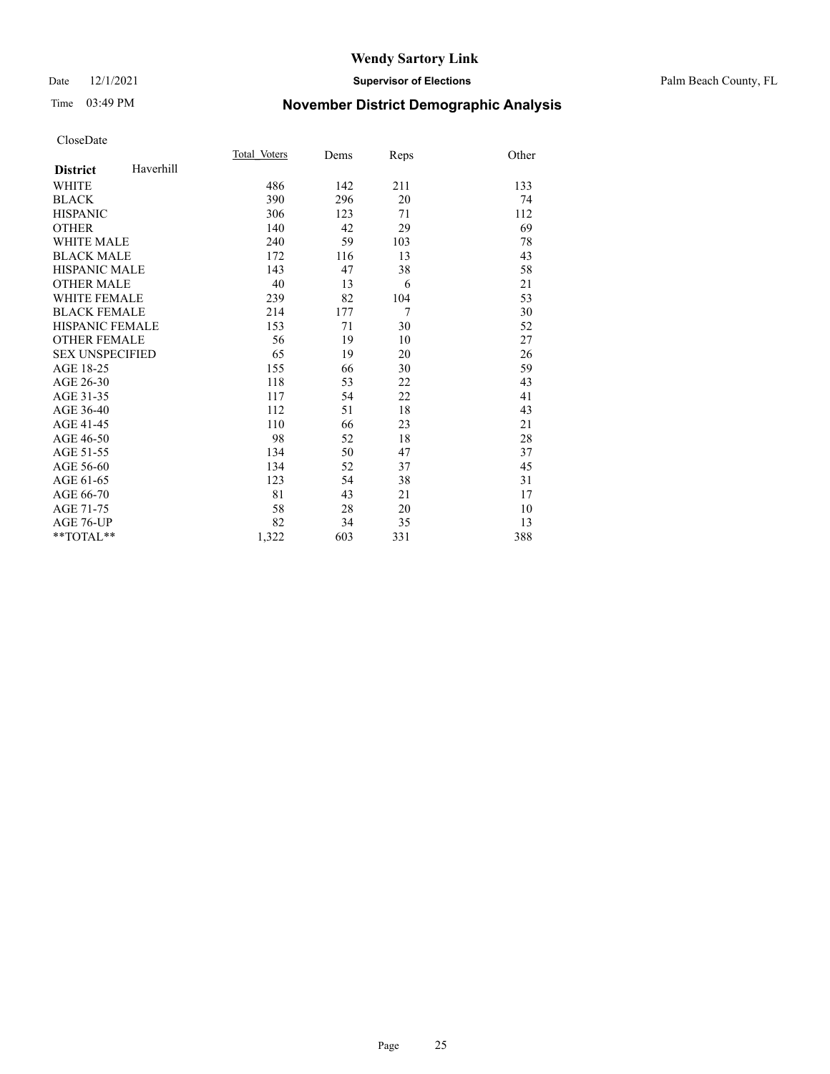#### Date 12/1/2021 **Supervisor of Elections** Palm Beach County, FL

## Time 03:49 PM **November District Demographic Analysis**

|                        |           | Total Voters | Dems | Reps           | Other |
|------------------------|-----------|--------------|------|----------------|-------|
| <b>District</b>        | Haverhill |              |      |                |       |
| <b>WHITE</b>           |           | 486          | 142  | 211            | 133   |
| <b>BLACK</b>           |           | 390          | 296  | 20             | 74    |
| <b>HISPANIC</b>        |           | 306          | 123  | 71             | 112   |
| <b>OTHER</b>           |           | 140          | 42   | 29             | 69    |
| <b>WHITE MALE</b>      |           | 240          | 59   | 103            | 78    |
| <b>BLACK MALE</b>      |           | 172          | 116  | 13             | 43    |
| <b>HISPANIC MALE</b>   |           | 143          | 47   | 38             | 58    |
| <b>OTHER MALE</b>      |           | 40           | 13   | 6              | 21    |
| <b>WHITE FEMALE</b>    |           | 239          | 82   | 104            | 53    |
| <b>BLACK FEMALE</b>    |           | 214          | 177  | $\overline{7}$ | 30    |
| <b>HISPANIC FEMALE</b> |           | 153          | 71   | 30             | 52    |
| <b>OTHER FEMALE</b>    |           | 56           | 19   | 10             | 27    |
| <b>SEX UNSPECIFIED</b> |           | 65           | 19   | 20             | 26    |
| AGE 18-25              |           | 155          | 66   | 30             | 59    |
| AGE 26-30              |           | 118          | 53   | 22             | 43    |
| AGE 31-35              |           | 117          | 54   | 22             | 41    |
| AGE 36-40              |           | 112          | 51   | 18             | 43    |
| AGE 41-45              |           | 110          | 66   | 23             | 21    |
| AGE 46-50              |           | 98           | 52   | 18             | 28    |
| AGE 51-55              |           | 134          | 50   | 47             | 37    |
| AGE 56-60              |           | 134          | 52   | 37             | 45    |
| AGE 61-65              |           | 123          | 54   | 38             | 31    |
| AGE 66-70              |           | 81           | 43   | 21             | 17    |
| AGE 71-75              |           | 58           | 28   | 20             | 10    |
| <b>AGE 76-UP</b>       |           | 82           | 34   | 35             | 13    |
| **TOTAL**              |           | 1,322        | 603  | 331            | 388   |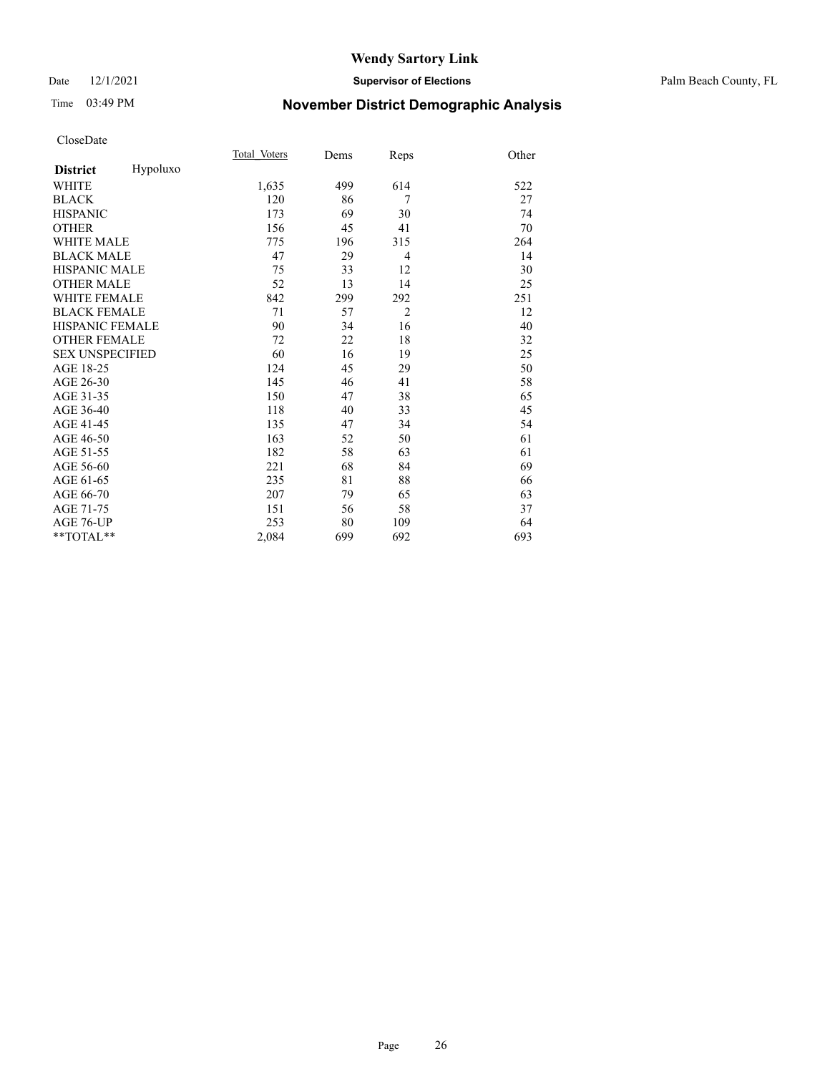#### Date 12/1/2021 **Supervisor of Elections** Palm Beach County, FL

## Time 03:49 PM **November District Demographic Analysis**

|                        |          | Total Voters | Dems | Reps           | Other |
|------------------------|----------|--------------|------|----------------|-------|
| <b>District</b>        | Hypoluxo |              |      |                |       |
| WHITE                  |          | 1,635        | 499  | 614            | 522   |
| <b>BLACK</b>           |          | 120          | 86   | $\overline{7}$ | 27    |
| <b>HISPANIC</b>        |          | 173          | 69   | 30             | 74    |
| <b>OTHER</b>           |          | 156          | 45   | 41             | 70    |
| <b>WHITE MALE</b>      |          | 775          | 196  | 315            | 264   |
| <b>BLACK MALE</b>      |          | 47           | 29   | $\overline{4}$ | 14    |
| HISPANIC MALE          |          | 75           | 33   | 12             | 30    |
| <b>OTHER MALE</b>      |          | 52           | 13   | 14             | 25    |
| <b>WHITE FEMALE</b>    |          | 842          | 299  | 292            | 251   |
| <b>BLACK FEMALE</b>    |          | 71           | 57   | $\overline{2}$ | 12    |
| HISPANIC FEMALE        |          | 90           | 34   | 16             | 40    |
| <b>OTHER FEMALE</b>    |          | 72           | 22   | 18             | 32    |
| <b>SEX UNSPECIFIED</b> |          | 60           | 16   | 19             | 25    |
| AGE 18-25              |          | 124          | 45   | 29             | 50    |
| AGE 26-30              |          | 145          | 46   | 41             | 58    |
| AGE 31-35              |          | 150          | 47   | 38             | 65    |
| AGE 36-40              |          | 118          | 40   | 33             | 45    |
| AGE 41-45              |          | 135          | 47   | 34             | 54    |
| AGE 46-50              |          | 163          | 52   | 50             | 61    |
| AGE 51-55              |          | 182          | 58   | 63             | 61    |
| AGE 56-60              |          | 221          | 68   | 84             | 69    |
| AGE 61-65              |          | 235          | 81   | 88             | 66    |
| AGE 66-70              |          | 207          | 79   | 65             | 63    |
| AGE 71-75              |          | 151          | 56   | 58             | 37    |
| <b>AGE 76-UP</b>       |          | 253          | 80   | 109            | 64    |
| $*$ $TOTAL**$          |          | 2,084        | 699  | 692            | 693   |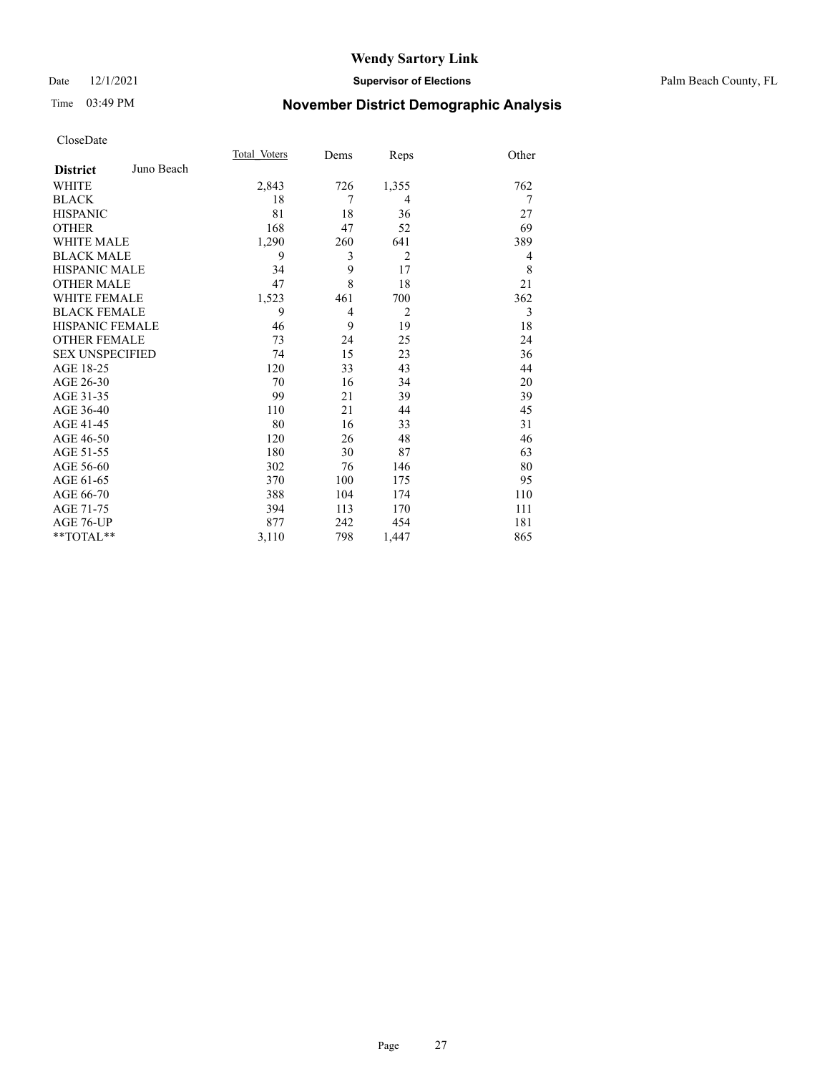#### Date 12/1/2021 **Supervisor of Elections** Palm Beach County, FL

## Time 03:49 PM **November District Demographic Analysis**

|                        |            | Total Voters | Dems | Reps           | Other |
|------------------------|------------|--------------|------|----------------|-------|
| <b>District</b>        | Juno Beach |              |      |                |       |
| WHITE                  |            | 2,843        | 726  | 1,355          | 762   |
| <b>BLACK</b>           |            | 18           | 7    | 4              | 7     |
| <b>HISPANIC</b>        |            | 81           | 18   | 36             | 27    |
| <b>OTHER</b>           |            | 168          | 47   | 52             | 69    |
| <b>WHITE MALE</b>      |            | 1,290        | 260  | 641            | 389   |
| <b>BLACK MALE</b>      |            | 9            | 3    | $\overline{2}$ | 4     |
| <b>HISPANIC MALE</b>   |            | 34           | 9    | 17             | 8     |
| <b>OTHER MALE</b>      |            | 47           | 8    | 18             | 21    |
| <b>WHITE FEMALE</b>    |            | 1,523        | 461  | 700            | 362   |
| <b>BLACK FEMALE</b>    |            | 9            | 4    | $\overline{2}$ | 3     |
| <b>HISPANIC FEMALE</b> |            | 46           | 9    | 19             | 18    |
| <b>OTHER FEMALE</b>    |            | 73           | 24   | 25             | 24    |
| <b>SEX UNSPECIFIED</b> |            | 74           | 15   | 23             | 36    |
| AGE 18-25              |            | 120          | 33   | 43             | 44    |
| AGE 26-30              |            | 70           | 16   | 34             | 20    |
| AGE 31-35              |            | 99           | 21   | 39             | 39    |
| AGE 36-40              |            | 110          | 21   | 44             | 45    |
| AGE 41-45              |            | 80           | 16   | 33             | 31    |
| AGE 46-50              |            | 120          | 26   | 48             | 46    |
| AGE 51-55              |            | 180          | 30   | 87             | 63    |
| AGE 56-60              |            | 302          | 76   | 146            | 80    |
| AGE 61-65              |            | 370          | 100  | 175            | 95    |
| AGE 66-70              |            | 388          | 104  | 174            | 110   |
| AGE 71-75              |            | 394          | 113  | 170            | 111   |
| AGE 76-UP              |            | 877          | 242  | 454            | 181   |
| $*$ $TOTAL**$          |            | 3,110        | 798  | 1,447          | 865   |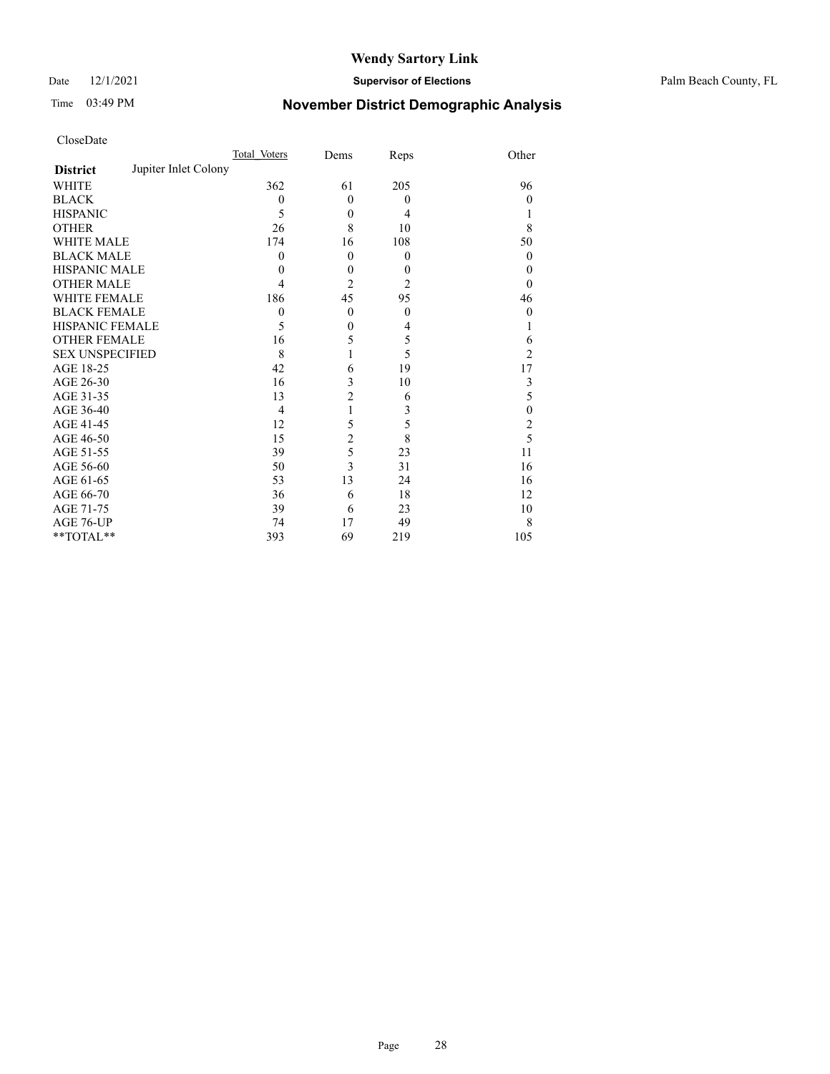#### Date 12/1/2021 **Supervisor of Elections** Palm Beach County, FL

## Time 03:49 PM **November District Demographic Analysis**

| CloseDate |
|-----------|
|-----------|

|                        |                      | Total Voters   | Dems             | Reps     | Other            |
|------------------------|----------------------|----------------|------------------|----------|------------------|
| <b>District</b>        | Jupiter Inlet Colony |                |                  |          |                  |
| WHITE                  |                      | 362            | 61               | 205      | 96               |
| BLACK                  |                      | $\Omega$       | $\theta$         | $\Omega$ | $\theta$         |
| <b>HISPANIC</b>        |                      | 5              | $\boldsymbol{0}$ | 4        | 1                |
| OTHER                  |                      | 26             | 8                | 10       | 8                |
| WHITE MALE             |                      | 174            | 16               | 108      | 50               |
| <b>BLACK MALE</b>      |                      | $\theta$       | $\theta$         | $\theta$ | $\Omega$         |
| HISPANIC MALE          |                      | 0              | $\theta$         | $\theta$ | $\theta$         |
| <b>OTHER MALE</b>      |                      | 4              | 2                | 2        | $\theta$         |
| WHITE FEMALE           |                      | 186            | 45               | 95       | 46               |
| <b>BLACK FEMALE</b>    |                      | $\theta$       | $\mathbf{0}$     | $\theta$ | $\theta$         |
| HISPANIC FEMALE        |                      | 5              | 0                | 4        | 1                |
| OTHER FEMALE           |                      | 16             | 5                | 5        | 6                |
| <b>SEX UNSPECIFIED</b> |                      | 8              |                  | 5        | $\overline{2}$   |
| AGE 18-25              |                      | 42             | 6                | 19       | 17               |
| AGE 26-30              |                      | 16             | 3                | 10       | 3                |
| AGE 31-35              |                      | 13             | $\overline{2}$   | 6        | 5                |
| AGE 36-40              |                      | $\overline{4}$ | 1                | 3        | $\boldsymbol{0}$ |
| AGE 41-45              |                      | 12             | 5                | 5        | $\overline{c}$   |
| AGE 46-50              |                      | 15             | $\overline{c}$   | 8        | 5                |
| AGE 51-55              |                      | 39             | 5                | 23       | 11               |
| AGE 56-60              |                      | 50             | 3                | 31       | 16               |
| AGE 61-65              |                      | 53             | 13               | 24       | 16               |
| AGE 66-70              |                      | 36             | 6                | 18       | 12               |
| AGE 71-75              |                      | 39             | 6                | 23       | 10               |
| AGE 76-UP              |                      | 74             | 17               | 49       | 8                |
| $*$ $TOTAL**$          |                      | 393            | 69               | 219      | 105              |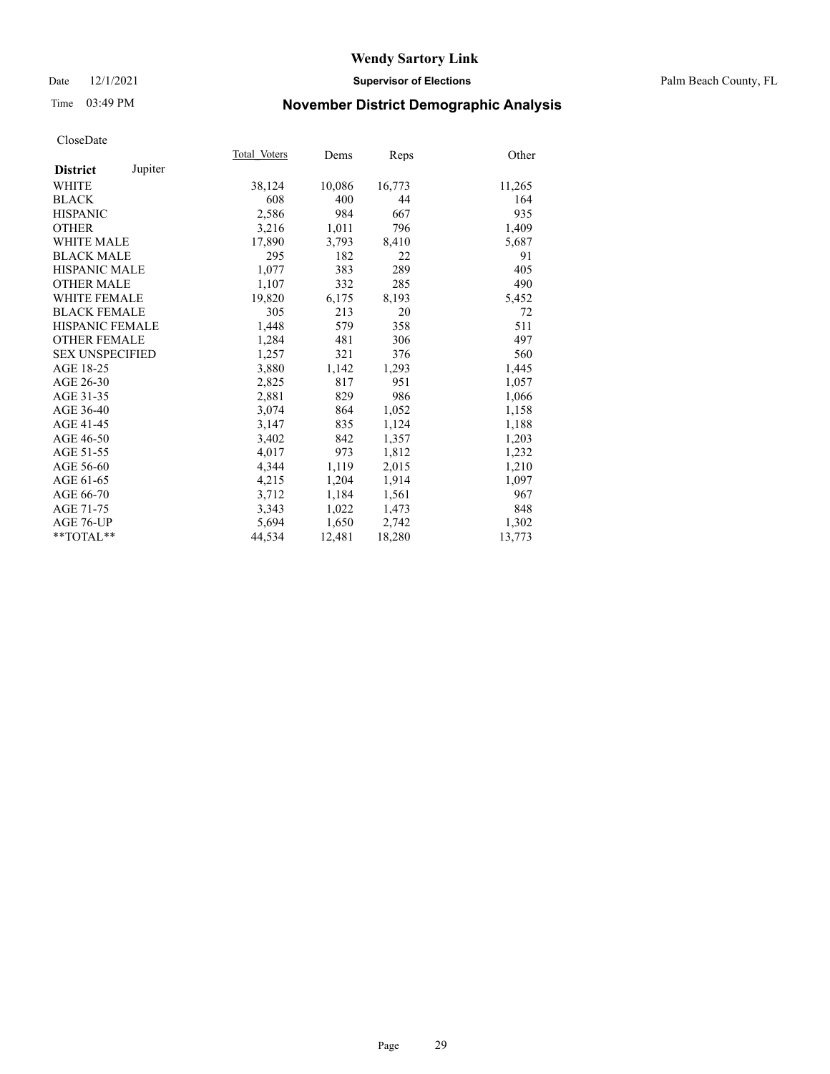#### Date 12/1/2021 **Supervisor of Elections** Palm Beach County, FL

## Time 03:49 PM **November District Demographic Analysis**

|                            | Total Voters | Dems   | Reps   | Other  |
|----------------------------|--------------|--------|--------|--------|
| Jupiter<br><b>District</b> |              |        |        |        |
| WHITE                      | 38,124       | 10,086 | 16,773 | 11,265 |
| <b>BLACK</b>               | 608          | 400    | 44     | 164    |
| <b>HISPANIC</b>            | 2,586        | 984    | 667    | 935    |
| <b>OTHER</b>               | 3,216        | 1,011  | 796    | 1,409  |
| <b>WHITE MALE</b>          | 17,890       | 3,793  | 8,410  | 5,687  |
| <b>BLACK MALE</b>          | 295          | 182    | 22     | 91     |
| <b>HISPANIC MALE</b>       | 1,077        | 383    | 289    | 405    |
| <b>OTHER MALE</b>          | 1,107        | 332    | 285    | 490    |
| <b>WHITE FEMALE</b>        | 19,820       | 6,175  | 8,193  | 5,452  |
| <b>BLACK FEMALE</b>        | 305          | 213    | 20     | 72     |
| <b>HISPANIC FEMALE</b>     | 1,448        | 579    | 358    | 511    |
| <b>OTHER FEMALE</b>        | 1,284        | 481    | 306    | 497    |
| <b>SEX UNSPECIFIED</b>     | 1,257        | 321    | 376    | 560    |
| AGE 18-25                  | 3,880        | 1,142  | 1,293  | 1,445  |
| AGE 26-30                  | 2,825        | 817    | 951    | 1,057  |
| AGE 31-35                  | 2,881        | 829    | 986    | 1,066  |
| AGE 36-40                  | 3,074        | 864    | 1,052  | 1,158  |
| AGE 41-45                  | 3,147        | 835    | 1,124  | 1,188  |
| AGE 46-50                  | 3,402        | 842    | 1,357  | 1,203  |
| AGE 51-55                  | 4,017        | 973    | 1,812  | 1,232  |
| AGE 56-60                  | 4,344        | 1,119  | 2,015  | 1,210  |
| AGE 61-65                  | 4,215        | 1,204  | 1,914  | 1,097  |
| AGE 66-70                  | 3,712        | 1,184  | 1,561  | 967    |
| AGE 71-75                  | 3,343        | 1,022  | 1,473  | 848    |
| AGE 76-UP                  | 5,694        | 1,650  | 2,742  | 1,302  |
| $*$ $TOTAL**$              | 44,534       | 12,481 | 18,280 | 13,773 |
|                            |              |        |        |        |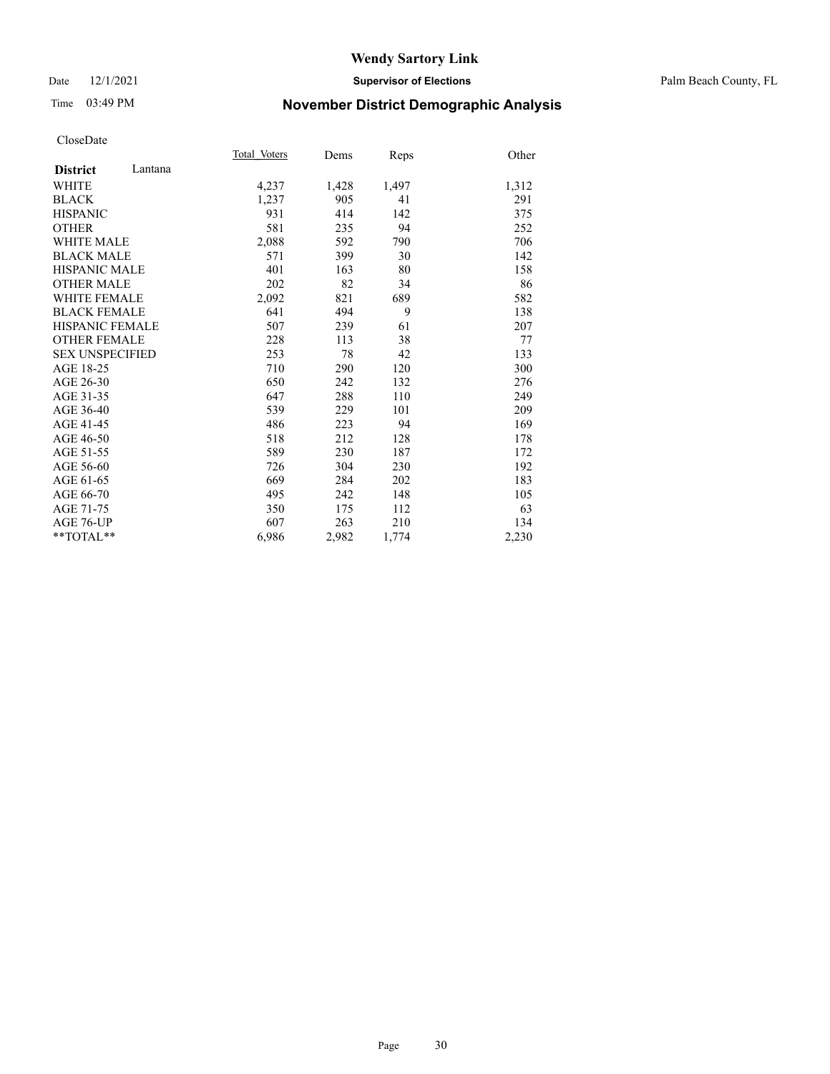#### Date 12/1/2021 **Supervisor of Elections** Palm Beach County, FL

## Time 03:49 PM **November District Demographic Analysis**

|                            | Total Voters | Dems  | Reps  | Other |
|----------------------------|--------------|-------|-------|-------|
| Lantana<br><b>District</b> |              |       |       |       |
| WHITE                      | 4,237        | 1,428 | 1,497 | 1,312 |
| <b>BLACK</b>               | 1,237        | 905   | 41    | 291   |
| <b>HISPANIC</b>            | 931          | 414   | 142   | 375   |
| <b>OTHER</b>               | 581          | 235   | 94    | 252   |
| <b>WHITE MALE</b>          | 2,088        | 592   | 790   | 706   |
| <b>BLACK MALE</b>          | 571          | 399   | 30    | 142   |
| <b>HISPANIC MALE</b>       | 401          | 163   | 80    | 158   |
| <b>OTHER MALE</b>          | 202          | 82    | 34    | 86    |
| <b>WHITE FEMALE</b>        | 2,092        | 821   | 689   | 582   |
| <b>BLACK FEMALE</b>        | 641          | 494   | 9     | 138   |
| <b>HISPANIC FEMALE</b>     | 507          | 239   | 61    | 207   |
| <b>OTHER FEMALE</b>        | 228          | 113   | 38    | 77    |
| <b>SEX UNSPECIFIED</b>     | 253          | 78    | 42    | 133   |
| AGE 18-25                  | 710          | 290   | 120   | 300   |
| AGE 26-30                  | 650          | 242   | 132   | 276   |
| AGE 31-35                  | 647          | 288   | 110   | 249   |
| AGE 36-40                  | 539          | 229   | 101   | 209   |
| AGE 41-45                  | 486          | 223   | 94    | 169   |
| AGE 46-50                  | 518          | 212   | 128   | 178   |
| AGE 51-55                  | 589          | 230   | 187   | 172   |
| AGE 56-60                  | 726          | 304   | 230   | 192   |
| AGE 61-65                  | 669          | 284   | 202   | 183   |
| AGE 66-70                  | 495          | 242   | 148   | 105   |
| AGE 71-75                  | 350          | 175   | 112   | 63    |
| <b>AGE 76-UP</b>           | 607          | 263   | 210   | 134   |
| $*$ $TOTAL**$              | 6,986        | 2,982 | 1,774 | 2,230 |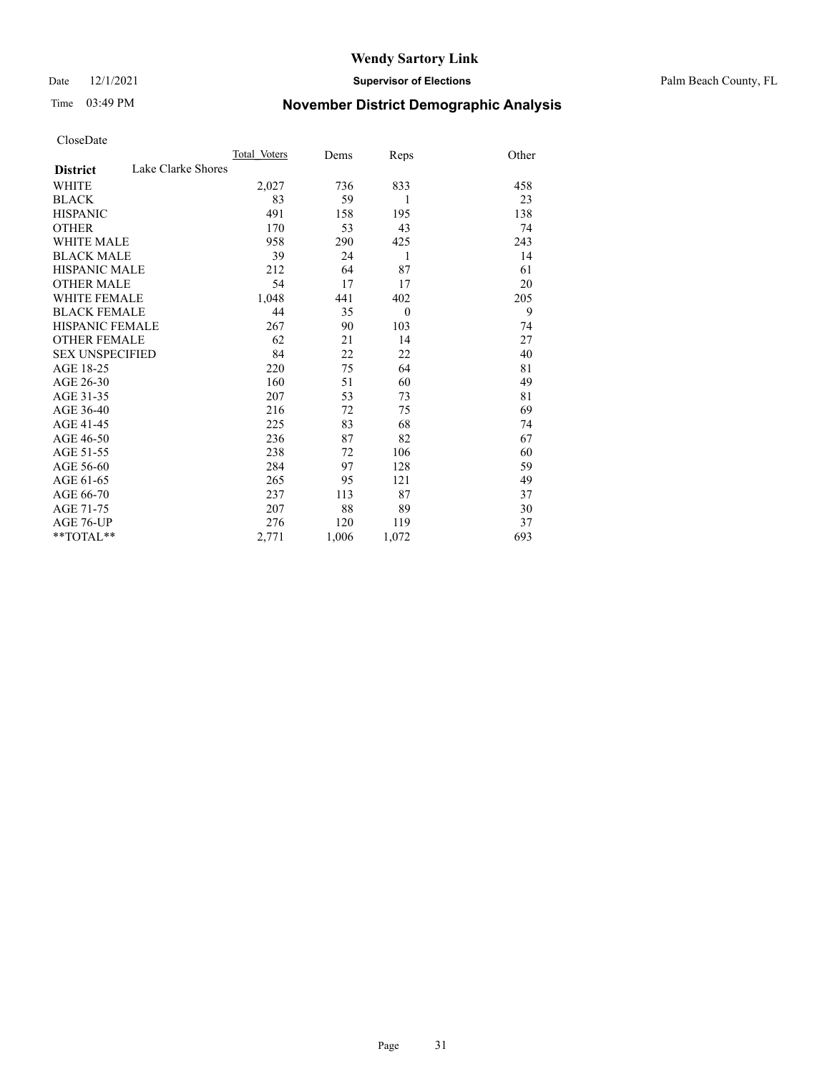Date 12/1/2021 **Supervisor of Elections** Palm Beach County, FL

## Time 03:49 PM **November District Demographic Analysis**

|                                       | Total Voters | Dems  | Reps     | Other |
|---------------------------------------|--------------|-------|----------|-------|
| Lake Clarke Shores<br><b>District</b> |              |       |          |       |
| <b>WHITE</b>                          | 2,027        | 736   | 833      | 458   |
| <b>BLACK</b>                          | 83           | 59    | 1        | 23    |
| <b>HISPANIC</b>                       | 491          | 158   | 195      | 138   |
| <b>OTHER</b>                          | 170          | 53    | 43       | 74    |
| WHITE MALE                            | 958          | 290   | 425      | 243   |
| <b>BLACK MALE</b>                     | 39           | 24    | 1        | 14    |
| <b>HISPANIC MALE</b>                  | 212          | 64    | 87       | 61    |
| <b>OTHER MALE</b>                     | 54           | 17    | 17       | 20    |
| <b>WHITE FEMALE</b>                   | 1,048        | 441   | 402      | 205   |
| <b>BLACK FEMALE</b>                   | 44           | 35    | $\theta$ | 9     |
| <b>HISPANIC FEMALE</b>                | 267          | 90    | 103      | 74    |
| <b>OTHER FEMALE</b>                   | 62           | 21    | 14       | 27    |
| <b>SEX UNSPECIFIED</b>                | 84           | 22    | 22       | 40    |
| AGE 18-25                             | 220          | 75    | 64       | 81    |
| AGE 26-30                             | 160          | 51    | 60       | 49    |
| AGE 31-35                             | 207          | 53    | 73       | 81    |
| AGE 36-40                             | 216          | 72    | 75       | 69    |
| AGE 41-45                             | 225          | 83    | 68       | 74    |
| AGE 46-50                             | 236          | 87    | 82       | 67    |
| AGE 51-55                             | 238          | 72    | 106      | 60    |
| AGE 56-60                             | 284          | 97    | 128      | 59    |
| AGE 61-65                             | 265          | 95    | 121      | 49    |
| AGE 66-70                             | 237          | 113   | 87       | 37    |
| AGE 71-75                             | 207          | 88    | 89       | 30    |
| AGE 76-UP                             | 276          | 120   | 119      | 37    |
| $*$ $TOTAL**$                         | 2,771        | 1,006 | 1,072    | 693   |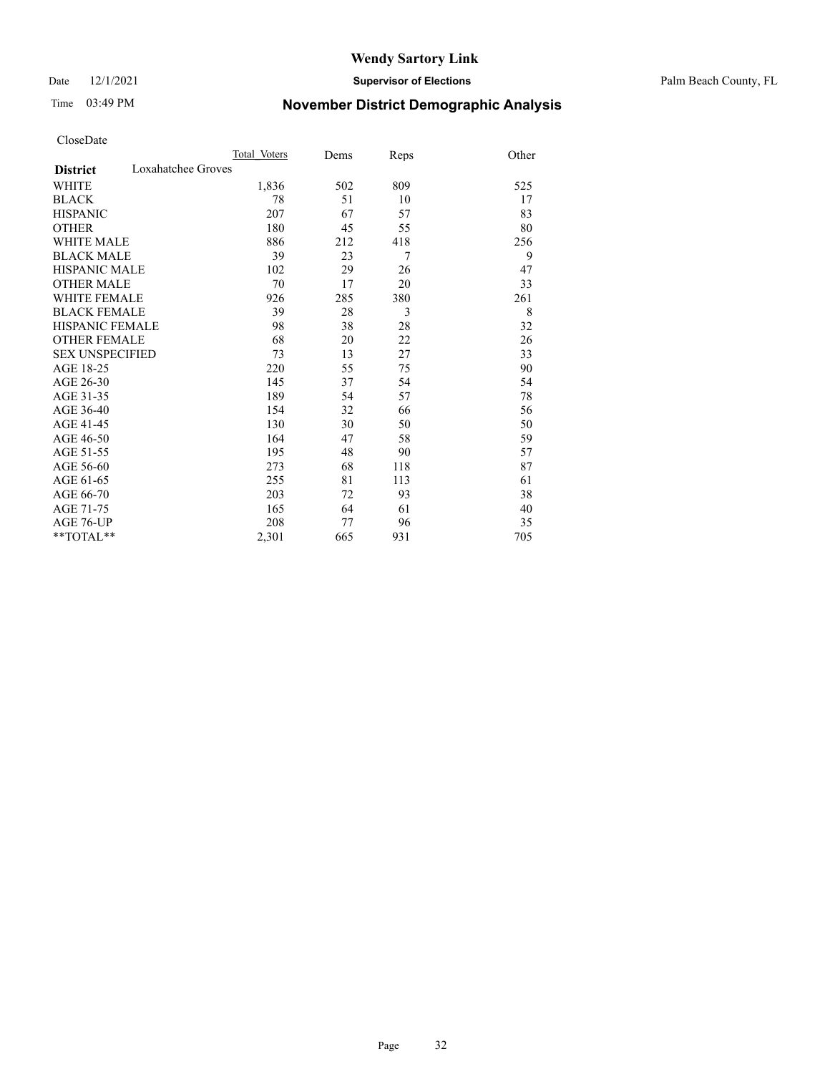#### Date 12/1/2021 **Supervisor of Elections** Palm Beach County, FL

## Time 03:49 PM **November District Demographic Analysis**

|                                       | Total Voters | Dems | Reps | Other |
|---------------------------------------|--------------|------|------|-------|
| Loxahatchee Groves<br><b>District</b> |              |      |      |       |
| WHITE                                 | 1,836        | 502  | 809  | 525   |
| <b>BLACK</b>                          | 78           | 51   | 10   | 17    |
| <b>HISPANIC</b>                       | 207          | 67   | 57   | 83    |
| <b>OTHER</b>                          | 180          | 45   | 55   | 80    |
| WHITE MALE                            | 886          | 212  | 418  | 256   |
| <b>BLACK MALE</b>                     | 39           | 23   | 7    | 9     |
| <b>HISPANIC MALE</b>                  | 102          | 29   | 26   | 47    |
| <b>OTHER MALE</b>                     | 70           | 17   | 20   | 33    |
| WHITE FEMALE                          | 926          | 285  | 380  | 261   |
| <b>BLACK FEMALE</b>                   | 39           | 28   | 3    | 8     |
| <b>HISPANIC FEMALE</b>                | 98           | 38   | 28   | 32    |
| <b>OTHER FEMALE</b>                   | 68           | 20   | 22   | 26    |
| <b>SEX UNSPECIFIED</b>                | 73           | 13   | 27   | 33    |
| AGE 18-25                             | 220          | 55   | 75   | 90    |
| AGE 26-30                             | 145          | 37   | 54   | 54    |
| AGE 31-35                             | 189          | 54   | 57   | 78    |
| AGE 36-40                             | 154          | 32   | 66   | 56    |
| AGE 41-45                             | 130          | 30   | 50   | 50    |
| AGE 46-50                             | 164          | 47   | 58   | 59    |
| AGE 51-55                             | 195          | 48   | 90   | 57    |
| AGE 56-60                             | 273          | 68   | 118  | 87    |
| AGE 61-65                             | 255          | 81   | 113  | 61    |
| AGE 66-70                             | 203          | 72   | 93   | 38    |
| AGE 71-75                             | 165          | 64   | 61   | 40    |
| AGE 76-UP                             | 208          | 77   | 96   | 35    |
| **TOTAL**                             | 2,301        | 665  | 931  | 705   |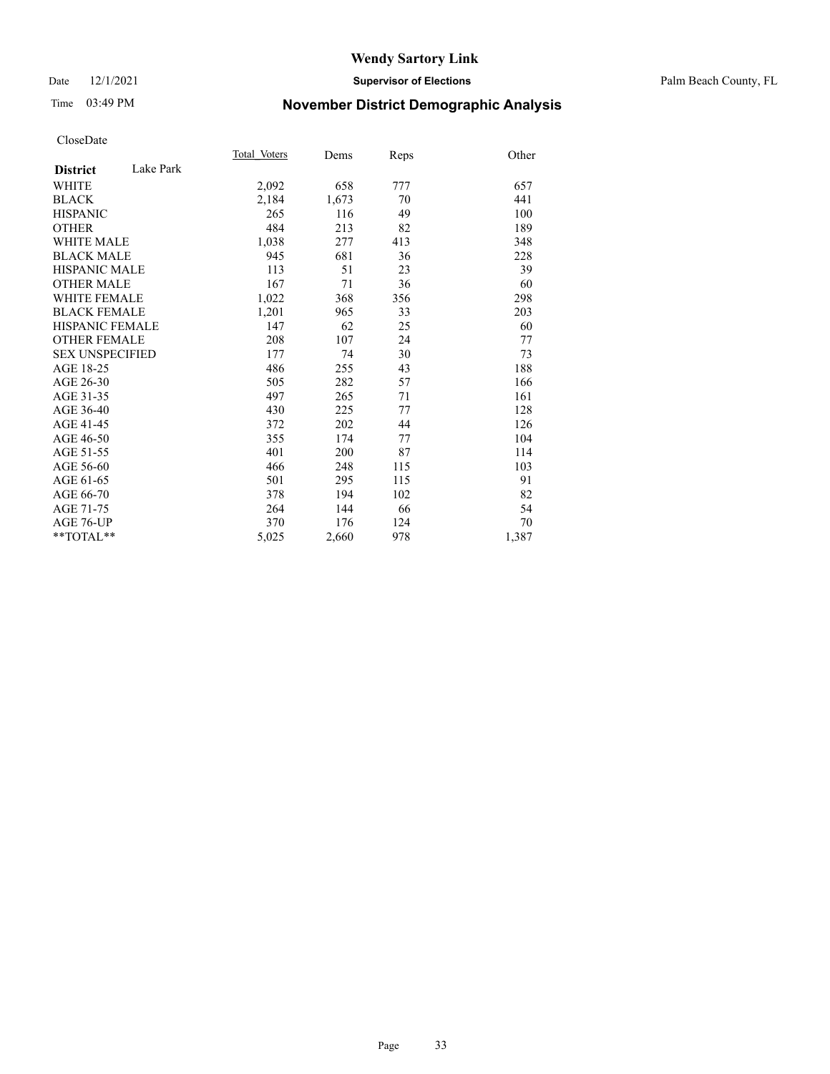#### Date 12/1/2021 **Supervisor of Elections** Palm Beach County, FL

## Time 03:49 PM **November District Demographic Analysis**

|                              | Total Voters | Dems  | Reps | Other |
|------------------------------|--------------|-------|------|-------|
| Lake Park<br><b>District</b> |              |       |      |       |
| <b>WHITE</b>                 | 2,092        | 658   | 777  | 657   |
| <b>BLACK</b>                 | 2,184        | 1,673 | 70   | 441   |
| <b>HISPANIC</b>              | 265          | 116   | 49   | 100   |
| <b>OTHER</b>                 | 484          | 213   | 82   | 189   |
| <b>WHITE MALE</b>            | 1,038        | 277   | 413  | 348   |
| <b>BLACK MALE</b>            | 945          | 681   | 36   | 228   |
| <b>HISPANIC MALE</b>         | 113          | 51    | 23   | 39    |
| <b>OTHER MALE</b>            | 167          | 71    | 36   | 60    |
| WHITE FEMALE                 | 1,022        | 368   | 356  | 298   |
| <b>BLACK FEMALE</b>          | 1,201        | 965   | 33   | 203   |
| <b>HISPANIC FEMALE</b>       | 147          | 62    | 25   | 60    |
| <b>OTHER FEMALE</b>          | 208          | 107   | 24   | 77    |
| <b>SEX UNSPECIFIED</b>       | 177          | 74    | 30   | 73    |
| AGE 18-25                    | 486          | 255   | 43   | 188   |
| AGE 26-30                    | 505          | 282   | 57   | 166   |
| AGE 31-35                    | 497          | 265   | 71   | 161   |
| AGE 36-40                    | 430          | 225   | 77   | 128   |
| AGE 41-45                    | 372          | 202   | 44   | 126   |
| AGE 46-50                    | 355          | 174   | 77   | 104   |
| AGE 51-55                    | 401          | 200   | 87   | 114   |
| AGE 56-60                    | 466          | 248   | 115  | 103   |
| AGE 61-65                    | 501          | 295   | 115  | 91    |
| AGE 66-70                    | 378          | 194   | 102  | 82    |
| AGE 71-75                    | 264          | 144   | 66   | 54    |
| AGE 76-UP                    | 370          | 176   | 124  | 70    |
| $*$ $TOTAL**$                | 5,025        | 2,660 | 978  | 1,387 |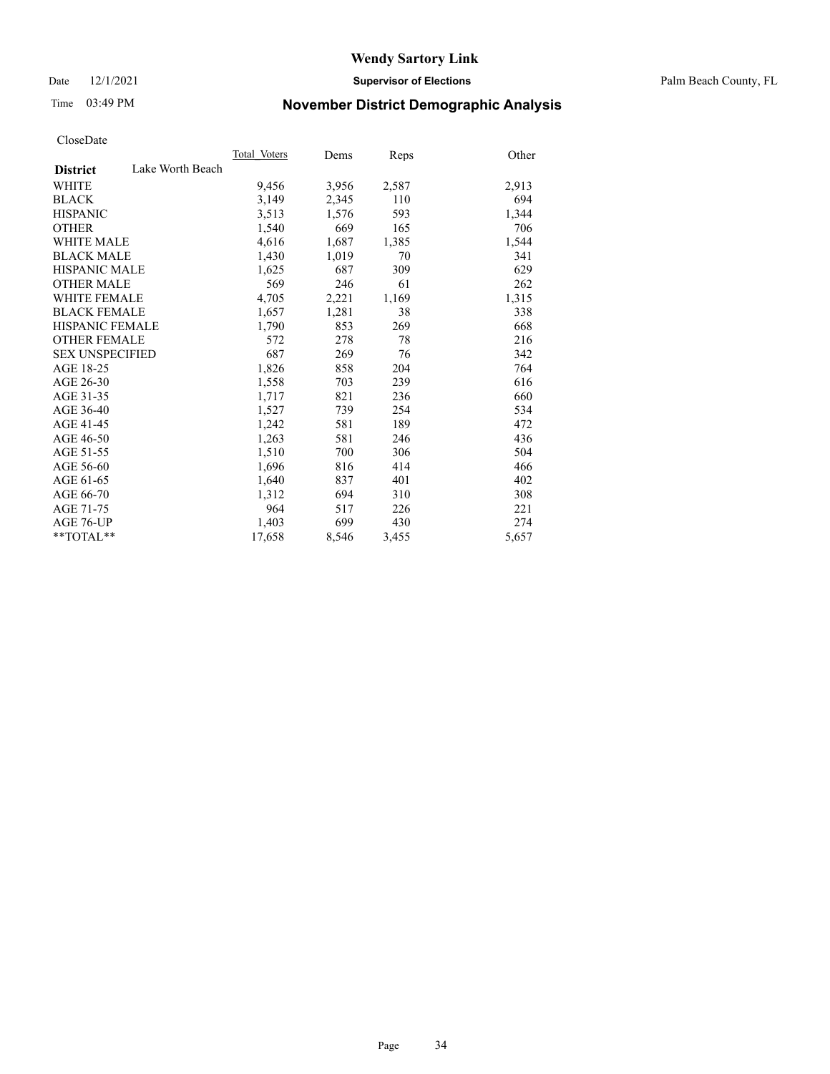Date 12/1/2021 **Supervisor of Elections** Palm Beach County, FL

## Time 03:49 PM **November District Demographic Analysis**

|                        |                  | Total Voters | Dems  | Reps  | Other |
|------------------------|------------------|--------------|-------|-------|-------|
| <b>District</b>        | Lake Worth Beach |              |       |       |       |
| WHITE                  |                  | 9,456        | 3,956 | 2,587 | 2,913 |
| <b>BLACK</b>           |                  | 3,149        | 2,345 | 110   | 694   |
| <b>HISPANIC</b>        |                  | 3,513        | 1,576 | 593   | 1,344 |
| <b>OTHER</b>           |                  | 1,540        | 669   | 165   | 706   |
| <b>WHITE MALE</b>      |                  | 4,616        | 1,687 | 1,385 | 1,544 |
| <b>BLACK MALE</b>      |                  | 1,430        | 1,019 | 70    | 341   |
| <b>HISPANIC MALE</b>   |                  | 1,625        | 687   | 309   | 629   |
| <b>OTHER MALE</b>      |                  | 569          | 246   | 61    | 262   |
| <b>WHITE FEMALE</b>    |                  | 4,705        | 2,221 | 1,169 | 1,315 |
| <b>BLACK FEMALE</b>    |                  | 1,657        | 1,281 | 38    | 338   |
| <b>HISPANIC FEMALE</b> |                  | 1,790        | 853   | 269   | 668   |
| <b>OTHER FEMALE</b>    |                  | 572          | 278   | 78    | 216   |
| <b>SEX UNSPECIFIED</b> |                  | 687          | 269   | 76    | 342   |
| AGE 18-25              |                  | 1,826        | 858   | 204   | 764   |
| AGE 26-30              |                  | 1,558        | 703   | 239   | 616   |
| AGE 31-35              |                  | 1,717        | 821   | 236   | 660   |
| AGE 36-40              |                  | 1,527        | 739   | 254   | 534   |
| AGE 41-45              |                  | 1,242        | 581   | 189   | 472   |
| AGE 46-50              |                  | 1,263        | 581   | 246   | 436   |
| AGE 51-55              |                  | 1,510        | 700   | 306   | 504   |
| AGE 56-60              |                  | 1,696        | 816   | 414   | 466   |
| AGE 61-65              |                  | 1,640        | 837   | 401   | 402   |
| AGE 66-70              |                  | 1,312        | 694   | 310   | 308   |
| AGE 71-75              |                  | 964          | 517   | 226   | 221   |
| AGE 76-UP              |                  | 1,403        | 699   | 430   | 274   |
| $*$ $TOTAL**$          |                  | 17,658       | 8,546 | 3,455 | 5,657 |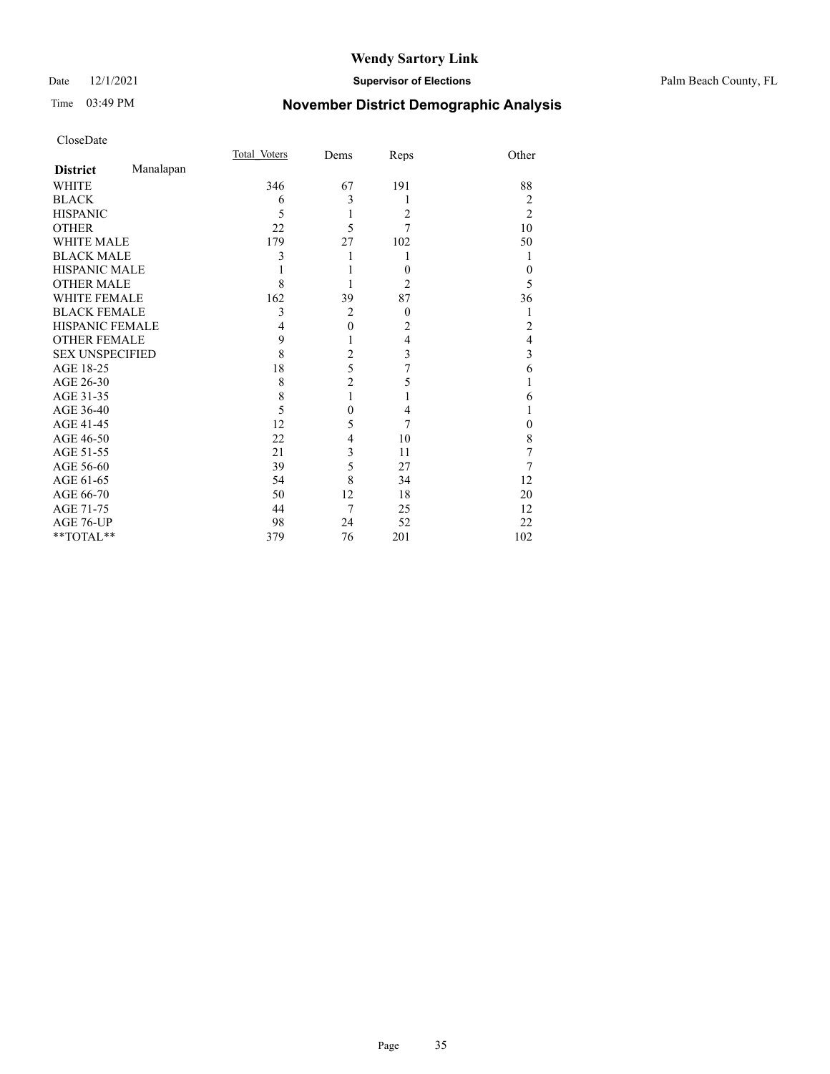#### Date 12/1/2021 **Supervisor of Elections** Palm Beach County, FL

## Time 03:49 PM **November District Demographic Analysis**

|                        |           | Total Voters | Dems           | Reps           | Other          |
|------------------------|-----------|--------------|----------------|----------------|----------------|
| <b>District</b>        | Manalapan |              |                |                |                |
| <b>WHITE</b>           |           | 346          | 67             | 191            | 88             |
| <b>BLACK</b>           |           | 6            | 3              | 1              | 2              |
| <b>HISPANIC</b>        |           | 5            | 1              | $\overline{2}$ | $\overline{2}$ |
| <b>OTHER</b>           |           | 22           | 5              | 7              | 10             |
| <b>WHITE MALE</b>      |           | 179          | 27             | 102            | 50             |
| <b>BLACK MALE</b>      |           | 3            |                | 1              | 1              |
| <b>HISPANIC MALE</b>   |           |              |                | $\theta$       | $\theta$       |
| <b>OTHER MALE</b>      |           | 8            |                | $\overline{2}$ | 5              |
| <b>WHITE FEMALE</b>    |           | 162          | 39             | 87             | 36             |
| <b>BLACK FEMALE</b>    |           | 3            | $\overline{2}$ | $\overline{0}$ |                |
| HISPANIC FEMALE        |           | 4            | $\mathbf{0}$   | $\overline{c}$ | 2              |
| <b>OTHER FEMALE</b>    |           | 9            |                | 4              | 4              |
| <b>SEX UNSPECIFIED</b> |           | 8            | $\overline{2}$ | 3              | 3              |
| AGE 18-25              |           | 18           | 5              | 7              | 6              |
| AGE 26-30              |           | 8            | $\overline{c}$ | 5              |                |
| AGE 31-35              |           | 8            | 1              | 1              | 6              |
| AGE 36-40              |           | 5            | $\theta$       | 4              |                |
| AGE 41-45              |           | 12           | 5              | 7              | 0              |
| AGE 46-50              |           | 22           | 4              | 10             | 8              |
| AGE 51-55              |           | 21           | 3              | 11             | 7              |
| AGE 56-60              |           | 39           | 5              | 27             | 7              |
| AGE 61-65              |           | 54           | 8              | 34             | 12             |
| AGE 66-70              |           | 50           | 12             | 18             | 20             |
| AGE 71-75              |           | 44           | 7              | 25             | 12             |
| AGE 76-UP              |           | 98           | 24             | 52             | 22             |
| **TOTAL**              |           | 379          | 76             | 201            | 102            |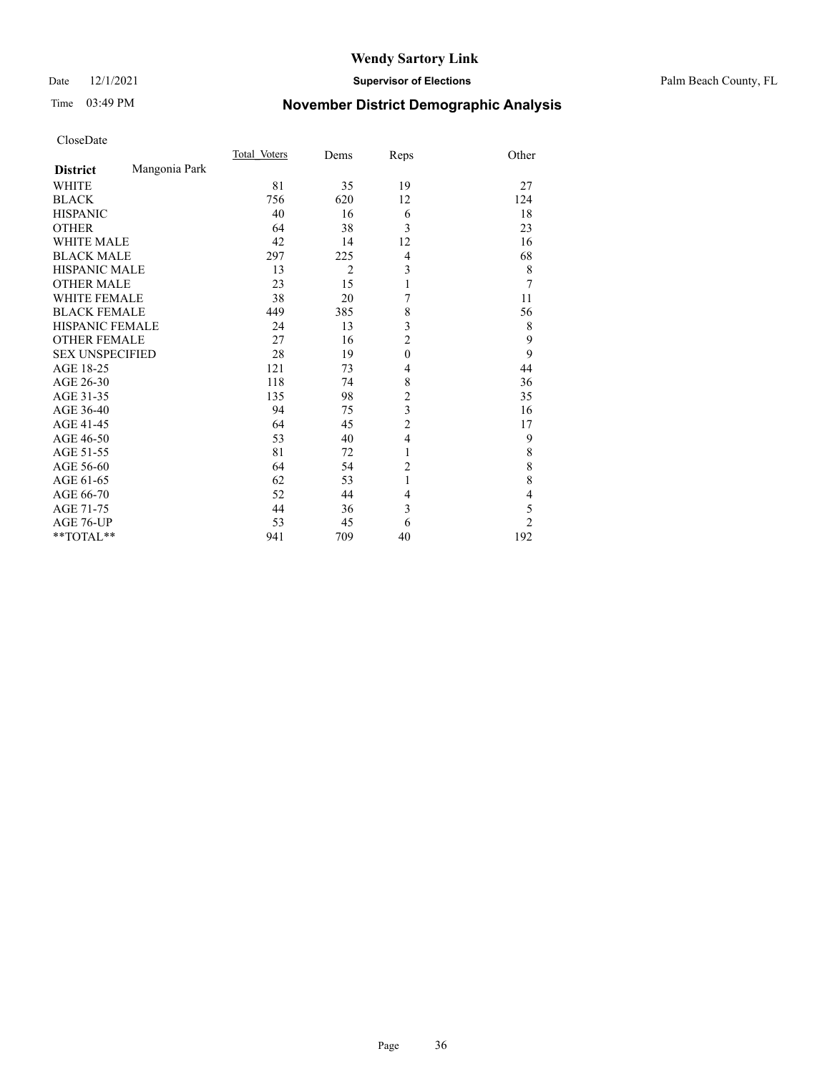#### Date 12/1/2021 **Supervisor of Elections** Palm Beach County, FL

## Time 03:49 PM **November District Demographic Analysis**

|                        |               | Total Voters | Dems           | Reps           | Other          |
|------------------------|---------------|--------------|----------------|----------------|----------------|
| <b>District</b>        | Mangonia Park |              |                |                |                |
| <b>WHITE</b>           |               | 81           | 35             | 19             | 27             |
| <b>BLACK</b>           |               | 756          | 620            | 12             | 124            |
| <b>HISPANIC</b>        |               | 40           | 16             | 6              | 18             |
| <b>OTHER</b>           |               | 64           | 38             | 3              | 23             |
| <b>WHITE MALE</b>      |               | 42           | 14             | 12             | 16             |
| <b>BLACK MALE</b>      |               | 297          | 225            | 4              | 68             |
| <b>HISPANIC MALE</b>   |               | 13           | $\overline{2}$ | 3              | 8              |
| <b>OTHER MALE</b>      |               | 23           | 15             | $\mathbf{1}$   | 7              |
| <b>WHITE FEMALE</b>    |               | 38           | 20             | 7              | 11             |
| <b>BLACK FEMALE</b>    |               | 449          | 385            | 8              | 56             |
| <b>HISPANIC FEMALE</b> |               | 24           | 13             | 3              | 8              |
| <b>OTHER FEMALE</b>    |               | 27           | 16             | $\overline{c}$ | 9              |
| <b>SEX UNSPECIFIED</b> |               | 28           | 19             | $\mathbf{0}$   | 9              |
| AGE 18-25              |               | 121          | 73             | 4              | 44             |
| AGE 26-30              |               | 118          | 74             | 8              | 36             |
| AGE 31-35              |               | 135          | 98             | $\overline{c}$ | 35             |
| AGE 36-40              |               | 94           | 75             | 3              | 16             |
| AGE 41-45              |               | 64           | 45             | $\overline{c}$ | 17             |
| AGE 46-50              |               | 53           | 40             | 4              | 9              |
| AGE 51-55              |               | 81           | 72             | 1              | 8              |
| AGE 56-60              |               | 64           | 54             | $\overline{c}$ | 8              |
| AGE 61-65              |               | 62           | 53             | 1              | 8              |
| AGE 66-70              |               | 52           | 44             | 4              | $\overline{4}$ |
| AGE 71-75              |               | 44           | 36             | 3              | 5              |
| AGE 76-UP              |               | 53           | 45             | 6              | $\overline{2}$ |
| **TOTAL**              |               | 941          | 709            | 40             | 192            |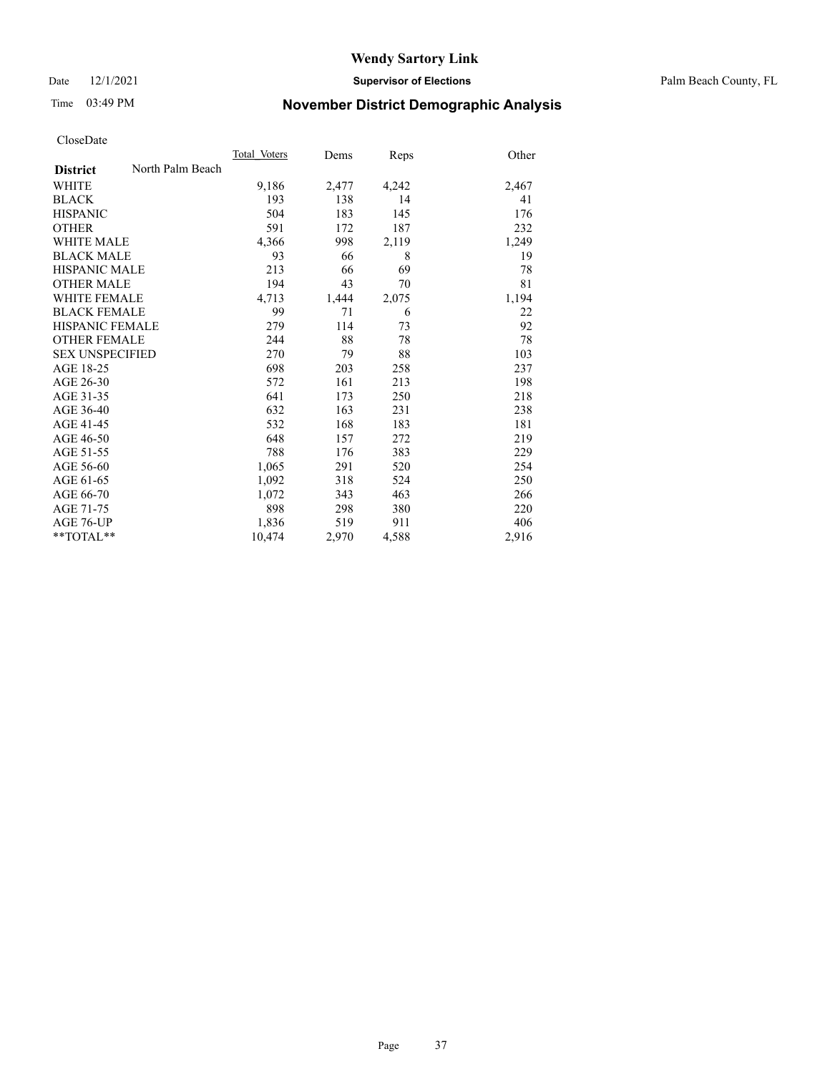Date 12/1/2021 **Supervisor of Elections** Palm Beach County, FL

# Time 03:49 PM **November District Demographic Analysis**

|                        |                  | Total Voters | Dems  | Reps  | Other |
|------------------------|------------------|--------------|-------|-------|-------|
| <b>District</b>        | North Palm Beach |              |       |       |       |
| <b>WHITE</b>           |                  | 9,186        | 2,477 | 4,242 | 2,467 |
| <b>BLACK</b>           |                  | 193          | 138   | 14    | 41    |
| <b>HISPANIC</b>        |                  | 504          | 183   | 145   | 176   |
| <b>OTHER</b>           |                  | 591          | 172   | 187   | 232   |
| <b>WHITE MALE</b>      |                  | 4,366        | 998   | 2,119 | 1,249 |
| <b>BLACK MALE</b>      |                  | 93           | 66    | 8     | 19    |
| <b>HISPANIC MALE</b>   |                  | 213          | 66    | 69    | 78    |
| <b>OTHER MALE</b>      |                  | 194          | 43    | 70    | 81    |
| WHITE FEMALE           |                  | 4,713        | 1,444 | 2,075 | 1,194 |
| <b>BLACK FEMALE</b>    |                  | 99           | 71    | 6     | 22    |
| <b>HISPANIC FEMALE</b> |                  | 279          | 114   | 73    | 92    |
| <b>OTHER FEMALE</b>    |                  | 244          | 88    | 78    | 78    |
| <b>SEX UNSPECIFIED</b> |                  | 270          | 79    | 88    | 103   |
| AGE 18-25              |                  | 698          | 203   | 258   | 237   |
| AGE 26-30              |                  | 572          | 161   | 213   | 198   |
| AGE 31-35              |                  | 641          | 173   | 250   | 218   |
| AGE 36-40              |                  | 632          | 163   | 231   | 238   |
| AGE 41-45              |                  | 532          | 168   | 183   | 181   |
| AGE 46-50              |                  | 648          | 157   | 272   | 219   |
| AGE 51-55              |                  | 788          | 176   | 383   | 229   |
| AGE 56-60              |                  | 1,065        | 291   | 520   | 254   |
| AGE 61-65              |                  | 1,092        | 318   | 524   | 250   |
| AGE 66-70              |                  | 1,072        | 343   | 463   | 266   |
| AGE 71-75              |                  | 898          | 298   | 380   | 220   |
| AGE 76-UP              |                  | 1,836        | 519   | 911   | 406   |
| $*$ $TOTAL**$          |                  | 10,474       | 2,970 | 4,588 | 2,916 |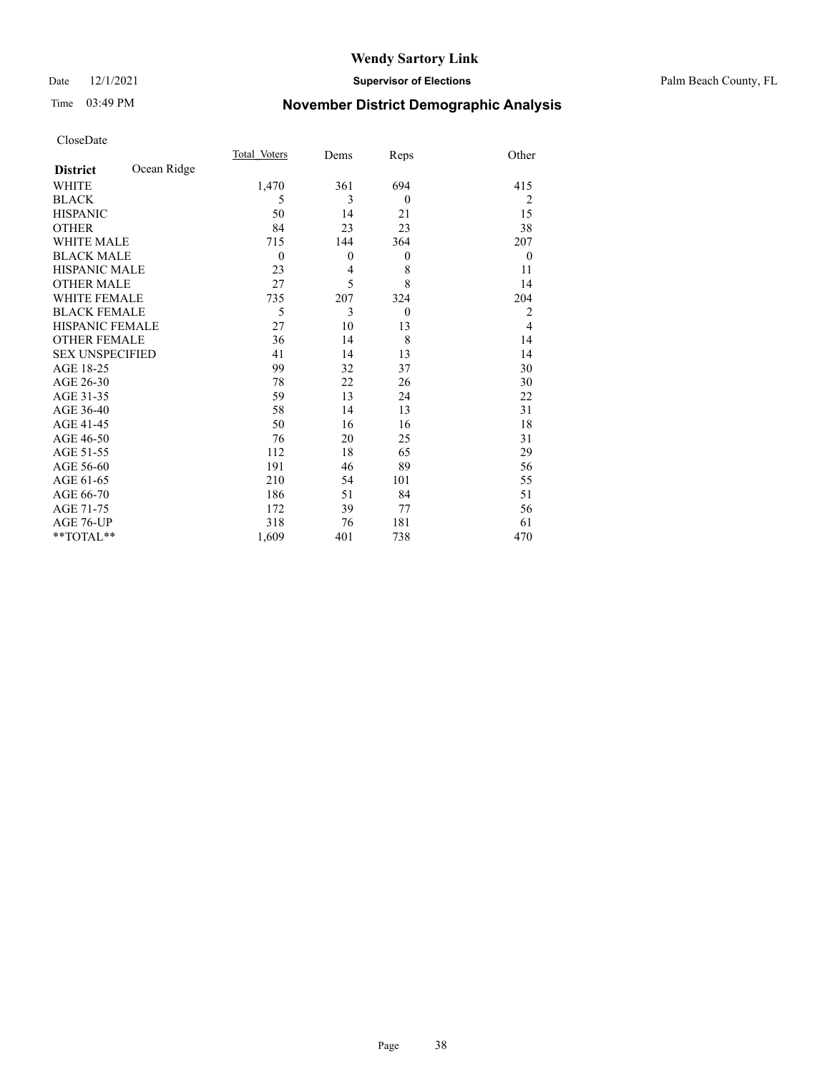### Date 12/1/2021 **Supervisor of Elections** Palm Beach County, FL

# Time 03:49 PM **November District Demographic Analysis**

|                        |             | Total Voters   | Dems         | Reps         | Other          |
|------------------------|-------------|----------------|--------------|--------------|----------------|
| <b>District</b>        | Ocean Ridge |                |              |              |                |
| <b>WHITE</b>           |             | 1,470          | 361          | 694          | 415            |
| <b>BLACK</b>           |             | 5              | 3            | $\mathbf{0}$ | 2              |
| <b>HISPANIC</b>        |             | 50             | 14           | 21           | 15             |
| <b>OTHER</b>           |             | 84             | 23           | 23           | 38             |
| <b>WHITE MALE</b>      |             | 715            | 144          | 364          | 207            |
| <b>BLACK MALE</b>      |             | $\overline{0}$ | $\mathbf{0}$ | $\mathbf{0}$ | $\mathbf{0}$   |
| <b>HISPANIC MALE</b>   |             | 23             | 4            | 8            | 11             |
| <b>OTHER MALE</b>      |             | 27             | 5            | 8            | 14             |
| <b>WHITE FEMALE</b>    |             | 735            | 207          | 324          | 204            |
| <b>BLACK FEMALE</b>    |             | 5              | 3            | $\theta$     | $\overline{2}$ |
| <b>HISPANIC FEMALE</b> |             | 27             | 10           | 13           | $\overline{4}$ |
| <b>OTHER FEMALE</b>    |             | 36             | 14           | 8            | 14             |
| <b>SEX UNSPECIFIED</b> |             | 41             | 14           | 13           | 14             |
| AGE 18-25              |             | 99             | 32           | 37           | 30             |
| AGE 26-30              |             | 78             | 22           | 26           | 30             |
| AGE 31-35              |             | 59             | 13           | 24           | 22             |
| AGE 36-40              |             | 58             | 14           | 13           | 31             |
| AGE 41-45              |             | 50             | 16           | 16           | 18             |
| AGE 46-50              |             | 76             | 20           | 25           | 31             |
| AGE 51-55              |             | 112            | 18           | 65           | 29             |
| AGE 56-60              |             | 191            | 46           | 89           | 56             |
| AGE 61-65              |             | 210            | 54           | 101          | 55             |
| AGE 66-70              |             | 186            | 51           | 84           | 51             |
| AGE 71-75              |             | 172            | 39           | 77           | 56             |
| AGE 76-UP              |             | 318            | 76           | 181          | 61             |
| **TOTAL**              |             | 1,609          | 401          | 738          | 470            |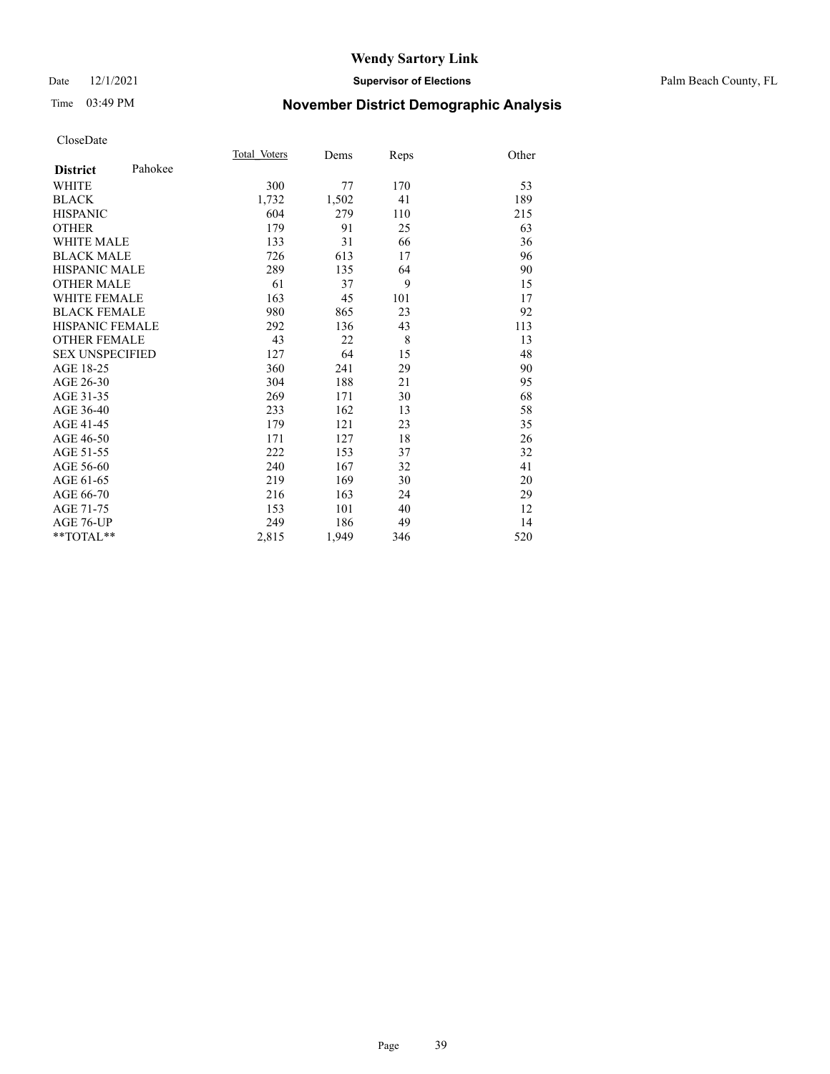### Date 12/1/2021 **Supervisor of Elections** Palm Beach County, FL

# Time 03:49 PM **November District Demographic Analysis**

|                            | Total Voters | Dems  | Reps | Other |
|----------------------------|--------------|-------|------|-------|
| Pahokee<br><b>District</b> |              |       |      |       |
| <b>WHITE</b>               | 300          | 77    | 170  | 53    |
| <b>BLACK</b>               | 1,732        | 1,502 | 41   | 189   |
| <b>HISPANIC</b>            | 604          | 279   | 110  | 215   |
| <b>OTHER</b>               | 179          | 91    | 25   | 63    |
| WHITE MALE                 | 133          | 31    | 66   | 36    |
| <b>BLACK MALE</b>          | 726          | 613   | 17   | 96    |
| <b>HISPANIC MALE</b>       | 289          | 135   | 64   | 90    |
| <b>OTHER MALE</b>          | 61           | 37    | 9    | 15    |
| <b>WHITE FEMALE</b>        | 163          | 45    | 101  | 17    |
| <b>BLACK FEMALE</b>        | 980          | 865   | 23   | 92    |
| <b>HISPANIC FEMALE</b>     | 292          | 136   | 43   | 113   |
| <b>OTHER FEMALE</b>        | 43           | 22    | 8    | 13    |
| <b>SEX UNSPECIFIED</b>     | 127          | 64    | 15   | 48    |
| AGE 18-25                  | 360          | 241   | 29   | 90    |
| AGE 26-30                  | 304          | 188   | 21   | 95    |
| AGE 31-35                  | 269          | 171   | 30   | 68    |
| AGE 36-40                  | 233          | 162   | 13   | 58    |
| AGE 41-45                  | 179          | 121   | 23   | 35    |
| AGE 46-50                  | 171          | 127   | 18   | 26    |
| AGE 51-55                  | 222          | 153   | 37   | 32    |
| AGE 56-60                  | 240          | 167   | 32   | 41    |
| AGE 61-65                  | 219          | 169   | 30   | 20    |
| AGE 66-70                  | 216          | 163   | 24   | 29    |
| AGE 71-75                  | 153          | 101   | 40   | 12    |
| AGE 76-UP                  | 249          | 186   | 49   | 14    |
| $*$ $TOTAL**$              | 2,815        | 1,949 | 346  | 520   |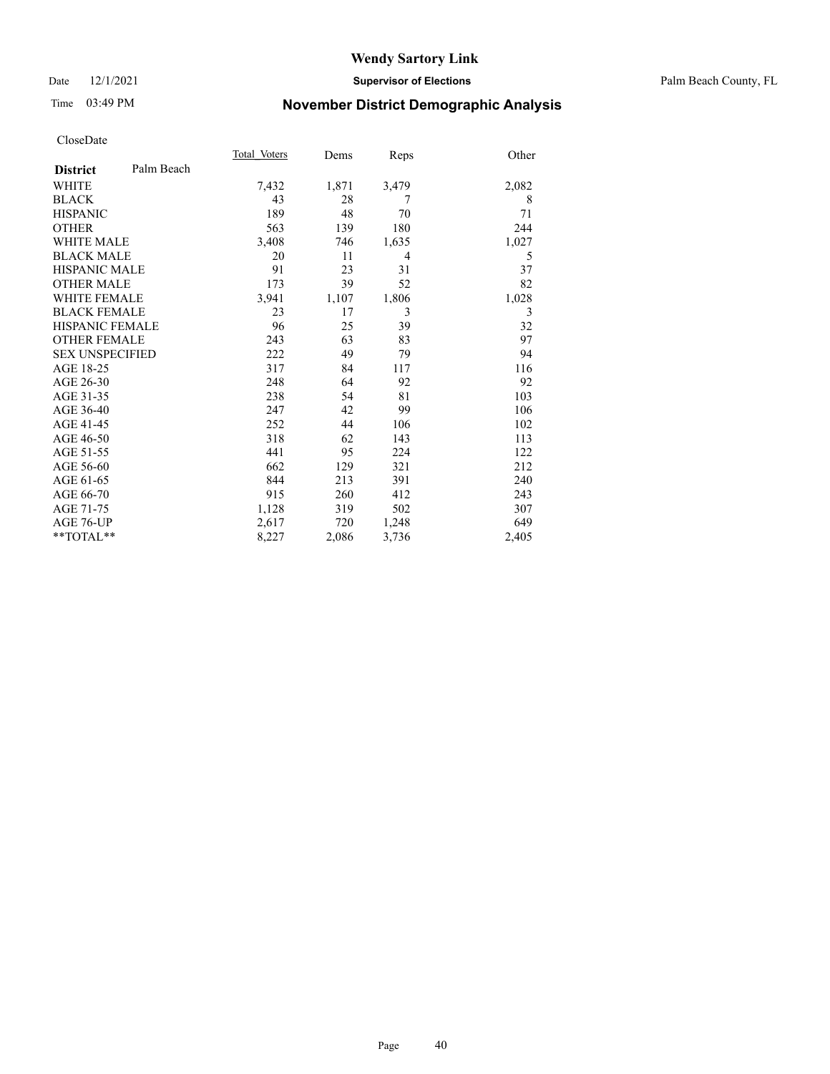### Date 12/1/2021 **Supervisor of Elections** Palm Beach County, FL

# Time 03:49 PM **November District Demographic Analysis**

|                        |            | Total Voters | Dems  | Reps           | Other |
|------------------------|------------|--------------|-------|----------------|-------|
| <b>District</b>        | Palm Beach |              |       |                |       |
| <b>WHITE</b>           |            | 7,432        | 1,871 | 3,479          | 2,082 |
| <b>BLACK</b>           |            | 43           | 28    | 7              | 8     |
| <b>HISPANIC</b>        |            | 189          | 48    | 70             | 71    |
| <b>OTHER</b>           |            | 563          | 139   | 180            | 244   |
| <b>WHITE MALE</b>      |            | 3,408        | 746   | 1,635          | 1,027 |
| <b>BLACK MALE</b>      |            | 20           | 11    | $\overline{4}$ | 5     |
| <b>HISPANIC MALE</b>   |            | 91           | 23    | 31             | 37    |
| <b>OTHER MALE</b>      |            | 173          | 39    | 52             | 82    |
| <b>WHITE FEMALE</b>    |            | 3,941        | 1,107 | 1,806          | 1,028 |
| <b>BLACK FEMALE</b>    |            | 23           | 17    | 3              | 3     |
| <b>HISPANIC FEMALE</b> |            | 96           | 25    | 39             | 32    |
| <b>OTHER FEMALE</b>    |            | 243          | 63    | 83             | 97    |
| <b>SEX UNSPECIFIED</b> |            | 222          | 49    | 79             | 94    |
| AGE 18-25              |            | 317          | 84    | 117            | 116   |
| AGE 26-30              |            | 248          | 64    | 92             | 92    |
| AGE 31-35              |            | 238          | 54    | 81             | 103   |
| AGE 36-40              |            | 247          | 42    | 99             | 106   |
| AGE 41-45              |            | 252          | 44    | 106            | 102   |
| AGE 46-50              |            | 318          | 62    | 143            | 113   |
| AGE 51-55              |            | 441          | 95    | 224            | 122   |
| AGE 56-60              |            | 662          | 129   | 321            | 212   |
| AGE 61-65              |            | 844          | 213   | 391            | 240   |
| AGE 66-70              |            | 915          | 260   | 412            | 243   |
| AGE 71-75              |            | 1,128        | 319   | 502            | 307   |
| AGE 76-UP              |            | 2,617        | 720   | 1,248          | 649   |
| **TOTAL**              |            | 8,227        | 2,086 | 3,736          | 2,405 |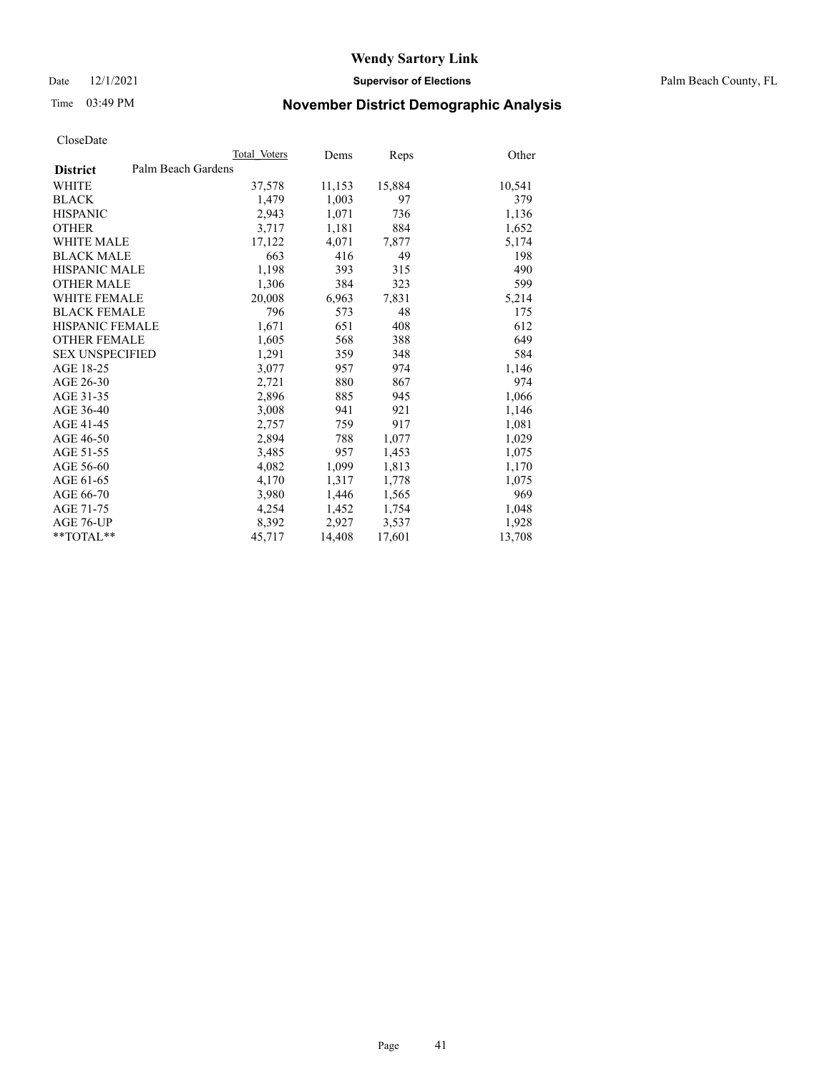Date 12/1/2021 **Supervisor of Elections** Palm Beach County, FL

# Time 03:49 PM **November District Demographic Analysis**

|                        | Total Voters       | Dems   | Reps   | Other  |
|------------------------|--------------------|--------|--------|--------|
| <b>District</b>        | Palm Beach Gardens |        |        |        |
| <b>WHITE</b>           | 37,578             | 11,153 | 15,884 | 10,541 |
| <b>BLACK</b>           | 1,479              | 1,003  | 97     | 379    |
| <b>HISPANIC</b>        | 2,943              | 1,071  | 736    | 1,136  |
| <b>OTHER</b>           | 3,717              | 1,181  | 884    | 1,652  |
| <b>WHITE MALE</b>      | 17,122             | 4,071  | 7,877  | 5,174  |
| <b>BLACK MALE</b>      | 663                | 416    | 49     | 198    |
| <b>HISPANIC MALE</b>   | 1,198              | 393    | 315    | 490    |
| <b>OTHER MALE</b>      | 1,306              | 384    | 323    | 599    |
| WHITE FEMALE           | 20,008             | 6,963  | 7,831  | 5,214  |
| <b>BLACK FEMALE</b>    | 796                | 573    | 48     | 175    |
| HISPANIC FEMALE        | 1,671              | 651    | 408    | 612    |
| <b>OTHER FEMALE</b>    | 1,605              | 568    | 388    | 649    |
| <b>SEX UNSPECIFIED</b> | 1,291              | 359    | 348    | 584    |
| AGE 18-25              | 3,077              | 957    | 974    | 1,146  |
| AGE 26-30              | 2,721              | 880    | 867    | 974    |
| AGE 31-35              | 2,896              | 885    | 945    | 1,066  |
| AGE 36-40              | 3,008              | 941    | 921    | 1,146  |
| AGE 41-45              | 2,757              | 759    | 917    | 1,081  |
| AGE 46-50              | 2,894              | 788    | 1,077  | 1,029  |
| AGE 51-55              | 3,485              | 957    | 1,453  | 1,075  |
| AGE 56-60              | 4,082              | 1,099  | 1,813  | 1,170  |
| AGE 61-65              | 4,170              | 1,317  | 1,778  | 1,075  |
| AGE 66-70              | 3,980              | 1,446  | 1,565  | 969    |
| AGE 71-75              | 4,254              | 1,452  | 1,754  | 1,048  |
| AGE 76-UP              | 8,392              | 2,927  | 3,537  | 1,928  |
| $*$ $TOTAL**$          | 45,717             | 14,408 | 17,601 | 13,708 |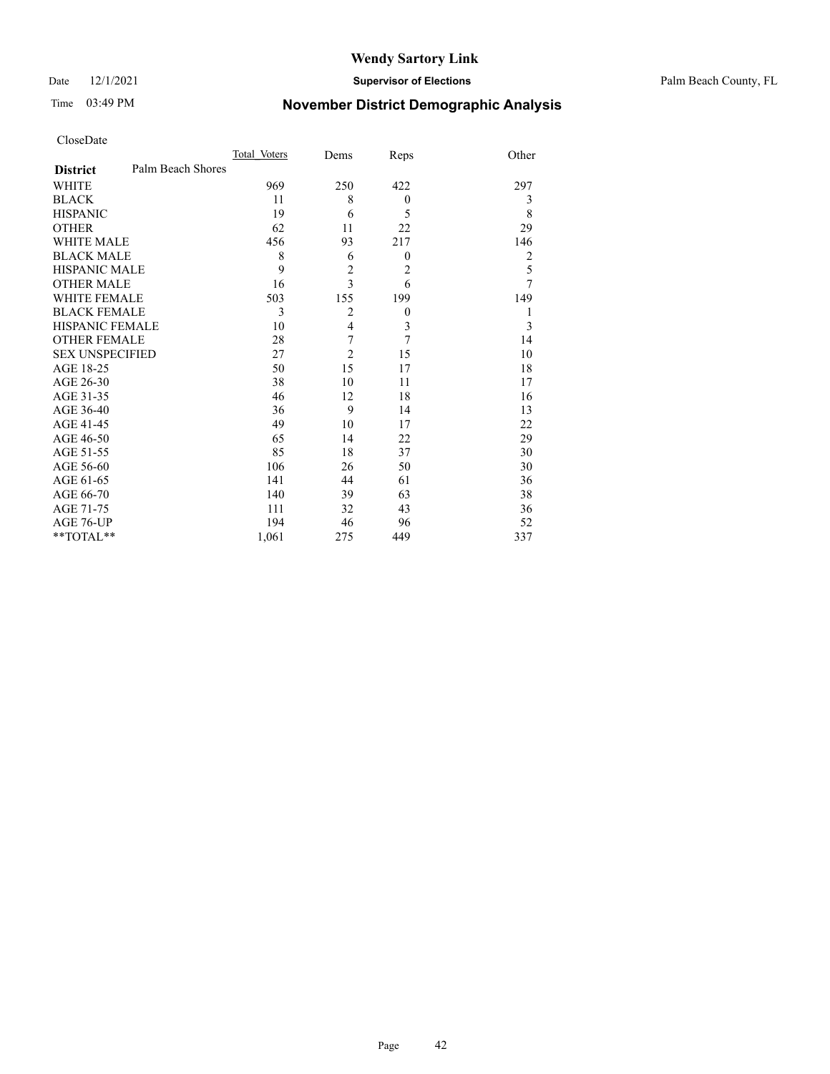### Date 12/1/2021 **Supervisor of Elections** Palm Beach County, FL

# Time 03:49 PM **November District Demographic Analysis**

| Total Voters      | Dems           | Reps             | Other |
|-------------------|----------------|------------------|-------|
| Palm Beach Shores |                |                  |       |
| 969               | 250            | 422              | 297   |
| 11                | 8              | $\boldsymbol{0}$ | 3     |
| 19                | 6              | 5                | 8     |
| 62                | 11             | 22               | 29    |
| 456               | 93             | 217              | 146   |
| 8                 | 6              | $\mathbf{0}$     | 2     |
| 9                 | $\overline{c}$ | 2                | 5     |
| 16                | 3              | 6                | 7     |
| 503               | 155            | 199              | 149   |
| 3                 | $\overline{2}$ | $\boldsymbol{0}$ | 1     |
| 10                | $\overline{4}$ | 3                | 3     |
| 28                | 7              | 7                | 14    |
| 27                | $\overline{2}$ | 15               | 10    |
| 50                | 15             | 17               | 18    |
| 38                | 10             | 11               | 17    |
| 46                | 12             | 18               | 16    |
| 36                | 9              | 14               | 13    |
| 49                | 10             | 17               | 22    |
| 65                | 14             | 22               | 29    |
| 85                | 18             | 37               | 30    |
| 106               | 26             | 50               | 30    |
| 141               | 44             | 61               | 36    |
| 140               | 39             | 63               | 38    |
| 111               | 32             | 43               | 36    |
| 194               | 46             | 96               | 52    |
| 1,061             | 275            | 449              | 337   |
|                   |                |                  |       |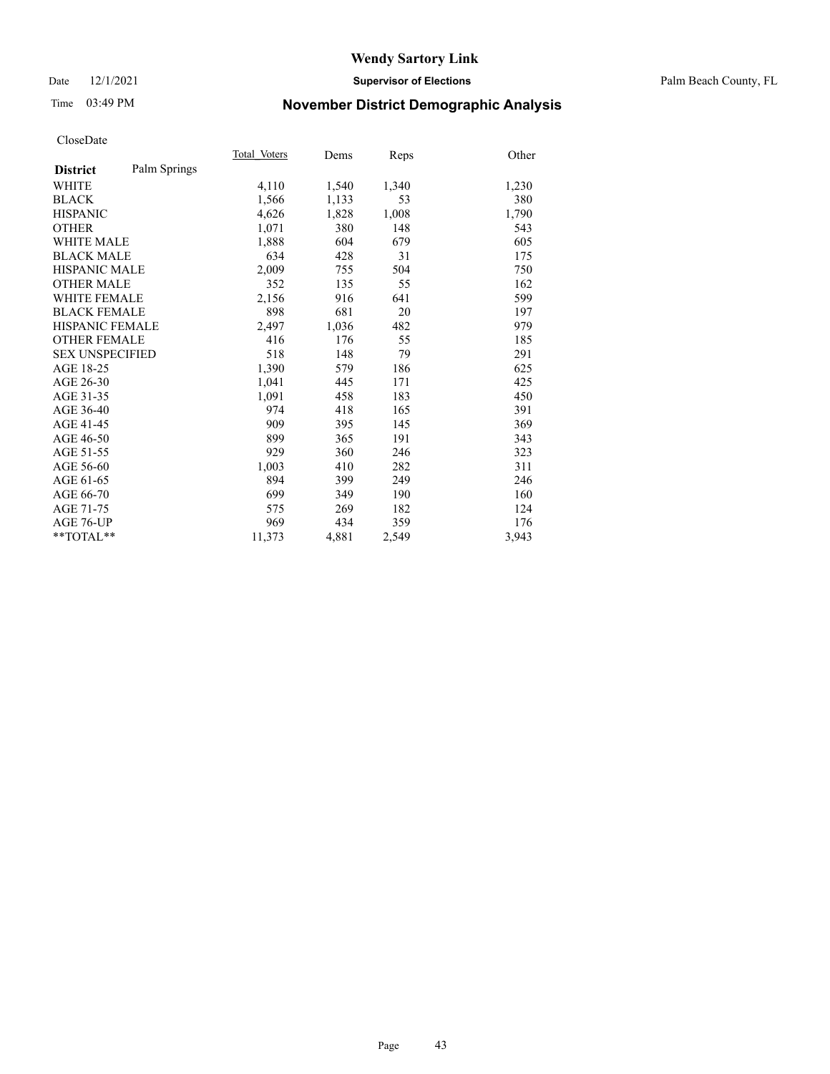### Date 12/1/2021 **Supervisor of Elections** Palm Beach County, FL

# Time 03:49 PM **November District Demographic Analysis**

|                        |              | Total Voters | Dems  | Reps  | Other |
|------------------------|--------------|--------------|-------|-------|-------|
| <b>District</b>        | Palm Springs |              |       |       |       |
| WHITE                  |              | 4,110        | 1,540 | 1,340 | 1,230 |
| <b>BLACK</b>           |              | 1,566        | 1,133 | 53    | 380   |
| <b>HISPANIC</b>        |              | 4,626        | 1,828 | 1,008 | 1,790 |
| <b>OTHER</b>           |              | 1,071        | 380   | 148   | 543   |
| <b>WHITE MALE</b>      |              | 1,888        | 604   | 679   | 605   |
| <b>BLACK MALE</b>      |              | 634          | 428   | 31    | 175   |
| <b>HISPANIC MALE</b>   |              | 2,009        | 755   | 504   | 750   |
| <b>OTHER MALE</b>      |              | 352          | 135   | 55    | 162   |
| WHITE FEMALE           |              | 2,156        | 916   | 641   | 599   |
| <b>BLACK FEMALE</b>    |              | 898          | 681   | 20    | 197   |
| <b>HISPANIC FEMALE</b> |              | 2,497        | 1,036 | 482   | 979   |
| <b>OTHER FEMALE</b>    |              | 416          | 176   | 55    | 185   |
| <b>SEX UNSPECIFIED</b> |              | 518          | 148   | 79    | 291   |
| AGE 18-25              |              | 1,390        | 579   | 186   | 625   |
| AGE 26-30              |              | 1,041        | 445   | 171   | 425   |
| AGE 31-35              |              | 1,091        | 458   | 183   | 450   |
| AGE 36-40              |              | 974          | 418   | 165   | 391   |
| AGE 41-45              |              | 909          | 395   | 145   | 369   |
| AGE 46-50              |              | 899          | 365   | 191   | 343   |
| AGE 51-55              |              | 929          | 360   | 246   | 323   |
| AGE 56-60              |              | 1,003        | 410   | 282   | 311   |
| AGE 61-65              |              | 894          | 399   | 249   | 246   |
| AGE 66-70              |              | 699          | 349   | 190   | 160   |
| AGE 71-75              |              | 575          | 269   | 182   | 124   |
| AGE 76-UP              |              | 969          | 434   | 359   | 176   |
| $*$ $TOTAL**$          |              | 11,373       | 4,881 | 2,549 | 3,943 |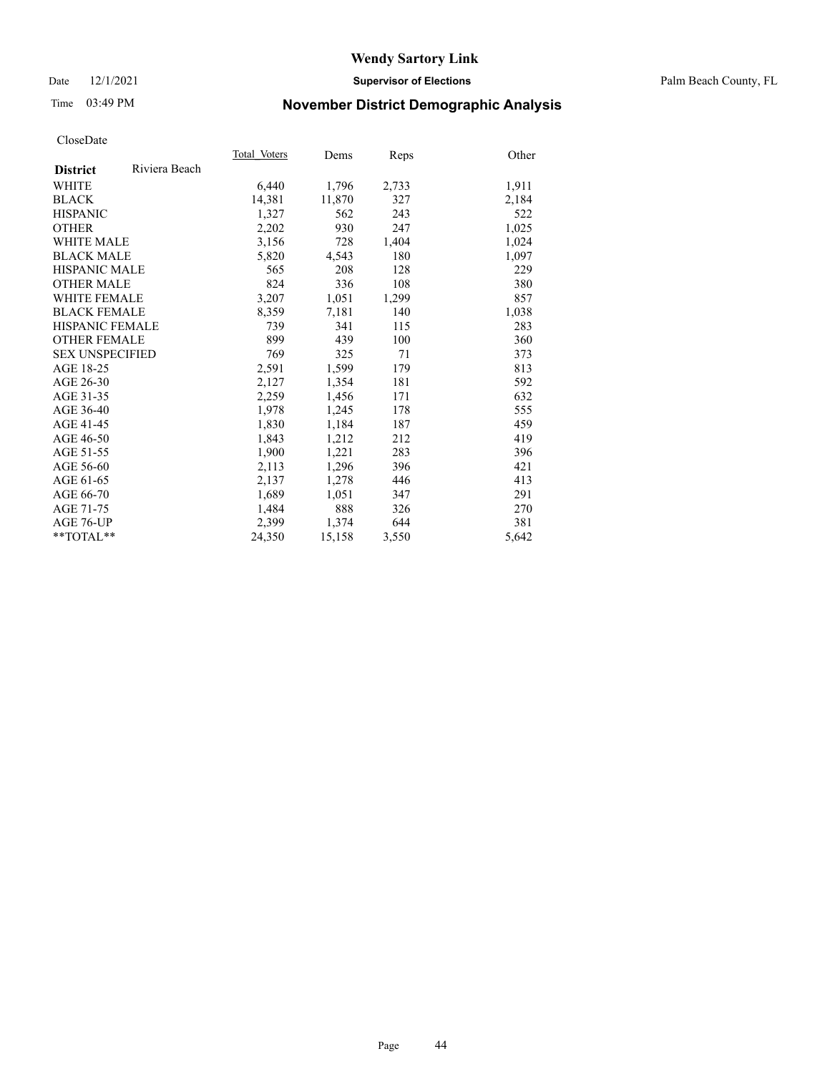### Date 12/1/2021 **Supervisor of Elections** Palm Beach County, FL

# Time 03:49 PM **November District Demographic Analysis**

|                        |               | Total Voters | Dems   | Reps  | Other |
|------------------------|---------------|--------------|--------|-------|-------|
| <b>District</b>        | Riviera Beach |              |        |       |       |
| WHITE                  |               | 6,440        | 1,796  | 2,733 | 1,911 |
| <b>BLACK</b>           |               | 14,381       | 11,870 | 327   | 2,184 |
| <b>HISPANIC</b>        |               | 1,327        | 562    | 243   | 522   |
| <b>OTHER</b>           |               | 2,202        | 930    | 247   | 1,025 |
| WHITE MALE             |               | 3,156        | 728    | 1,404 | 1,024 |
| <b>BLACK MALE</b>      |               | 5,820        | 4,543  | 180   | 1,097 |
| <b>HISPANIC MALE</b>   |               | 565          | 208    | 128   | 229   |
| <b>OTHER MALE</b>      |               | 824          | 336    | 108   | 380   |
| <b>WHITE FEMALE</b>    |               | 3,207        | 1,051  | 1,299 | 857   |
| <b>BLACK FEMALE</b>    |               | 8,359        | 7,181  | 140   | 1,038 |
| <b>HISPANIC FEMALE</b> |               | 739          | 341    | 115   | 283   |
| <b>OTHER FEMALE</b>    |               | 899          | 439    | 100   | 360   |
| <b>SEX UNSPECIFIED</b> |               | 769          | 325    | 71    | 373   |
| AGE 18-25              |               | 2,591        | 1,599  | 179   | 813   |
| AGE 26-30              |               | 2,127        | 1,354  | 181   | 592   |
| AGE 31-35              |               | 2,259        | 1,456  | 171   | 632   |
| AGE 36-40              |               | 1,978        | 1,245  | 178   | 555   |
| AGE 41-45              |               | 1,830        | 1,184  | 187   | 459   |
| AGE 46-50              |               | 1,843        | 1,212  | 212   | 419   |
| AGE 51-55              |               | 1,900        | 1,221  | 283   | 396   |
| AGE 56-60              |               | 2,113        | 1,296  | 396   | 421   |
| AGE 61-65              |               | 2,137        | 1,278  | 446   | 413   |
| AGE 66-70              |               | 1,689        | 1,051  | 347   | 291   |
| AGE 71-75              |               | 1,484        | 888    | 326   | 270   |
| AGE 76-UP              |               | 2.399        | 1,374  | 644   | 381   |
| **TOTAL**              |               | 24,350       | 15,158 | 3,550 | 5,642 |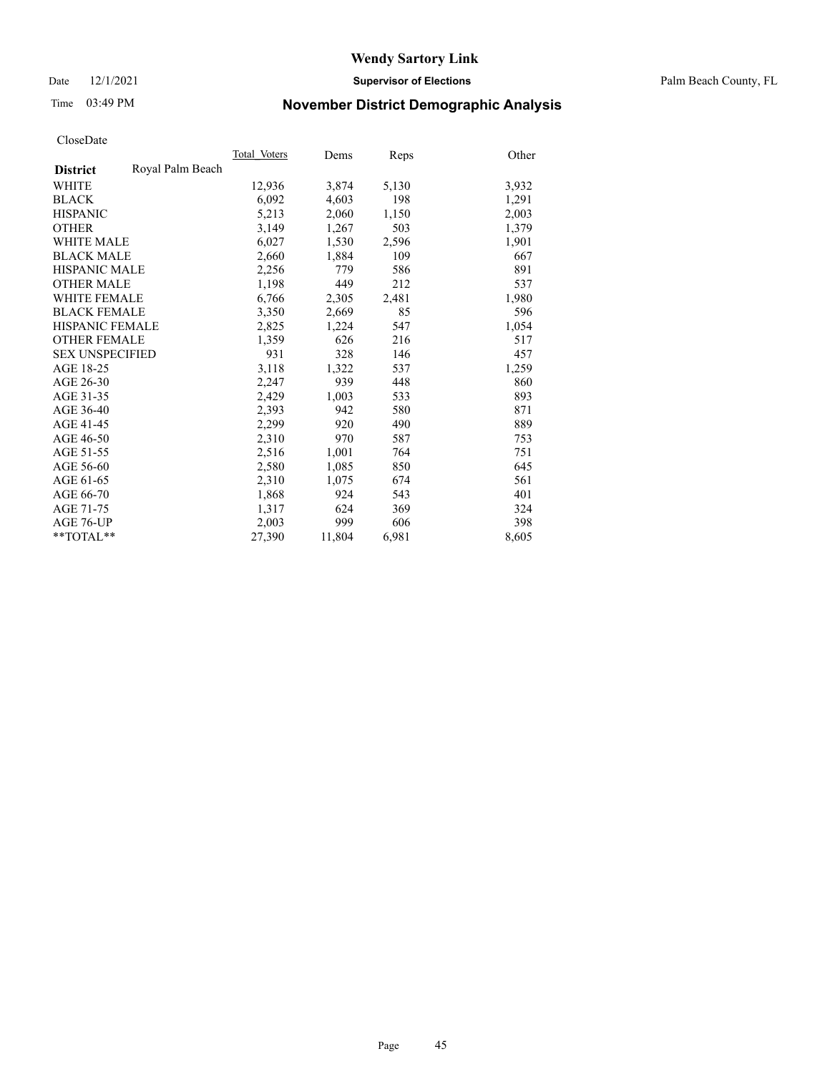Date 12/1/2021 **Supervisor of Elections** Palm Beach County, FL

# Time 03:49 PM **November District Demographic Analysis**

|                        |                  | Total Voters | Dems   | Reps  | Other |
|------------------------|------------------|--------------|--------|-------|-------|
| <b>District</b>        | Royal Palm Beach |              |        |       |       |
| WHITE                  |                  | 12,936       | 3,874  | 5,130 | 3,932 |
| <b>BLACK</b>           |                  | 6,092        | 4,603  | 198   | 1,291 |
| <b>HISPANIC</b>        |                  | 5,213        | 2,060  | 1,150 | 2,003 |
| <b>OTHER</b>           |                  | 3,149        | 1,267  | 503   | 1,379 |
| <b>WHITE MALE</b>      |                  | 6,027        | 1,530  | 2,596 | 1,901 |
| <b>BLACK MALE</b>      |                  | 2,660        | 1,884  | 109   | 667   |
| <b>HISPANIC MALE</b>   |                  | 2,256        | 779    | 586   | 891   |
| <b>OTHER MALE</b>      |                  | 1,198        | 449    | 212   | 537   |
| <b>WHITE FEMALE</b>    |                  | 6,766        | 2,305  | 2.481 | 1,980 |
| <b>BLACK FEMALE</b>    |                  | 3,350        | 2,669  | 85    | 596   |
| <b>HISPANIC FEMALE</b> |                  | 2,825        | 1,224  | 547   | 1,054 |
| <b>OTHER FEMALE</b>    |                  | 1,359        | 626    | 216   | 517   |
| <b>SEX UNSPECIFIED</b> |                  | 931          | 328    | 146   | 457   |
| AGE 18-25              |                  | 3,118        | 1,322  | 537   | 1,259 |
| AGE 26-30              |                  | 2,247        | 939    | 448   | 860   |
| AGE 31-35              |                  | 2,429        | 1,003  | 533   | 893   |
| AGE 36-40              |                  | 2,393        | 942    | 580   | 871   |
| AGE 41-45              |                  | 2,299        | 920    | 490   | 889   |
| AGE 46-50              |                  | 2,310        | 970    | 587   | 753   |
| AGE 51-55              |                  | 2,516        | 1,001  | 764   | 751   |
| AGE 56-60              |                  | 2,580        | 1,085  | 850   | 645   |
| AGE 61-65              |                  | 2,310        | 1,075  | 674   | 561   |
| AGE 66-70              |                  | 1,868        | 924    | 543   | 401   |
| AGE 71-75              |                  | 1,317        | 624    | 369   | 324   |
| AGE 76-UP              |                  | 2.003        | 999    | 606   | 398   |
| $*$ $TOTAL**$          |                  | 27,390       | 11,804 | 6,981 | 8,605 |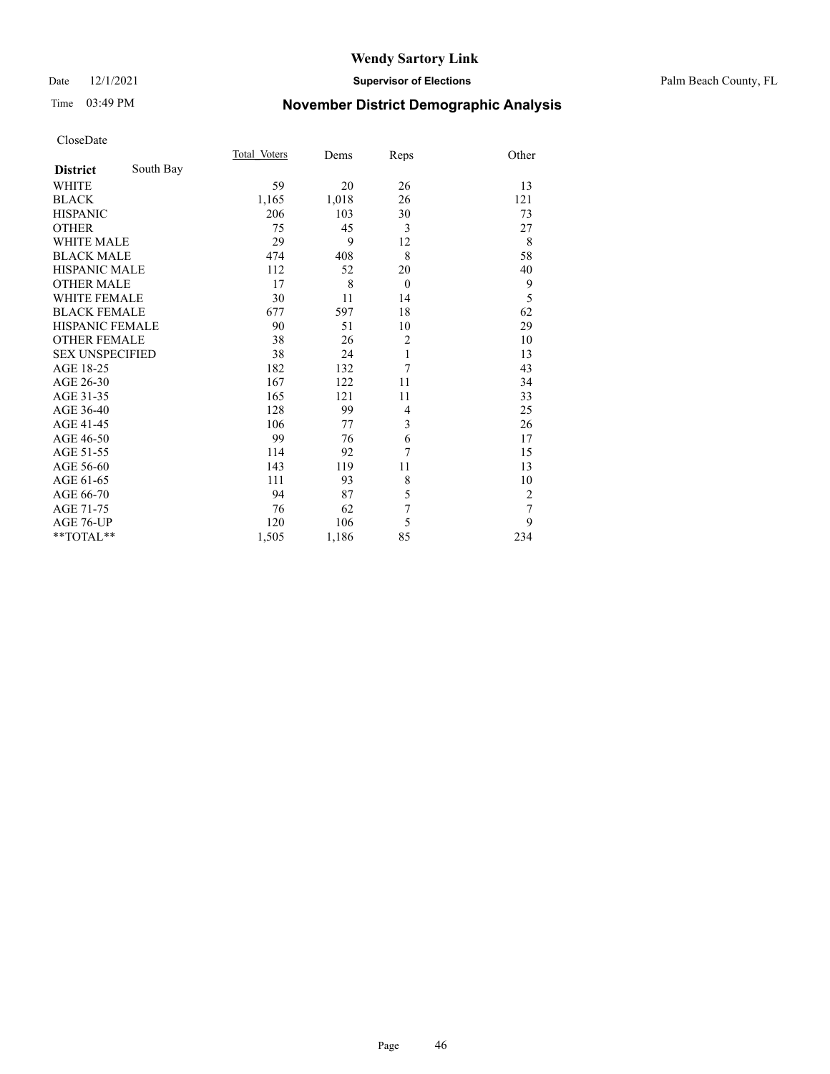### Date 12/1/2021 **Supervisor of Elections** Palm Beach County, FL

# Time 03:49 PM **November District Demographic Analysis**

|                        |           | Total Voters | Dems  | Reps           | Other          |
|------------------------|-----------|--------------|-------|----------------|----------------|
| <b>District</b>        | South Bay |              |       |                |                |
| WHITE                  |           | 59           | 20    | 26             | 13             |
| <b>BLACK</b>           |           | 1,165        | 1,018 | 26             | 121            |
| <b>HISPANIC</b>        |           | 206          | 103   | 30             | 73             |
| <b>OTHER</b>           |           | 75           | 45    | 3              | 27             |
| <b>WHITE MALE</b>      |           | 29           | 9     | 12             | 8              |
| <b>BLACK MALE</b>      |           | 474          | 408   | 8              | 58             |
| <b>HISPANIC MALE</b>   |           | 112          | 52    | 20             | 40             |
| <b>OTHER MALE</b>      |           | 17           | 8     | $\overline{0}$ | 9              |
| <b>WHITE FEMALE</b>    |           | 30           | 11    | 14             | 5              |
| <b>BLACK FEMALE</b>    |           | 677          | 597   | 18             | 62             |
| HISPANIC FEMALE        |           | 90           | 51    | 10             | 29             |
| <b>OTHER FEMALE</b>    |           | 38           | 26    | $\overline{2}$ | 10             |
| <b>SEX UNSPECIFIED</b> |           | 38           | 24    | $\mathbf{1}$   | 13             |
| AGE 18-25              |           | 182          | 132   | 7              | 43             |
| AGE 26-30              |           | 167          | 122   | 11             | 34             |
| AGE 31-35              |           | 165          | 121   | 11             | 33             |
| AGE 36-40              |           | 128          | 99    | $\overline{4}$ | 25             |
| AGE 41-45              |           | 106          | 77    | 3              | 26             |
| AGE 46-50              |           | 99           | 76    | 6              | 17             |
| AGE 51-55              |           | 114          | 92    | 7              | 15             |
| AGE 56-60              |           | 143          | 119   | 11             | 13             |
| AGE 61-65              |           | 111          | 93    | 8              | 10             |
| AGE 66-70              |           | 94           | 87    | 5              | $\overline{2}$ |
| AGE 71-75              |           | 76           | 62    | 7              | 7              |
| AGE 76-UP              |           | 120          | 106   | 5              | 9              |
| $*$ $TOTAL**$          |           | 1,505        | 1,186 | 85             | 234            |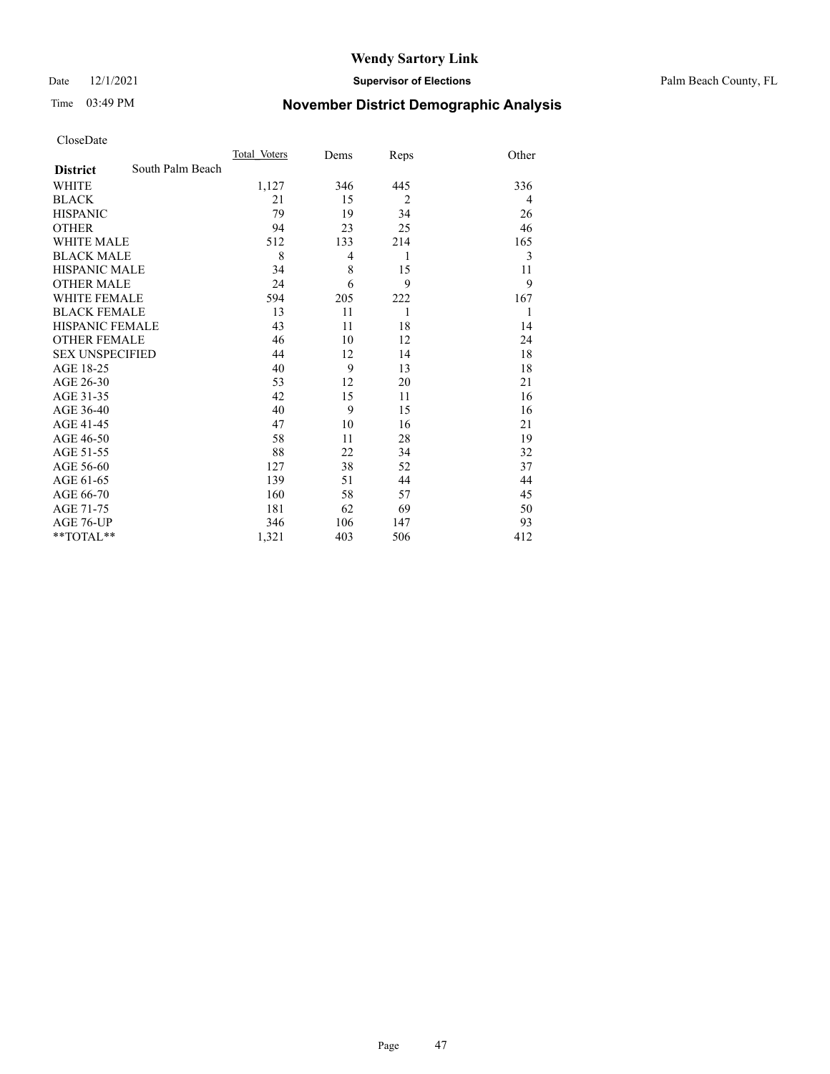Date 12/1/2021 **Supervisor of Elections** Palm Beach County, FL

# Time 03:49 PM **November District Demographic Analysis**

|                        |                  | Total Voters | Dems | Reps           | Other |
|------------------------|------------------|--------------|------|----------------|-------|
| <b>District</b>        | South Palm Beach |              |      |                |       |
| <b>WHITE</b>           |                  | 1,127        | 346  | 445            | 336   |
| <b>BLACK</b>           |                  | 21           | 15   | $\overline{2}$ | 4     |
| <b>HISPANIC</b>        |                  | 79           | 19   | 34             | 26    |
| <b>OTHER</b>           |                  | 94           | 23   | 25             | 46    |
| <b>WHITE MALE</b>      |                  | 512          | 133  | 214            | 165   |
| <b>BLACK MALE</b>      |                  | 8            | 4    | 1              | 3     |
| <b>HISPANIC MALE</b>   |                  | 34           | 8    | 15             | 11    |
| <b>OTHER MALE</b>      |                  | 24           | 6    | 9              | 9     |
| <b>WHITE FEMALE</b>    |                  | 594          | 205  | 222            | 167   |
| <b>BLACK FEMALE</b>    |                  | 13           | 11   | 1              | 1     |
| <b>HISPANIC FEMALE</b> |                  | 43           | 11   | 18             | 14    |
| <b>OTHER FEMALE</b>    |                  | 46           | 10   | 12             | 24    |
| <b>SEX UNSPECIFIED</b> |                  | 44           | 12   | 14             | 18    |
| AGE 18-25              |                  | 40           | 9    | 13             | 18    |
| AGE 26-30              |                  | 53           | 12   | 20             | 21    |
| AGE 31-35              |                  | 42           | 15   | 11             | 16    |
| AGE 36-40              |                  | 40           | 9    | 15             | 16    |
| AGE 41-45              |                  | 47           | 10   | 16             | 21    |
| AGE 46-50              |                  | 58           | 11   | 28             | 19    |
| AGE 51-55              |                  | 88           | 22   | 34             | 32    |
| AGE 56-60              |                  | 127          | 38   | 52             | 37    |
| AGE 61-65              |                  | 139          | 51   | 44             | 44    |
| AGE 66-70              |                  | 160          | 58   | 57             | 45    |
| AGE 71-75              |                  | 181          | 62   | 69             | 50    |
| AGE 76-UP              |                  | 346          | 106  | 147            | 93    |
| **TOTAL**              |                  | 1,321        | 403  | 506            | 412   |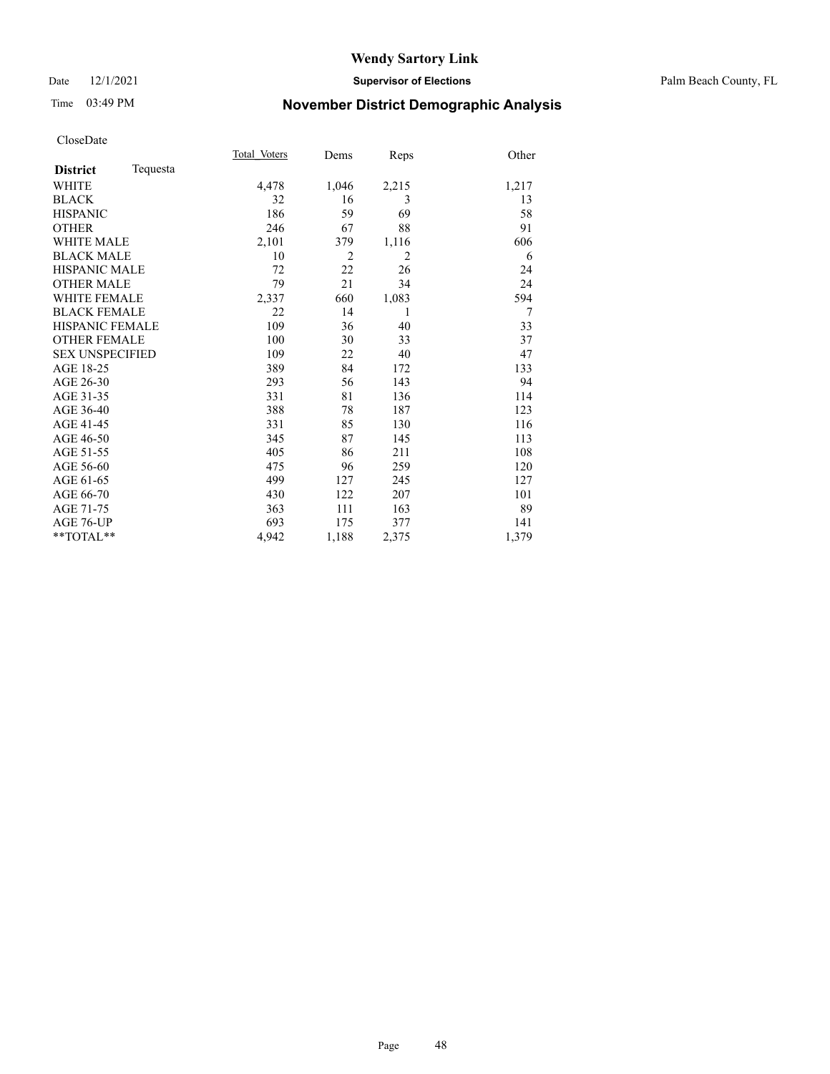### Date 12/1/2021 **Supervisor of Elections** Palm Beach County, FL

# Time 03:49 PM **November District Demographic Analysis**

|                             | Total Voters | Dems           | Reps           | Other |
|-----------------------------|--------------|----------------|----------------|-------|
| Tequesta<br><b>District</b> |              |                |                |       |
| <b>WHITE</b>                | 4,478        | 1,046          | 2,215          | 1,217 |
| <b>BLACK</b>                | 32           | 16             | 3              | 13    |
| <b>HISPANIC</b>             | 186          | 59             | 69             | 58    |
| <b>OTHER</b>                | 246          | 67             | 88             | 91    |
| <b>WHITE MALE</b>           | 2,101        | 379            | 1,116          | 606   |
| <b>BLACK MALE</b>           | 10           | $\overline{2}$ | $\overline{2}$ | 6     |
| <b>HISPANIC MALE</b>        | 72           | 22             | 26             | 24    |
| <b>OTHER MALE</b>           | 79           | 21             | 34             | 24    |
| <b>WHITE FEMALE</b>         | 2,337        | 660            | 1,083          | 594   |
| <b>BLACK FEMALE</b>         | 22           | 14             | 1              | 7     |
| <b>HISPANIC FEMALE</b>      | 109          | 36             | 40             | 33    |
| <b>OTHER FEMALE</b>         | 100          | 30             | 33             | 37    |
| <b>SEX UNSPECIFIED</b>      | 109          | 22             | 40             | 47    |
| AGE 18-25                   | 389          | 84             | 172            | 133   |
| AGE 26-30                   | 293          | 56             | 143            | 94    |
| AGE 31-35                   | 331          | 81             | 136            | 114   |
| AGE 36-40                   | 388          | 78             | 187            | 123   |
| AGE 41-45                   | 331          | 85             | 130            | 116   |
| AGE 46-50                   | 345          | 87             | 145            | 113   |
| AGE 51-55                   | 405          | 86             | 211            | 108   |
| AGE 56-60                   | 475          | 96             | 259            | 120   |
| AGE 61-65                   | 499          | 127            | 245            | 127   |
| AGE 66-70                   | 430          | 122            | 207            | 101   |
| AGE 71-75                   | 363          | 111            | 163            | 89    |
| AGE 76-UP                   | 693          | 175            | 377            | 141   |
| $*$ $TOTAL**$               | 4,942        | 1,188          | 2,375          | 1,379 |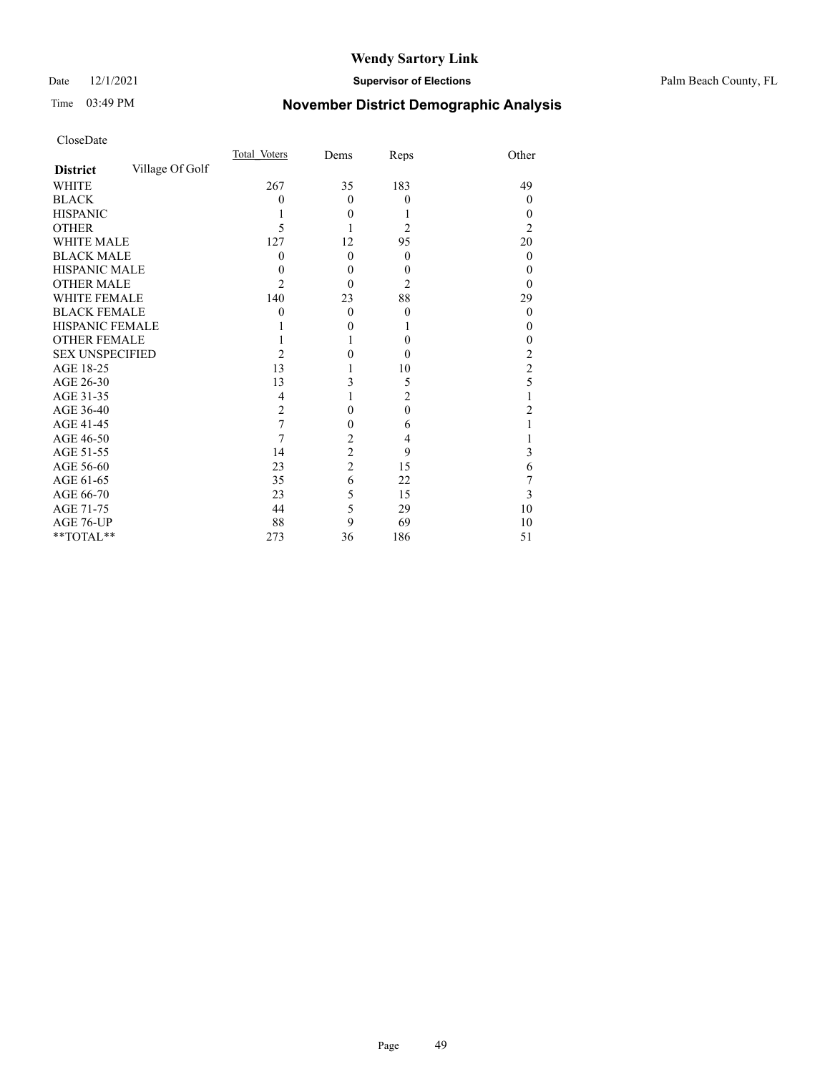### Date 12/1/2021 **Supervisor of Elections** Palm Beach County, FL

# Time 03:49 PM **November District Demographic Analysis**

|                                    | Total Voters   | Dems           | Reps             | Other            |
|------------------------------------|----------------|----------------|------------------|------------------|
| Village Of Golf<br><b>District</b> |                |                |                  |                  |
| <b>WHITE</b>                       | 267            | 35             | 183              | 49               |
| <b>BLACK</b>                       | 0              | $\theta$       | $\theta$         | 0                |
| <b>HISPANIC</b>                    |                | $\theta$       | 1                | 0                |
| <b>OTHER</b>                       | 5              |                | 2                | 2                |
| <b>WHITE MALE</b>                  | 127            | 12             | 95               | 20               |
| <b>BLACK MALE</b>                  | 0              | $\theta$       | $\theta$         | $\boldsymbol{0}$ |
| <b>HISPANIC MALE</b>               | 0              | 0              | $\boldsymbol{0}$ | 0                |
| <b>OTHER MALE</b>                  | 2              | 0              | 2                | 0                |
| WHITE FEMALE                       | 140            | 23             | 88               | 29               |
| <b>BLACK FEMALE</b>                | 0              | $\Omega$       | $\theta$         | 0                |
| <b>HISPANIC FEMALE</b>             |                | 0              | 1                | 0                |
| <b>OTHER FEMALE</b>                |                |                | $\theta$         | 0                |
| <b>SEX UNSPECIFIED</b>             | 2              | 0              | $\theta$         | 2                |
| AGE 18-25                          | 13             |                | 10               | $\overline{c}$   |
| AGE 26-30                          | 13             | 3              | 5                | 5                |
| AGE 31-35                          | 4              |                | $\overline{2}$   |                  |
| AGE 36-40                          | $\overline{2}$ | 0              | $\mathbf{0}$     | 2                |
| AGE 41-45                          | 7              | 0              | 6                |                  |
| AGE 46-50                          | 7              | $\overline{c}$ | 4                |                  |
| AGE 51-55                          | 14             | $\overline{c}$ | 9                | 3                |
| AGE 56-60                          | 23             | $\overline{2}$ | 15               | 6                |
| AGE 61-65                          | 35             | 6              | 22               | 7                |
| AGE 66-70                          | 23             | 5              | 15               | 3                |
| AGE 71-75                          | 44             | 5              | 29               | 10               |
| AGE 76-UP                          | 88             | 9              | 69               | 10               |
| **TOTAL**                          | 273            | 36             | 186              | 51               |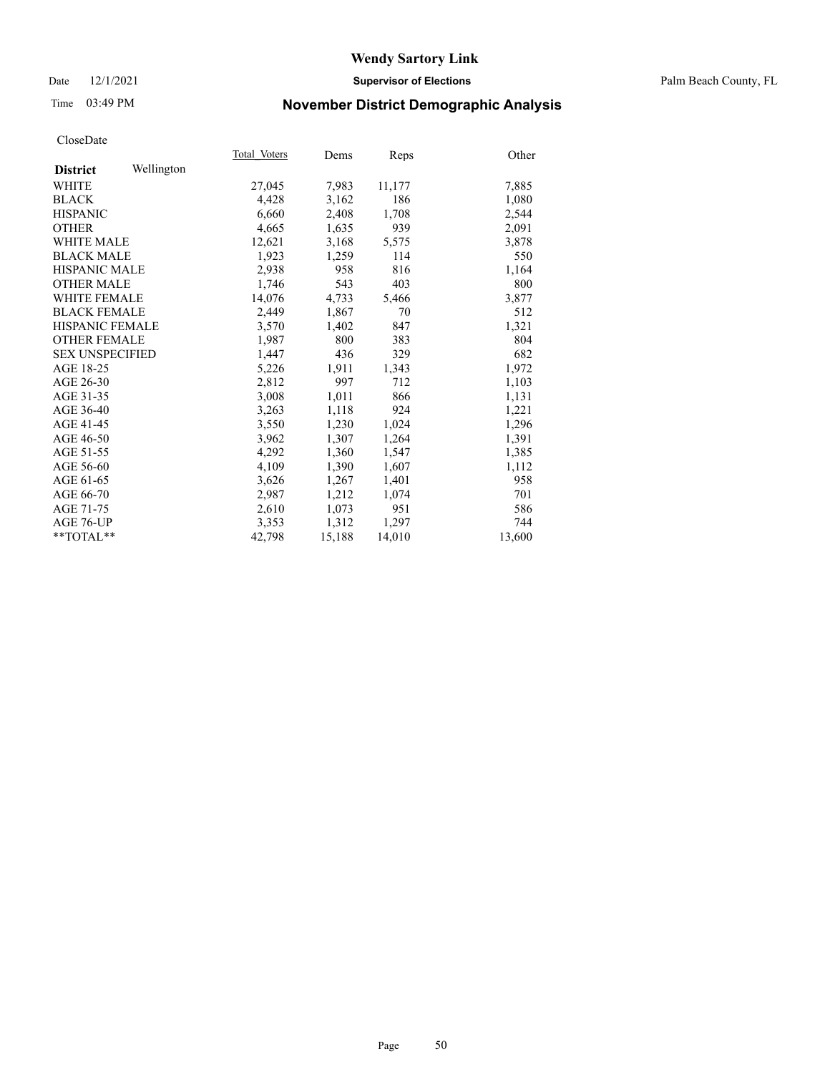### Date 12/1/2021 **Supervisor of Elections** Palm Beach County, FL

# Time 03:49 PM **November District Demographic Analysis**

|                        |            | Total Voters | Dems   | Reps   | Other  |
|------------------------|------------|--------------|--------|--------|--------|
| <b>District</b>        | Wellington |              |        |        |        |
| WHITE                  |            | 27,045       | 7,983  | 11,177 | 7,885  |
| <b>BLACK</b>           |            | 4,428        | 3,162  | 186    | 1,080  |
| <b>HISPANIC</b>        |            | 6.660        | 2,408  | 1,708  | 2,544  |
| <b>OTHER</b>           |            | 4,665        | 1,635  | 939    | 2,091  |
| <b>WHITE MALE</b>      |            | 12,621       | 3,168  | 5,575  | 3,878  |
| <b>BLACK MALE</b>      |            | 1,923        | 1,259  | 114    | 550    |
| <b>HISPANIC MALE</b>   |            | 2,938        | 958    | 816    | 1,164  |
| <b>OTHER MALE</b>      |            | 1,746        | 543    | 403    | 800    |
| <b>WHITE FEMALE</b>    |            | 14,076       | 4,733  | 5,466  | 3,877  |
| <b>BLACK FEMALE</b>    |            | 2,449        | 1,867  | 70     | 512    |
| <b>HISPANIC FEMALE</b> |            | 3,570        | 1,402  | 847    | 1,321  |
| <b>OTHER FEMALE</b>    |            | 1,987        | 800    | 383    | 804    |
| <b>SEX UNSPECIFIED</b> |            | 1,447        | 436    | 329    | 682    |
| AGE 18-25              |            | 5,226        | 1,911  | 1,343  | 1,972  |
| AGE 26-30              |            | 2,812        | 997    | 712    | 1,103  |
| AGE 31-35              |            | 3,008        | 1,011  | 866    | 1,131  |
| AGE 36-40              |            | 3,263        | 1,118  | 924    | 1,221  |
| AGE 41-45              |            | 3,550        | 1,230  | 1,024  | 1,296  |
| AGE 46-50              |            | 3,962        | 1,307  | 1,264  | 1,391  |
| AGE 51-55              |            | 4,292        | 1,360  | 1,547  | 1,385  |
| AGE 56-60              |            | 4,109        | 1,390  | 1,607  | 1,112  |
| AGE 61-65              |            | 3,626        | 1,267  | 1,401  | 958    |
| AGE 66-70              |            | 2,987        | 1,212  | 1,074  | 701    |
| AGE 71-75              |            | 2,610        | 1,073  | 951    | 586    |
| AGE 76-UP              |            | 3.353        | 1,312  | 1,297  | 744    |
| $*$ $TOTAL**$          |            | 42,798       | 15,188 | 14,010 | 13,600 |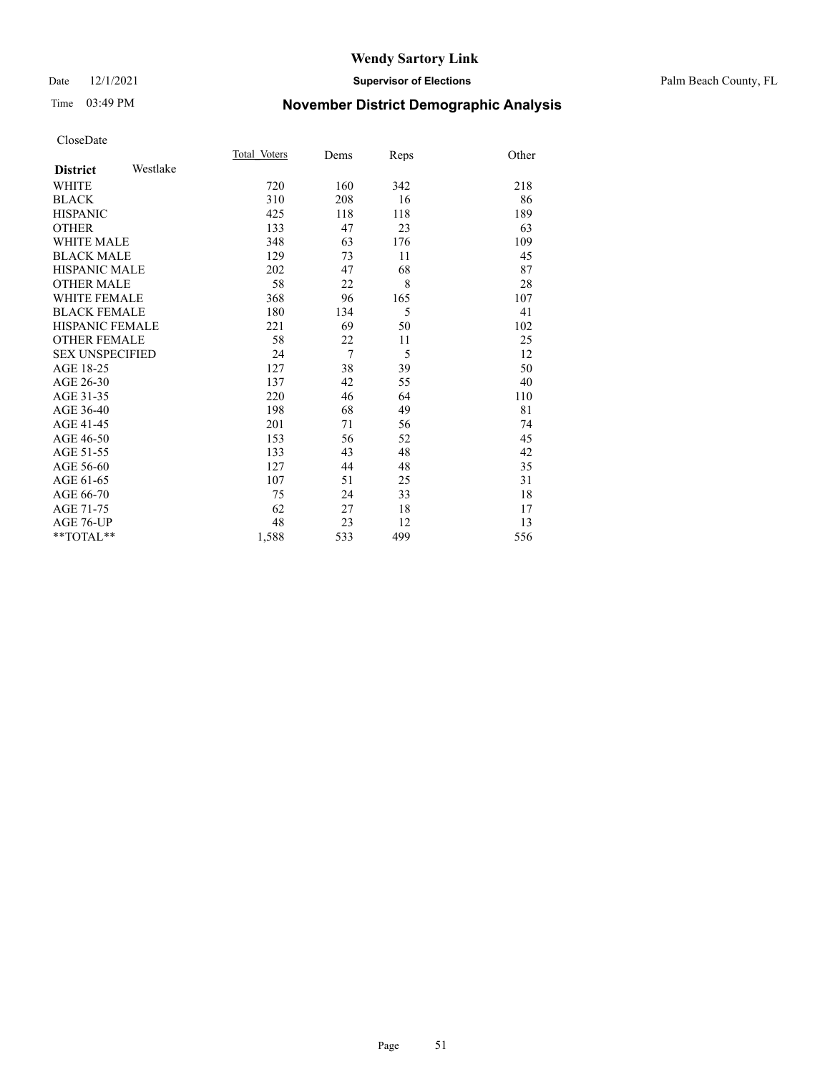### Date 12/1/2021 **Supervisor of Elections** Palm Beach County, FL

# Time 03:49 PM **November District Demographic Analysis**

|                        |          | Total Voters | Dems           | Reps | Other |
|------------------------|----------|--------------|----------------|------|-------|
| <b>District</b>        | Westlake |              |                |      |       |
| WHITE                  |          | 720          | 160            | 342  | 218   |
| <b>BLACK</b>           |          | 310          | 208            | 16   | 86    |
| <b>HISPANIC</b>        |          | 425          | 118            | 118  | 189   |
| <b>OTHER</b>           |          | 133          | 47             | 23   | 63    |
| <b>WHITE MALE</b>      |          | 348          | 63             | 176  | 109   |
| <b>BLACK MALE</b>      |          | 129          | 73             | 11   | 45    |
| <b>HISPANIC MALE</b>   |          | 202          | 47             | 68   | 87    |
| <b>OTHER MALE</b>      |          | 58           | 22             | 8    | 28    |
| <b>WHITE FEMALE</b>    |          | 368          | 96             | 165  | 107   |
| <b>BLACK FEMALE</b>    |          | 180          | 134            | 5    | 41    |
| <b>HISPANIC FEMALE</b> |          | 221          | 69             | 50   | 102   |
| <b>OTHER FEMALE</b>    |          | 58           | 22             | 11   | 25    |
| <b>SEX UNSPECIFIED</b> |          | 24           | $\overline{7}$ | 5    | 12    |
| AGE 18-25              |          | 127          | 38             | 39   | 50    |
| AGE 26-30              |          | 137          | 42             | 55   | 40    |
| AGE 31-35              |          | 220          | 46             | 64   | 110   |
| AGE 36-40              |          | 198          | 68             | 49   | 81    |
| AGE 41-45              |          | 201          | 71             | 56   | 74    |
| AGE 46-50              |          | 153          | 56             | 52   | 45    |
| AGE 51-55              |          | 133          | 43             | 48   | 42    |
| AGE 56-60              |          | 127          | 44             | 48   | 35    |
| AGE 61-65              |          | 107          | 51             | 25   | 31    |
| AGE 66-70              |          | 75           | 24             | 33   | 18    |
| AGE 71-75              |          | 62           | 27             | 18   | 17    |
| <b>AGE 76-UP</b>       |          | 48           | 23             | 12   | 13    |
| **TOTAL**              |          | 1,588        | 533            | 499  | 556   |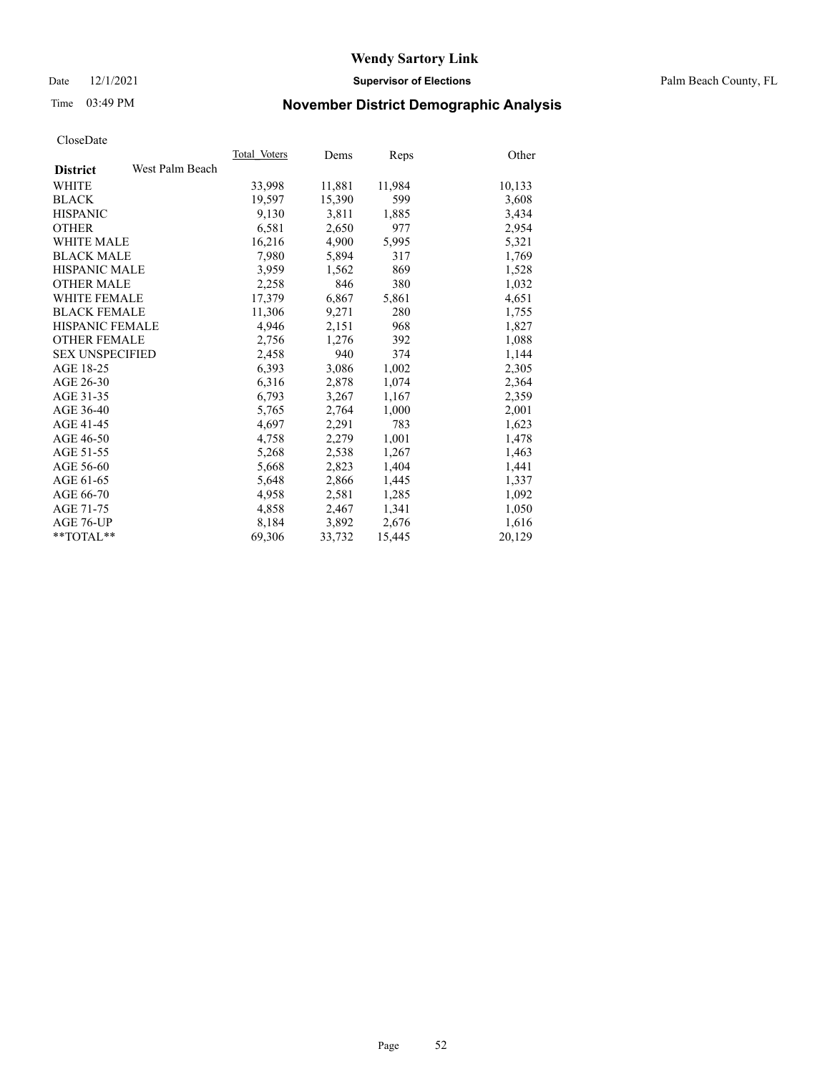Date 12/1/2021 **Supervisor of Elections** Palm Beach County, FL

# Time 03:49 PM **November District Demographic Analysis**

|                        |                 | Total Voters | Dems   | <b>Reps</b> | Other  |
|------------------------|-----------------|--------------|--------|-------------|--------|
| <b>District</b>        | West Palm Beach |              |        |             |        |
| WHITE                  |                 | 33,998       | 11,881 | 11,984      | 10,133 |
| <b>BLACK</b>           |                 | 19,597       | 15,390 | 599         | 3,608  |
| <b>HISPANIC</b>        |                 | 9,130        | 3,811  | 1,885       | 3,434  |
| <b>OTHER</b>           |                 | 6,581        | 2,650  | 977         | 2,954  |
| <b>WHITE MALE</b>      |                 | 16,216       | 4,900  | 5,995       | 5,321  |
| <b>BLACK MALE</b>      |                 | 7,980        | 5,894  | 317         | 1,769  |
| <b>HISPANIC MALE</b>   |                 | 3,959        | 1,562  | 869         | 1,528  |
| <b>OTHER MALE</b>      |                 | 2,258        | 846    | 380         | 1,032  |
| <b>WHITE FEMALE</b>    |                 | 17,379       | 6,867  | 5,861       | 4,651  |
| <b>BLACK FEMALE</b>    |                 | 11,306       | 9,271  | 280         | 1,755  |
| <b>HISPANIC FEMALE</b> |                 | 4,946        | 2,151  | 968         | 1,827  |
| <b>OTHER FEMALE</b>    |                 | 2,756        | 1,276  | 392         | 1,088  |
| <b>SEX UNSPECIFIED</b> |                 | 2,458        | 940    | 374         | 1,144  |
| AGE 18-25              |                 | 6,393        | 3,086  | 1,002       | 2,305  |
| AGE 26-30              |                 | 6,316        | 2,878  | 1,074       | 2,364  |
| AGE 31-35              |                 | 6,793        | 3,267  | 1,167       | 2,359  |
| AGE 36-40              |                 | 5,765        | 2,764  | 1,000       | 2,001  |
| AGE 41-45              |                 | 4,697        | 2,291  | 783         | 1,623  |
| AGE 46-50              |                 | 4,758        | 2,279  | 1,001       | 1,478  |
| AGE 51-55              |                 | 5,268        | 2,538  | 1,267       | 1,463  |
| AGE 56-60              |                 | 5,668        | 2,823  | 1,404       | 1,441  |
| AGE 61-65              |                 | 5,648        | 2,866  | 1,445       | 1,337  |
| AGE 66-70              |                 | 4,958        | 2,581  | 1,285       | 1,092  |
| AGE 71-75              |                 | 4,858        | 2,467  | 1,341       | 1,050  |
| AGE 76-UP              |                 | 8,184        | 3,892  | 2,676       | 1,616  |
| **TOTAL**              |                 | 69,306       | 33,732 | 15,445      | 20,129 |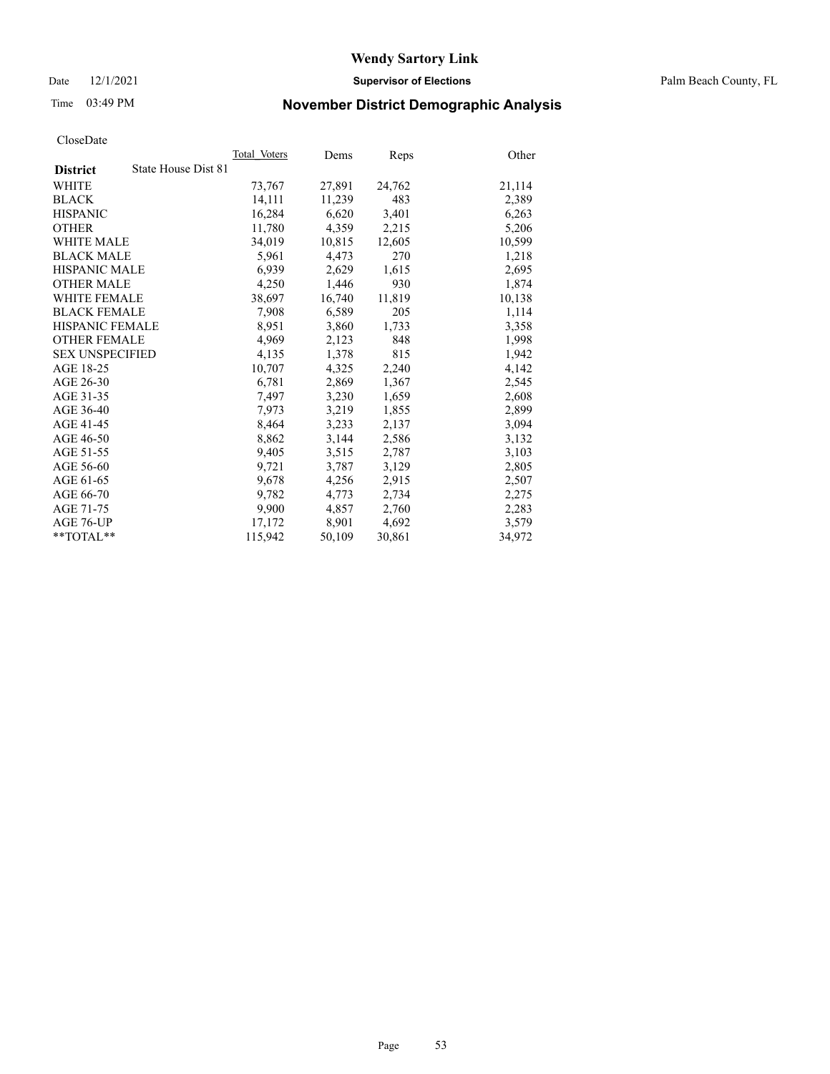Date 12/1/2021 **Supervisor of Elections** Palm Beach County, FL

# Time 03:49 PM **November District Demographic Analysis**

|                                        | Total Voters | Dems   | Reps   | Other  |
|----------------------------------------|--------------|--------|--------|--------|
| State House Dist 81<br><b>District</b> |              |        |        |        |
| WHITE                                  | 73,767       | 27,891 | 24,762 | 21,114 |
| <b>BLACK</b>                           | 14,111       | 11,239 | 483    | 2,389  |
| <b>HISPANIC</b>                        | 16,284       | 6,620  | 3,401  | 6,263  |
| <b>OTHER</b>                           | 11,780       | 4,359  | 2,215  | 5,206  |
| <b>WHITE MALE</b>                      | 34,019       | 10,815 | 12,605 | 10,599 |
| <b>BLACK MALE</b>                      | 5,961        | 4,473  | 270    | 1,218  |
| <b>HISPANIC MALE</b>                   | 6,939        | 2,629  | 1,615  | 2,695  |
| <b>OTHER MALE</b>                      | 4,250        | 1,446  | 930    | 1,874  |
| <b>WHITE FEMALE</b>                    | 38,697       | 16,740 | 11,819 | 10,138 |
| <b>BLACK FEMALE</b>                    | 7,908        | 6,589  | 205    | 1,114  |
| <b>HISPANIC FEMALE</b>                 | 8,951        | 3,860  | 1,733  | 3,358  |
| <b>OTHER FEMALE</b>                    | 4,969        | 2,123  | 848    | 1,998  |
| <b>SEX UNSPECIFIED</b>                 | 4,135        | 1,378  | 815    | 1,942  |
| AGE 18-25                              | 10,707       | 4,325  | 2,240  | 4,142  |
| AGE 26-30                              | 6,781        | 2,869  | 1,367  | 2,545  |
| AGE 31-35                              | 7,497        | 3,230  | 1,659  | 2,608  |
| AGE 36-40                              | 7,973        | 3,219  | 1,855  | 2,899  |
| AGE 41-45                              | 8,464        | 3,233  | 2,137  | 3,094  |
| AGE 46-50                              | 8,862        | 3,144  | 2,586  | 3,132  |
| AGE 51-55                              | 9,405        | 3,515  | 2,787  | 3,103  |
| AGE 56-60                              | 9,721        | 3,787  | 3,129  | 2,805  |
| AGE 61-65                              | 9.678        | 4,256  | 2,915  | 2,507  |
| AGE 66-70                              | 9,782        | 4,773  | 2,734  | 2,275  |
| AGE 71-75                              | 9,900        | 4,857  | 2,760  | 2,283  |
| AGE 76-UP                              | 17.172       | 8,901  | 4,692  | 3,579  |
| $*$ $TOTAL**$                          | 115,942      | 50,109 | 30,861 | 34,972 |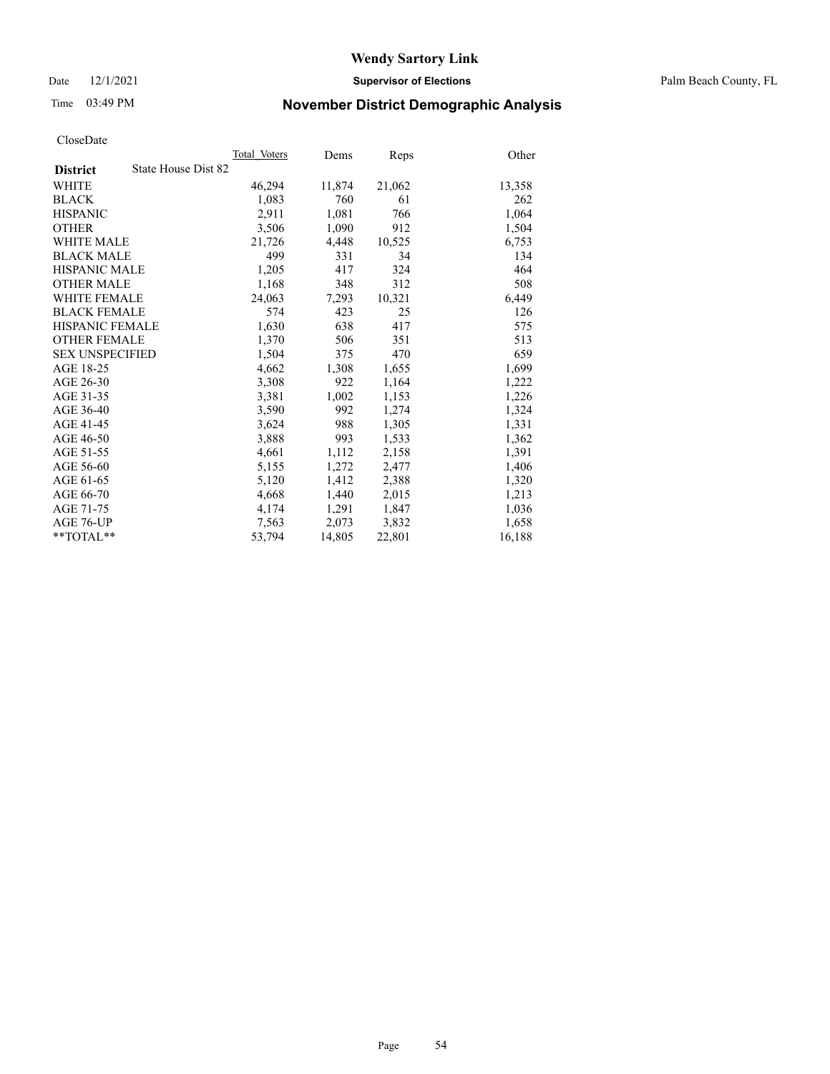Date 12/1/2021 **Supervisor of Elections** Palm Beach County, FL

# Time 03:49 PM **November District Demographic Analysis**

|                                        | Total Voters | Dems   | Reps   | Other  |
|----------------------------------------|--------------|--------|--------|--------|
| State House Dist 82<br><b>District</b> |              |        |        |        |
| <b>WHITE</b>                           | 46,294       | 11,874 | 21,062 | 13,358 |
| <b>BLACK</b>                           | 1,083        | 760    | 61     | 262    |
| <b>HISPANIC</b>                        | 2,911        | 1,081  | 766    | 1,064  |
| <b>OTHER</b>                           | 3,506        | 1,090  | 912    | 1,504  |
| <b>WHITE MALE</b>                      | 21,726       | 4,448  | 10,525 | 6,753  |
| <b>BLACK MALE</b>                      | 499          | 331    | 34     | 134    |
| <b>HISPANIC MALE</b>                   | 1,205        | 417    | 324    | 464    |
| <b>OTHER MALE</b>                      | 1,168        | 348    | 312    | 508    |
| WHITE FEMALE                           | 24,063       | 7,293  | 10,321 | 6,449  |
| <b>BLACK FEMALE</b>                    | 574          | 423    | 25     | 126    |
| HISPANIC FEMALE                        | 1,630        | 638    | 417    | 575    |
| <b>OTHER FEMALE</b>                    | 1,370        | 506    | 351    | 513    |
| <b>SEX UNSPECIFIED</b>                 | 1,504        | 375    | 470    | 659    |
| AGE 18-25                              | 4,662        | 1,308  | 1,655  | 1,699  |
| AGE 26-30                              | 3,308        | 922    | 1,164  | 1,222  |
| AGE 31-35                              | 3,381        | 1,002  | 1,153  | 1,226  |
| AGE 36-40                              | 3,590        | 992    | 1,274  | 1,324  |
| AGE 41-45                              | 3,624        | 988    | 1,305  | 1,331  |
| AGE 46-50                              | 3,888        | 993    | 1,533  | 1,362  |
| AGE 51-55                              | 4,661        | 1,112  | 2,158  | 1,391  |
| AGE 56-60                              | 5,155        | 1,272  | 2,477  | 1,406  |
| AGE 61-65                              | 5,120        | 1,412  | 2,388  | 1,320  |
| AGE 66-70                              | 4,668        | 1,440  | 2,015  | 1,213  |
| AGE 71-75                              | 4,174        | 1,291  | 1,847  | 1,036  |
| AGE 76-UP                              | 7,563        | 2,073  | 3,832  | 1,658  |
| $*$ $TOTAL**$                          | 53,794       | 14,805 | 22,801 | 16,188 |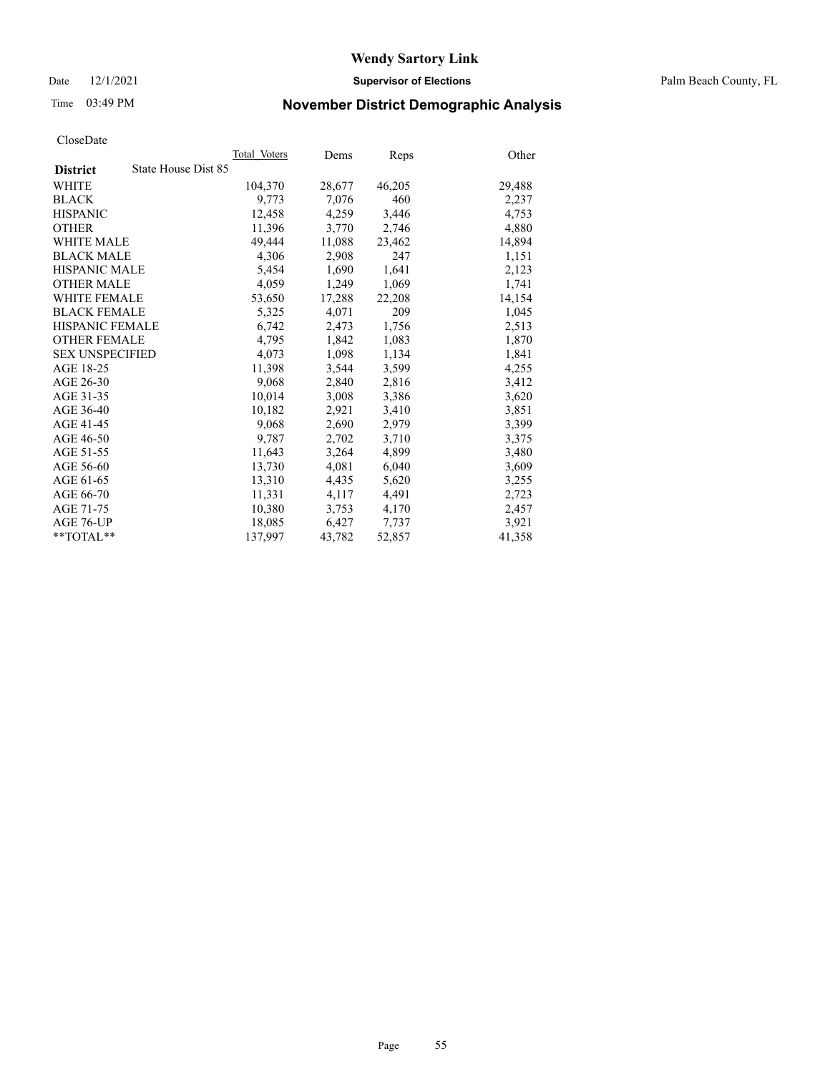Date 12/1/2021 **Supervisor of Elections** Palm Beach County, FL

# Time 03:49 PM **November District Demographic Analysis**

|                        | Total Voters        | Dems   | <b>Reps</b> | Other  |
|------------------------|---------------------|--------|-------------|--------|
| <b>District</b>        | State House Dist 85 |        |             |        |
| WHITE                  | 104,370             | 28,677 | 46,205      | 29,488 |
| <b>BLACK</b>           | 9,773               | 7,076  | 460         | 2,237  |
| <b>HISPANIC</b>        | 12.458              | 4,259  | 3,446       | 4,753  |
| <b>OTHER</b>           | 11,396              | 3,770  | 2,746       | 4,880  |
| <b>WHITE MALE</b>      | 49,444              | 11,088 | 23,462      | 14,894 |
| <b>BLACK MALE</b>      | 4,306               | 2,908  | 247         | 1,151  |
| <b>HISPANIC MALE</b>   | 5,454               | 1,690  | 1,641       | 2,123  |
| <b>OTHER MALE</b>      | 4,059               | 1,249  | 1,069       | 1,741  |
| <b>WHITE FEMALE</b>    | 53,650              | 17,288 | 22,208      | 14,154 |
| <b>BLACK FEMALE</b>    | 5,325               | 4,071  | 209         | 1,045  |
| <b>HISPANIC FEMALE</b> | 6,742               | 2,473  | 1,756       | 2,513  |
| <b>OTHER FEMALE</b>    | 4,795               | 1,842  | 1,083       | 1,870  |
| <b>SEX UNSPECIFIED</b> | 4,073               | 1,098  | 1,134       | 1,841  |
| AGE 18-25              | 11,398              | 3,544  | 3,599       | 4,255  |
| AGE 26-30              | 9.068               | 2,840  | 2,816       | 3,412  |
| AGE 31-35              | 10,014              | 3,008  | 3,386       | 3,620  |
| AGE 36-40              | 10,182              | 2,921  | 3,410       | 3,851  |
| AGE 41-45              | 9,068               | 2,690  | 2,979       | 3,399  |
| AGE 46-50              | 9,787               | 2,702  | 3,710       | 3,375  |
| AGE 51-55              | 11,643              | 3,264  | 4,899       | 3,480  |
| AGE 56-60              | 13,730              | 4,081  | 6,040       | 3,609  |
| AGE 61-65              | 13,310              | 4,435  | 5,620       | 3,255  |
| AGE 66-70              | 11,331              | 4,117  | 4,491       | 2,723  |
| AGE 71-75              | 10,380              | 3,753  | 4,170       | 2,457  |
| AGE 76-UP              | 18,085              | 6,427  | 7,737       | 3,921  |
| $*$ $TOTAL**$          | 137,997             | 43,782 | 52,857      | 41,358 |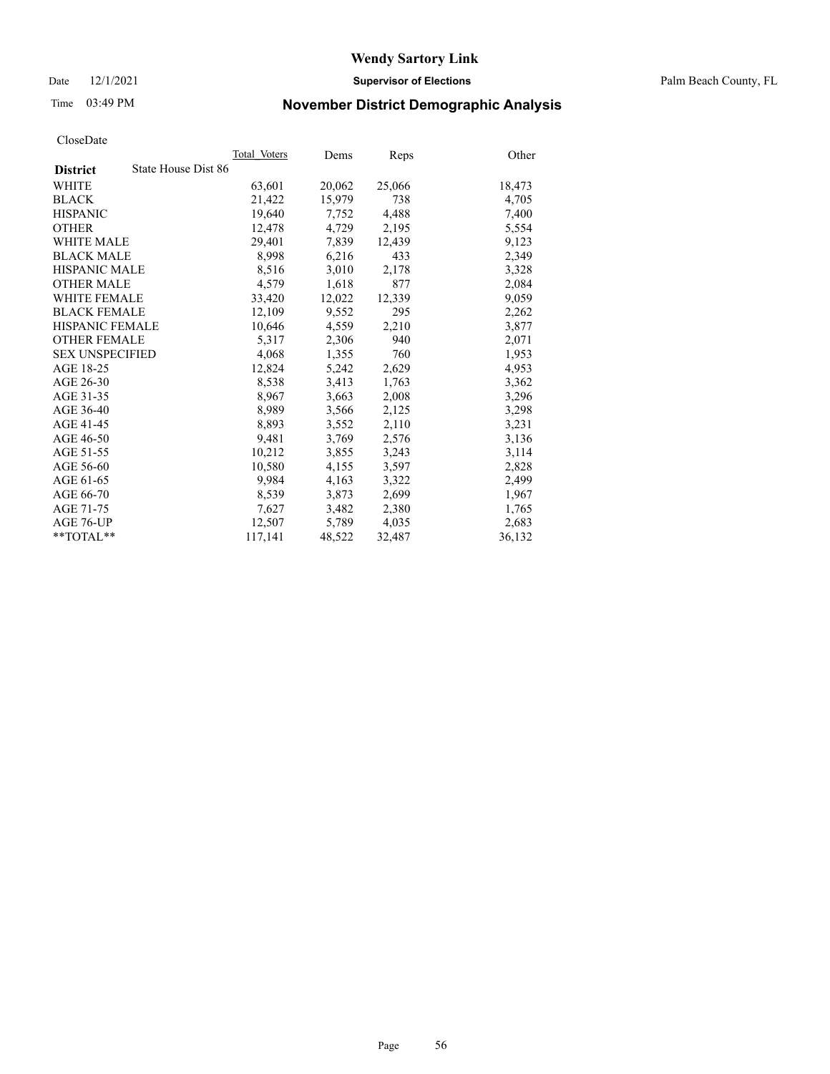Date 12/1/2021 **Supervisor of Elections** Palm Beach County, FL

# Time 03:49 PM **November District Demographic Analysis**

|                                        | Total Voters | Dems   | <b>Reps</b> | Other  |
|----------------------------------------|--------------|--------|-------------|--------|
| State House Dist 86<br><b>District</b> |              |        |             |        |
| WHITE                                  | 63,601       | 20,062 | 25,066      | 18,473 |
| <b>BLACK</b>                           | 21,422       | 15,979 | 738         | 4,705  |
| <b>HISPANIC</b>                        | 19.640       | 7,752  | 4,488       | 7,400  |
| <b>OTHER</b>                           | 12,478       | 4,729  | 2,195       | 5,554  |
| <b>WHITE MALE</b>                      | 29,401       | 7,839  | 12,439      | 9,123  |
| <b>BLACK MALE</b>                      | 8,998        | 6,216  | 433         | 2,349  |
| <b>HISPANIC MALE</b>                   | 8,516        | 3,010  | 2,178       | 3,328  |
| <b>OTHER MALE</b>                      | 4,579        | 1,618  | 877         | 2,084  |
| <b>WHITE FEMALE</b>                    | 33,420       | 12,022 | 12,339      | 9,059  |
| <b>BLACK FEMALE</b>                    | 12,109       | 9,552  | 295         | 2,262  |
| <b>HISPANIC FEMALE</b>                 | 10,646       | 4,559  | 2,210       | 3,877  |
| <b>OTHER FEMALE</b>                    | 5,317        | 2,306  | 940         | 2,071  |
| <b>SEX UNSPECIFIED</b>                 | 4,068        | 1,355  | 760         | 1,953  |
| AGE 18-25                              | 12,824       | 5,242  | 2,629       | 4,953  |
| AGE 26-30                              | 8,538        | 3,413  | 1,763       | 3,362  |
| AGE 31-35                              | 8,967        | 3,663  | 2,008       | 3,296  |
| AGE 36-40                              | 8,989        | 3,566  | 2,125       | 3,298  |
| AGE 41-45                              | 8,893        | 3,552  | 2,110       | 3,231  |
| AGE 46-50                              | 9,481        | 3,769  | 2,576       | 3,136  |
| AGE 51-55                              | 10,212       | 3,855  | 3,243       | 3,114  |
| AGE 56-60                              | 10,580       | 4,155  | 3,597       | 2,828  |
| AGE 61-65                              | 9,984        | 4,163  | 3,322       | 2,499  |
| AGE 66-70                              | 8,539        | 3,873  | 2,699       | 1,967  |
| AGE 71-75                              | 7,627        | 3,482  | 2,380       | 1,765  |
| AGE 76-UP                              | 12,507       | 5,789  | 4,035       | 2,683  |
| $*$ $TOTAL**$                          | 117,141      | 48,522 | 32,487      | 36,132 |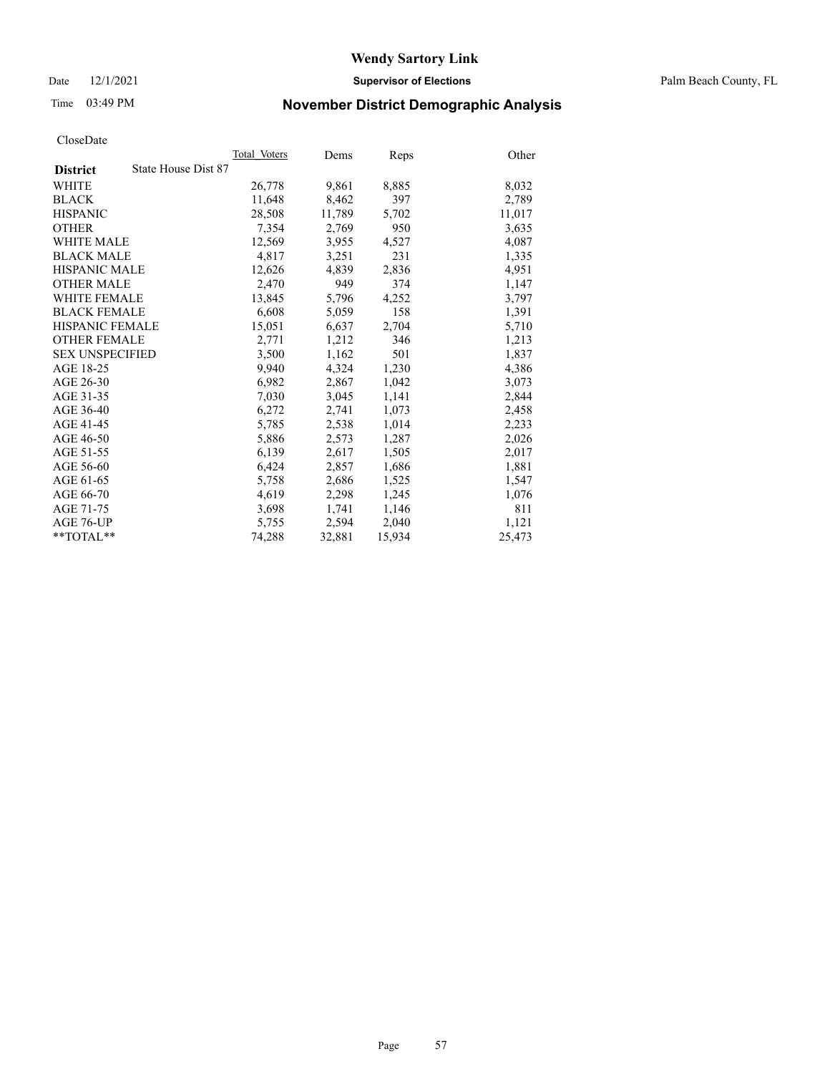Date 12/1/2021 **Supervisor of Elections** Palm Beach County, FL

# Time 03:49 PM **November District Demographic Analysis**

|                                        | Total Voters | Dems   | Reps   | Other  |
|----------------------------------------|--------------|--------|--------|--------|
| State House Dist 87<br><b>District</b> |              |        |        |        |
| WHITE                                  | 26,778       | 9,861  | 8,885  | 8,032  |
| <b>BLACK</b>                           | 11,648       | 8,462  | 397    | 2,789  |
| <b>HISPANIC</b>                        | 28,508       | 11,789 | 5,702  | 11,017 |
| <b>OTHER</b>                           | 7,354        | 2,769  | 950    | 3,635  |
| <b>WHITE MALE</b>                      | 12,569       | 3,955  | 4,527  | 4,087  |
| <b>BLACK MALE</b>                      | 4,817        | 3,251  | 231    | 1,335  |
| <b>HISPANIC MALE</b>                   | 12,626       | 4,839  | 2,836  | 4,951  |
| <b>OTHER MALE</b>                      | 2,470        | 949    | 374    | 1,147  |
| <b>WHITE FEMALE</b>                    | 13,845       | 5,796  | 4,252  | 3,797  |
| <b>BLACK FEMALE</b>                    | 6,608        | 5,059  | 158    | 1,391  |
| HISPANIC FEMALE                        | 15,051       | 6,637  | 2,704  | 5,710  |
| <b>OTHER FEMALE</b>                    | 2,771        | 1,212  | 346    | 1,213  |
| <b>SEX UNSPECIFIED</b>                 | 3,500        | 1,162  | 501    | 1,837  |
| AGE 18-25                              | 9,940        | 4,324  | 1,230  | 4,386  |
| AGE 26-30                              | 6,982        | 2,867  | 1,042  | 3,073  |
| AGE 31-35                              | 7,030        | 3,045  | 1,141  | 2,844  |
| AGE 36-40                              | 6,272        | 2,741  | 1,073  | 2,458  |
| AGE 41-45                              | 5,785        | 2,538  | 1,014  | 2,233  |
| AGE 46-50                              | 5,886        | 2,573  | 1,287  | 2,026  |
| AGE 51-55                              | 6,139        | 2,617  | 1,505  | 2,017  |
| AGE 56-60                              | 6,424        | 2,857  | 1,686  | 1,881  |
| AGE 61-65                              | 5,758        | 2,686  | 1,525  | 1,547  |
| AGE 66-70                              | 4,619        | 2,298  | 1,245  | 1,076  |
| AGE 71-75                              | 3,698        | 1,741  | 1,146  | 811    |
| AGE 76-UP                              | 5,755        | 2,594  | 2,040  | 1,121  |
| $*$ $TOTAL**$                          | 74,288       | 32,881 | 15,934 | 25,473 |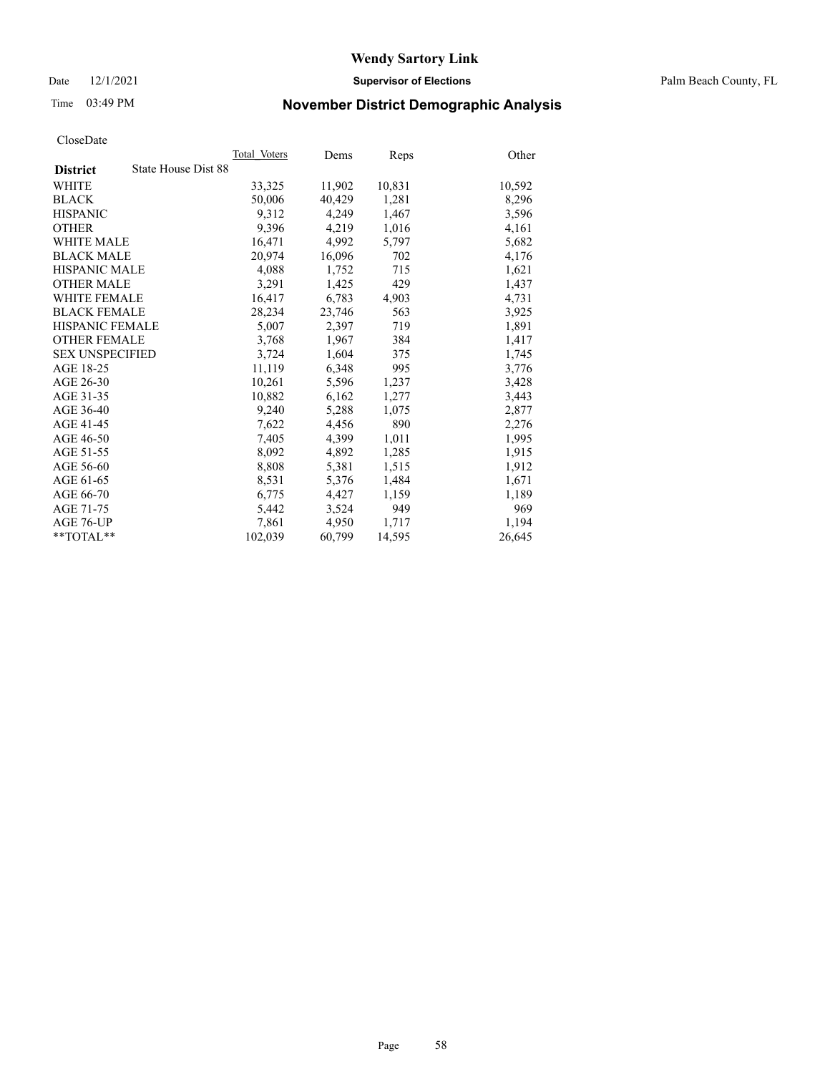Date 12/1/2021 **Supervisor of Elections** Palm Beach County, FL

# Time 03:49 PM **November District Demographic Analysis**

|                                        | Total Voters | Dems   | Reps   | Other  |
|----------------------------------------|--------------|--------|--------|--------|
| State House Dist 88<br><b>District</b> |              |        |        |        |
| WHITE                                  | 33,325       | 11,902 | 10,831 | 10,592 |
| <b>BLACK</b>                           | 50,006       | 40,429 | 1,281  | 8,296  |
| <b>HISPANIC</b>                        | 9.312        | 4,249  | 1,467  | 3,596  |
| <b>OTHER</b>                           | 9,396        | 4,219  | 1,016  | 4,161  |
| <b>WHITE MALE</b>                      | 16,471       | 4,992  | 5,797  | 5,682  |
| <b>BLACK MALE</b>                      | 20.974       | 16,096 | 702    | 4,176  |
| <b>HISPANIC MALE</b>                   | 4,088        | 1,752  | 715    | 1,621  |
| <b>OTHER MALE</b>                      | 3,291        | 1,425  | 429    | 1,437  |
| <b>WHITE FEMALE</b>                    | 16,417       | 6,783  | 4,903  | 4,731  |
| <b>BLACK FEMALE</b>                    | 28,234       | 23,746 | 563    | 3,925  |
| HISPANIC FEMALE                        | 5,007        | 2,397  | 719    | 1,891  |
| <b>OTHER FEMALE</b>                    | 3,768        | 1,967  | 384    | 1,417  |
| <b>SEX UNSPECIFIED</b>                 | 3,724        | 1,604  | 375    | 1,745  |
| AGE 18-25                              | 11,119       | 6,348  | 995    | 3,776  |
| AGE 26-30                              | 10,261       | 5,596  | 1,237  | 3,428  |
| AGE 31-35                              | 10,882       | 6,162  | 1,277  | 3,443  |
| AGE 36-40                              | 9,240        | 5,288  | 1,075  | 2,877  |
| AGE 41-45                              | 7,622        | 4,456  | 890    | 2,276  |
| AGE 46-50                              | 7,405        | 4,399  | 1,011  | 1,995  |
| AGE 51-55                              | 8,092        | 4,892  | 1,285  | 1,915  |
| AGE 56-60                              | 8,808        | 5,381  | 1,515  | 1,912  |
| AGE 61-65                              | 8,531        | 5,376  | 1,484  | 1,671  |
| AGE 66-70                              | 6,775        | 4,427  | 1,159  | 1,189  |
| AGE 71-75                              | 5,442        | 3,524  | 949    | 969    |
| AGE 76-UP                              | 7,861        | 4,950  | 1,717  | 1,194  |
| $*$ $TOTAL**$                          | 102,039      | 60,799 | 14,595 | 26,645 |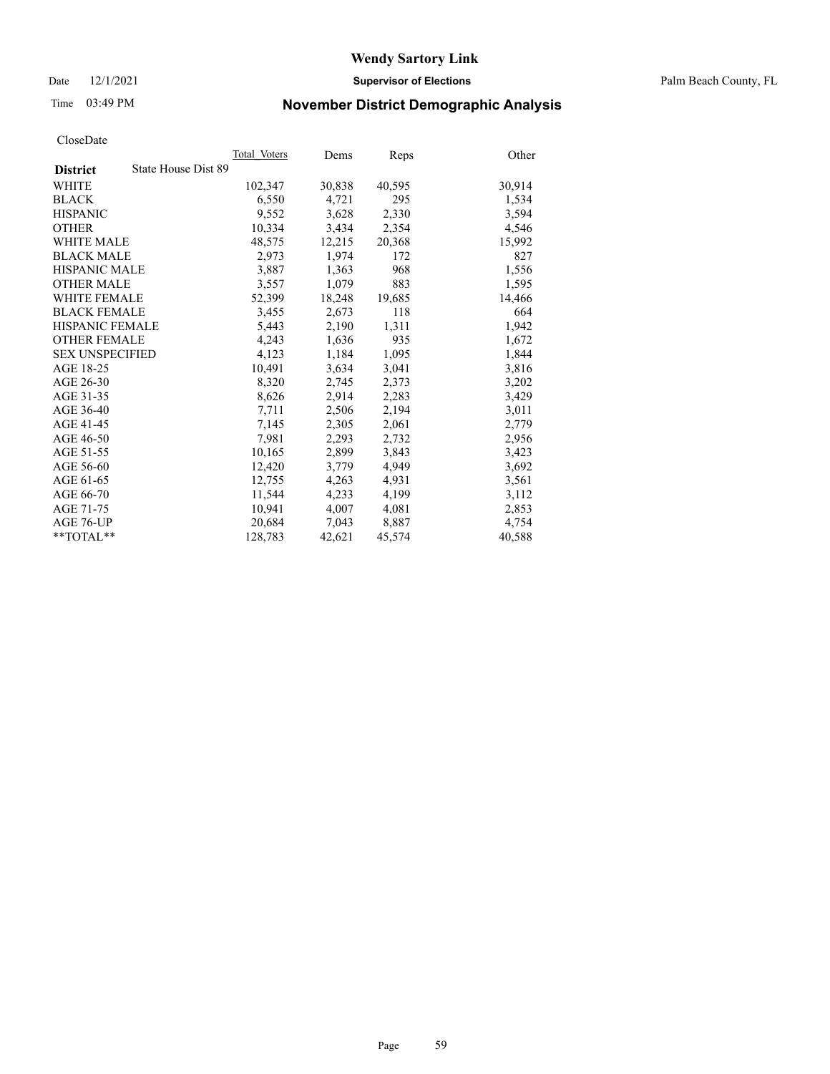Date 12/1/2021 **Supervisor of Elections** Palm Beach County, FL

# Time 03:49 PM **November District Demographic Analysis**

|                                        | Total Voters | Dems   | <b>Reps</b> | Other  |
|----------------------------------------|--------------|--------|-------------|--------|
| State House Dist 89<br><b>District</b> |              |        |             |        |
| WHITE                                  | 102,347      | 30,838 | 40,595      | 30,914 |
| <b>BLACK</b>                           | 6,550        | 4,721  | 295         | 1,534  |
| <b>HISPANIC</b>                        | 9,552        | 3,628  | 2,330       | 3,594  |
| <b>OTHER</b>                           | 10,334       | 3,434  | 2,354       | 4,546  |
| <b>WHITE MALE</b>                      | 48,575       | 12,215 | 20,368      | 15,992 |
| <b>BLACK MALE</b>                      | 2,973        | 1,974  | 172         | 827    |
| <b>HISPANIC MALE</b>                   | 3,887        | 1,363  | 968         | 1,556  |
| <b>OTHER MALE</b>                      | 3,557        | 1,079  | 883         | 1,595  |
| <b>WHITE FEMALE</b>                    | 52,399       | 18,248 | 19,685      | 14,466 |
| <b>BLACK FEMALE</b>                    | 3,455        | 2,673  | 118         | 664    |
| <b>HISPANIC FEMALE</b>                 | 5,443        | 2,190  | 1,311       | 1,942  |
| <b>OTHER FEMALE</b>                    | 4,243        | 1,636  | 935         | 1,672  |
| <b>SEX UNSPECIFIED</b>                 | 4,123        | 1,184  | 1,095       | 1,844  |
| AGE 18-25                              | 10,491       | 3,634  | 3,041       | 3,816  |
| AGE 26-30                              | 8,320        | 2,745  | 2,373       | 3,202  |
| AGE 31-35                              | 8,626        | 2,914  | 2,283       | 3,429  |
| AGE 36-40                              | 7,711        | 2,506  | 2,194       | 3,011  |
| AGE 41-45                              | 7,145        | 2,305  | 2,061       | 2,779  |
| AGE 46-50                              | 7,981        | 2,293  | 2,732       | 2,956  |
| AGE 51-55                              | 10,165       | 2,899  | 3,843       | 3,423  |
| AGE 56-60                              | 12,420       | 3,779  | 4,949       | 3,692  |
| AGE 61-65                              | 12,755       | 4,263  | 4,931       | 3,561  |
| AGE 66-70                              | 11,544       | 4,233  | 4,199       | 3,112  |
| AGE 71-75                              | 10,941       | 4,007  | 4,081       | 2,853  |
| AGE 76-UP                              | 20,684       | 7,043  | 8,887       | 4,754  |
| $*$ $TOTAL**$                          | 128,783      | 42,621 | 45,574      | 40,588 |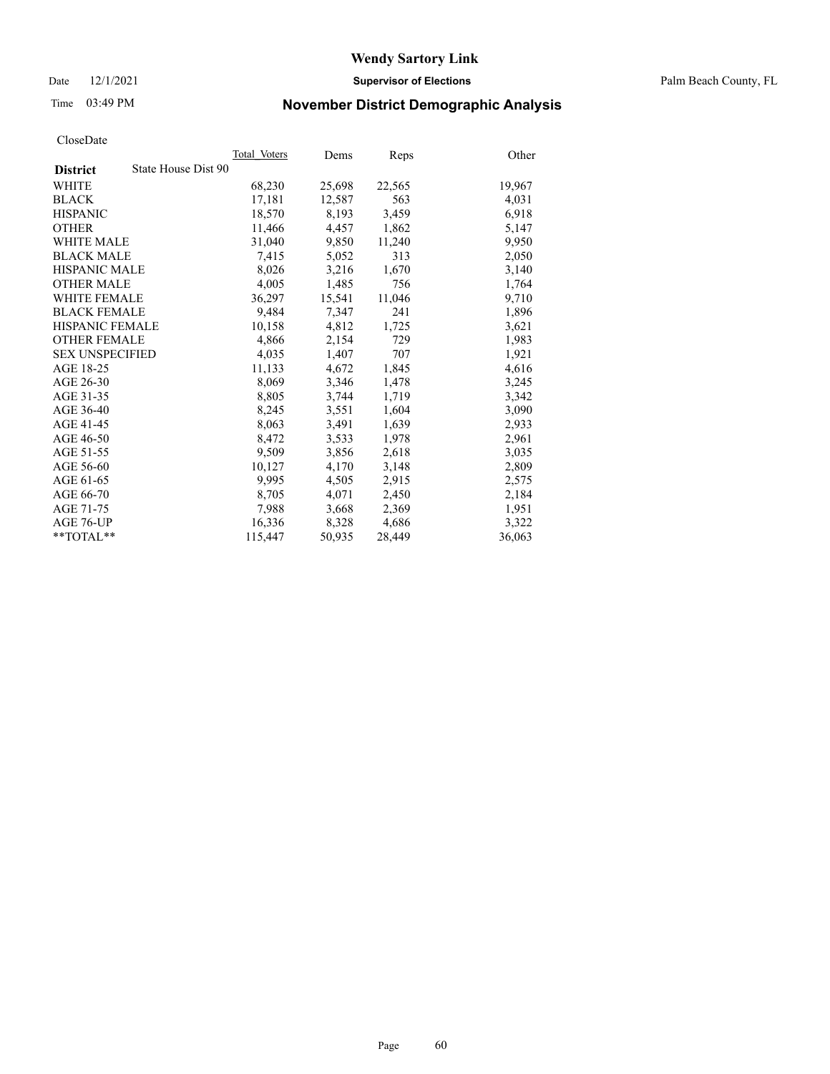Date 12/1/2021 **Supervisor of Elections** Palm Beach County, FL

# Time 03:49 PM **November District Demographic Analysis**

|                        | Total Voters        | Dems   | <b>Reps</b> | Other  |
|------------------------|---------------------|--------|-------------|--------|
| <b>District</b>        | State House Dist 90 |        |             |        |
| WHITE                  | 68,230              | 25,698 | 22,565      | 19,967 |
| <b>BLACK</b>           | 17,181              | 12,587 | 563         | 4,031  |
| <b>HISPANIC</b>        | 18,570              | 8,193  | 3,459       | 6,918  |
| <b>OTHER</b>           | 11,466              | 4,457  | 1,862       | 5,147  |
| <b>WHITE MALE</b>      | 31,040              | 9,850  | 11,240      | 9,950  |
| <b>BLACK MALE</b>      | 7,415               | 5,052  | 313         | 2,050  |
| <b>HISPANIC MALE</b>   | 8,026               | 3,216  | 1,670       | 3,140  |
| <b>OTHER MALE</b>      | 4,005               | 1,485  | 756         | 1,764  |
| <b>WHITE FEMALE</b>    | 36,297              | 15,541 | 11,046      | 9,710  |
| <b>BLACK FEMALE</b>    | 9.484               | 7,347  | 241         | 1,896  |
| <b>HISPANIC FEMALE</b> | 10,158              | 4,812  | 1,725       | 3,621  |
| <b>OTHER FEMALE</b>    | 4,866               | 2,154  | 729         | 1,983  |
| <b>SEX UNSPECIFIED</b> | 4,035               | 1,407  | 707         | 1,921  |
| AGE 18-25              | 11,133              | 4,672  | 1,845       | 4,616  |
| AGE 26-30              | 8,069               | 3,346  | 1,478       | 3,245  |
| AGE 31-35              | 8,805               | 3,744  | 1,719       | 3,342  |
| AGE 36-40              | 8,245               | 3,551  | 1,604       | 3,090  |
| AGE 41-45              | 8,063               | 3,491  | 1,639       | 2,933  |
| AGE 46-50              | 8,472               | 3,533  | 1,978       | 2,961  |
| AGE 51-55              | 9,509               | 3,856  | 2,618       | 3,035  |
| AGE 56-60              | 10,127              | 4,170  | 3,148       | 2,809  |
| AGE 61-65              | 9,995               | 4,505  | 2,915       | 2,575  |
| AGE 66-70              | 8,705               | 4,071  | 2,450       | 2,184  |
| AGE 71-75              | 7,988               | 3,668  | 2,369       | 1,951  |
| AGE 76-UP              | 16,336              | 8,328  | 4,686       | 3,322  |
| **TOTAL**              | 115,447             | 50,935 | 28,449      | 36,063 |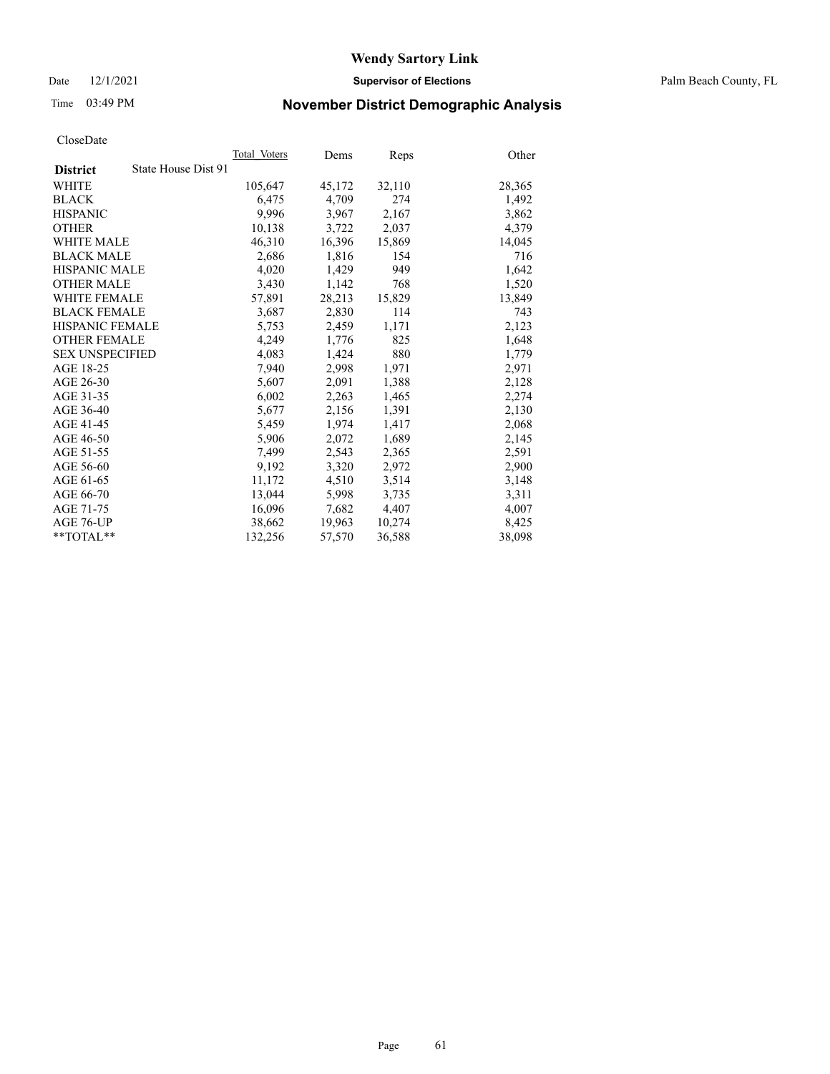Date 12/1/2021 **Supervisor of Elections** Palm Beach County, FL

# Time 03:49 PM **November District Demographic Analysis**

|                        |                     | Total Voters | Dems   | <b>Reps</b> | Other  |
|------------------------|---------------------|--------------|--------|-------------|--------|
| <b>District</b>        | State House Dist 91 |              |        |             |        |
| WHITE                  |                     | 105,647      | 45,172 | 32,110      | 28,365 |
| <b>BLACK</b>           |                     | 6,475        | 4,709  | 274         | 1,492  |
| <b>HISPANIC</b>        |                     | 9.996        | 3.967  | 2,167       | 3,862  |
| <b>OTHER</b>           |                     | 10,138       | 3,722  | 2,037       | 4,379  |
| <b>WHITE MALE</b>      |                     | 46,310       | 16,396 | 15,869      | 14,045 |
| <b>BLACK MALE</b>      |                     | 2,686        | 1,816  | 154         | 716    |
| <b>HISPANIC MALE</b>   |                     | 4,020        | 1,429  | 949         | 1,642  |
| <b>OTHER MALE</b>      |                     | 3,430        | 1,142  | 768         | 1,520  |
| <b>WHITE FEMALE</b>    |                     | 57,891       | 28,213 | 15,829      | 13,849 |
| <b>BLACK FEMALE</b>    |                     | 3,687        | 2,830  | 114         | 743    |
| <b>HISPANIC FEMALE</b> |                     | 5,753        | 2,459  | 1,171       | 2,123  |
| <b>OTHER FEMALE</b>    |                     | 4,249        | 1,776  | 825         | 1,648  |
| <b>SEX UNSPECIFIED</b> |                     | 4,083        | 1,424  | 880         | 1,779  |
| AGE 18-25              |                     | 7,940        | 2,998  | 1,971       | 2,971  |
| AGE 26-30              |                     | 5,607        | 2,091  | 1,388       | 2,128  |
| AGE 31-35              |                     | 6,002        | 2,263  | 1,465       | 2,274  |
| AGE 36-40              |                     | 5,677        | 2,156  | 1,391       | 2,130  |
| AGE 41-45              |                     | 5,459        | 1,974  | 1,417       | 2,068  |
| AGE 46-50              |                     | 5,906        | 2,072  | 1,689       | 2,145  |
| AGE 51-55              |                     | 7,499        | 2,543  | 2,365       | 2,591  |
| AGE 56-60              |                     | 9,192        | 3,320  | 2,972       | 2,900  |
| AGE 61-65              |                     | 11,172       | 4,510  | 3,514       | 3,148  |
| AGE 66-70              |                     | 13,044       | 5,998  | 3,735       | 3,311  |
| AGE 71-75              |                     | 16,096       | 7,682  | 4,407       | 4,007  |
| AGE 76-UP              |                     | 38,662       | 19,963 | 10,274      | 8,425  |
| $*$ $TOTAL**$          |                     | 132,256      | 57,570 | 36,588      | 38,098 |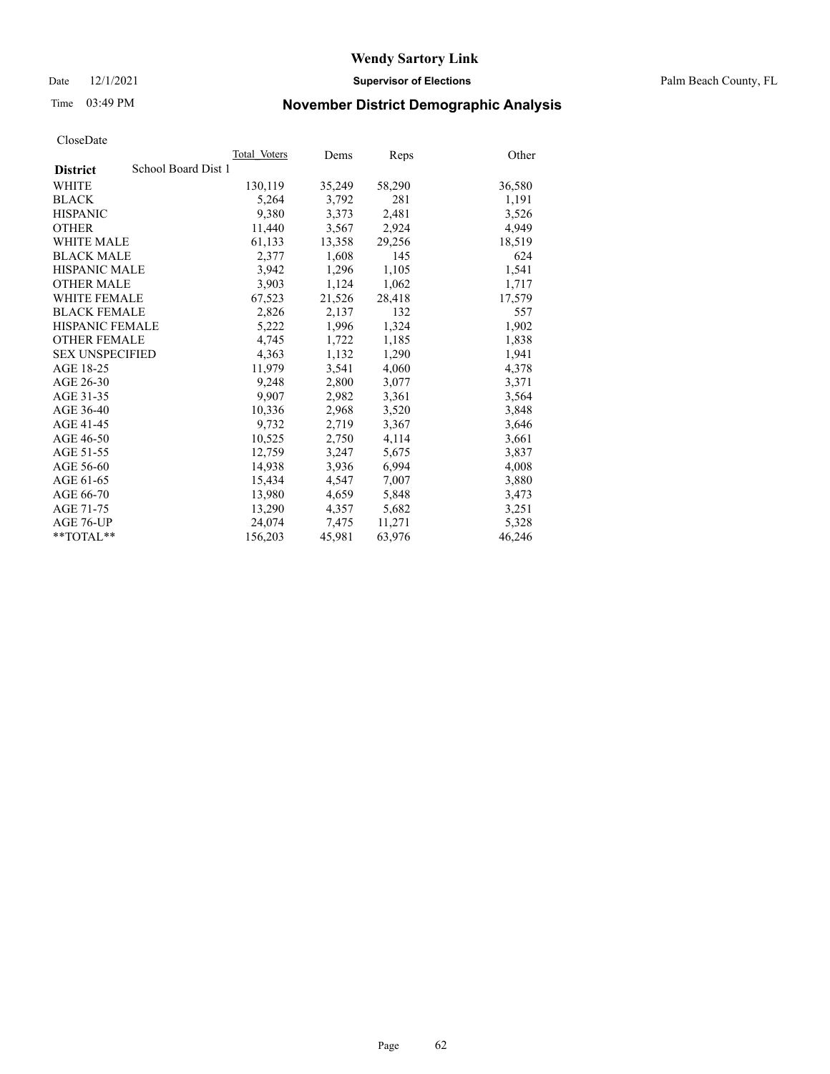Date 12/1/2021 **Supervisor of Elections** Palm Beach County, FL

# Time 03:49 PM **November District Demographic Analysis**

|                                        | Total Voters | Dems   | Reps   | Other  |
|----------------------------------------|--------------|--------|--------|--------|
| School Board Dist 1<br><b>District</b> |              |        |        |        |
| WHITE                                  | 130,119      | 35,249 | 58,290 | 36,580 |
| <b>BLACK</b>                           | 5,264        | 3,792  | 281    | 1,191  |
| <b>HISPANIC</b>                        | 9,380        | 3,373  | 2,481  | 3,526  |
| <b>OTHER</b>                           | 11,440       | 3,567  | 2,924  | 4,949  |
| <b>WHITE MALE</b>                      | 61,133       | 13,358 | 29,256 | 18,519 |
| <b>BLACK MALE</b>                      | 2,377        | 1,608  | 145    | 624    |
| <b>HISPANIC MALE</b>                   | 3,942        | 1,296  | 1,105  | 1,541  |
| <b>OTHER MALE</b>                      | 3,903        | 1,124  | 1,062  | 1,717  |
| WHITE FEMALE                           | 67,523       | 21,526 | 28,418 | 17,579 |
| <b>BLACK FEMALE</b>                    | 2,826        | 2,137  | 132    | 557    |
| HISPANIC FEMALE                        | 5,222        | 1,996  | 1,324  | 1,902  |
| <b>OTHER FEMALE</b>                    | 4,745        | 1,722  | 1,185  | 1,838  |
| <b>SEX UNSPECIFIED</b>                 | 4,363        | 1,132  | 1,290  | 1,941  |
| AGE 18-25                              | 11,979       | 3,541  | 4,060  | 4,378  |
| AGE 26-30                              | 9,248        | 2,800  | 3,077  | 3,371  |
| AGE 31-35                              | 9,907        | 2,982  | 3,361  | 3,564  |
| AGE 36-40                              | 10,336       | 2,968  | 3,520  | 3,848  |
| AGE 41-45                              | 9,732        | 2,719  | 3,367  | 3,646  |
| AGE 46-50                              | 10,525       | 2,750  | 4,114  | 3,661  |
| AGE 51-55                              | 12,759       | 3,247  | 5,675  | 3,837  |
| AGE 56-60                              | 14,938       | 3,936  | 6,994  | 4,008  |
| AGE 61-65                              | 15,434       | 4,547  | 7,007  | 3,880  |
| AGE 66-70                              | 13,980       | 4,659  | 5,848  | 3,473  |
| AGE 71-75                              | 13,290       | 4,357  | 5,682  | 3,251  |
| AGE 76-UP                              | 24,074       | 7,475  | 11,271 | 5,328  |
| $*$ $TOTAL**$                          | 156,203      | 45,981 | 63,976 | 46,246 |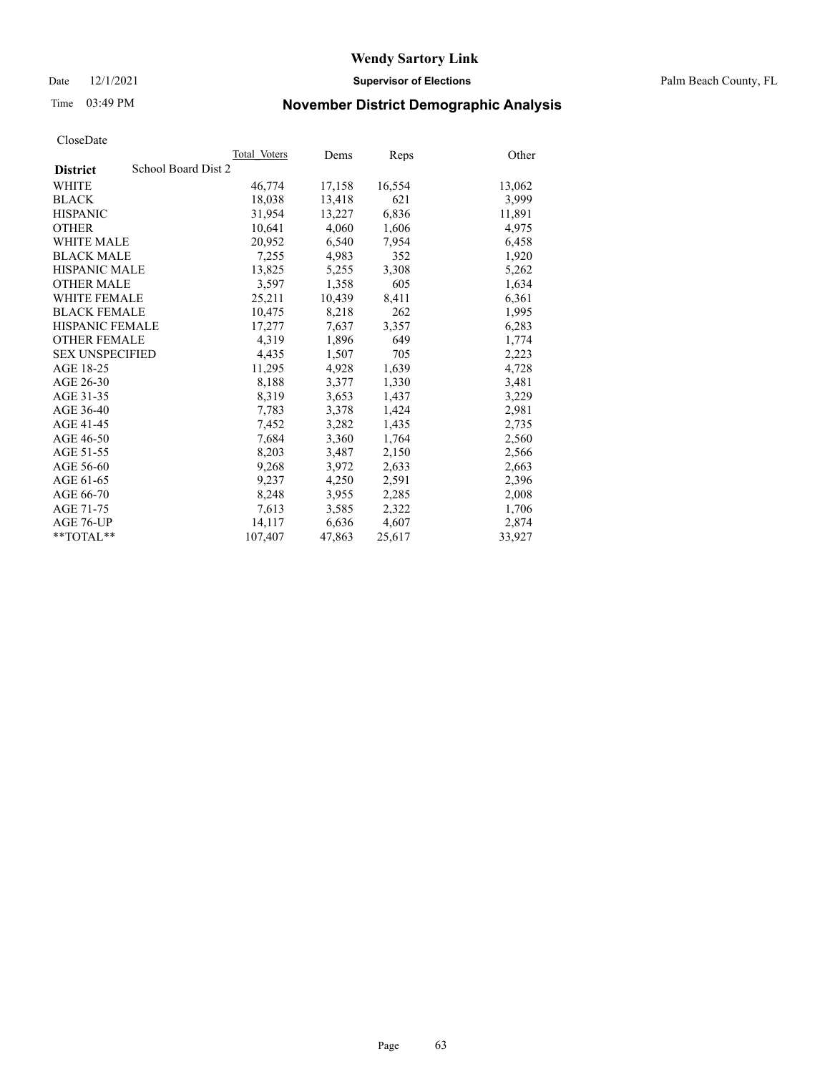Date 12/1/2021 **Supervisor of Elections** Palm Beach County, FL

# Time 03:49 PM **November District Demographic Analysis**

|                        |                     | Total Voters | Dems   | <b>Reps</b> | Other  |
|------------------------|---------------------|--------------|--------|-------------|--------|
| <b>District</b>        | School Board Dist 2 |              |        |             |        |
| <b>WHITE</b>           |                     | 46,774       | 17,158 | 16,554      | 13,062 |
| <b>BLACK</b>           |                     | 18,038       | 13,418 | 621         | 3,999  |
| <b>HISPANIC</b>        |                     | 31,954       | 13,227 | 6,836       | 11,891 |
| <b>OTHER</b>           |                     | 10,641       | 4,060  | 1,606       | 4,975  |
| <b>WHITE MALE</b>      |                     | 20.952       | 6,540  | 7,954       | 6,458  |
| <b>BLACK MALE</b>      |                     | 7,255        | 4,983  | 352         | 1,920  |
| <b>HISPANIC MALE</b>   |                     | 13,825       | 5,255  | 3,308       | 5,262  |
| <b>OTHER MALE</b>      |                     | 3,597        | 1,358  | 605         | 1,634  |
| <b>WHITE FEMALE</b>    |                     | 25,211       | 10,439 | 8,411       | 6,361  |
| <b>BLACK FEMALE</b>    |                     | 10.475       | 8,218  | 262         | 1,995  |
| <b>HISPANIC FEMALE</b> |                     | 17,277       | 7,637  | 3,357       | 6,283  |
| <b>OTHER FEMALE</b>    |                     | 4,319        | 1,896  | 649         | 1,774  |
| <b>SEX UNSPECIFIED</b> |                     | 4,435        | 1,507  | 705         | 2,223  |
| AGE 18-25              |                     | 11,295       | 4,928  | 1,639       | 4,728  |
| AGE 26-30              |                     | 8,188        | 3,377  | 1,330       | 3,481  |
| AGE 31-35              |                     | 8,319        | 3,653  | 1,437       | 3,229  |
| AGE 36-40              |                     | 7,783        | 3,378  | 1,424       | 2,981  |
| AGE 41-45              |                     | 7,452        | 3,282  | 1,435       | 2,735  |
| AGE 46-50              |                     | 7,684        | 3,360  | 1,764       | 2,560  |
| AGE 51-55              |                     | 8,203        | 3,487  | 2,150       | 2,566  |
| AGE 56-60              |                     | 9,268        | 3,972  | 2,633       | 2,663  |
| AGE 61-65              |                     | 9,237        | 4,250  | 2,591       | 2,396  |
| AGE 66-70              |                     | 8,248        | 3,955  | 2,285       | 2,008  |
| AGE 71-75              |                     | 7,613        | 3,585  | 2,322       | 1,706  |
| AGE 76-UP              |                     | 14,117       | 6,636  | 4,607       | 2,874  |
| $*$ $TOTAL**$          |                     | 107,407      | 47,863 | 25,617      | 33,927 |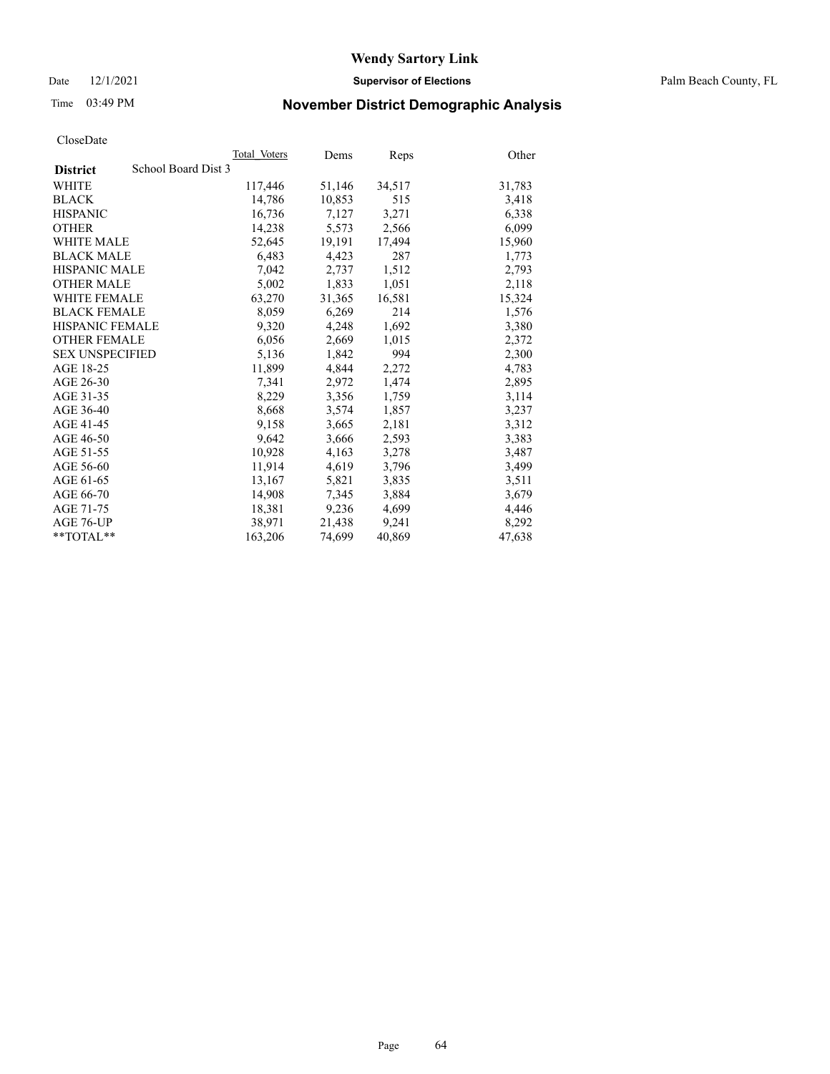Date 12/1/2021 **Supervisor of Elections** Palm Beach County, FL

# Time 03:49 PM **November District Demographic Analysis**

|                        | Total Voters        | Dems   | Reps   | Other  |
|------------------------|---------------------|--------|--------|--------|
| <b>District</b>        | School Board Dist 3 |        |        |        |
| <b>WHITE</b>           | 117,446             | 51,146 | 34,517 | 31,783 |
| <b>BLACK</b>           | 14,786              | 10,853 | 515    | 3,418  |
| <b>HISPANIC</b>        | 16,736              | 7,127  | 3,271  | 6,338  |
| <b>OTHER</b>           | 14,238              | 5,573  | 2,566  | 6,099  |
| <b>WHITE MALE</b>      | 52,645              | 19,191 | 17,494 | 15,960 |
| <b>BLACK MALE</b>      | 6,483               | 4,423  | 287    | 1,773  |
| <b>HISPANIC MALE</b>   | 7,042               | 2,737  | 1,512  | 2,793  |
| <b>OTHER MALE</b>      | 5,002               | 1,833  | 1,051  | 2,118  |
| <b>WHITE FEMALE</b>    | 63,270              | 31,365 | 16,581 | 15,324 |
| <b>BLACK FEMALE</b>    | 8,059               | 6,269  | 214    | 1,576  |
| <b>HISPANIC FEMALE</b> | 9,320               | 4,248  | 1,692  | 3,380  |
| <b>OTHER FEMALE</b>    | 6,056               | 2,669  | 1,015  | 2,372  |
| <b>SEX UNSPECIFIED</b> | 5,136               | 1,842  | 994    | 2,300  |
| AGE 18-25              | 11,899              | 4,844  | 2,272  | 4,783  |
| AGE 26-30              | 7,341               | 2,972  | 1,474  | 2,895  |
| AGE 31-35              | 8,229               | 3,356  | 1,759  | 3,114  |
| AGE 36-40              | 8,668               | 3,574  | 1,857  | 3,237  |
| AGE 41-45              | 9,158               | 3,665  | 2,181  | 3,312  |
| AGE 46-50              | 9,642               | 3,666  | 2,593  | 3,383  |
| AGE 51-55              | 10,928              | 4,163  | 3,278  | 3,487  |
| AGE 56-60              | 11,914              | 4,619  | 3,796  | 3,499  |
| AGE 61-65              | 13,167              | 5,821  | 3,835  | 3,511  |
| AGE 66-70              | 14,908              | 7,345  | 3,884  | 3,679  |
| AGE 71-75              | 18,381              | 9,236  | 4,699  | 4,446  |
| AGE 76-UP              | 38,971              | 21,438 | 9,241  | 8,292  |
| $*$ $TOTAL**$          | 163,206             | 74,699 | 40,869 | 47,638 |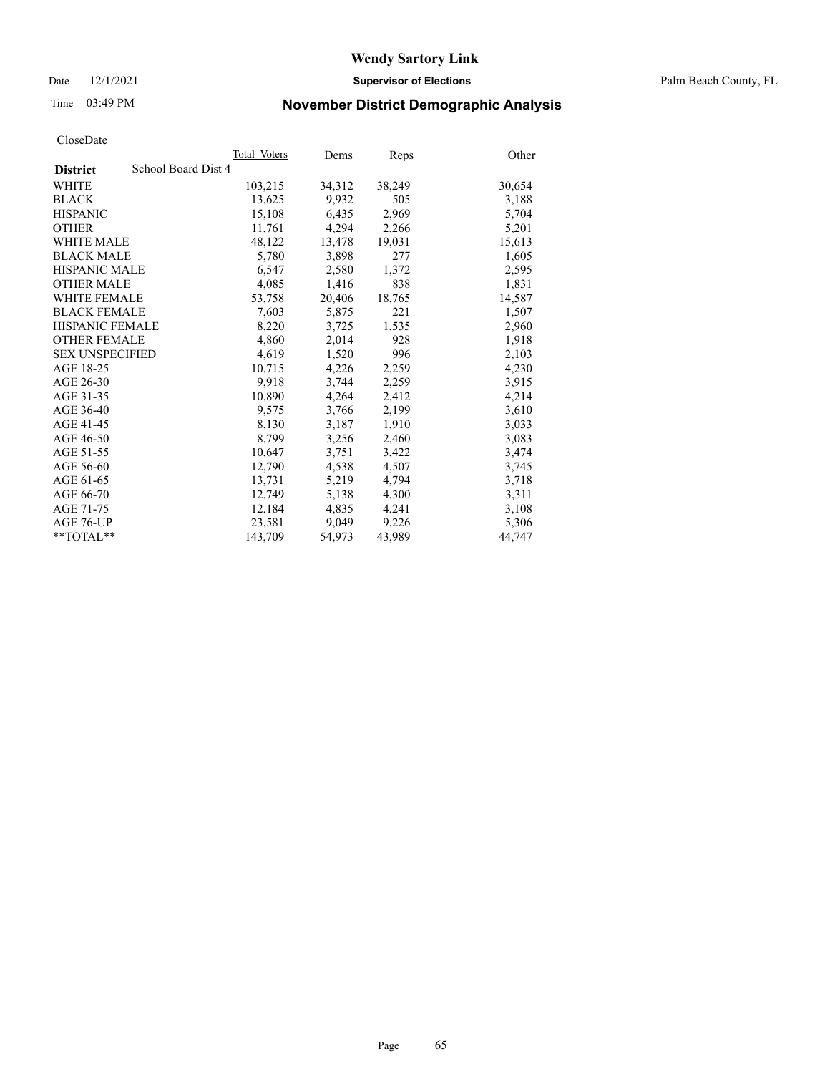Date 12/1/2021 **Supervisor of Elections** Palm Beach County, FL

# Time 03:49 PM **November District Demographic Analysis**

|                                        | Total Voters | Dems   | Reps   | Other  |
|----------------------------------------|--------------|--------|--------|--------|
| School Board Dist 4<br><b>District</b> |              |        |        |        |
| WHITE                                  | 103,215      | 34,312 | 38,249 | 30,654 |
| <b>BLACK</b>                           | 13,625       | 9,932  | 505    | 3,188  |
| <b>HISPANIC</b>                        | 15,108       | 6,435  | 2,969  | 5,704  |
| <b>OTHER</b>                           | 11,761       | 4,294  | 2,266  | 5,201  |
| <b>WHITE MALE</b>                      | 48,122       | 13,478 | 19,031 | 15,613 |
| <b>BLACK MALE</b>                      | 5,780        | 3,898  | 277    | 1,605  |
| <b>HISPANIC MALE</b>                   | 6,547        | 2,580  | 1,372  | 2,595  |
| <b>OTHER MALE</b>                      | 4.085        | 1,416  | 838    | 1,831  |
| <b>WHITE FEMALE</b>                    | 53,758       | 20,406 | 18,765 | 14,587 |
| <b>BLACK FEMALE</b>                    | 7,603        | 5,875  | 221    | 1,507  |
| HISPANIC FEMALE                        | 8,220        | 3,725  | 1,535  | 2,960  |
| <b>OTHER FEMALE</b>                    | 4,860        | 2,014  | 928    | 1,918  |
| <b>SEX UNSPECIFIED</b>                 | 4,619        | 1,520  | 996    | 2,103  |
| AGE 18-25                              | 10,715       | 4,226  | 2,259  | 4,230  |
| AGE 26-30                              | 9,918        | 3,744  | 2,259  | 3,915  |
| AGE 31-35                              | 10,890       | 4,264  | 2,412  | 4,214  |
| AGE 36-40                              | 9,575        | 3,766  | 2,199  | 3,610  |
| AGE 41-45                              | 8,130        | 3,187  | 1,910  | 3,033  |
| AGE 46-50                              | 8,799        | 3,256  | 2,460  | 3,083  |
| AGE 51-55                              | 10,647       | 3,751  | 3,422  | 3,474  |
| AGE 56-60                              | 12,790       | 4,538  | 4,507  | 3,745  |
| AGE 61-65                              | 13.731       | 5,219  | 4,794  | 3,718  |
| AGE 66-70                              | 12,749       | 5,138  | 4,300  | 3,311  |
| AGE 71-75                              | 12,184       | 4,835  | 4,241  | 3,108  |
| AGE 76-UP                              | 23.581       | 9.049  | 9,226  | 5,306  |
| $*$ $TOTAL**$                          | 143,709      | 54,973 | 43,989 | 44,747 |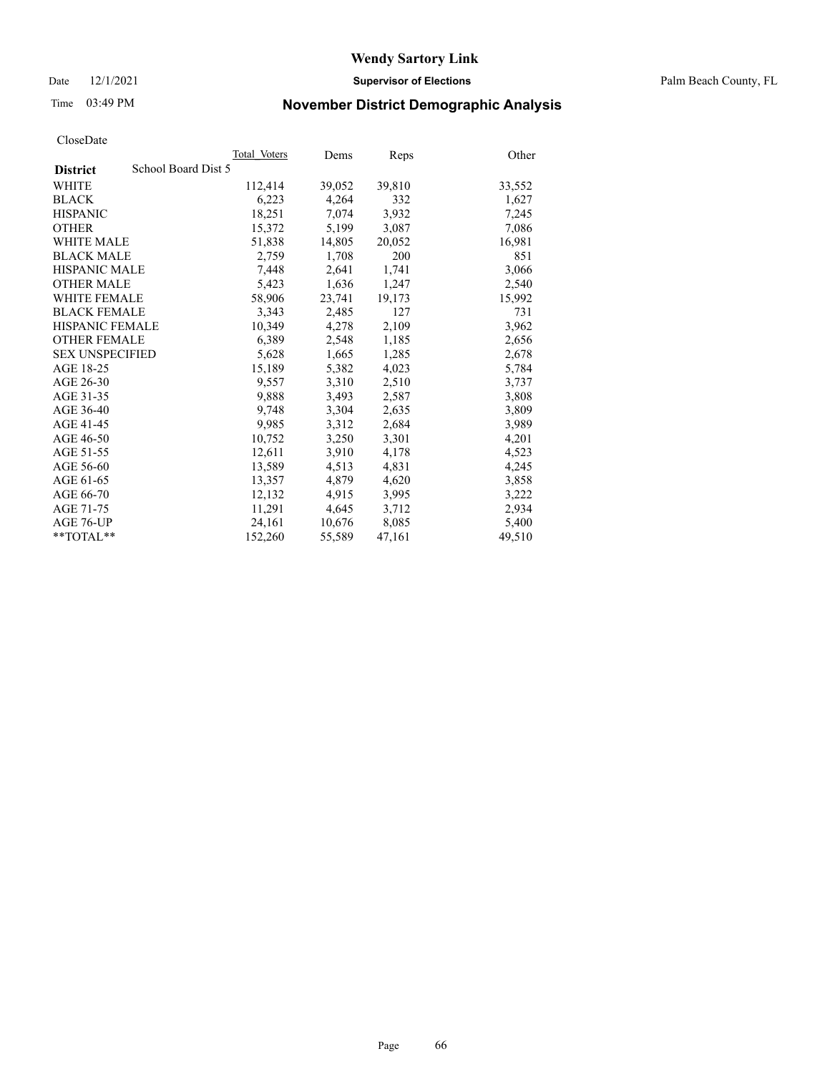Date 12/1/2021 **Supervisor of Elections** Palm Beach County, FL

# Time 03:49 PM **November District Demographic Analysis**

|                        |                     | Total Voters | Dems   | <b>Reps</b> | Other  |
|------------------------|---------------------|--------------|--------|-------------|--------|
| <b>District</b>        | School Board Dist 5 |              |        |             |        |
| <b>WHITE</b>           |                     | 112,414      | 39,052 | 39,810      | 33,552 |
| <b>BLACK</b>           |                     | 6,223        | 4,264  | 332         | 1,627  |
| <b>HISPANIC</b>        |                     | 18,251       | 7,074  | 3,932       | 7,245  |
| <b>OTHER</b>           |                     | 15,372       | 5,199  | 3,087       | 7,086  |
| <b>WHITE MALE</b>      |                     | 51,838       | 14,805 | 20,052      | 16,981 |
| <b>BLACK MALE</b>      |                     | 2,759        | 1,708  | 200         | 851    |
| <b>HISPANIC MALE</b>   |                     | 7,448        | 2,641  | 1,741       | 3,066  |
| <b>OTHER MALE</b>      |                     | 5,423        | 1,636  | 1,247       | 2,540  |
| <b>WHITE FEMALE</b>    |                     | 58,906       | 23,741 | 19,173      | 15,992 |
| <b>BLACK FEMALE</b>    |                     | 3.343        | 2,485  | 127         | 731    |
| <b>HISPANIC FEMALE</b> |                     | 10,349       | 4,278  | 2,109       | 3,962  |
| <b>OTHER FEMALE</b>    |                     | 6,389        | 2,548  | 1,185       | 2,656  |
| <b>SEX UNSPECIFIED</b> |                     | 5,628        | 1,665  | 1,285       | 2,678  |
| AGE 18-25              |                     | 15,189       | 5,382  | 4,023       | 5,784  |
| AGE 26-30              |                     | 9,557        | 3,310  | 2,510       | 3,737  |
| AGE 31-35              |                     | 9,888        | 3,493  | 2,587       | 3,808  |
| AGE 36-40              |                     | 9,748        | 3,304  | 2,635       | 3,809  |
| AGE 41-45              |                     | 9,985        | 3,312  | 2,684       | 3,989  |
| AGE 46-50              |                     | 10,752       | 3,250  | 3,301       | 4,201  |
| AGE 51-55              |                     | 12,611       | 3,910  | 4,178       | 4,523  |
| AGE 56-60              |                     | 13,589       | 4,513  | 4,831       | 4,245  |
| AGE 61-65              |                     | 13,357       | 4,879  | 4,620       | 3,858  |
| AGE 66-70              |                     | 12,132       | 4,915  | 3,995       | 3,222  |
| AGE 71-75              |                     | 11,291       | 4,645  | 3,712       | 2,934  |
| AGE 76-UP              |                     | 24,161       | 10,676 | 8,085       | 5,400  |
| $*$ $TOTAL**$          |                     | 152,260      | 55,589 | 47,161      | 49,510 |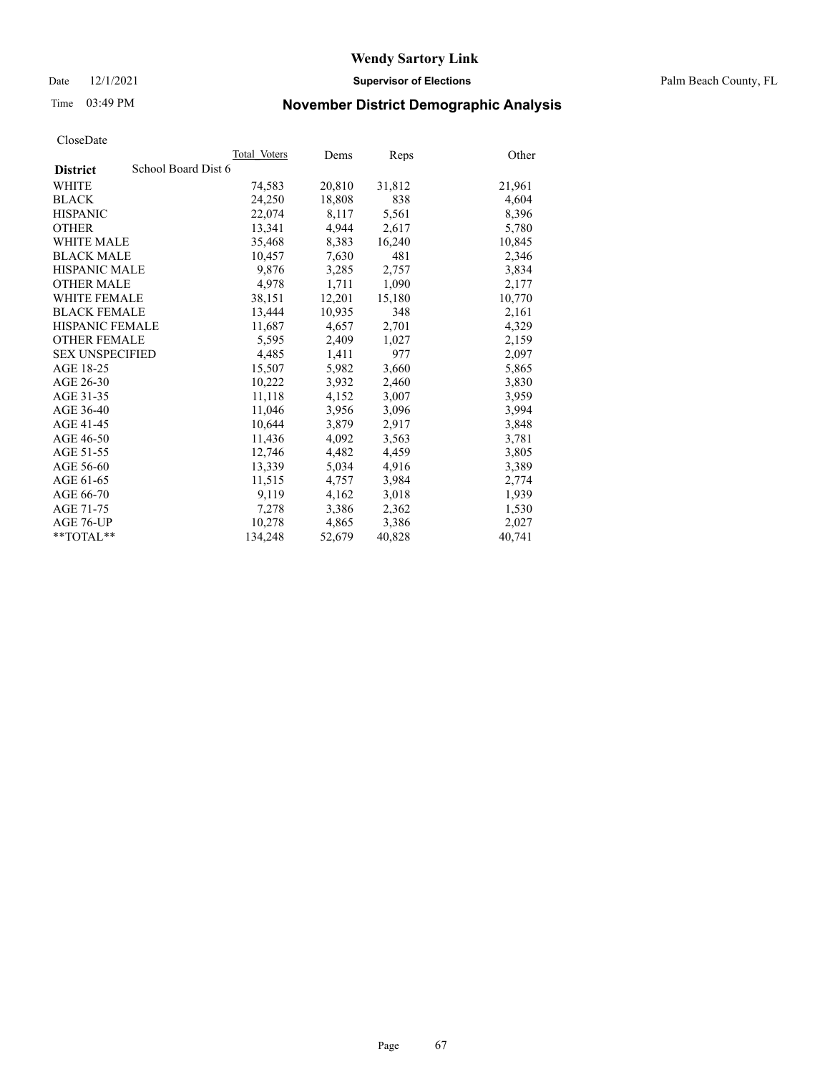Date 12/1/2021 **Supervisor of Elections** Palm Beach County, FL

# Time 03:49 PM **November District Demographic Analysis**

|                                        | Total Voters | Dems   | Reps   | Other  |
|----------------------------------------|--------------|--------|--------|--------|
| School Board Dist 6<br><b>District</b> |              |        |        |        |
| WHITE                                  | 74,583       | 20,810 | 31,812 | 21,961 |
| <b>BLACK</b>                           | 24,250       | 18,808 | 838    | 4,604  |
| <b>HISPANIC</b>                        | 22,074       | 8,117  | 5,561  | 8,396  |
| <b>OTHER</b>                           | 13,341       | 4,944  | 2,617  | 5,780  |
| <b>WHITE MALE</b>                      | 35,468       | 8,383  | 16,240 | 10,845 |
| <b>BLACK MALE</b>                      | 10,457       | 7,630  | 481    | 2,346  |
| <b>HISPANIC MALE</b>                   | 9,876        | 3,285  | 2,757  | 3,834  |
| <b>OTHER MALE</b>                      | 4.978        | 1,711  | 1,090  | 2,177  |
| <b>WHITE FEMALE</b>                    | 38,151       | 12,201 | 15,180 | 10,770 |
| <b>BLACK FEMALE</b>                    | 13,444       | 10,935 | 348    | 2,161  |
| HISPANIC FEMALE                        | 11,687       | 4,657  | 2,701  | 4,329  |
| <b>OTHER FEMALE</b>                    | 5,595        | 2,409  | 1,027  | 2,159  |
| <b>SEX UNSPECIFIED</b>                 | 4,485        | 1,411  | 977    | 2,097  |
| AGE 18-25                              | 15,507       | 5,982  | 3,660  | 5,865  |
| AGE 26-30                              | 10,222       | 3,932  | 2,460  | 3,830  |
| AGE 31-35                              | 11,118       | 4,152  | 3,007  | 3,959  |
| AGE 36-40                              | 11,046       | 3,956  | 3,096  | 3,994  |
| AGE 41-45                              | 10,644       | 3,879  | 2,917  | 3,848  |
| AGE 46-50                              | 11,436       | 4,092  | 3,563  | 3,781  |
| AGE 51-55                              | 12,746       | 4,482  | 4,459  | 3,805  |
| AGE 56-60                              | 13,339       | 5,034  | 4,916  | 3,389  |
| AGE 61-65                              | 11,515       | 4,757  | 3,984  | 2,774  |
| AGE 66-70                              | 9,119        | 4,162  | 3,018  | 1,939  |
| AGE 71-75                              | 7,278        | 3,386  | 2,362  | 1,530  |
| AGE 76-UP                              | 10.278       | 4,865  | 3,386  | 2,027  |
| $*$ $TOTAL**$                          | 134,248      | 52,679 | 40,828 | 40,741 |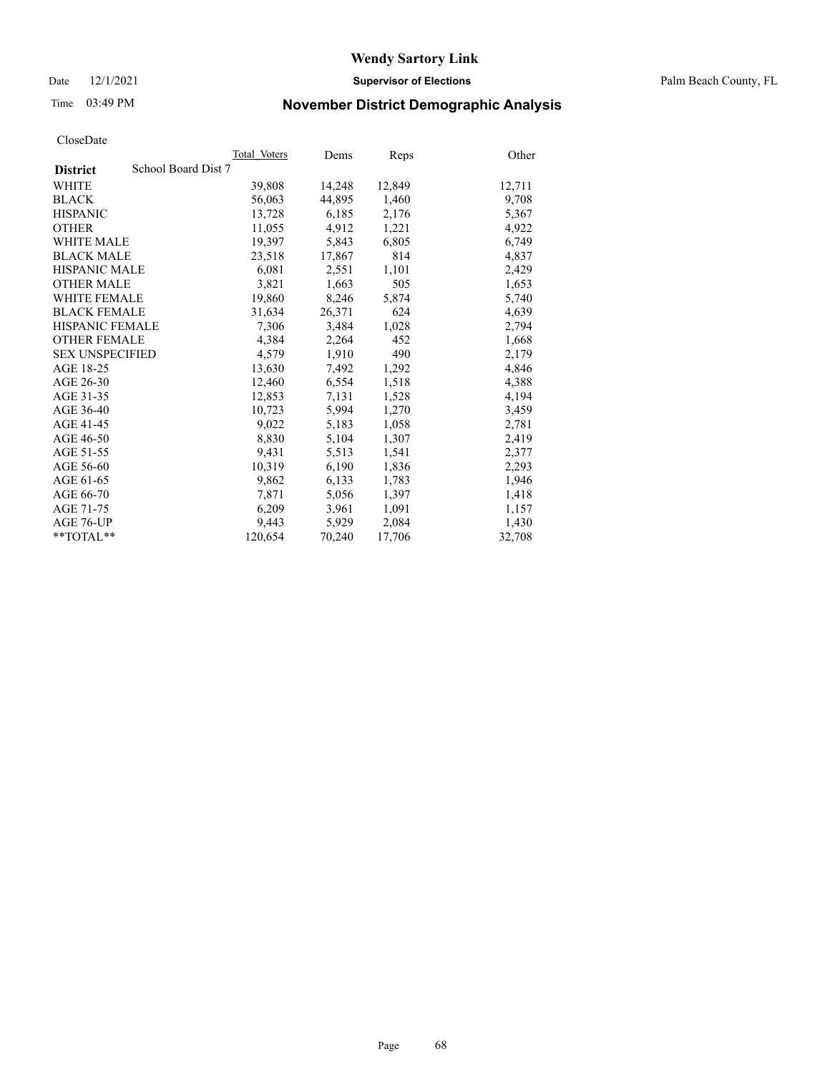Date 12/1/2021 **Supervisor of Elections** Palm Beach County, FL

# Time 03:49 PM **November District Demographic Analysis**

|                                        | Total Voters | Dems   | Reps   | Other  |
|----------------------------------------|--------------|--------|--------|--------|
| School Board Dist 7<br><b>District</b> |              |        |        |        |
| WHITE                                  | 39,808       | 14,248 | 12,849 | 12,711 |
| <b>BLACK</b>                           | 56,063       | 44,895 | 1,460  | 9,708  |
| <b>HISPANIC</b>                        | 13,728       | 6,185  | 2,176  | 5,367  |
| <b>OTHER</b>                           | 11,055       | 4,912  | 1,221  | 4,922  |
| <b>WHITE MALE</b>                      | 19,397       | 5,843  | 6,805  | 6,749  |
| <b>BLACK MALE</b>                      | 23,518       | 17,867 | 814    | 4,837  |
| <b>HISPANIC MALE</b>                   | 6,081        | 2,551  | 1,101  | 2,429  |
| <b>OTHER MALE</b>                      | 3,821        | 1,663  | 505    | 1,653  |
| <b>WHITE FEMALE</b>                    | 19,860       | 8,246  | 5,874  | 5,740  |
| <b>BLACK FEMALE</b>                    | 31,634       | 26,371 | 624    | 4,639  |
| <b>HISPANIC FEMALE</b>                 | 7,306        | 3,484  | 1,028  | 2,794  |
| <b>OTHER FEMALE</b>                    | 4,384        | 2,264  | 452    | 1,668  |
| <b>SEX UNSPECIFIED</b>                 | 4,579        | 1,910  | 490    | 2,179  |
| AGE 18-25                              | 13,630       | 7,492  | 1,292  | 4,846  |
| AGE 26-30                              | 12,460       | 6,554  | 1,518  | 4,388  |
| AGE 31-35                              | 12,853       | 7,131  | 1,528  | 4,194  |
| AGE 36-40                              | 10,723       | 5,994  | 1,270  | 3,459  |
| AGE 41-45                              | 9,022        | 5,183  | 1,058  | 2,781  |
| AGE 46-50                              | 8,830        | 5,104  | 1,307  | 2,419  |
| AGE 51-55                              | 9,431        | 5,513  | 1,541  | 2,377  |
| AGE 56-60                              | 10,319       | 6,190  | 1,836  | 2,293  |
| AGE 61-65                              | 9,862        | 6,133  | 1,783  | 1,946  |
| AGE 66-70                              | 7,871        | 5,056  | 1,397  | 1,418  |
| AGE 71-75                              | 6,209        | 3,961  | 1,091  | 1,157  |
| AGE 76-UP                              | 9.443        | 5,929  | 2,084  | 1,430  |
| $*$ $TOTAL**$                          | 120,654      | 70,240 | 17,706 | 32,708 |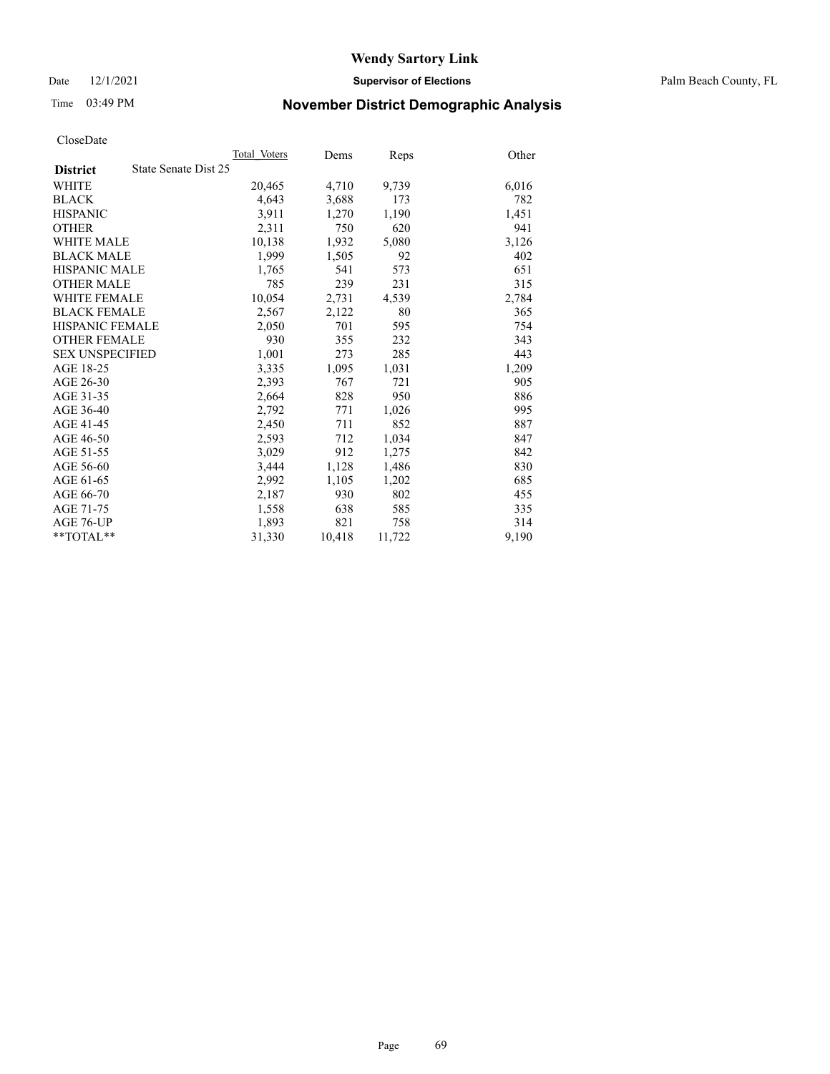Date 12/1/2021 **Supervisor of Elections** Palm Beach County, FL

# Time 03:49 PM **November District Demographic Analysis**

|                        | Total Voters         | Dems   | Reps   | Other |
|------------------------|----------------------|--------|--------|-------|
| <b>District</b>        | State Senate Dist 25 |        |        |       |
| WHITE                  | 20,465               | 4,710  | 9,739  | 6,016 |
| <b>BLACK</b>           | 4,643                | 3,688  | 173    | 782   |
| <b>HISPANIC</b>        | 3,911                | 1,270  | 1,190  | 1,451 |
| <b>OTHER</b>           | 2,311                | 750    | 620    | 941   |
| <b>WHITE MALE</b>      | 10,138               | 1,932  | 5,080  | 3,126 |
| <b>BLACK MALE</b>      | 1,999                | 1,505  | 92     | 402   |
| <b>HISPANIC MALE</b>   | 1,765                | 541    | 573    | 651   |
| <b>OTHER MALE</b>      | 785                  | 239    | 231    | 315   |
| <b>WHITE FEMALE</b>    | 10,054               | 2,731  | 4,539  | 2,784 |
| <b>BLACK FEMALE</b>    | 2,567                | 2,122  | 80     | 365   |
| <b>HISPANIC FEMALE</b> | 2,050                | 701    | 595    | 754   |
| <b>OTHER FEMALE</b>    | 930                  | 355    | 232    | 343   |
| <b>SEX UNSPECIFIED</b> | 1,001                | 273    | 285    | 443   |
| AGE 18-25              | 3,335                | 1,095  | 1,031  | 1,209 |
| AGE 26-30              | 2,393                | 767    | 721    | 905   |
| AGE 31-35              | 2,664                | 828    | 950    | 886   |
| AGE 36-40              | 2,792                | 771    | 1,026  | 995   |
| AGE 41-45              | 2,450                | 711    | 852    | 887   |
| AGE 46-50              | 2,593                | 712    | 1,034  | 847   |
| AGE 51-55              | 3,029                | 912    | 1,275  | 842   |
| AGE 56-60              | 3,444                | 1,128  | 1,486  | 830   |
| AGE 61-65              | 2,992                | 1,105  | 1,202  | 685   |
| AGE 66-70              | 2,187                | 930    | 802    | 455   |
| AGE 71-75              | 1,558                | 638    | 585    | 335   |
| AGE 76-UP              | 1,893                | 821    | 758    | 314   |
| $*$ $TOTAL**$          | 31,330               | 10,418 | 11,722 | 9,190 |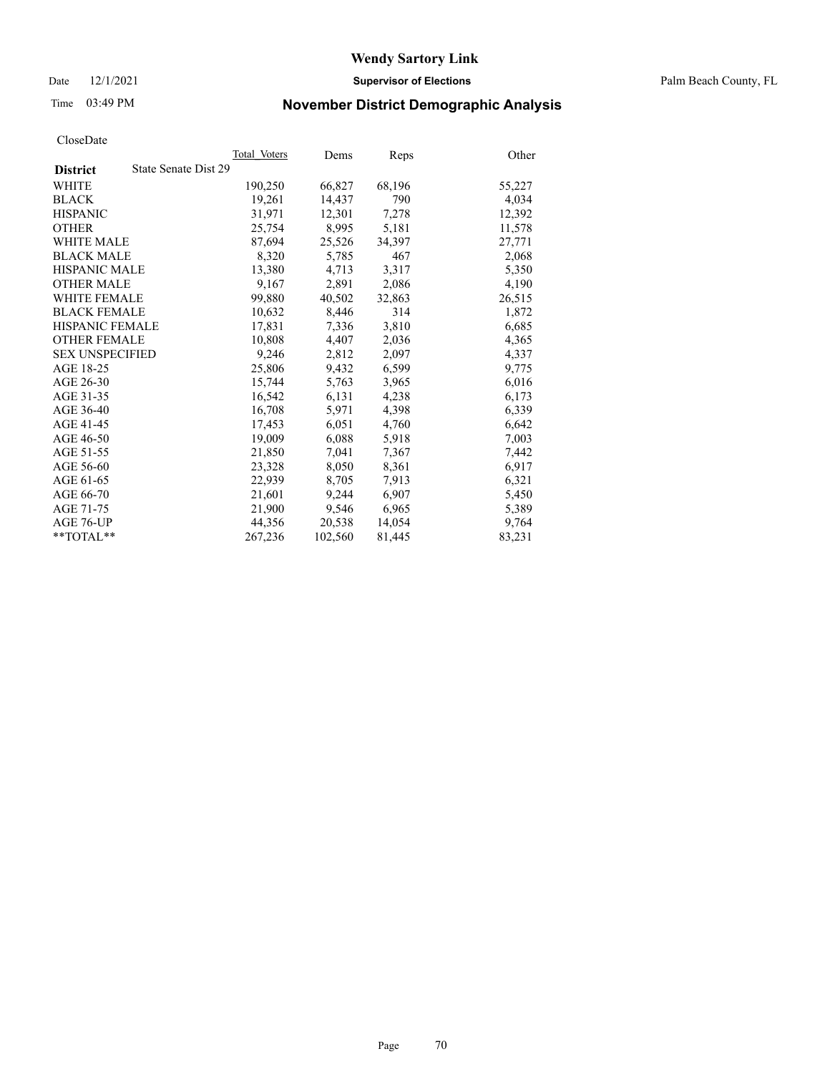Date 12/1/2021 **Supervisor of Elections** Palm Beach County, FL

# Time 03:49 PM **November District Demographic Analysis**

|                        | Total Voters         | Dems    | <b>Reps</b> | Other  |
|------------------------|----------------------|---------|-------------|--------|
| <b>District</b>        | State Senate Dist 29 |         |             |        |
| WHITE                  | 190,250              | 66,827  | 68,196      | 55,227 |
| <b>BLACK</b>           | 19,261               | 14,437  | 790         | 4,034  |
| <b>HISPANIC</b>        | 31.971               | 12,301  | 7,278       | 12,392 |
| <b>OTHER</b>           | 25,754               | 8,995   | 5,181       | 11,578 |
| <b>WHITE MALE</b>      | 87,694               | 25,526  | 34,397      | 27,771 |
| <b>BLACK MALE</b>      | 8,320                | 5,785   | 467         | 2,068  |
| <b>HISPANIC MALE</b>   | 13,380               | 4,713   | 3,317       | 5,350  |
| <b>OTHER MALE</b>      | 9,167                | 2,891   | 2,086       | 4,190  |
| <b>WHITE FEMALE</b>    | 99,880               | 40,502  | 32,863      | 26,515 |
| <b>BLACK FEMALE</b>    | 10,632               | 8,446   | 314         | 1,872  |
| HISPANIC FEMALE        | 17,831               | 7,336   | 3,810       | 6,685  |
| <b>OTHER FEMALE</b>    | 10,808               | 4,407   | 2,036       | 4,365  |
| <b>SEX UNSPECIFIED</b> | 9,246                | 2,812   | 2,097       | 4,337  |
| AGE 18-25              | 25,806               | 9,432   | 6,599       | 9,775  |
| AGE 26-30              | 15.744               | 5,763   | 3.965       | 6,016  |
| AGE 31-35              | 16,542               | 6,131   | 4,238       | 6,173  |
| AGE 36-40              | 16,708               | 5,971   | 4,398       | 6,339  |
| AGE 41-45              | 17,453               | 6,051   | 4,760       | 6,642  |
| AGE 46-50              | 19,009               | 6,088   | 5,918       | 7,003  |
| AGE 51-55              | 21,850               | 7,041   | 7,367       | 7,442  |
| AGE 56-60              | 23,328               | 8,050   | 8,361       | 6,917  |
| AGE 61-65              | 22,939               | 8,705   | 7,913       | 6,321  |
| AGE 66-70              | 21,601               | 9,244   | 6,907       | 5,450  |
| AGE 71-75              | 21,900               | 9,546   | 6,965       | 5,389  |
| AGE 76-UP              | 44,356               | 20,538  | 14,054      | 9,764  |
| $*$ $TOTAL**$          | 267,236              | 102,560 | 81,445      | 83,231 |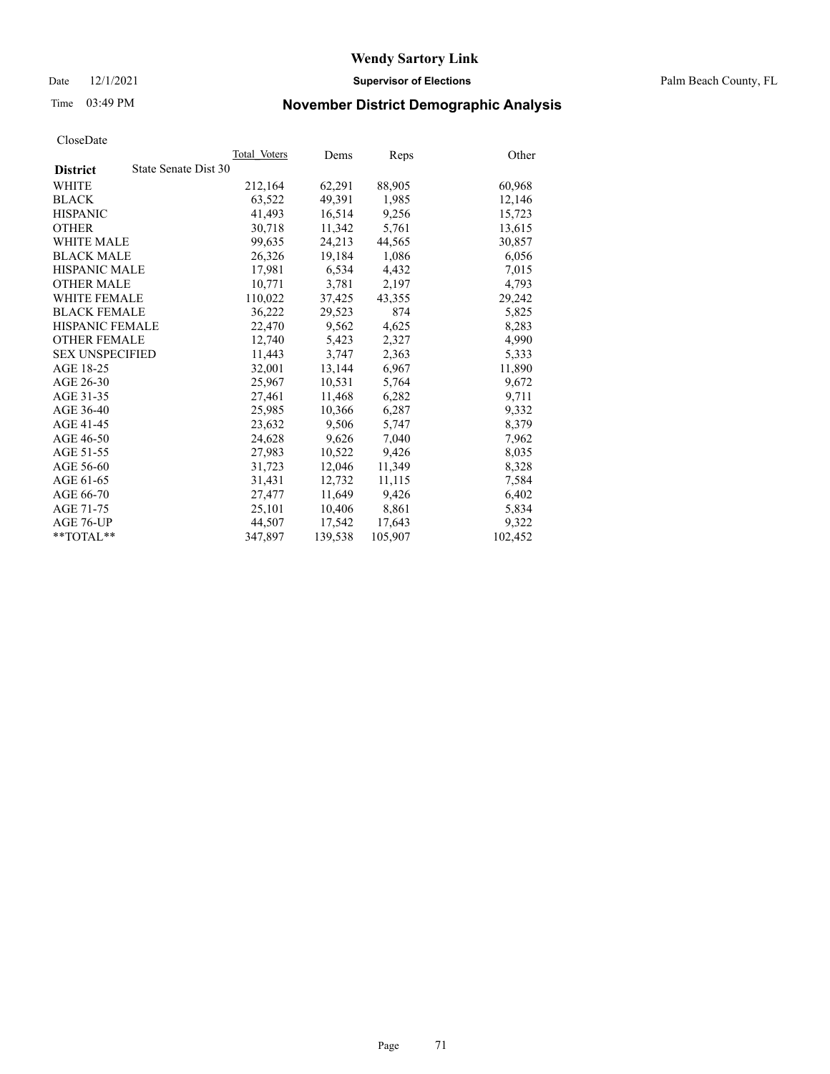Date 12/1/2021 **Supervisor of Elections** Palm Beach County, FL

# Time 03:49 PM **November District Demographic Analysis**

|                                         | Total Voters | Dems    | Reps    | Other   |
|-----------------------------------------|--------------|---------|---------|---------|
| State Senate Dist 30<br><b>District</b> |              |         |         |         |
| WHITE                                   | 212,164      | 62,291  | 88,905  | 60,968  |
| <b>BLACK</b>                            | 63,522       | 49,391  | 1,985   | 12,146  |
| <b>HISPANIC</b>                         | 41,493       | 16,514  | 9,256   | 15,723  |
| <b>OTHER</b>                            | 30,718       | 11,342  | 5,761   | 13,615  |
| <b>WHITE MALE</b>                       | 99,635       | 24,213  | 44,565  | 30,857  |
| <b>BLACK MALE</b>                       | 26,326       | 19,184  | 1,086   | 6,056   |
| <b>HISPANIC MALE</b>                    | 17,981       | 6,534   | 4,432   | 7,015   |
| <b>OTHER MALE</b>                       | 10,771       | 3,781   | 2,197   | 4,793   |
| <b>WHITE FEMALE</b>                     | 110,022      | 37,425  | 43,355  | 29,242  |
| <b>BLACK FEMALE</b>                     | 36,222       | 29.523  | 874     | 5,825   |
| <b>HISPANIC FEMALE</b>                  | 22,470       | 9,562   | 4,625   | 8,283   |
| <b>OTHER FEMALE</b>                     | 12,740       | 5,423   | 2,327   | 4,990   |
| <b>SEX UNSPECIFIED</b>                  | 11.443       | 3,747   | 2,363   | 5,333   |
| AGE 18-25                               | 32,001       | 13,144  | 6,967   | 11,890  |
| AGE 26-30                               | 25,967       | 10,531  | 5,764   | 9,672   |
| AGE 31-35                               | 27,461       | 11,468  | 6,282   | 9,711   |
| AGE 36-40                               | 25,985       | 10,366  | 6,287   | 9,332   |
| AGE 41-45                               | 23,632       | 9,506   | 5,747   | 8,379   |
| AGE 46-50                               | 24,628       | 9,626   | 7,040   | 7,962   |
| AGE 51-55                               | 27,983       | 10,522  | 9.426   | 8,035   |
| AGE 56-60                               | 31,723       | 12,046  | 11,349  | 8,328   |
| AGE 61-65                               | 31,431       | 12,732  | 11,115  | 7,584   |
| AGE 66-70                               | 27,477       | 11,649  | 9,426   | 6,402   |
| AGE 71-75                               | 25,101       | 10,406  | 8,861   | 5,834   |
| AGE 76-UP                               | 44,507       | 17,542  | 17,643  | 9,322   |
| $*$ TOTAL $*$                           | 347,897      | 139,538 | 105,907 | 102,452 |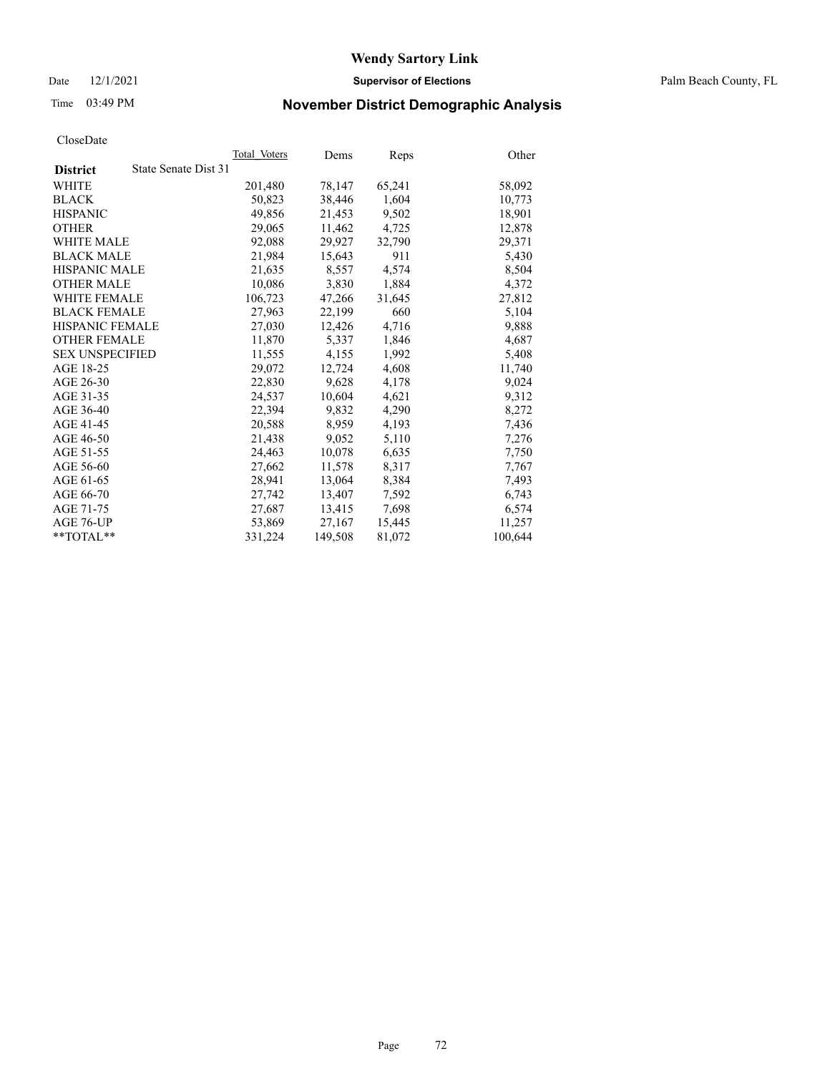Date 12/1/2021 **Supervisor of Elections** Palm Beach County, FL

# Time 03:49 PM **November District Demographic Analysis**

|                        | Total Voters         | Dems    | Reps   | Other   |
|------------------------|----------------------|---------|--------|---------|
| <b>District</b>        | State Senate Dist 31 |         |        |         |
| WHITE                  | 201,480              | 78,147  | 65,241 | 58,092  |
| <b>BLACK</b>           | 50,823               | 38,446  | 1,604  | 10,773  |
| <b>HISPANIC</b>        | 49,856               | 21,453  | 9,502  | 18,901  |
| <b>OTHER</b>           | 29,065               | 11,462  | 4,725  | 12,878  |
| <b>WHITE MALE</b>      | 92,088               | 29,927  | 32,790 | 29,371  |
| <b>BLACK MALE</b>      | 21,984               | 15,643  | 911    | 5,430   |
| <b>HISPANIC MALE</b>   | 21,635               | 8,557   | 4,574  | 8,504   |
| <b>OTHER MALE</b>      | 10,086               | 3,830   | 1,884  | 4,372   |
| <b>WHITE FEMALE</b>    | 106,723              | 47,266  | 31,645 | 27,812  |
| <b>BLACK FEMALE</b>    | 27,963               | 22,199  | 660    | 5,104   |
| HISPANIC FEMALE        | 27,030               | 12,426  | 4,716  | 9,888   |
| <b>OTHER FEMALE</b>    | 11,870               | 5,337   | 1,846  | 4,687   |
| <b>SEX UNSPECIFIED</b> | 11,555               | 4,155   | 1,992  | 5,408   |
| AGE 18-25              | 29,072               | 12,724  | 4,608  | 11,740  |
| AGE 26-30              | 22,830               | 9,628   | 4,178  | 9,024   |
| AGE 31-35              | 24,537               | 10,604  | 4,621  | 9,312   |
| AGE 36-40              | 22,394               | 9,832   | 4,290  | 8,272   |
| AGE 41-45              | 20,588               | 8,959   | 4,193  | 7,436   |
| AGE 46-50              | 21,438               | 9,052   | 5,110  | 7,276   |
| AGE 51-55              | 24,463               | 10,078  | 6,635  | 7,750   |
| AGE 56-60              | 27,662               | 11,578  | 8,317  | 7,767   |
| AGE 61-65              | 28,941               | 13,064  | 8,384  | 7,493   |
| AGE 66-70              | 27,742               | 13,407  | 7,592  | 6,743   |
| AGE 71-75              | 27,687               | 13,415  | 7,698  | 6,574   |
| AGE 76-UP              | 53,869               | 27,167  | 15,445 | 11,257  |
| $*$ $TOTAL**$          | 331,224              | 149,508 | 81,072 | 100,644 |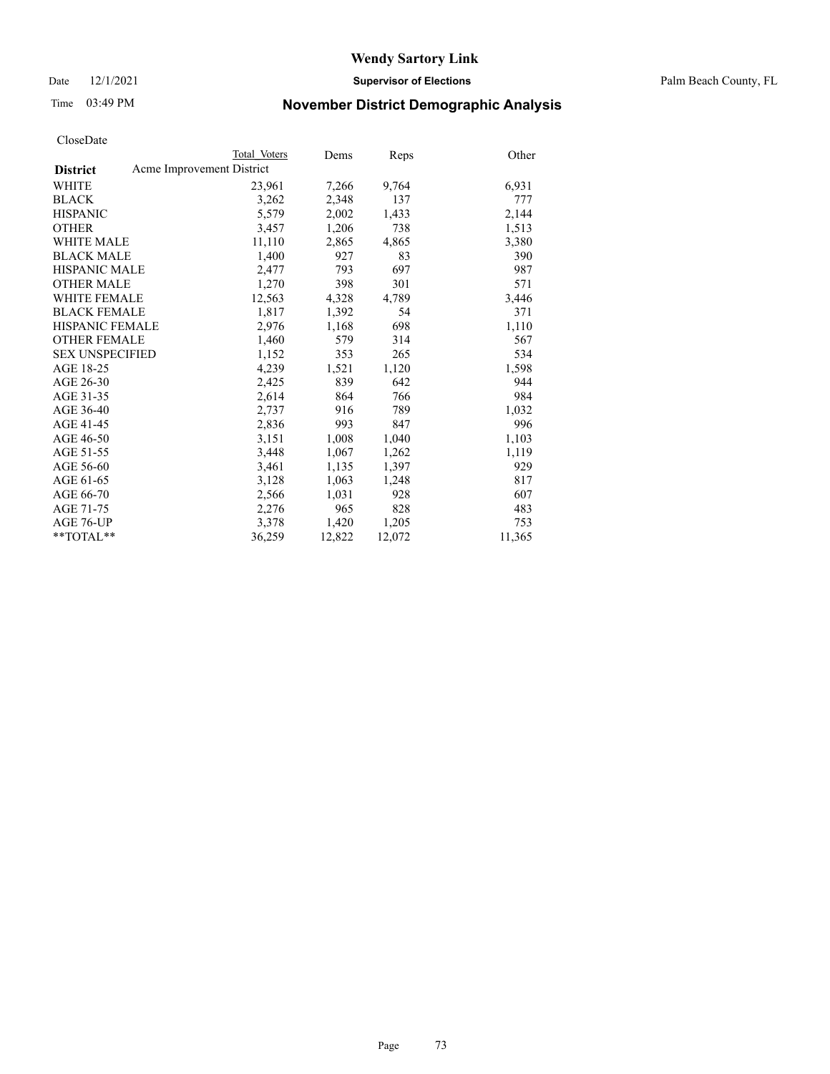Date 12/1/2021 **Supervisor of Elections** Palm Beach County, FL

# Time 03:49 PM **November District Demographic Analysis**

|                                              | Total Voters | Dems   | <b>Reps</b> | Other  |
|----------------------------------------------|--------------|--------|-------------|--------|
| Acme Improvement District<br><b>District</b> |              |        |             |        |
| WHITE                                        | 23,961       | 7,266  | 9,764       | 6,931  |
| <b>BLACK</b>                                 | 3,262        | 2,348  | 137         | 777    |
| <b>HISPANIC</b>                              | 5,579        | 2,002  | 1,433       | 2,144  |
| <b>OTHER</b>                                 | 3,457        | 1,206  | 738         | 1,513  |
| <b>WHITE MALE</b>                            | 11,110       | 2,865  | 4,865       | 3,380  |
| <b>BLACK MALE</b>                            | 1,400        | 927    | 83          | 390    |
| <b>HISPANIC MALE</b>                         | 2,477        | 793    | 697         | 987    |
| <b>OTHER MALE</b>                            | 1,270        | 398    | 301         | 571    |
| <b>WHITE FEMALE</b>                          | 12,563       | 4,328  | 4,789       | 3,446  |
| <b>BLACK FEMALE</b>                          | 1,817        | 1,392  | 54          | 371    |
| <b>HISPANIC FEMALE</b>                       | 2,976        | 1,168  | 698         | 1,110  |
| <b>OTHER FEMALE</b>                          | 1,460        | 579    | 314         | 567    |
| <b>SEX UNSPECIFIED</b>                       | 1,152        | 353    | 265         | 534    |
| AGE 18-25                                    | 4,239        | 1,521  | 1,120       | 1,598  |
| AGE 26-30                                    | 2,425        | 839    | 642         | 944    |
| AGE 31-35                                    | 2,614        | 864    | 766         | 984    |
| AGE 36-40                                    | 2,737        | 916    | 789         | 1,032  |
| AGE 41-45                                    | 2,836        | 993    | 847         | 996    |
| AGE 46-50                                    | 3,151        | 1,008  | 1,040       | 1,103  |
| AGE 51-55                                    | 3,448        | 1,067  | 1,262       | 1,119  |
| AGE 56-60                                    | 3,461        | 1,135  | 1,397       | 929    |
| AGE 61-65                                    | 3,128        | 1,063  | 1,248       | 817    |
| AGE 66-70                                    | 2,566        | 1,031  | 928         | 607    |
| AGE 71-75                                    | 2,276        | 965    | 828         | 483    |
| AGE 76-UP                                    | 3,378        | 1,420  | 1,205       | 753    |
| **TOTAL**                                    | 36,259       | 12,822 | 12,072      | 11,365 |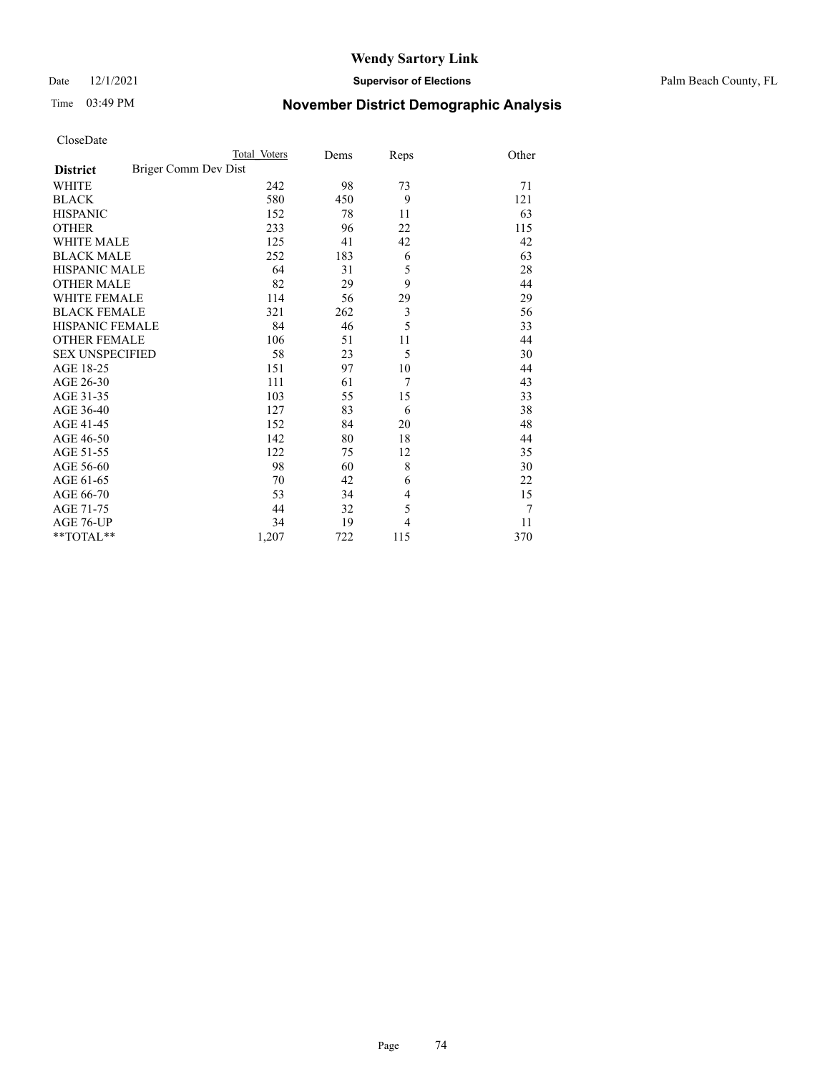### Date 12/1/2021 **Supervisor of Elections** Palm Beach County, FL

# Time 03:49 PM **November District Demographic Analysis**

| CloseDate |
|-----------|
|-----------|

| CloseDate              |                      |              |      |                |       |
|------------------------|----------------------|--------------|------|----------------|-------|
|                        |                      | Total Voters | Dems | Reps           | Other |
| <b>District</b>        | Briger Comm Dev Dist |              |      |                |       |
| <b>WHITE</b>           |                      | 242          | 98   | 73             | 71    |
| <b>BLACK</b>           |                      | 580          | 450  | 9              | 121   |
| <b>HISPANIC</b>        |                      | 152          | 78   | 11             | 63    |
| <b>OTHER</b>           |                      | 233          | 96   | 22             | 115   |
| <b>WHITE MALE</b>      |                      | 125          | 41   | 42             | 42    |
| <b>BLACK MALE</b>      |                      | 252          | 183  | 6              | 63    |
| <b>HISPANIC MALE</b>   |                      | 64           | 31   | 5              | 28    |
| <b>OTHER MALE</b>      |                      | 82           | 29   | 9              | 44    |
| <b>WHITE FEMALE</b>    |                      | 114          | 56   | 29             | 29    |
| <b>BLACK FEMALE</b>    |                      | 321          | 262  | $\mathfrak{Z}$ | 56    |
| HISPANIC FEMALE        |                      | 84           | 46   | 5              | 33    |
| <b>OTHER FEMALE</b>    |                      | 106          | 51   | 11             | 44    |
| <b>SEX UNSPECIFIED</b> |                      | 58           | 23   | 5              | 30    |
| AGE 18-25              |                      | 151          | 97   | 10             | 44    |
| AGE 26-30              |                      | 111          | 61   | 7              | 43    |
| AGE 31-35              |                      | 103          | 55   | 15             | 33    |
| AGE 36-40              |                      | 127          | 83   | 6              | 38    |
| AGE 41-45              |                      | 152          | 84   | 20             | 48    |
| AGE 46-50              |                      | 142          | 80   | 18             | 44    |
| AGE 51-55              |                      | 122          | 75   | 12             | 35    |
| AGE 56-60              |                      | 98           | 60   | 8              | 30    |
| AGE 61-65              |                      | 70           | 42   | 6              | 22    |
| AGE 66-70              |                      | 53           | 34   | 4              | 15    |
| AGE 71-75              |                      | 44           | 32   | 5              | 7     |
| AGE 76-UP              |                      | 34           | 19   | $\overline{4}$ | 11    |

\*\*TOTAL\*\* 1,207 722 115 370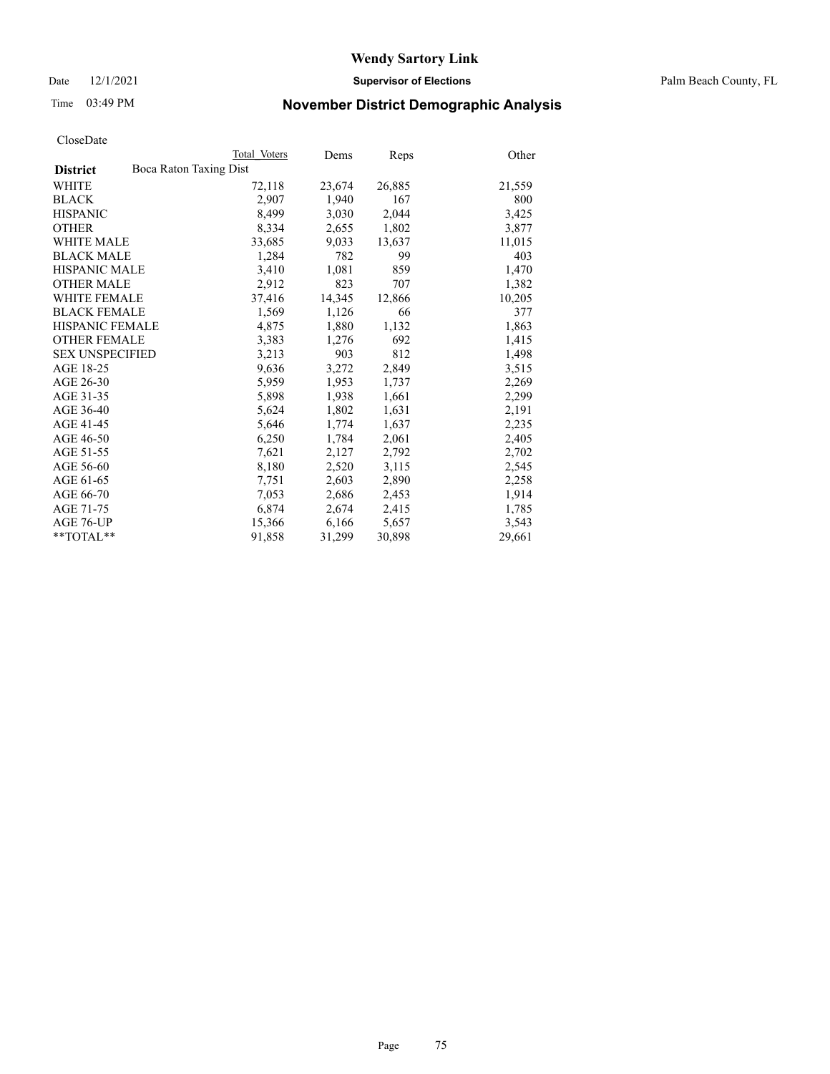Date 12/1/2021 **Supervisor of Elections** Palm Beach County, FL

# Time 03:49 PM **November District Demographic Analysis**

|                                           | Total Voters | Dems   | <b>Reps</b> | Other  |
|-------------------------------------------|--------------|--------|-------------|--------|
| Boca Raton Taxing Dist<br><b>District</b> |              |        |             |        |
| <b>WHITE</b>                              | 72,118       | 23,674 | 26,885      | 21,559 |
| <b>BLACK</b>                              | 2,907        | 1,940  | 167         | 800    |
| <b>HISPANIC</b>                           | 8,499        | 3,030  | 2,044       | 3,425  |
| <b>OTHER</b>                              | 8,334        | 2,655  | 1,802       | 3,877  |
| <b>WHITE MALE</b>                         | 33,685       | 9,033  | 13,637      | 11,015 |
| <b>BLACK MALE</b>                         | 1,284        | 782    | 99          | 403    |
| <b>HISPANIC MALE</b>                      | 3,410        | 1,081  | 859         | 1,470  |
| <b>OTHER MALE</b>                         | 2,912        | 823    | 707         | 1,382  |
| <b>WHITE FEMALE</b>                       | 37,416       | 14,345 | 12,866      | 10,205 |
| <b>BLACK FEMALE</b>                       | 1,569        | 1,126  | 66          | 377    |
| <b>HISPANIC FEMALE</b>                    | 4,875        | 1,880  | 1,132       | 1,863  |
| <b>OTHER FEMALE</b>                       | 3,383        | 1,276  | 692         | 1,415  |
| <b>SEX UNSPECIFIED</b>                    | 3,213        | 903    | 812         | 1,498  |
| AGE 18-25                                 | 9,636        | 3,272  | 2,849       | 3,515  |
| AGE 26-30                                 | 5,959        | 1,953  | 1,737       | 2,269  |
| AGE 31-35                                 | 5,898        | 1,938  | 1,661       | 2,299  |
| AGE 36-40                                 | 5,624        | 1,802  | 1,631       | 2,191  |
| AGE 41-45                                 | 5,646        | 1,774  | 1,637       | 2,235  |
| AGE 46-50                                 | 6,250        | 1,784  | 2,061       | 2,405  |
| AGE 51-55                                 | 7,621        | 2,127  | 2,792       | 2,702  |
| AGE 56-60                                 | 8,180        | 2,520  | 3,115       | 2,545  |
| AGE 61-65                                 | 7,751        | 2,603  | 2,890       | 2,258  |
| AGE 66-70                                 | 7,053        | 2,686  | 2,453       | 1,914  |
| AGE 71-75                                 | 6,874        | 2,674  | 2,415       | 1,785  |
| AGE 76-UP                                 | 15,366       | 6,166  | 5,657       | 3,543  |
| $*$ $TOTAL**$                             | 91,858       | 31,299 | 30,898      | 29,661 |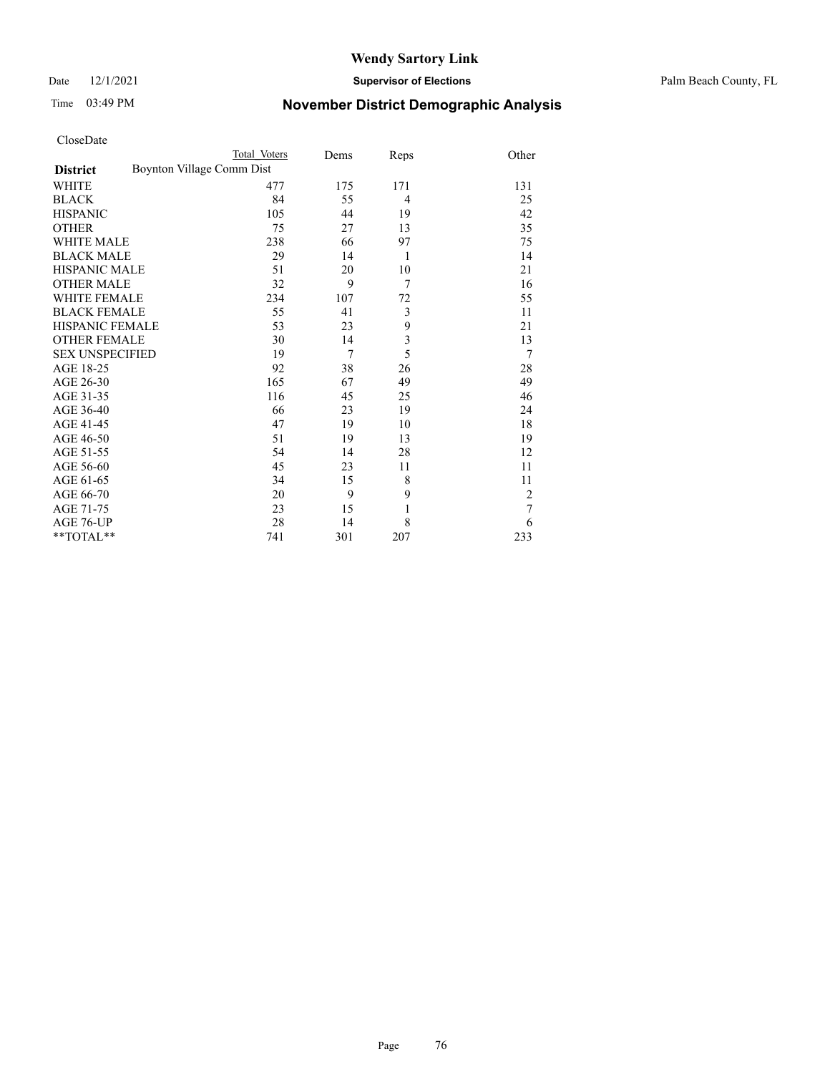Date 12/1/2021 **Supervisor of Elections** Palm Beach County, FL

# Time 03:49 PM **November District Demographic Analysis**

| CloseDate |  |
|-----------|--|
|-----------|--|

| CloseDate              |                           |              |      |              |                |
|------------------------|---------------------------|--------------|------|--------------|----------------|
|                        |                           | Total Voters | Dems | Reps         | Other          |
| <b>District</b>        | Boynton Village Comm Dist |              |      |              |                |
| WHITE                  |                           | 477          | 175  | 171          | 131            |
| <b>BLACK</b>           |                           | 84           | 55   | 4            | 25             |
| <b>HISPANIC</b>        |                           | 105          | 44   | 19           | 42             |
| <b>OTHER</b>           |                           | 75           | 27   | 13           | 35             |
| <b>WHITE MALE</b>      |                           | 238          | 66   | 97           | 75             |
| <b>BLACK MALE</b>      |                           | 29           | 14   | 1            | 14             |
| <b>HISPANIC MALE</b>   |                           | 51           | 20   | 10           | 21             |
| <b>OTHER MALE</b>      |                           | 32           | 9    | 7            | 16             |
| <b>WHITE FEMALE</b>    |                           | 234          | 107  | 72           | 55             |
| <b>BLACK FEMALE</b>    |                           | 55           | 41   | 3            | 11             |
| <b>HISPANIC FEMALE</b> |                           | 53           | 23   | 9            | 21             |
| <b>OTHER FEMALE</b>    |                           | 30           | 14   | 3            | 13             |
| <b>SEX UNSPECIFIED</b> |                           | 19           | 7    | 5            | 7              |
| AGE 18-25              |                           | 92           | 38   | 26           | 28             |
| AGE 26-30              |                           | 165          | 67   | 49           | 49             |
| AGE 31-35              |                           | 116          | 45   | 25           | 46             |
| AGE 36-40              |                           | 66           | 23   | 19           | 24             |
| AGE 41-45              |                           | 47           | 19   | 10           | 18             |
| AGE 46-50              |                           | 51           | 19   | 13           | 19             |
| AGE 51-55              |                           | 54           | 14   | 28           | 12             |
| AGE 56-60              |                           | 45           | 23   | 11           | 11             |
| AGE 61-65              |                           | 34           | 15   | 8            | 11             |
| AGE 66-70              |                           | 20           | 9    | 9            | $\overline{c}$ |
| AGE 71-75              |                           | 23           | 15   | $\mathbf{1}$ | 7              |
| AGE 76-UP              |                           | 28           | 14   | 8            | 6              |

\*\*TOTAL\*\* 741 301 207 233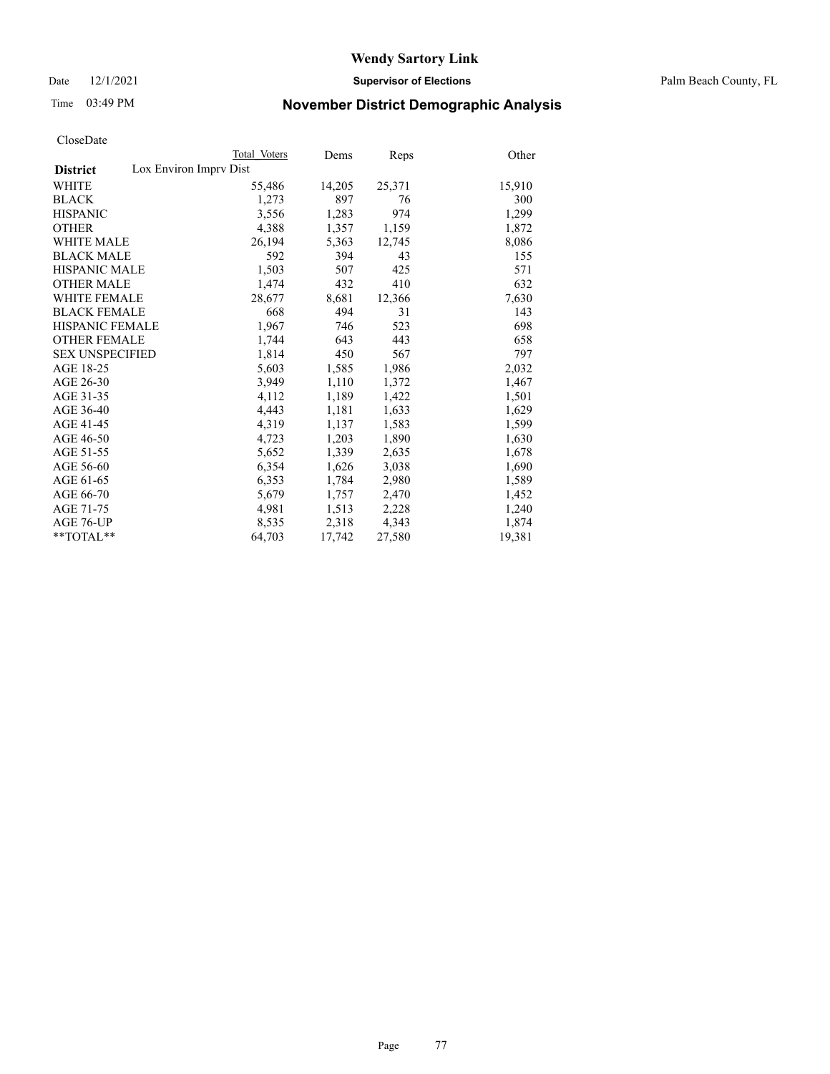Date 12/1/2021 **Supervisor of Elections** Palm Beach County, FL

# Time 03:49 PM **November District Demographic Analysis**

|                                           | Total Voters | Dems   | <b>Reps</b> | Other  |
|-------------------------------------------|--------------|--------|-------------|--------|
| Lox Environ Imprv Dist<br><b>District</b> |              |        |             |        |
| <b>WHITE</b>                              | 55,486       | 14,205 | 25,371      | 15,910 |
| <b>BLACK</b>                              | 1,273        | 897    | 76          | 300    |
| <b>HISPANIC</b>                           | 3,556        | 1,283  | 974         | 1,299  |
| <b>OTHER</b>                              | 4,388        | 1,357  | 1,159       | 1,872  |
| <b>WHITE MALE</b>                         | 26,194       | 5,363  | 12,745      | 8,086  |
| <b>BLACK MALE</b>                         | 592          | 394    | 43          | 155    |
| <b>HISPANIC MALE</b>                      | 1,503        | 507    | 425         | 571    |
| <b>OTHER MALE</b>                         | 1,474        | 432    | 410         | 632    |
| <b>WHITE FEMALE</b>                       | 28,677       | 8,681  | 12,366      | 7,630  |
| <b>BLACK FEMALE</b>                       | 668          | 494    | 31          | 143    |
| HISPANIC FEMALE                           | 1,967        | 746    | 523         | 698    |
| <b>OTHER FEMALE</b>                       | 1,744        | 643    | 443         | 658    |
| <b>SEX UNSPECIFIED</b>                    | 1,814        | 450    | 567         | 797    |
| AGE 18-25                                 | 5,603        | 1,585  | 1,986       | 2,032  |
| AGE 26-30                                 | 3,949        | 1,110  | 1,372       | 1,467  |
| AGE 31-35                                 | 4,112        | 1,189  | 1,422       | 1,501  |
| AGE 36-40                                 | 4,443        | 1,181  | 1,633       | 1,629  |
| AGE 41-45                                 | 4,319        | 1,137  | 1,583       | 1,599  |
| AGE 46-50                                 | 4,723        | 1,203  | 1,890       | 1,630  |
| AGE 51-55                                 | 5,652        | 1,339  | 2,635       | 1,678  |
| AGE 56-60                                 | 6,354        | 1,626  | 3,038       | 1,690  |
| AGE 61-65                                 | 6,353        | 1,784  | 2,980       | 1,589  |
| AGE 66-70                                 | 5,679        | 1,757  | 2,470       | 1,452  |
| AGE 71-75                                 | 4,981        | 1,513  | 2,228       | 1,240  |
| AGE 76-UP                                 | 8,535        | 2,318  | 4,343       | 1,874  |
| $*$ $TOTAL**$                             | 64,703       | 17,742 | 27,580      | 19,381 |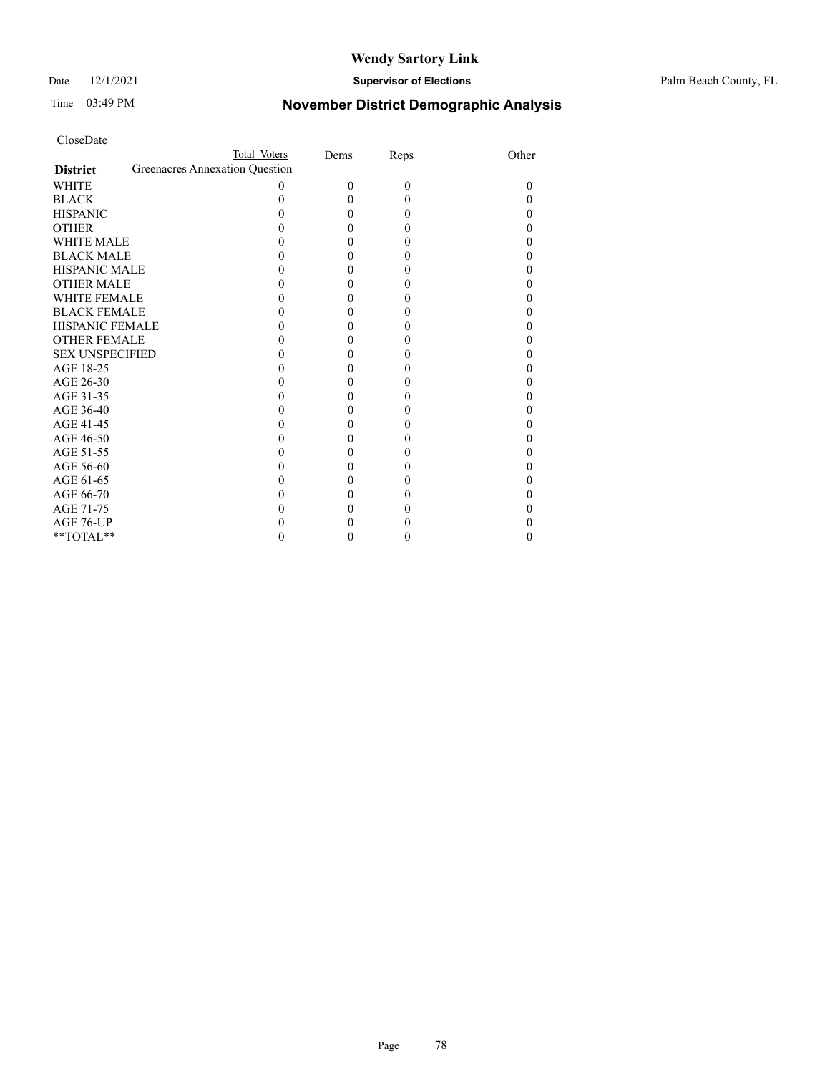### Date 12/1/2021 **Supervisor of Elections** Palm Beach County, FL

# Time 03:49 PM **November District Demographic Analysis**

| CloseDate           |                                |              |      |      |       |
|---------------------|--------------------------------|--------------|------|------|-------|
|                     |                                | Total Voters | Dems | Reps | Other |
| <b>District</b>     | Greenacres Annexation Question |              |      |      |       |
| WHITE               |                                | 0            | 0    | 0    |       |
| BLACK               |                                |              |      | 0    |       |
| HISPANIC            |                                |              |      |      |       |
| <b>OTHER</b>        |                                |              |      |      |       |
| <b>WHITE MALE</b>   |                                |              |      |      |       |
| BLACK MALE          |                                |              |      |      |       |
| HISPANIC MALE       |                                |              |      |      |       |
| <b>OTHER MALE</b>   |                                |              |      |      |       |
| WHITE FEMALE        |                                |              |      |      |       |
| <b>BLACK FEMALE</b> |                                |              |      |      |       |
| HISPANIC FEMALE     |                                |              |      |      |       |
| OTHER FEMALE        |                                |              |      |      |       |
| SEX UNSPECIFIED     |                                |              |      |      |       |
| AGE 18-25           |                                |              |      |      |       |
| AGE 26-30           |                                |              |      |      |       |
| AGE 31-35           |                                |              |      |      |       |
| AGE 36-40           |                                |              |      |      |       |
| AGE 41-45           |                                |              |      |      |       |
| AGE 46-50           |                                |              |      |      |       |
| AGE 51-55           |                                |              |      |      |       |
| AGE 56-60           |                                |              |      |      |       |
| AGE 61-65           |                                |              |      |      |       |
| AGE 66-70           |                                |              |      |      |       |
| AGE 71-75           |                                |              |      |      |       |
| AGE 76-UP           |                                |              |      |      |       |

\*\*TOTAL\*\*  $0$  0 0 0 0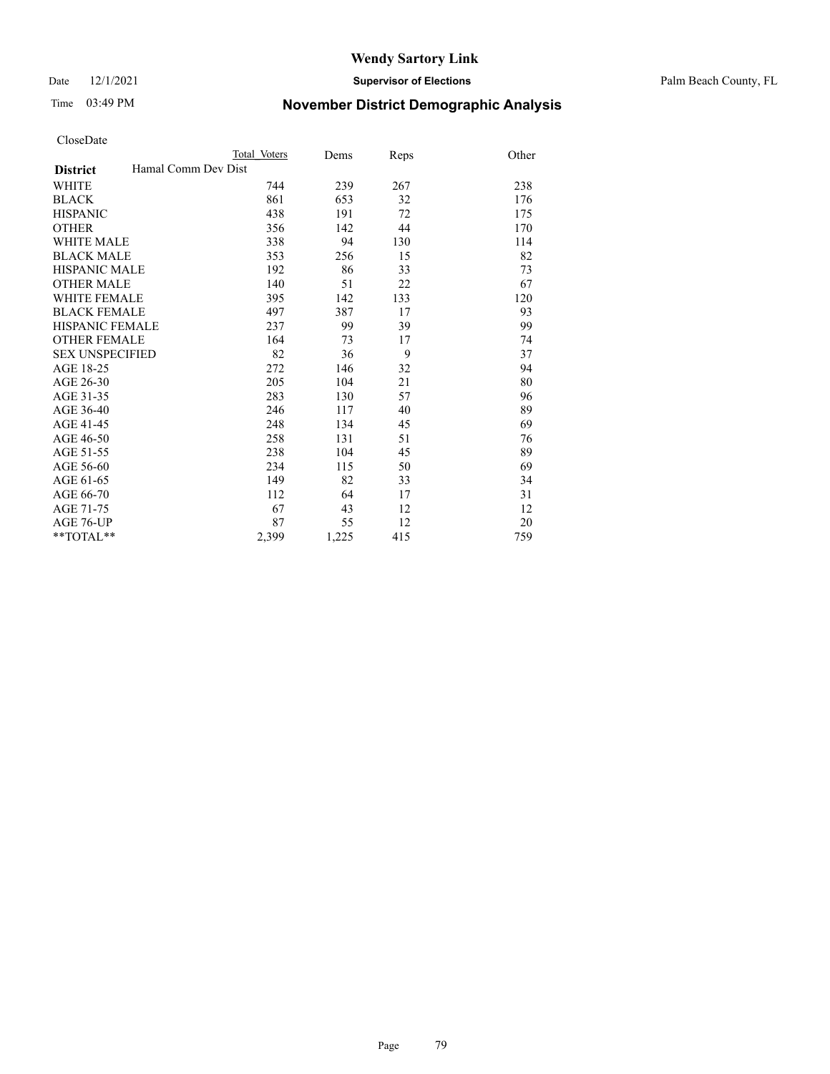Date 12/1/2021 **Supervisor of Elections** Palm Beach County, FL

# Time 03:49 PM **November District Demographic Analysis**

|                        |                     | Total Voters | Dems  | Reps | Other |
|------------------------|---------------------|--------------|-------|------|-------|
| <b>District</b>        | Hamal Comm Dev Dist |              |       |      |       |
| <b>WHITE</b>           |                     | 744          | 239   | 267  | 238   |
| <b>BLACK</b>           |                     | 861          | 653   | 32   | 176   |
| <b>HISPANIC</b>        |                     | 438          | 191   | 72   | 175   |
| <b>OTHER</b>           |                     | 356          | 142   | 44   | 170   |
| WHITE MALE             |                     | 338          | 94    | 130  | 114   |
| <b>BLACK MALE</b>      |                     | 353          | 256   | 15   | 82    |
| <b>HISPANIC MALE</b>   |                     | 192          | 86    | 33   | 73    |
| <b>OTHER MALE</b>      |                     | 140          | 51    | 22   | 67    |
| WHITE FEMALE           |                     | 395          | 142   | 133  | 120   |
| <b>BLACK FEMALE</b>    |                     | 497          | 387   | 17   | 93    |
| <b>HISPANIC FEMALE</b> |                     | 237          | 99    | 39   | 99    |
| <b>OTHER FEMALE</b>    |                     | 164          | 73    | 17   | 74    |
| <b>SEX UNSPECIFIED</b> |                     | 82           | 36    | 9    | 37    |
| AGE 18-25              |                     | 272          | 146   | 32   | 94    |
| AGE 26-30              |                     | 205          | 104   | 21   | 80    |
| AGE 31-35              |                     | 283          | 130   | 57   | 96    |
| AGE 36-40              |                     | 246          | 117   | 40   | 89    |
| AGE 41-45              |                     | 248          | 134   | 45   | 69    |
| AGE 46-50              |                     | 258          | 131   | 51   | 76    |
| AGE 51-55              |                     | 238          | 104   | 45   | 89    |
| AGE 56-60              |                     | 234          | 115   | 50   | 69    |
| AGE 61-65              |                     | 149          | 82    | 33   | 34    |
| AGE 66-70              |                     | 112          | 64    | 17   | 31    |
| AGE 71-75              |                     | 67           | 43    | 12   | 12    |
| AGE 76-UP              |                     | 87           | 55    | 12   | 20    |
| $*$ $TOTAL**$          |                     | 2,399        | 1,225 | 415  | 759   |
|                        |                     |              |       |      |       |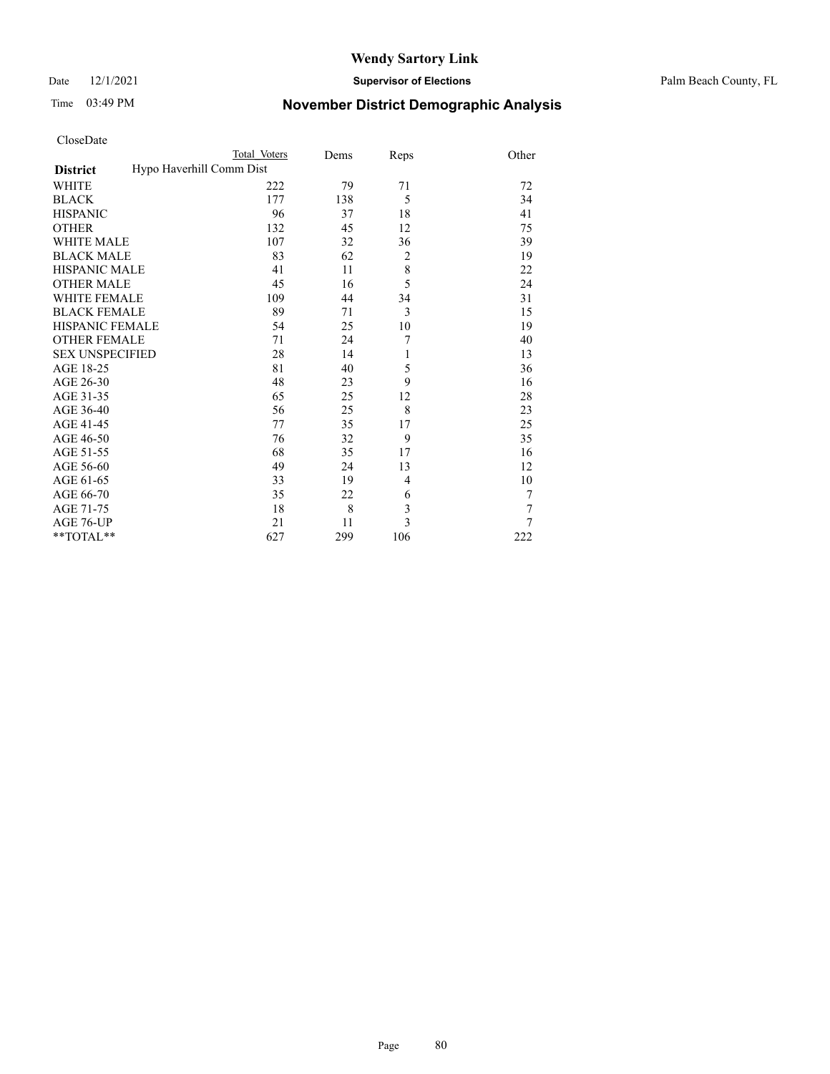Date 12/1/2021 **Supervisor of Elections** Palm Beach County, FL

# Time 03:49 PM **November District Demographic Analysis**

|                                             | Total Voters | Dems | Reps           | Other |
|---------------------------------------------|--------------|------|----------------|-------|
| Hypo Haverhill Comm Dist<br><b>District</b> |              |      |                |       |
| WHITE                                       | 222          | 79   | 71             | 72    |
| <b>BLACK</b>                                | 177          | 138  | 5              | 34    |
| <b>HISPANIC</b>                             | 96           | 37   | 18             | 41    |
| <b>OTHER</b>                                | 132          | 45   | 12             | 75    |
| <b>WHITE MALE</b>                           | 107          | 32   | 36             | 39    |
| <b>BLACK MALE</b>                           | 83           | 62   | $\overline{2}$ | 19    |
| <b>HISPANIC MALE</b>                        | 41           | 11   | 8              | 22    |
| <b>OTHER MALE</b>                           | 45           | 16   | 5              | 24    |
| <b>WHITE FEMALE</b>                         | 109          | 44   | 34             | 31    |
| <b>BLACK FEMALE</b>                         | 89           | 71   | 3              | 15    |
| HISPANIC FEMALE                             | 54           | 25   | 10             | 19    |
| <b>OTHER FEMALE</b>                         | 71           | 24   | 7              | 40    |
| <b>SEX UNSPECIFIED</b>                      | 28           | 14   | 1              | 13    |
| AGE 18-25                                   | 81           | 40   | 5              | 36    |
| AGE 26-30                                   | 48           | 23   | 9              | 16    |
| AGE 31-35                                   | 65           | 25   | 12             | 28    |
| AGE 36-40                                   | 56           | 25   | 8              | 23    |
| AGE 41-45                                   | 77           | 35   | 17             | 25    |
| AGE 46-50                                   | 76           | 32   | 9              | 35    |
| AGE 51-55                                   | 68           | 35   | 17             | 16    |
| AGE 56-60                                   | 49           | 24   | 13             | 12    |
| AGE 61-65                                   | 33           | 19   | 4              | 10    |
| AGE 66-70                                   | 35           | 22   | 6              | 7     |
| AGE 71-75                                   | 18           | 8    | 3              | 7     |
| AGE 76-UP                                   | 21           | 11   | 3              | 7     |
| **TOTAL**                                   | 627          | 299  | 106            | 222   |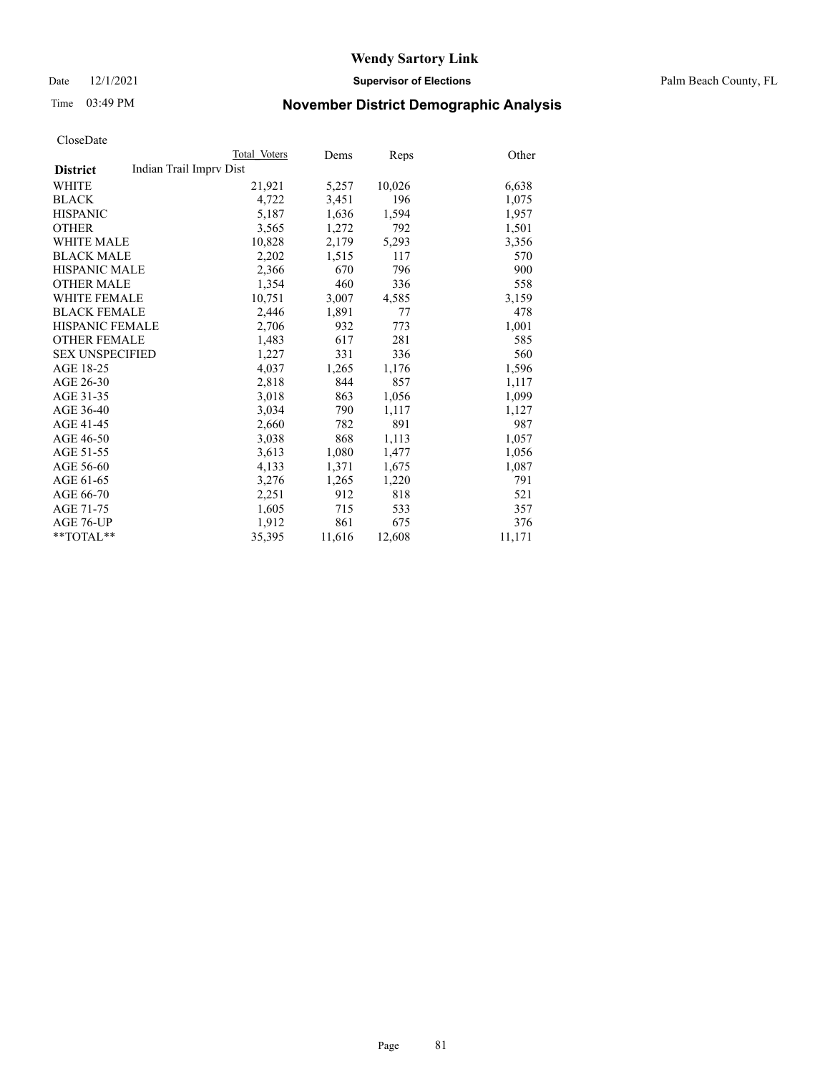Date 12/1/2021 **Supervisor of Elections** Palm Beach County, FL

# Time 03:49 PM **November District Demographic Analysis**

|                                            | Total Voters | Dems   | Reps   | Other  |
|--------------------------------------------|--------------|--------|--------|--------|
| Indian Trail Imprv Dist<br><b>District</b> |              |        |        |        |
| WHITE                                      | 21,921       | 5,257  | 10,026 | 6,638  |
| <b>BLACK</b>                               | 4,722        | 3,451  | 196    | 1,075  |
| <b>HISPANIC</b>                            | 5,187        | 1,636  | 1,594  | 1,957  |
| <b>OTHER</b>                               | 3,565        | 1,272  | 792    | 1,501  |
| <b>WHITE MALE</b>                          | 10,828       | 2,179  | 5,293  | 3,356  |
| <b>BLACK MALE</b>                          | 2,202        | 1,515  | 117    | 570    |
| <b>HISPANIC MALE</b>                       | 2,366        | 670    | 796    | 900    |
| <b>OTHER MALE</b>                          | 1,354        | 460    | 336    | 558    |
| <b>WHITE FEMALE</b>                        | 10,751       | 3,007  | 4,585  | 3,159  |
| <b>BLACK FEMALE</b>                        | 2,446        | 1,891  | 77     | 478    |
| <b>HISPANIC FEMALE</b>                     | 2,706        | 932    | 773    | 1,001  |
| <b>OTHER FEMALE</b>                        | 1,483        | 617    | 281    | 585    |
| <b>SEX UNSPECIFIED</b>                     | 1,227        | 331    | 336    | 560    |
| AGE 18-25                                  | 4,037        | 1,265  | 1,176  | 1,596  |
| AGE 26-30                                  | 2,818        | 844    | 857    | 1,117  |
| AGE 31-35                                  | 3,018        | 863    | 1,056  | 1,099  |
| AGE 36-40                                  | 3,034        | 790    | 1,117  | 1,127  |
| AGE 41-45                                  | 2,660        | 782    | 891    | 987    |
| AGE 46-50                                  | 3,038        | 868    | 1,113  | 1,057  |
| AGE 51-55                                  | 3,613        | 1,080  | 1,477  | 1,056  |
| AGE 56-60                                  | 4,133        | 1,371  | 1,675  | 1,087  |
| AGE 61-65                                  | 3,276        | 1,265  | 1,220  | 791    |
| AGE 66-70                                  | 2,251        | 912    | 818    | 521    |
| AGE 71-75                                  | 1,605        | 715    | 533    | 357    |
| AGE 76-UP                                  | 1,912        | 861    | 675    | 376    |
| $*$ $TOTAL**$                              | 35,395       | 11,616 | 12,608 | 11,171 |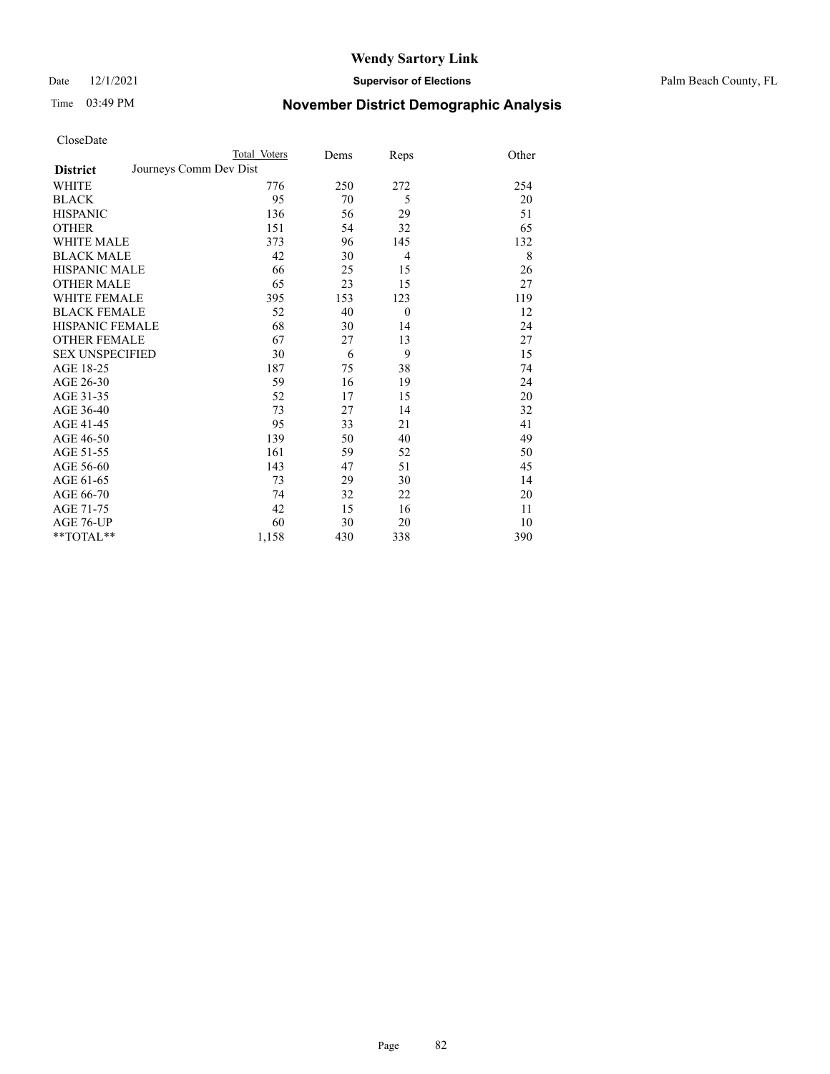Date 12/1/2021 **Supervisor of Elections** Palm Beach County, FL

# Time 03:49 PM **November District Demographic Analysis**

| CloseDate              |                        |              |      |                |       |
|------------------------|------------------------|--------------|------|----------------|-------|
|                        |                        | Total Voters | Dems | Reps           | Other |
| <b>District</b>        | Journeys Comm Dev Dist |              |      |                |       |
| <b>WHITE</b>           |                        | 776          | 250  | 272            | 254   |
| <b>BLACK</b>           |                        | 95           | 70   | 5              | 20    |
| <b>HISPANIC</b>        |                        | 136          | 56   | 29             | 51    |
| <b>OTHER</b>           |                        | 151          | 54   | 32             | 65    |
| WHITE MALE             |                        | 373          | 96   | 145            | 132   |
| <b>BLACK MALE</b>      |                        | 42           | 30   | $\overline{4}$ | 8     |
| <b>HISPANIC MALE</b>   |                        | 66           | 25   | 15             | 26    |
| <b>OTHER MALE</b>      |                        | 65           | 23   | 15             | 27    |
| <b>WHITE FEMALE</b>    |                        | 395          | 153  | 123            | 119   |
| <b>BLACK FEMALE</b>    |                        | 52           | 40   | $\mathbf{0}$   | 12    |
| <b>HISPANIC FEMALE</b> |                        | 68           | 30   | 14             | 24    |
| <b>OTHER FEMALE</b>    |                        | 67           | 27   | 13             | 27    |
| <b>SEX UNSPECIFIED</b> |                        | 30           | 6    | 9              | 15    |
| AGE 18-25              |                        | 187          | 75   | 38             | 74    |
| AGE 26-30              |                        | 59           | 16   | 19             | 24    |
| AGE 31-35              |                        | 52           | 17   | 15             | 20    |
| AGE 36-40              |                        | 73           | 27   | 14             | 32    |
| AGE 41-45              |                        | 95           | 33   | 21             | 41    |
| AGE 46-50              |                        | 139          | 50   | 40             | 49    |
| AGE 51-55              |                        | 161          | 59   | 52             | 50    |
| AGE 56-60              |                        | 143          | 47   | 51             | 45    |
| AGE 61-65              |                        | 73           | 29   | 30             | 14    |
| AGE 66-70              |                        | 74           | 32   | 22             | 20    |
| AGE 71-75              |                        | 42           | 15   | 16             | 11    |
| AGE 76-UP              |                        | 60           | 30   | 20             | 10    |
| $*$ $TOTAL**$          |                        | 1,158        | 430  | 338            | 390   |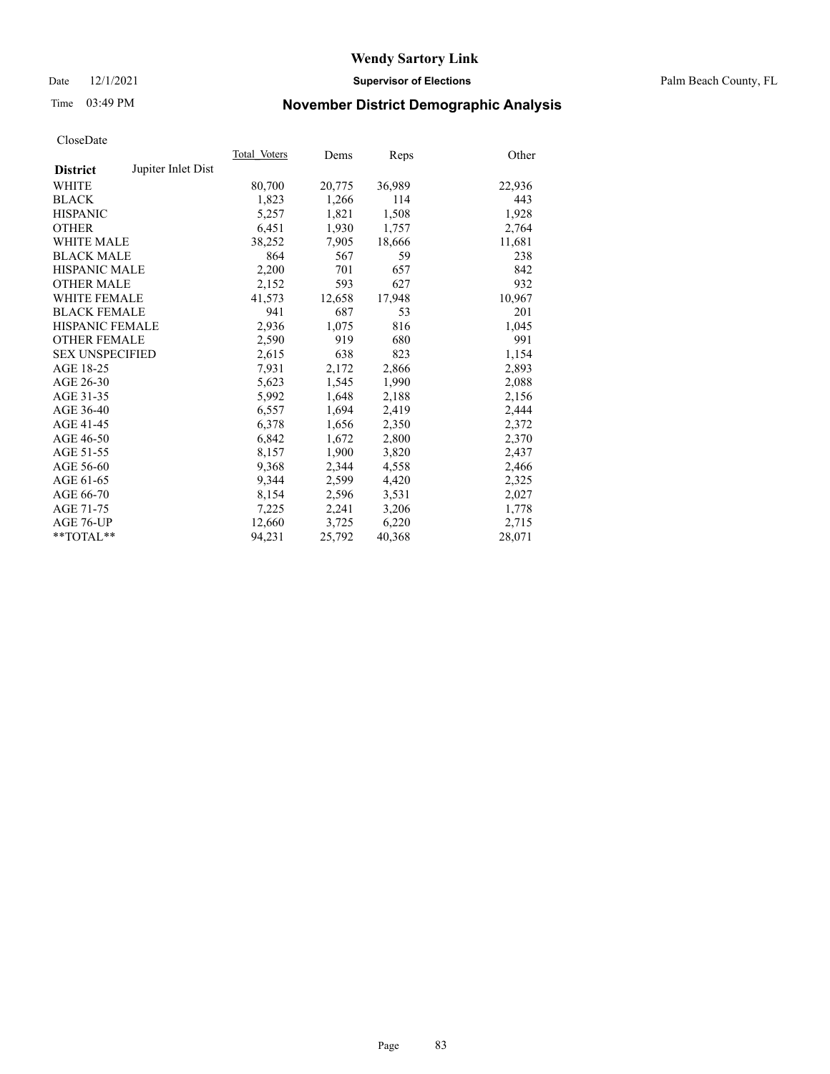### Date 12/1/2021 **Supervisor of Elections** Palm Beach County, FL

# Time 03:49 PM **November District Demographic Analysis**

|                        |                    | Total Voters | Dems   | Reps   | Other  |
|------------------------|--------------------|--------------|--------|--------|--------|
| <b>District</b>        | Jupiter Inlet Dist |              |        |        |        |
| WHITE                  |                    | 80,700       | 20,775 | 36,989 | 22,936 |
| <b>BLACK</b>           |                    | 1,823        | 1,266  | 114    | 443    |
| <b>HISPANIC</b>        |                    | 5,257        | 1,821  | 1,508  | 1,928  |
| <b>OTHER</b>           |                    | 6,451        | 1,930  | 1,757  | 2,764  |
| <b>WHITE MALE</b>      |                    | 38,252       | 7,905  | 18,666 | 11,681 |
| <b>BLACK MALE</b>      |                    | 864          | 567    | 59     | 238    |
| <b>HISPANIC MALE</b>   |                    | 2,200        | 701    | 657    | 842    |
| <b>OTHER MALE</b>      |                    | 2,152        | 593    | 627    | 932    |
| WHITE FEMALE           |                    | 41,573       | 12,658 | 17,948 | 10,967 |
| <b>BLACK FEMALE</b>    |                    | 941          | 687    | 53     | 201    |
| <b>HISPANIC FEMALE</b> |                    | 2,936        | 1,075  | 816    | 1,045  |
| <b>OTHER FEMALE</b>    |                    | 2,590        | 919    | 680    | 991    |
| <b>SEX UNSPECIFIED</b> |                    | 2,615        | 638    | 823    | 1,154  |
| AGE 18-25              |                    | 7,931        | 2,172  | 2,866  | 2,893  |
| AGE 26-30              |                    | 5,623        | 1,545  | 1,990  | 2,088  |
| AGE 31-35              |                    | 5,992        | 1,648  | 2,188  | 2,156  |
| AGE 36-40              |                    | 6,557        | 1,694  | 2,419  | 2,444  |
| AGE 41-45              |                    | 6,378        | 1,656  | 2,350  | 2,372  |
| AGE 46-50              |                    | 6,842        | 1,672  | 2,800  | 2,370  |
| AGE 51-55              |                    | 8,157        | 1.900  | 3,820  | 2,437  |
| AGE 56-60              |                    | 9,368        | 2,344  | 4,558  | 2,466  |
| AGE 61-65              |                    | 9,344        | 2,599  | 4,420  | 2,325  |
| AGE 66-70              |                    | 8,154        | 2,596  | 3,531  | 2,027  |
| AGE 71-75              |                    | 7,225        | 2,241  | 3,206  | 1,778  |
| AGE 76-UP              |                    | 12,660       | 3,725  | 6,220  | 2,715  |
| $*$ $TOTAL**$          |                    | 94,231       | 25,792 | 40,368 | 28,071 |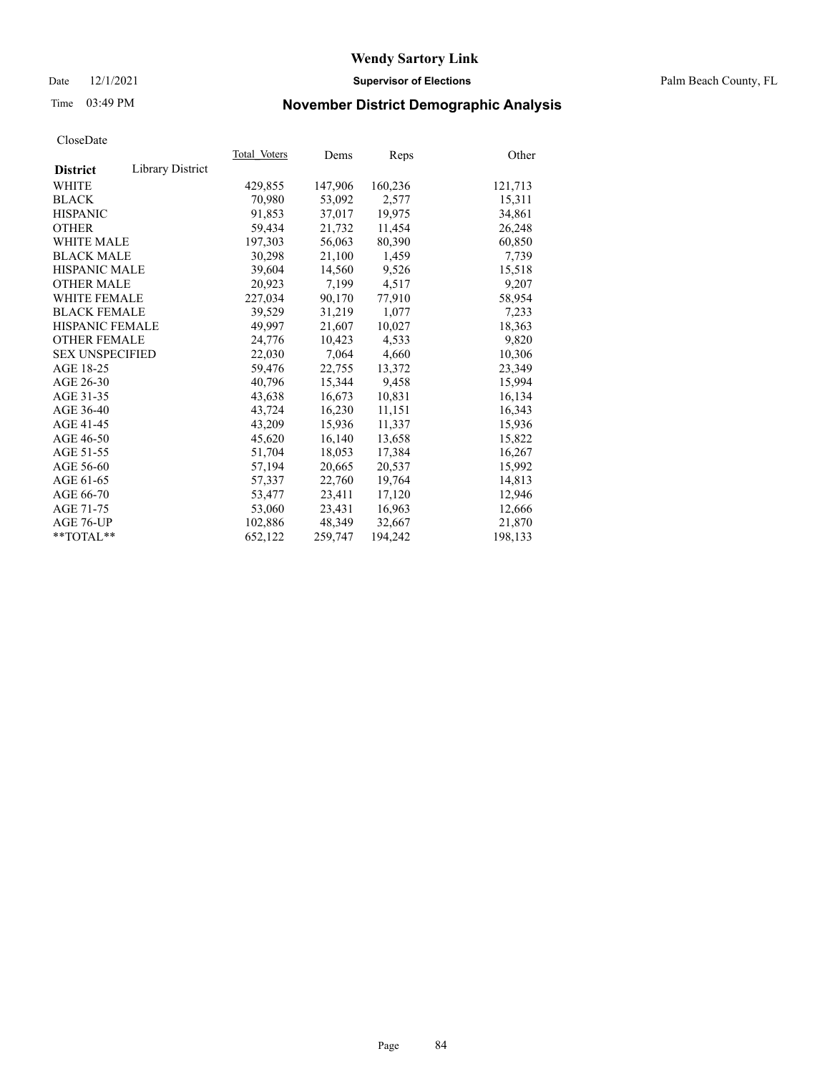### Date 12/1/2021 **Supervisor of Elections** Palm Beach County, FL

# Time 03:49 PM **November District Demographic Analysis**

| ClustDate              |                  |              |         |         |         |
|------------------------|------------------|--------------|---------|---------|---------|
|                        |                  | Total Voters | Dems    | Reps    | Other   |
| <b>District</b>        | Library District |              |         |         |         |
| WHITE                  |                  | 429,855      | 147,906 | 160,236 | 121,713 |
| <b>BLACK</b>           |                  | 70,980       | 53,092  | 2,577   | 15,311  |
| <b>HISPANIC</b>        |                  | 91.853       | 37,017  | 19,975  | 34,861  |
| <b>OTHER</b>           |                  | 59,434       | 21,732  | 11,454  | 26,248  |
| <b>WHITE MALE</b>      |                  | 197,303      | 56,063  | 80,390  | 60,850  |
| <b>BLACK MALE</b>      |                  | 30,298       | 21,100  | 1,459   | 7,739   |
| <b>HISPANIC MALE</b>   |                  | 39,604       | 14,560  | 9,526   | 15,518  |
| <b>OTHER MALE</b>      |                  | 20,923       | 7,199   | 4,517   | 9,207   |
| <b>WHITE FEMALE</b>    |                  | 227,034      | 90,170  | 77,910  | 58,954  |
| <b>BLACK FEMALE</b>    |                  | 39.529       | 31,219  | 1.077   | 7,233   |
| <b>HISPANIC FEMALE</b> |                  | 49,997       | 21,607  | 10,027  | 18,363  |
| <b>OTHER FEMALE</b>    |                  | 24,776       | 10,423  | 4,533   | 9,820   |
| <b>SEX UNSPECIFIED</b> |                  | 22,030       | 7,064   | 4,660   | 10,306  |
| AGE 18-25              |                  | 59,476       | 22,755  | 13,372  | 23,349  |
| AGE 26-30              |                  | 40,796       | 15,344  | 9,458   | 15,994  |
| AGE 31-35              |                  | 43,638       | 16,673  | 10,831  | 16,134  |
| AGE 36-40              |                  | 43,724       | 16,230  | 11,151  | 16,343  |
| AGE 41-45              |                  | 43,209       | 15,936  | 11,337  | 15,936  |
| AGE 46-50              |                  | 45,620       | 16,140  | 13,658  | 15,822  |
| AGE 51-55              |                  | 51,704       | 18,053  | 17,384  | 16,267  |
| AGE 56-60              |                  | 57,194       | 20,665  | 20,537  | 15,992  |
| AGE 61-65              |                  | 57,337       | 22,760  | 19,764  | 14,813  |
| AGE 66-70              |                  | 53,477       | 23,411  | 17,120  | 12,946  |
| AGE 71-75              |                  | 53,060       | 23,431  | 16,963  | 12,666  |
| AGE 76-UP              |                  | 102,886      | 48,349  | 32,667  | 21,870  |
| $*$ $TOTAL**$          |                  | 652,122      | 259,747 | 194,242 | 198,133 |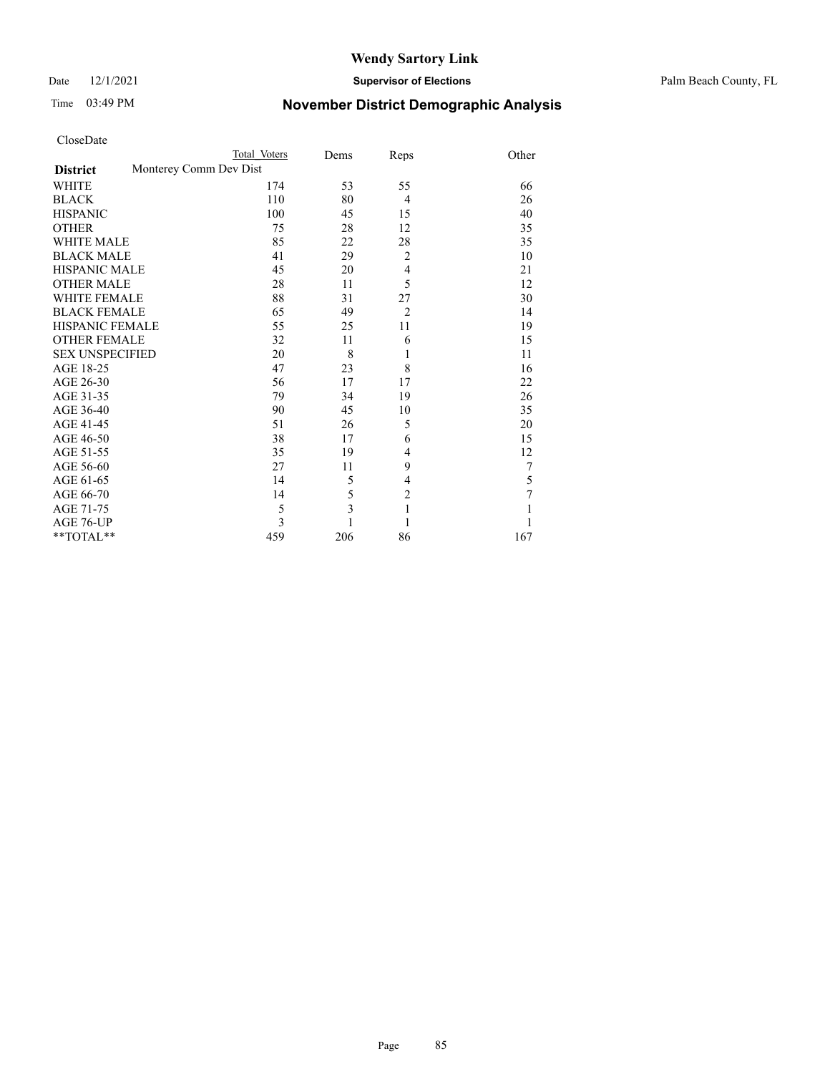## Date 12/1/2021 **Supervisor of Elections** Palm Beach County, FL

# Time 03:49 PM **November District Demographic Analysis**

| CloseDate |  |
|-----------|--|
|-----------|--|

| <b>NOVEMBER DISTINCT DEMOGRAPME AND FOR</b> |  |  |
|---------------------------------------------|--|--|
|                                             |  |  |
|                                             |  |  |

|                        |                        | Total Voters | Dems | Reps           | Other |
|------------------------|------------------------|--------------|------|----------------|-------|
| <b>District</b>        | Monterey Comm Dev Dist |              |      |                |       |
| WHITE                  |                        | 174          | 53   | 55             | 66    |
| <b>BLACK</b>           |                        | 110          | 80   | $\overline{4}$ | 26    |
| <b>HISPANIC</b>        |                        | 100          | 45   | 15             | 40    |
| <b>OTHER</b>           |                        | 75           | 28   | 12             | 35    |
| <b>WHITE MALE</b>      |                        | 85           | 22   | 28             | 35    |
| <b>BLACK MALE</b>      |                        | 41           | 29   | $\overline{2}$ | 10    |
| <b>HISPANIC MALE</b>   |                        | 45           | 20   | $\overline{4}$ | 21    |
| <b>OTHER MALE</b>      |                        | 28           | 11   | 5              | 12    |
| <b>WHITE FEMALE</b>    |                        | 88           | 31   | 27             | 30    |
| <b>BLACK FEMALE</b>    |                        | 65           | 49   | $\overline{2}$ | 14    |
| <b>HISPANIC FEMALE</b> |                        | 55           | 25   | 11             | 19    |
| <b>OTHER FEMALE</b>    |                        | 32           | 11   | 6              | 15    |
| <b>SEX UNSPECIFIED</b> |                        | 20           | 8    | 1              | 11    |
| AGE 18-25              |                        | 47           | 23   | 8              | 16    |
| AGE 26-30              |                        | 56           | 17   | 17             | 22    |
| AGE 31-35              |                        | 79           | 34   | 19             | 26    |
| AGE 36-40              |                        | 90           | 45   | 10             | 35    |
| AGE 41-45              |                        | 51           | 26   | 5              | 20    |
| AGE 46-50              |                        | 38           | 17   | 6              | 15    |
| AGE 51-55              |                        | 35           | 19   | 4              | 12    |
| AGE 56-60              |                        | 27           | 11   | 9              | 7     |
| AGE 61-65              |                        | 14           | 5    | 4              | 5     |
| AGE 66-70              |                        | 14           | 5    | $\overline{c}$ | 7     |
| AGE 71-75              |                        | 5            | 3    | $\mathbf{1}$   |       |
| AGE 76-UP              |                        | 3            |      | 1              |       |
| **TOTAL**              |                        | 459          | 206  | 86             | 167   |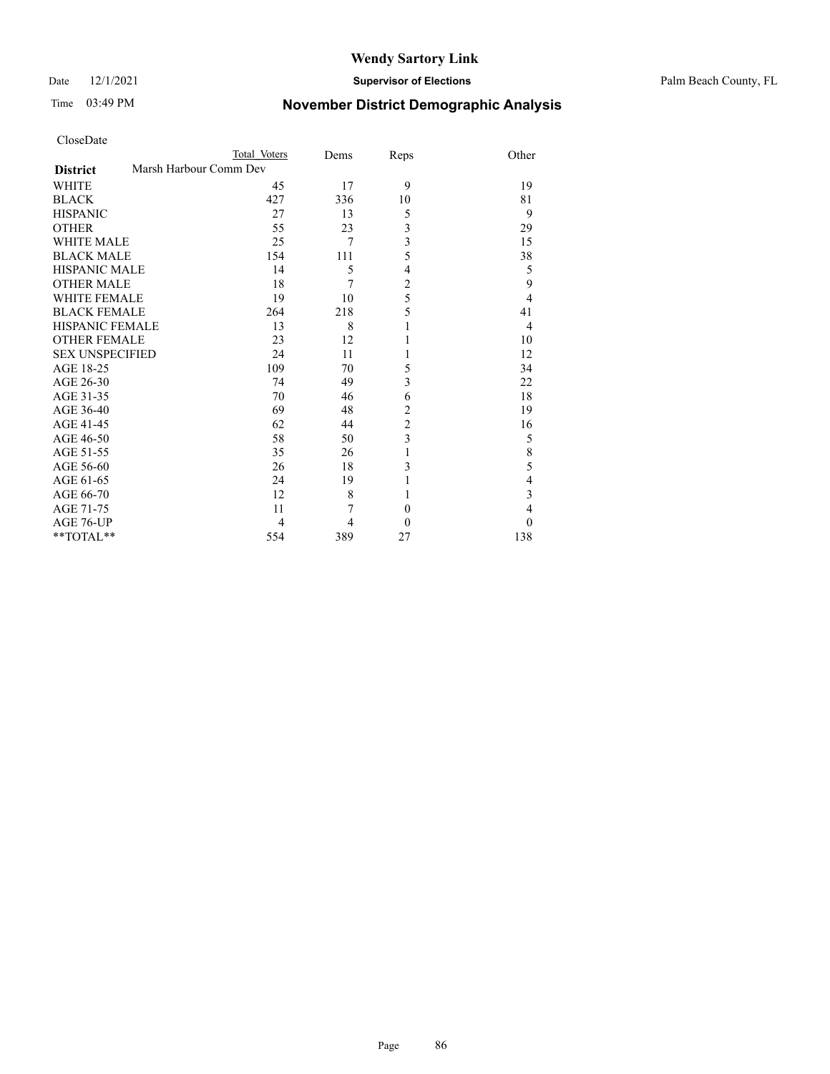## Time 03:49 PM **November District Demographic Analysis**

| CloseDate |
|-----------|
|-----------|

| CloseDate            |                        |      |      |       |
|----------------------|------------------------|------|------|-------|
|                      | <b>Total Voters</b>    | Dems | Reps | Other |
| <b>District</b>      | Marsh Harbour Comm Dev |      |      |       |
| WHITE                | 45                     | 17   | q    | 19    |
| <b>BLACK</b>         | 427                    | 336  | 10   | 81    |
| <b>HISPANIC</b>      | 27                     | 13   |      |       |
| <b>OTHER</b>         | 55                     | 23   |      | 29    |
| <b>WHITE MALE</b>    | 25                     |      |      | 15    |
| <b>BLACK MALE</b>    | 154                    | 111  |      | 38    |
| <b>HISPANIC MALE</b> | 14                     |      |      |       |
| <b>OTHER MALE</b>    | 18                     |      |      |       |
| <b>WHITE FEMALE</b>  | 19                     | 10   |      |       |
| <b>BLACK FEMALE</b>  | 264                    | 218  |      | 4.    |

HISPANIC FEMALE 13 8 1 4 OTHER FEMALE 23 12 1 10 SEX UNSPECIFIED 24 11 1 12 AGE 18-25 109 70 5 34<br>AGE 26-30 74 49 3 22

AGE 31-35 70 46 6 18<br>AGE 36-40 69 48 2 19 AGE 36-40 69 48 2 19<br>AGE 41-45 62 44 2 16 AGE 41-45 62 44 2 16<br>AGE 46-50 58 50 3 5 AGE 46-50 58 50 3 5<br>AGE 51-55 35 26 1 8 AGE 51-55 35 26 1 8<br>AGE 56-60 26 18 3 5 AGE 56-60 26 18 3 5<br>AGE 61-65 24 19 1 4

AGE 66-70 12 8 1 3 AGE 71-75 11 7 0 4  $\begin{array}{cccccccccc} \text{AGE 76-UP} & & & & 4 & & 4 & & 0 & & 0 \\ \text{**TOTAL*} & & & & & 554 & & 389 & & 27 & & & 138 \\ \end{array}$ \*\*TOTAL\*\* 554 389 27 138

AGE 26-30 74 49 3<br>AGE 31-35 70 46 6

AGE 61-65 24 19 1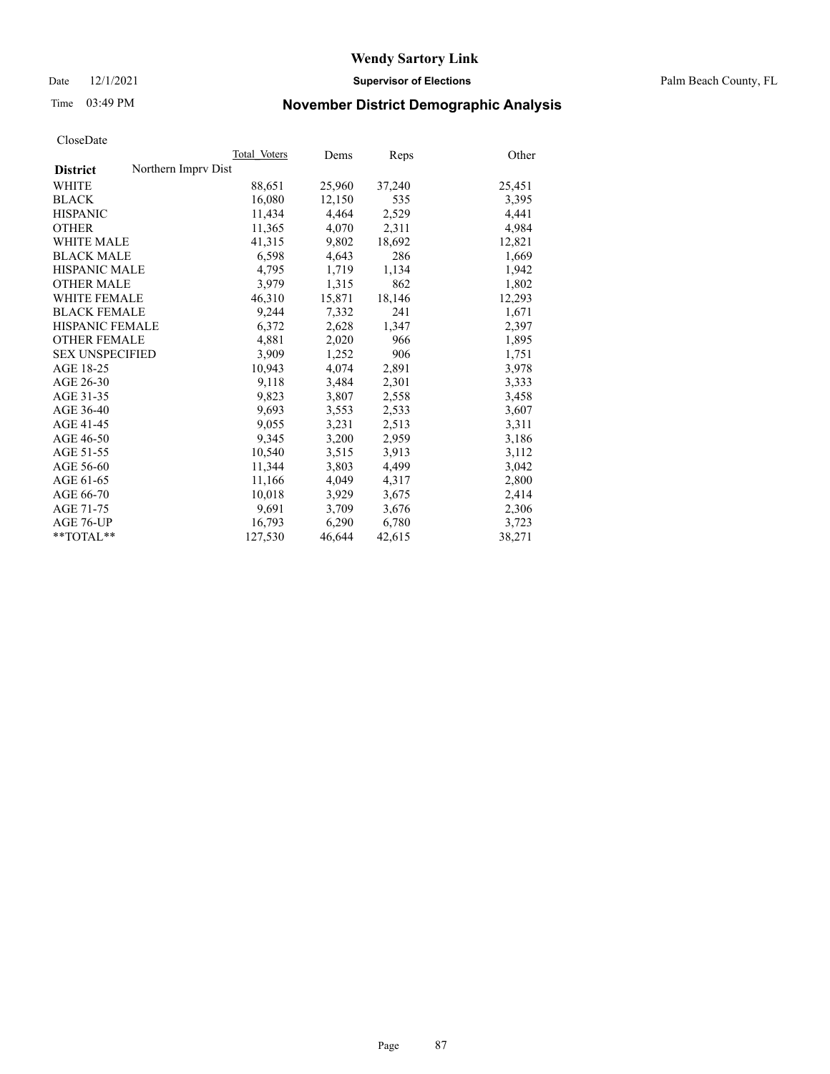Date 12/1/2021 **Supervisor of Elections** Palm Beach County, FL

# Time 03:49 PM **November District Demographic Analysis**

|                                        | Total Voters | Dems   | Reps   | Other  |
|----------------------------------------|--------------|--------|--------|--------|
| Northern Imprv Dist<br><b>District</b> |              |        |        |        |
| WHITE                                  | 88,651       | 25,960 | 37,240 | 25,451 |
| <b>BLACK</b>                           | 16,080       | 12,150 | 535    | 3,395  |
| <b>HISPANIC</b>                        | 11,434       | 4,464  | 2,529  | 4,441  |
| <b>OTHER</b>                           | 11,365       | 4,070  | 2,311  | 4,984  |
| <b>WHITE MALE</b>                      | 41,315       | 9,802  | 18,692 | 12,821 |
| <b>BLACK MALE</b>                      | 6,598        | 4,643  | 286    | 1,669  |
| <b>HISPANIC MALE</b>                   | 4,795        | 1,719  | 1,134  | 1,942  |
| <b>OTHER MALE</b>                      | 3.979        | 1,315  | 862    | 1,802  |
| <b>WHITE FEMALE</b>                    | 46,310       | 15,871 | 18,146 | 12,293 |
| <b>BLACK FEMALE</b>                    | 9.244        | 7.332  | 241    | 1,671  |
| HISPANIC FEMALE                        | 6,372        | 2,628  | 1,347  | 2,397  |
| <b>OTHER FEMALE</b>                    | 4,881        | 2,020  | 966    | 1,895  |
| <b>SEX UNSPECIFIED</b>                 | 3.909        | 1,252  | 906    | 1,751  |
| AGE 18-25                              | 10,943       | 4,074  | 2,891  | 3,978  |
| AGE 26-30                              | 9,118        | 3,484  | 2,301  | 3,333  |
| AGE 31-35                              | 9,823        | 3,807  | 2,558  | 3,458  |
| AGE 36-40                              | 9,693        | 3,553  | 2,533  | 3,607  |
| AGE 41-45                              | 9,055        | 3,231  | 2,513  | 3,311  |
| AGE 46-50                              | 9,345        | 3,200  | 2,959  | 3,186  |
| AGE 51-55                              | 10.540       | 3,515  | 3,913  | 3,112  |
| AGE 56-60                              | 11,344       | 3,803  | 4,499  | 3,042  |
| AGE 61-65                              | 11,166       | 4,049  | 4,317  | 2,800  |
| AGE 66-70                              | 10,018       | 3,929  | 3,675  | 2,414  |
| AGE 71-75                              | 9,691        | 3,709  | 3,676  | 2,306  |
| AGE 76-UP                              | 16,793       | 6,290  | 6,780  | 3,723  |
| $*$ $TOTAL**$                          | 127,530      | 46,644 | 42,615 | 38,271 |
|                                        |              |        |        |        |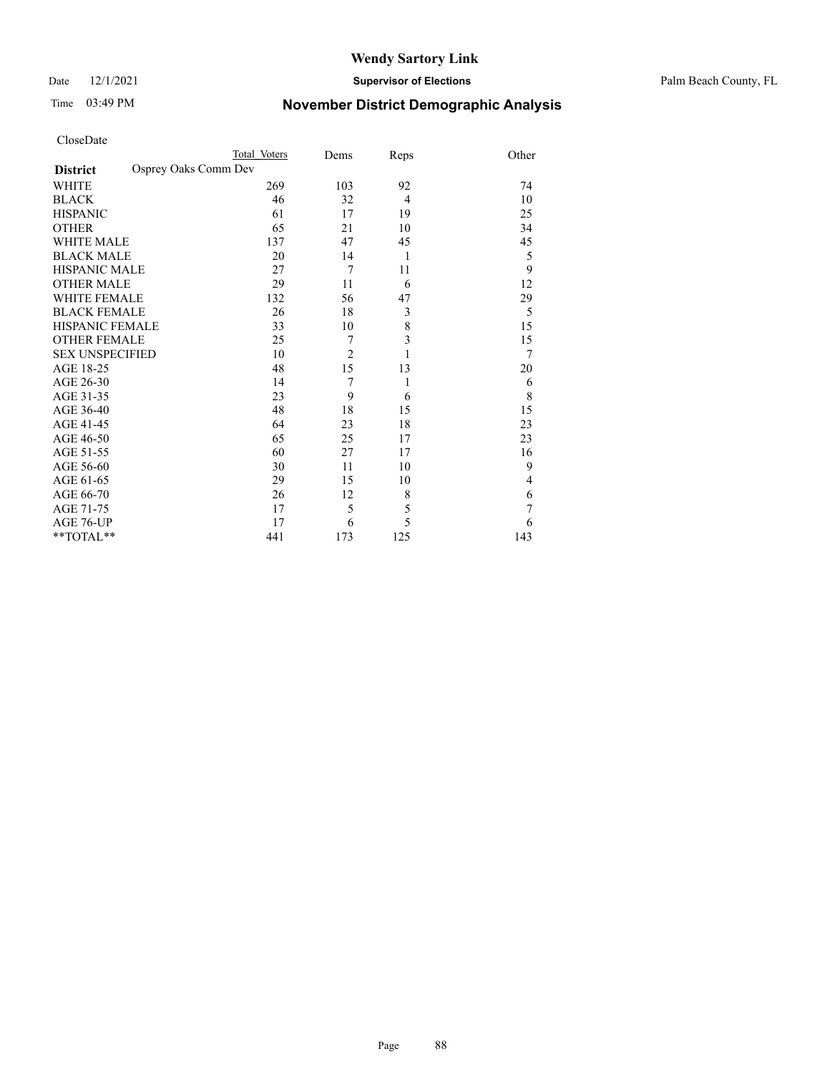### Date 12/1/2021 **Supervisor of Elections** Palm Beach County, FL

# Time 03:49 PM **November District Demographic Analysis**

| CloseDate |
|-----------|
|-----------|

| CloseDate                               |              |                |              |                |
|-----------------------------------------|--------------|----------------|--------------|----------------|
|                                         | Total Voters | Dems           | Reps         | Other          |
| Osprey Oaks Comm Dev<br><b>District</b> |              |                |              |                |
| WHITE                                   | 269          | 103            | 92           | 74             |
| <b>BLACK</b>                            | 46           | 32             | 4            | 10             |
| <b>HISPANIC</b>                         | 61           | 17             | 19           | 25             |
| <b>OTHER</b>                            | 65           | 21             | 10           | 34             |
| <b>WHITE MALE</b>                       | 137          | 47             | 45           | 45             |
| <b>BLACK MALE</b>                       | 20           | 14             | 1            | 5              |
| <b>HISPANIC MALE</b>                    | 27           | 7              | 11           | 9              |
| <b>OTHER MALE</b>                       | 29           | 11             | 6            | 12             |
| <b>WHITE FEMALE</b>                     | 132          | 56             | 47           | 29             |
| <b>BLACK FEMALE</b>                     | 26           | 18             | 3            | 5              |
| <b>HISPANIC FEMALE</b>                  | 33           | 10             | $\,$ $\,$    | 15             |
| <b>OTHER FEMALE</b>                     | 25           | 7              | 3            | 15             |
| <b>SEX UNSPECIFIED</b>                  | 10           | $\overline{2}$ | 1            | $\overline{7}$ |
| AGE 18-25                               | 48           | 15             | 13           | 20             |
| AGE 26-30                               | 14           | 7              | $\mathbf{1}$ | 6              |
| AGE 31-35                               | 23           | 9              | 6            | 8              |
| AGE 36-40                               | 48           | 18             | 15           | 15             |
| AGE 41-45                               | 64           | 23             | 18           | 23             |
| AGE 46-50                               | 65           | 25             | 17           | 23             |
| AGE 51-55                               | 60           | 27             | 17           | 16             |
| AGE 56-60                               | 30           | 11             | 10           | 9              |
| AGE 61-65                               | 29           | 15             | 10           | 4              |
| AGE 66-70                               | 26           | 12             | 8            | 6              |
| AGE 71-75                               | 17           | 5              | 5            | $\overline{7}$ |
| AGE 76-UP                               | 17           | 6              | 5            | 6              |
| **TOTAL**                               | 441          | 173            | 125          | 143            |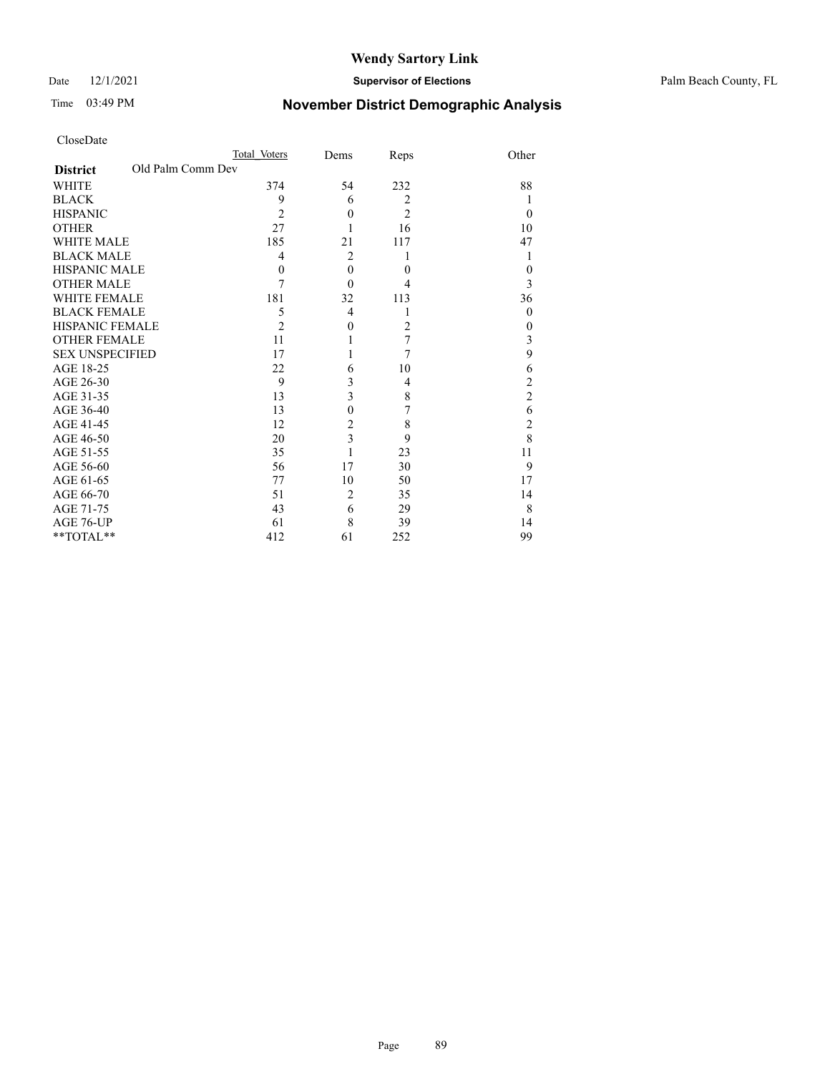Date 12/1/2021 **Supervisor of Elections** Palm Beach County, FL

# Time 03:49 PM **November District Demographic Analysis**

| CloseDate |
|-----------|
|-----------|

| CloseDate                            |                |                |                |                                            |
|--------------------------------------|----------------|----------------|----------------|--------------------------------------------|
|                                      | Total Voters   | Dems           | Reps           | Other                                      |
| Old Palm Comm Dev<br><b>District</b> |                |                |                |                                            |
| <b>WHITE</b>                         | 374            | 54             | 232            | 88                                         |
| <b>BLACK</b>                         | 9              | 6              | 2              | 1                                          |
| <b>HISPANIC</b>                      | $\overline{2}$ | $\overline{0}$ | $\overline{2}$ | $\theta$                                   |
| <b>OTHER</b>                         | 27             | 1              | 16             | 10                                         |
| <b>WHITE MALE</b>                    | 185            | 21             | 117            | 47                                         |
| <b>BLACK MALE</b>                    | 4              | $\overline{2}$ | 1              | 1                                          |
| <b>HISPANIC MALE</b>                 | $\mathbf{0}$   | $\theta$       | $\theta$       | $\mathbf{0}$                               |
| <b>OTHER MALE</b>                    | 7              | $\theta$       | 4              | $\overline{3}$                             |
| <b>WHITE FEMALE</b>                  | 181            | 32             | 113            | 36                                         |
| <b>BLACK FEMALE</b>                  | 5              | 4              | 1              | $\theta$                                   |
| <b>HISPANIC FEMALE</b>               | $\overline{c}$ | $\theta$       | $\overline{2}$ | $\boldsymbol{0}$                           |
| <b>OTHER FEMALE</b>                  | 11             | 1              | 7              | $\overline{\mathbf{3}}$                    |
| <b>SEX UNSPECIFIED</b>               | 17             | 1              | 7              | 9                                          |
| AGE 18-25                            | 22             | 6              | 10             | 6                                          |
| AGE 26-30                            | 9              | 3              | 4              | $\frac{2}{2}$                              |
| AGE 31-35                            | 13             | 3              | 8              |                                            |
| AGE 36-40                            | 13             | $\theta$       | 7              |                                            |
| AGE 41-45                            | 12             | $\overline{2}$ | 8              | $\begin{array}{c} 6 \\ 2 \\ 8 \end{array}$ |
| AGE 46-50                            | 20             | 3              | 9              |                                            |
| AGE 51-55                            | 35             | 1              | 23             | 11                                         |
| AGE 56-60                            | 56             | 17             | 30             | 9                                          |
| AGE 61-65                            | 77             | 10             | 50             | 17                                         |
| AGE 66-70                            | 51             | $\overline{2}$ | 35             | 14                                         |
| AGE 71-75                            | 43             | 6              | 29             | 8                                          |
| AGE 76-UP                            | 61             | 8              | 39             | 14                                         |
| **TOTAL**                            | 412            | 61             | 252            | 99                                         |
|                                      |                |                |                |                                            |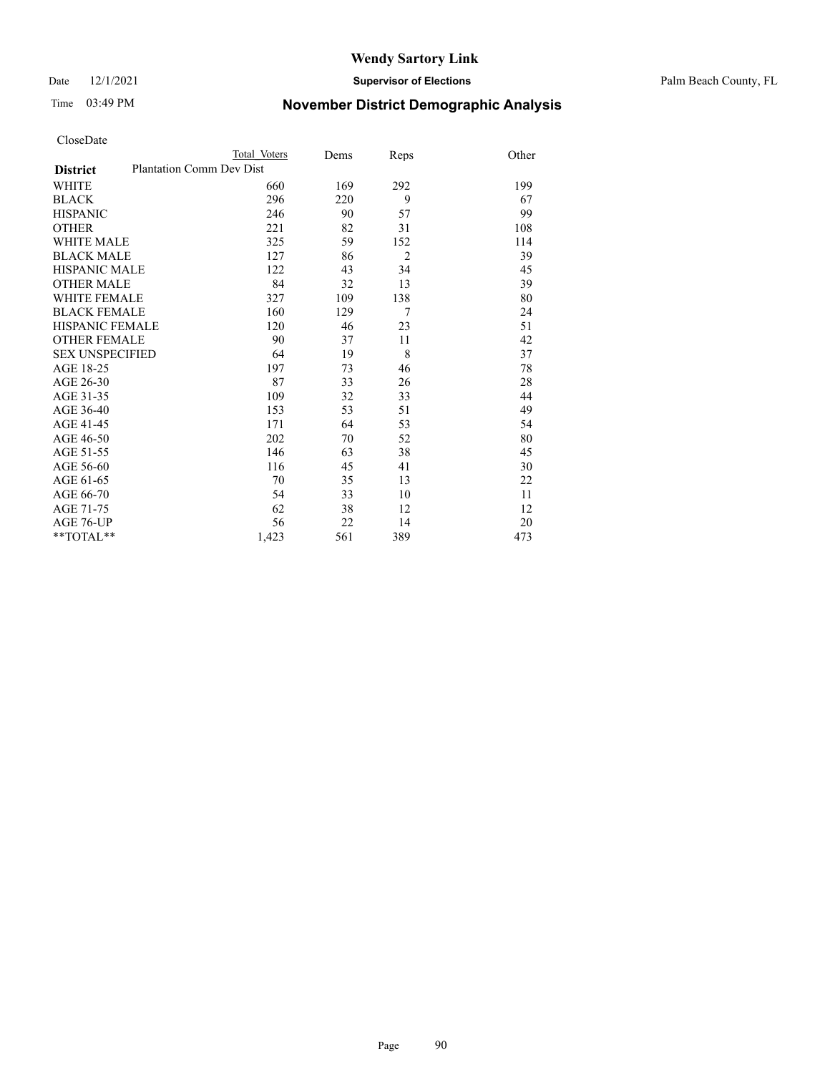Date 12/1/2021 **Supervisor of Elections** Palm Beach County, FL

# Time 03:49 PM **November District Demographic Analysis**

| CloseDate |
|-----------|
|-----------|

|                                                    | Total Voters | Dems | Reps           | Other |
|----------------------------------------------------|--------------|------|----------------|-------|
| <b>Plantation Comm Dev Dist</b><br><b>District</b> |              |      |                |       |
| <b>WHITE</b>                                       | 660          | 169  | 292            | 199   |
| <b>BLACK</b>                                       | 296          | 220  | 9              | 67    |
| <b>HISPANIC</b>                                    | 246          | 90   | 57             | 99    |
| <b>OTHER</b>                                       | 221          | 82   | 31             | 108   |
| <b>WHITE MALE</b>                                  | 325          | 59   | 152            | 114   |
| <b>BLACK MALE</b>                                  | 127          | 86   | $\overline{2}$ | 39    |
| <b>HISPANIC MALE</b>                               | 122          | 43   | 34             | 45    |
| <b>OTHER MALE</b>                                  | 84           | 32   | 13             | 39    |
| <b>WHITE FEMALE</b>                                | 327          | 109  | 138            | 80    |
| <b>BLACK FEMALE</b>                                | 160          | 129  | 7              | 24    |
| HISPANIC FEMALE                                    | 120          | 46   | 23             | 51    |
| <b>OTHER FEMALE</b>                                | 90           | 37   | 11             | 42    |
| <b>SEX UNSPECIFIED</b>                             | 64           | 19   | 8              | 37    |
| AGE 18-25                                          | 197          | 73   | 46             | 78    |
| AGE 26-30                                          | 87           | 33   | 26             | 28    |
| AGE 31-35                                          | 109          | 32   | 33             | 44    |
| AGE 36-40                                          | 153          | 53   | 51             | 49    |
| AGE 41-45                                          | 171          | 64   | 53             | 54    |
| AGE 46-50                                          | 202          | 70   | 52             | 80    |
| AGE 51-55                                          | 146          | 63   | 38             | 45    |
| AGE 56-60                                          | 116          | 45   | 41             | 30    |
| AGE 61-65                                          | 70           | 35   | 13             | 22    |
| AGE 66-70                                          | 54           | 33   | 10             | 11    |
| AGE 71-75                                          | 62           | 38   | 12             | 12    |
| AGE 76-UP                                          | 56           | 22   | 14             | 20    |
| $*$ $TOTAL**$                                      | 1,423        | 561  | 389            | 473   |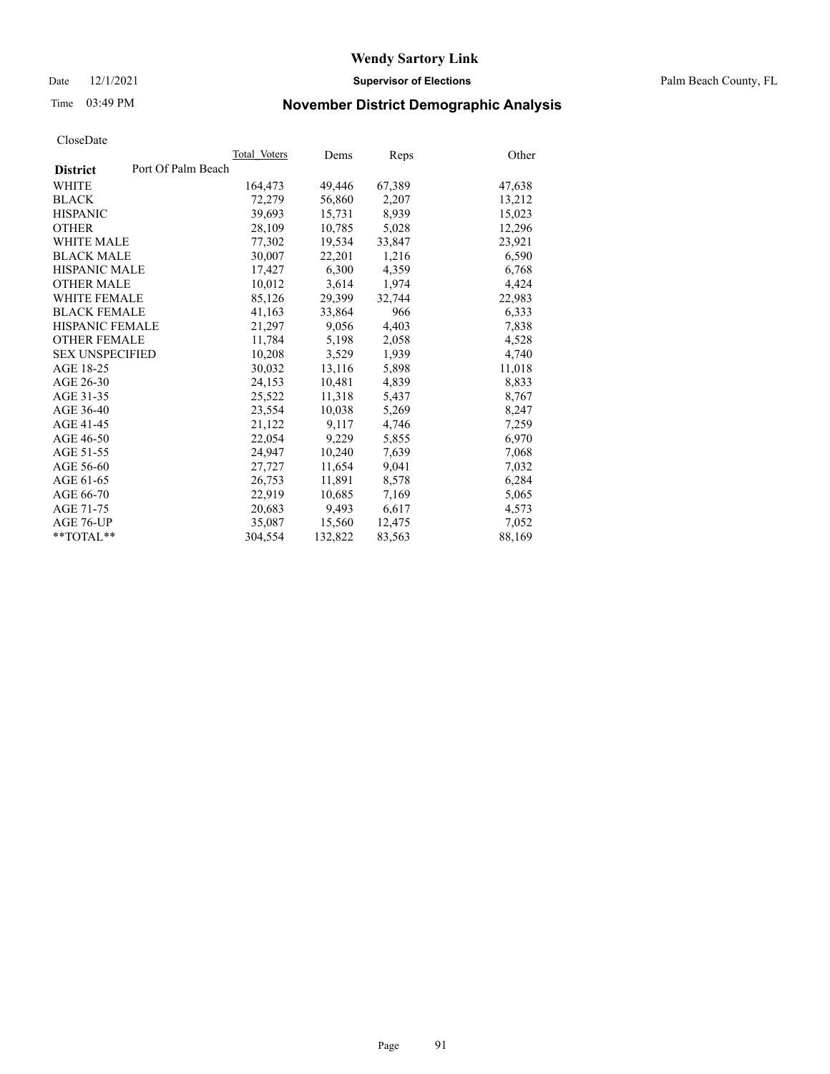Date 12/1/2021 **Supervisor of Elections** Palm Beach County, FL

# Time 03:49 PM **November District Demographic Analysis**

|                                       | Total Voters | Dems    | Reps   | Other  |
|---------------------------------------|--------------|---------|--------|--------|
| Port Of Palm Beach<br><b>District</b> |              |         |        |        |
| WHITE                                 | 164,473      | 49,446  | 67,389 | 47,638 |
| <b>BLACK</b>                          | 72,279       | 56,860  | 2,207  | 13,212 |
| <b>HISPANIC</b>                       | 39.693       | 15.731  | 8,939  | 15,023 |
| <b>OTHER</b>                          | 28,109       | 10,785  | 5,028  | 12,296 |
| <b>WHITE MALE</b>                     | 77,302       | 19,534  | 33,847 | 23,921 |
| <b>BLACK MALE</b>                     | 30,007       | 22,201  | 1,216  | 6,590  |
| <b>HISPANIC MALE</b>                  | 17,427       | 6,300   | 4,359  | 6,768  |
| <b>OTHER MALE</b>                     | 10,012       | 3,614   | 1,974  | 4,424  |
| <b>WHITE FEMALE</b>                   | 85,126       | 29,399  | 32.744 | 22,983 |
| <b>BLACK FEMALE</b>                   | 41,163       | 33,864  | 966    | 6,333  |
| HISPANIC FEMALE                       | 21,297       | 9,056   | 4,403  | 7,838  |
| <b>OTHER FEMALE</b>                   | 11,784       | 5,198   | 2,058  | 4,528  |
| <b>SEX UNSPECIFIED</b>                | 10,208       | 3,529   | 1,939  | 4,740  |
| AGE 18-25                             | 30,032       | 13,116  | 5,898  | 11,018 |
| AGE 26-30                             | 24,153       | 10,481  | 4,839  | 8,833  |
| AGE 31-35                             | 25,522       | 11,318  | 5,437  | 8,767  |
| AGE 36-40                             | 23,554       | 10,038  | 5,269  | 8,247  |
| AGE 41-45                             | 21,122       | 9,117   | 4,746  | 7,259  |
| AGE 46-50                             | 22,054       | 9,229   | 5,855  | 6,970  |
| AGE 51-55                             | 24,947       | 10,240  | 7,639  | 7,068  |
| AGE 56-60                             | 27,727       | 11,654  | 9,041  | 7,032  |
| AGE 61-65                             | 26.753       | 11.891  | 8,578  | 6,284  |
| AGE 66-70                             | 22,919       | 10,685  | 7,169  | 5,065  |
| AGE 71-75                             | 20,683       | 9,493   | 6,617  | 4,573  |
| AGE 76-UP                             | 35,087       | 15,560  | 12,475 | 7,052  |
| $*$ $TOTAL**$                         | 304.554      | 132,822 | 83,563 | 88,169 |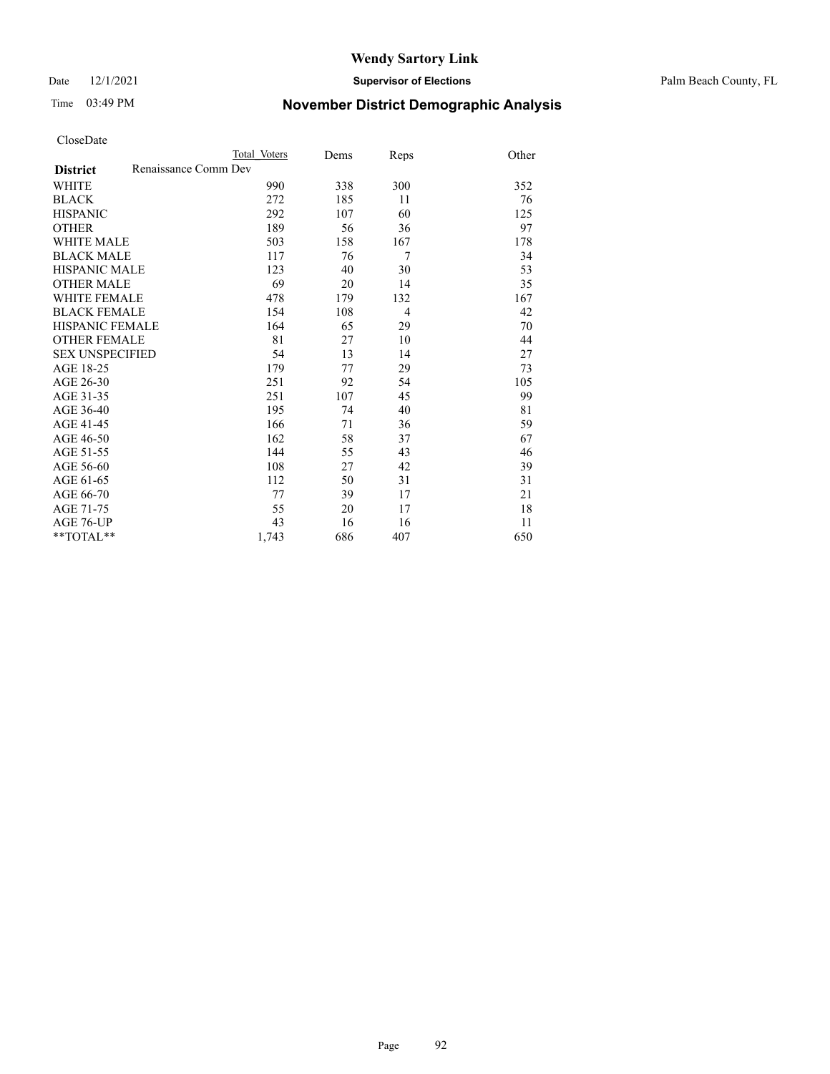Date 12/1/2021 **Supervisor of Elections** Palm Beach County, FL

# Time 03:49 PM **November District Demographic Analysis**

|                                         | Total Voters | Dems | Reps | Other |
|-----------------------------------------|--------------|------|------|-------|
| Renaissance Comm Dev<br><b>District</b> |              |      |      |       |
| WHITE                                   | 990          | 338  | 300  | 352   |
| <b>BLACK</b>                            | 272          | 185  | 11   | 76    |
| <b>HISPANIC</b>                         | 292          | 107  | 60   | 125   |
| <b>OTHER</b>                            | 189          | 56   | 36   | 97    |
| WHITE MALE                              | 503          | 158  | 167  | 178   |
| <b>BLACK MALE</b>                       | 117          | 76   | 7    | 34    |
| <b>HISPANIC MALE</b>                    | 123          | 40   | 30   | 53    |
| <b>OTHER MALE</b>                       | 69           | 20   | 14   | 35    |
| WHITE FEMALE                            | 478          | 179  | 132  | 167   |
| <b>BLACK FEMALE</b>                     | 154          | 108  | 4    | 42    |
| HISPANIC FEMALE                         | 164          | 65   | 29   | 70    |
| <b>OTHER FEMALE</b>                     | 81           | 27   | 10   | 44    |
| <b>SEX UNSPECIFIED</b>                  | 54           | 13   | 14   | 27    |
| AGE 18-25                               | 179          | 77   | 29   | 73    |
| AGE 26-30                               | 251          | 92   | 54   | 105   |
| AGE 31-35                               | 251          | 107  | 45   | 99    |
| AGE 36-40                               | 195          | 74   | 40   | 81    |
| AGE 41-45                               | 166          | 71   | 36   | 59    |
| AGE 46-50                               | 162          | 58   | 37   | 67    |
| AGE 51-55                               | 144          | 55   | 43   | 46    |
| AGE 56-60                               | 108          | 27   | 42   | 39    |
| AGE 61-65                               | 112          | 50   | 31   | 31    |
| AGE 66-70                               | 77           | 39   | 17   | 21    |
| AGE 71-75                               | 55           | 20   | 17   | 18    |
| AGE 76-UP                               | 43           | 16   | 16   | 11    |
| **TOTAL**                               | 1,743        | 686  | 407  | 650   |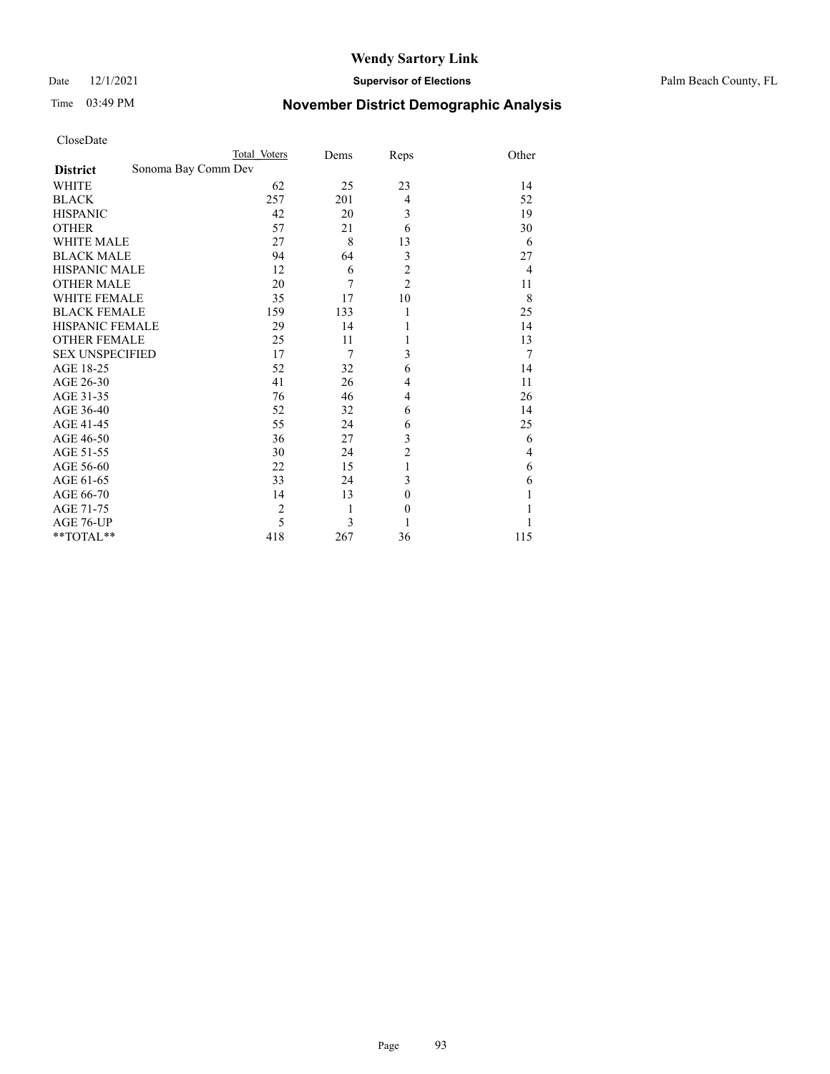### Date 12/1/2021 **Supervisor of Elections** Palm Beach County, FL

# Time 03:49 PM **November District Demographic Analysis**

| CloseDate |
|-----------|
|-----------|

| CloseDate              |                     |                |      |                |                         |
|------------------------|---------------------|----------------|------|----------------|-------------------------|
|                        |                     | Total Voters   | Dems | Reps           | Other                   |
| <b>District</b>        | Sonoma Bay Comm Dev |                |      |                |                         |
| <b>WHITE</b>           |                     | 62             | 25   | 23             | 14                      |
| <b>BLACK</b>           |                     | 257            | 201  | 4              | 52                      |
| <b>HISPANIC</b>        |                     | 42             | 20   | 3              | 19                      |
| <b>OTHER</b>           |                     | 57             | 21   | 6              | 30                      |
| <b>WHITE MALE</b>      |                     | 27             | 8    | 13             | 6                       |
| <b>BLACK MALE</b>      |                     | 94             | 64   | 3              | 27                      |
| <b>HISPANIC MALE</b>   |                     | 12             | 6    | $\overline{c}$ | $\overline{4}$          |
| <b>OTHER MALE</b>      |                     | 20             | 7    | $\overline{2}$ | 11                      |
| <b>WHITE FEMALE</b>    |                     | 35             | 17   | 10             | 8                       |
| <b>BLACK FEMALE</b>    |                     | 159            | 133  | 1              | 25                      |
| <b>HISPANIC FEMALE</b> |                     | 29             | 14   | 1              | 14                      |
| <b>OTHER FEMALE</b>    |                     | 25             | 11   | 1              | 13                      |
| <b>SEX UNSPECIFIED</b> |                     | 17             | 7    | 3              | 7                       |
| AGE 18-25              |                     | 52             | 32   | 6              | 14                      |
| AGE 26-30              |                     | 41             | 26   | 4              | 11                      |
| AGE 31-35              |                     | 76             | 46   | 4              | 26                      |
| AGE 36-40              |                     | 52             | 32   | 6              | 14                      |
| AGE 41-45              |                     | 55             | 24   | 6              | 25                      |
| AGE 46-50              |                     | 36             | 27   | 3              | 6                       |
| AGE 51-55              |                     | 30             | 24   | $\overline{c}$ | $\overline{\mathbf{4}}$ |
| AGE 56-60              |                     | 22             | 15   | 1              | 6                       |
| AGE 61-65              |                     | 33             | 24   | 3              | 6                       |
| AGE 66-70              |                     | 14             | 13   | $\theta$       | 1                       |
| AGE 71-75              |                     | $\overline{c}$ | 1    | $\theta$       |                         |
| AGE 76-UP              |                     | 5              | 3    | 1              |                         |
| **TOTAL**              |                     | 418            | 267  | 36             | 115                     |
|                        |                     |                |      |                |                         |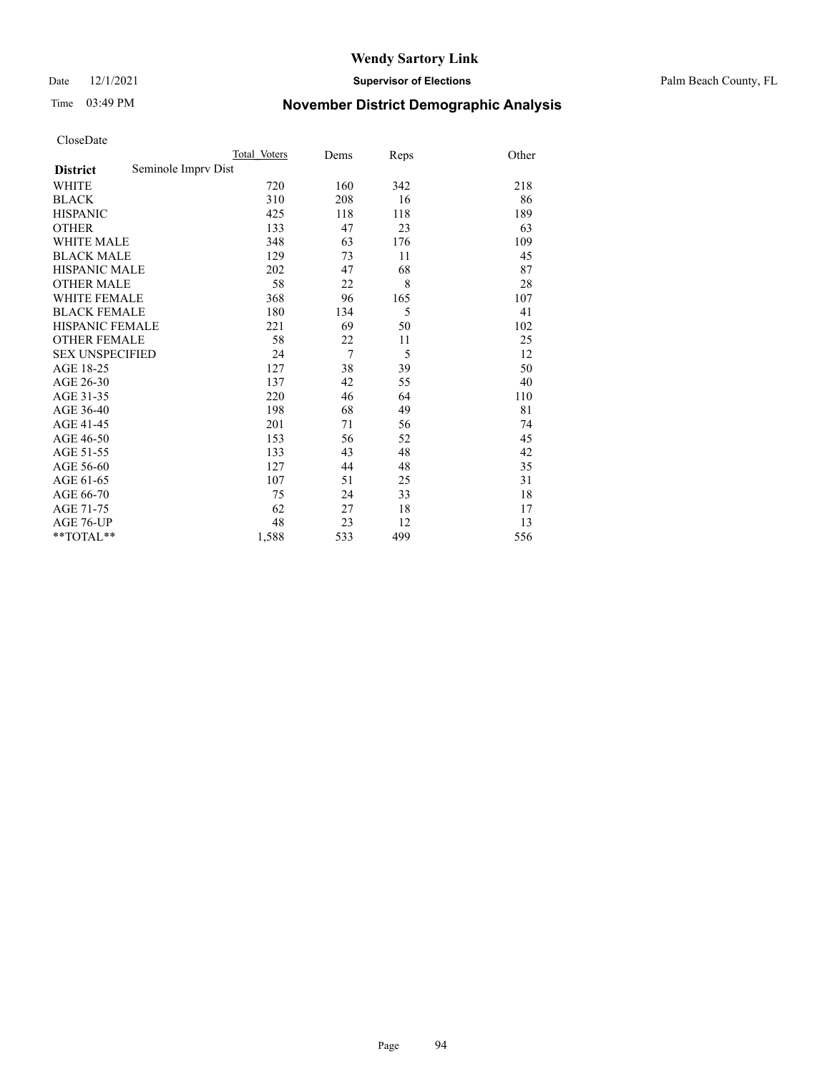Date 12/1/2021 **Supervisor of Elections** Palm Beach County, FL

# Time 03:49 PM **November District Demographic Analysis**

|                        |                     | Total Voters | Dems           | Reps | Other |
|------------------------|---------------------|--------------|----------------|------|-------|
| <b>District</b>        | Seminole Imprv Dist |              |                |      |       |
| WHITE                  |                     | 720          | 160            | 342  | 218   |
| <b>BLACK</b>           |                     | 310          | 208            | 16   | 86    |
| <b>HISPANIC</b>        |                     | 425          | 118            | 118  | 189   |
| <b>OTHER</b>           |                     | 133          | 47             | 23   | 63    |
| <b>WHITE MALE</b>      |                     | 348          | 63             | 176  | 109   |
| <b>BLACK MALE</b>      |                     | 129          | 73             | 11   | 45    |
| <b>HISPANIC MALE</b>   |                     | 202          | 47             | 68   | 87    |
| <b>OTHER MALE</b>      |                     | 58           | 22             | 8    | 28    |
| WHITE FEMALE           |                     | 368          | 96             | 165  | 107   |
| <b>BLACK FEMALE</b>    |                     | 180          | 134            | 5    | 41    |
| HISPANIC FEMALE        |                     | 221          | 69             | 50   | 102   |
| <b>OTHER FEMALE</b>    |                     | 58           | 22             | 11   | 25    |
| <b>SEX UNSPECIFIED</b> |                     | 24           | $\overline{7}$ | 5    | 12    |
| AGE 18-25              |                     | 127          | 38             | 39   | 50    |
| AGE 26-30              |                     | 137          | 42             | 55   | 40    |
| AGE 31-35              |                     | 220          | 46             | 64   | 110   |
| AGE 36-40              |                     | 198          | 68             | 49   | 81    |
| AGE 41-45              |                     | 201          | 71             | 56   | 74    |
| AGE 46-50              |                     | 153          | 56             | 52   | 45    |
| AGE 51-55              |                     | 133          | 43             | 48   | 42    |
| AGE 56-60              |                     | 127          | 44             | 48   | 35    |
| AGE 61-65              |                     | 107          | 51             | 25   | 31    |
| AGE 66-70              |                     | 75           | 24             | 33   | 18    |
| AGE 71-75              |                     | 62           | 27             | 18   | 17    |
| AGE 76-UP              |                     | 48           | 23             | 12   | 13    |
| $*$ $TOTAL**$          |                     | 1,588        | 533            | 499  | 556   |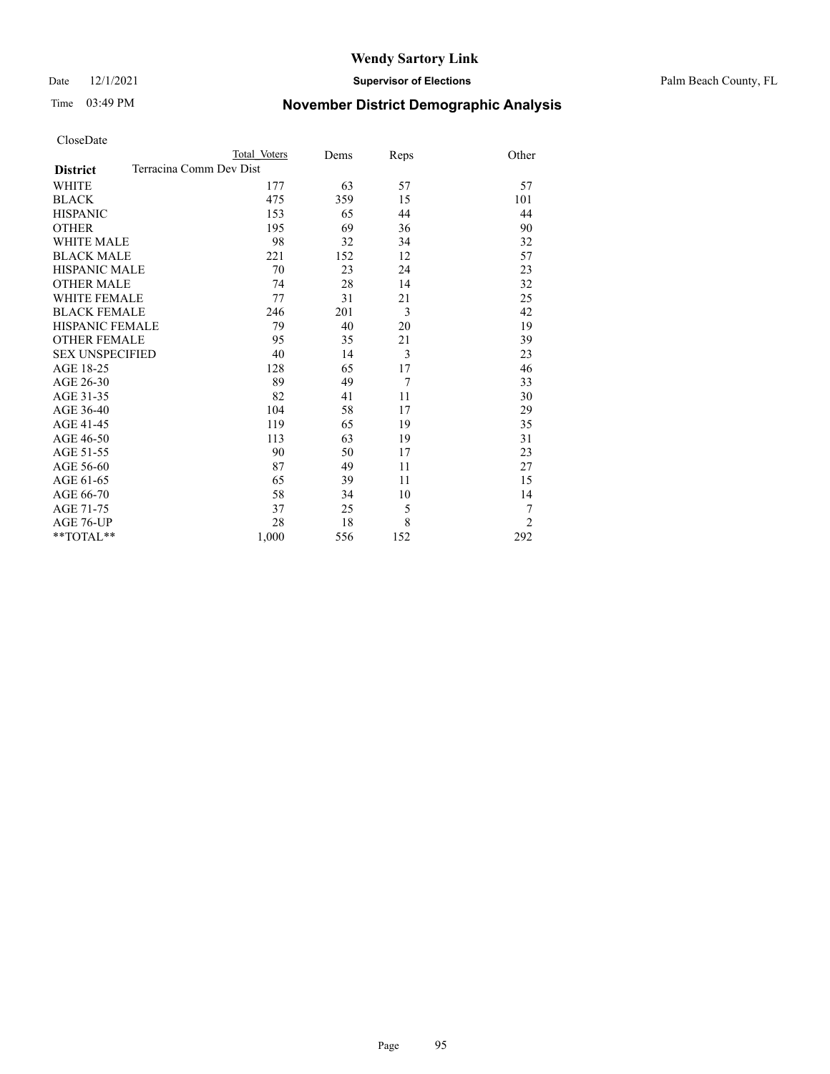Date 12/1/2021 **Supervisor of Elections** Palm Beach County, FL

# Time 03:49 PM **November District Demographic Analysis**

| CloseDate |
|-----------|
|-----------|

| CloseDate              |                         |      |                |                |
|------------------------|-------------------------|------|----------------|----------------|
|                        | Total Voters            | Dems | Reps           | Other          |
| <b>District</b>        | Terracina Comm Dev Dist |      |                |                |
| <b>WHITE</b>           | 177                     | 63   | 57             | 57             |
| <b>BLACK</b>           | 475                     | 359  | 15             | 101            |
| <b>HISPANIC</b>        | 153                     | 65   | 44             | 44             |
| <b>OTHER</b>           | 195                     | 69   | 36             | 90             |
| <b>WHITE MALE</b>      | 98                      | 32   | 34             | 32             |
| <b>BLACK MALE</b>      | 221                     | 152  | 12             | 57             |
| <b>HISPANIC MALE</b>   | 70                      | 23   | 24             | 23             |
| <b>OTHER MALE</b>      | 74                      | 28   | 14             | 32             |
| <b>WHITE FEMALE</b>    | 77                      | 31   | 21             | 25             |
| <b>BLACK FEMALE</b>    | 246                     | 201  | 3              | 42             |
| <b>HISPANIC FEMALE</b> | 79                      | 40   | 20             | 19             |
| <b>OTHER FEMALE</b>    | 95                      | 35   | 21             | 39             |
| <b>SEX UNSPECIFIED</b> | 40                      | 14   | 3              | 23             |
| AGE 18-25              | 128                     | 65   | 17             | 46             |
| AGE 26-30              | 89                      | 49   | $\overline{7}$ | 33             |
| AGE 31-35              | 82                      | 41   | 11             | 30             |
| AGE 36-40              | 104                     | 58   | 17             | 29             |
| AGE 41-45              | 119                     | 65   | 19             | 35             |
| AGE 46-50              | 113                     | 63   | 19             | 31             |
| AGE 51-55              | 90                      | 50   | 17             | 23             |
| AGE 56-60              | 87                      | 49   | 11             | 27             |
| AGE 61-65              | 65                      | 39   | 11             | 15             |
| AGE 66-70              | 58                      | 34   | 10             | 14             |
| AGE 71-75              | 37                      | 25   | 5              | 7              |
| AGE 76-UP              | 28                      | 18   | 8              | $\overline{2}$ |

\*\*TOTAL\*\* 1,000 556 152 292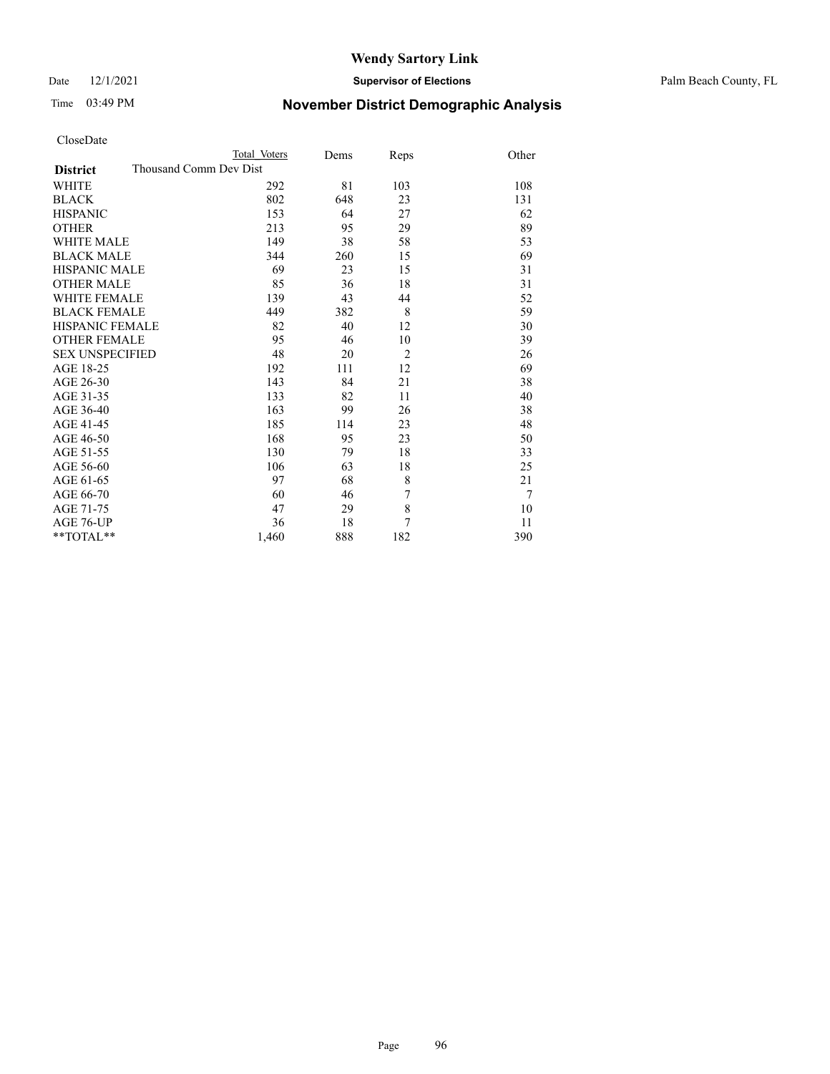### Date 12/1/2021 **Supervisor of Elections** Palm Beach County, FL

# Time 03:49 PM **November District Demographic Analysis**

| CloseDate |  |
|-----------|--|
|-----------|--|

| CloseDate              |                        |      |                |                |
|------------------------|------------------------|------|----------------|----------------|
|                        | Total Voters           | Dems | Reps           | Other          |
| <b>District</b>        | Thousand Comm Dev Dist |      |                |                |
| <b>WHITE</b>           | 292                    | 81   | 103            | 108            |
| <b>BLACK</b>           | 802                    | 648  | 23             | 131            |
| <b>HISPANIC</b>        | 153                    | 64   | 27             | 62             |
| <b>OTHER</b>           | 213                    | 95   | 29             | 89             |
| <b>WHITE MALE</b>      | 149                    | 38   | 58             | 53             |
| <b>BLACK MALE</b>      | 344                    | 260  | 15             | 69             |
| <b>HISPANIC MALE</b>   | 69                     | 23   | 15             | 31             |
| <b>OTHER MALE</b>      | 85                     | 36   | 18             | 31             |
| <b>WHITE FEMALE</b>    | 139                    | 43   | 44             | 52             |
| <b>BLACK FEMALE</b>    | 449                    | 382  | 8              | 59             |
| <b>HISPANIC FEMALE</b> | 82                     | 40   | 12             | 30             |
| <b>OTHER FEMALE</b>    | 95                     | 46   | 10             | 39             |
| <b>SEX UNSPECIFIED</b> | 48                     | 20   | $\overline{2}$ | 26             |
| AGE 18-25              | 192                    | 111  | 12             | 69             |
| AGE 26-30              | 143                    | 84   | 21             | 38             |
| AGE 31-35              | 133                    | 82   | 11             | 40             |
| AGE 36-40              | 163                    | 99   | 26             | 38             |
| AGE 41-45              | 185                    | 114  | 23             | 48             |
| AGE 46-50              | 168                    | 95   | 23             | 50             |
| AGE 51-55              | 130                    | 79   | 18             | 33             |
| AGE 56-60              | 106                    | 63   | 18             | 25             |
| AGE 61-65              | 97                     | 68   | 8              | 21             |
| AGE 66-70              | 60                     | 46   | 7              | $\overline{7}$ |
| AGE 71-75              | 47                     | 29   | 8              | 10             |
| AGE 76-UP              | 36                     | 18   | 7              | 11             |

\*\*TOTAL\*\* 1,460 888 182 390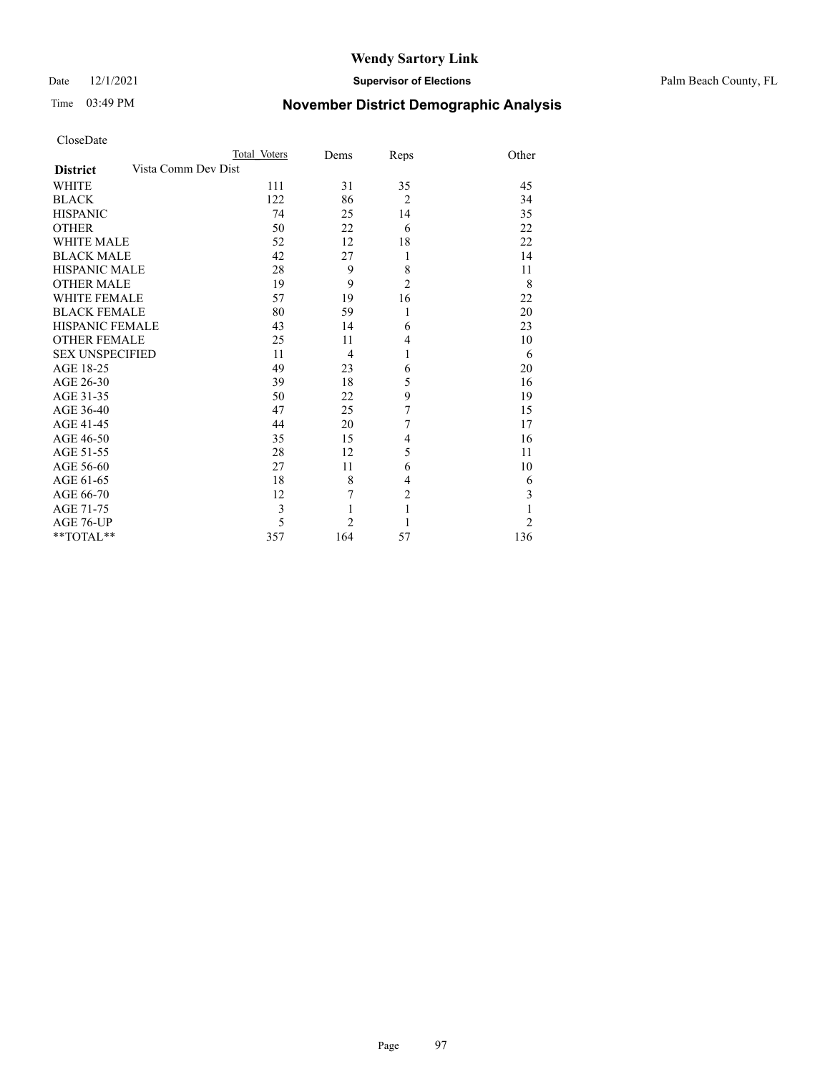### Date 12/1/2021 **Supervisor of Elections** Palm Beach County, FL

# Time 03:49 PM **November District Demographic Analysis**

| CloseDate |
|-----------|
|-----------|

| CloseDate              |                     |              |                |                |                |
|------------------------|---------------------|--------------|----------------|----------------|----------------|
|                        |                     | Total Voters | Dems           | Reps           | Other          |
| <b>District</b>        | Vista Comm Dev Dist |              |                |                |                |
| <b>WHITE</b>           |                     | 111          | 31             | 35             | 45             |
| <b>BLACK</b>           |                     | 122          | 86             | $\overline{2}$ | 34             |
| <b>HISPANIC</b>        |                     | 74           | 25             | 14             | 35             |
| <b>OTHER</b>           |                     | 50           | 22             | 6              | 22             |
| <b>WHITE MALE</b>      |                     | 52           | 12             | 18             | 22             |
| <b>BLACK MALE</b>      |                     | 42           | 27             | 1              | 14             |
| <b>HISPANIC MALE</b>   |                     | 28           | 9              | 8              | 11             |
| <b>OTHER MALE</b>      |                     | 19           | 9              | $\overline{c}$ | 8              |
| <b>WHITE FEMALE</b>    |                     | 57           | 19             | 16             | 22             |
| <b>BLACK FEMALE</b>    |                     | 80           | 59             | 1              | 20             |
| <b>HISPANIC FEMALE</b> |                     | 43           | 14             | 6              | 23             |
| <b>OTHER FEMALE</b>    |                     | 25           | 11             | $\overline{4}$ | 10             |
| <b>SEX UNSPECIFIED</b> |                     | 11           | 4              | 1              | 6              |
| AGE 18-25              |                     | 49           | 23             | 6              | 20             |
| AGE 26-30              |                     | 39           | 18             | 5              | 16             |
| AGE 31-35              |                     | 50           | 22             | 9              | 19             |
| AGE 36-40              |                     | 47           | 25             | 7              | 15             |
| AGE 41-45              |                     | 44           | 20             | 7              | 17             |
| AGE 46-50              |                     | 35           | 15             | 4              | 16             |
| AGE 51-55              |                     | 28           | 12             | 5              | 11             |
| AGE 56-60              |                     | 27           | 11             | 6              | 10             |
| AGE 61-65              |                     | 18           | 8              | 4              | 6              |
| AGE 66-70              |                     | 12           | 7              | $\overline{c}$ | 3              |
| AGE 71-75              |                     | 3            | 1              | 1              | $\mathbf{1}$   |
| AGE 76-UP              |                     | 5            | $\overline{2}$ |                | $\overline{c}$ |
| **TOTAL**              |                     | 357          | 164            | 57             | 136            |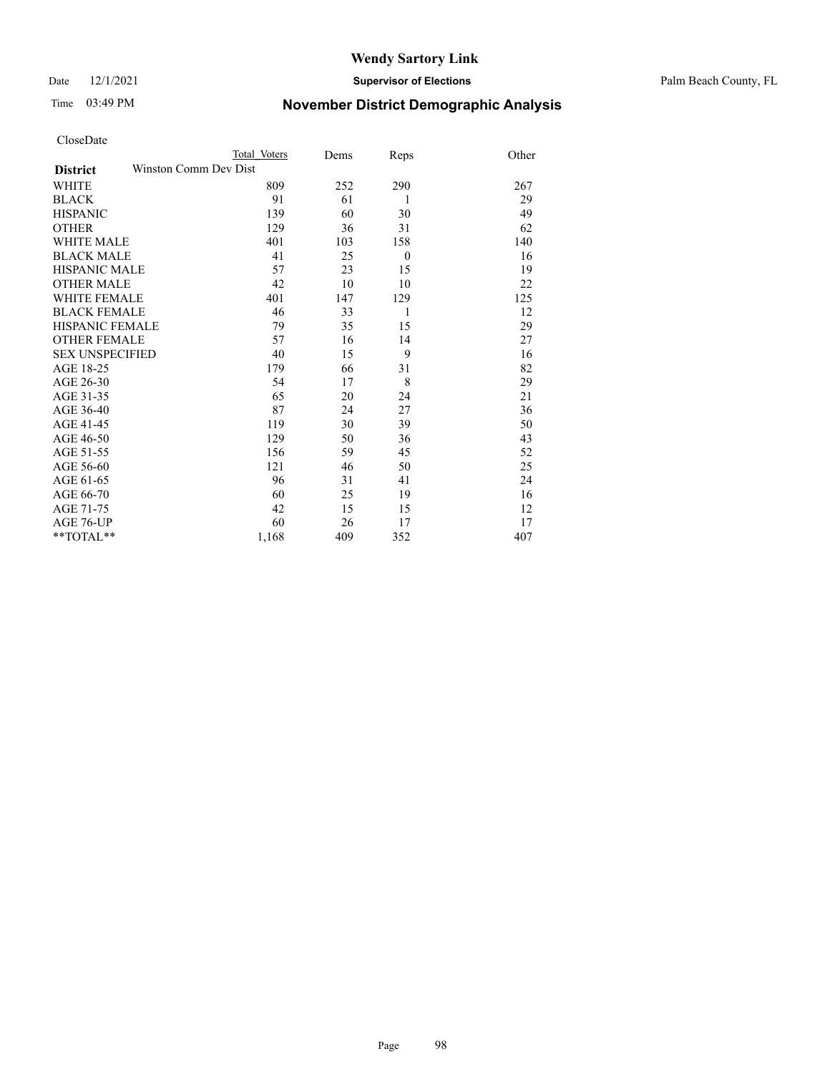Date 12/1/2021 **Supervisor of Elections** Palm Beach County, FL

# Time 03:49 PM **November District Demographic Analysis**

| CloseDate |
|-----------|
|-----------|

| Total Voters                                                                                                                                                                                                 | Dems                  | Reps     | Other |
|--------------------------------------------------------------------------------------------------------------------------------------------------------------------------------------------------------------|-----------------------|----------|-------|
|                                                                                                                                                                                                              |                       |          |       |
| 809                                                                                                                                                                                                          | 252                   | 290      | 267   |
| 91                                                                                                                                                                                                           | 61                    | 1        | 29    |
| 139                                                                                                                                                                                                          | 60                    | 30       | 49    |
| 129                                                                                                                                                                                                          | 36                    | 31       | 62    |
| 401                                                                                                                                                                                                          | 103                   | 158      | 140   |
| 41                                                                                                                                                                                                           | 25                    | $\theta$ | 16    |
| 57                                                                                                                                                                                                           | 23                    | 15       | 19    |
| 42                                                                                                                                                                                                           | 10                    | 10       | 22    |
| 401                                                                                                                                                                                                          | 147                   | 129      | 125   |
| 46                                                                                                                                                                                                           | 33                    | 1        | 12    |
| 79                                                                                                                                                                                                           | 35                    | 15       | 29    |
| 57                                                                                                                                                                                                           | 16                    | 14       | 27    |
| 40                                                                                                                                                                                                           | 15                    | 9        | 16    |
| 179                                                                                                                                                                                                          | 66                    | 31       | 82    |
| 54                                                                                                                                                                                                           | 17                    | 8        | 29    |
| 65                                                                                                                                                                                                           | 20                    | 24       | 21    |
| 87                                                                                                                                                                                                           | 24                    | 27       | 36    |
| 119                                                                                                                                                                                                          | 30                    | 39       | 50    |
| 129                                                                                                                                                                                                          | 50                    | 36       | 43    |
| 156                                                                                                                                                                                                          | 59                    | 45       | 52    |
| 121                                                                                                                                                                                                          | 46                    | 50       | 25    |
| 96                                                                                                                                                                                                           | 31                    | 41       | 24    |
| 60                                                                                                                                                                                                           | 25                    | 19       | 16    |
| 42                                                                                                                                                                                                           | 15                    | 15       | 12    |
| 60                                                                                                                                                                                                           | 26                    | 17       | 17    |
| 1,168                                                                                                                                                                                                        | 409                   | 352      | 407   |
| <b>WHITE MALE</b><br><b>BLACK MALE</b><br><b>HISPANIC MALE</b><br><b>OTHER MALE</b><br><b>WHITE FEMALE</b><br><b>BLACK FEMALE</b><br><b>HISPANIC FEMALE</b><br><b>OTHER FEMALE</b><br><b>SEX UNSPECIFIED</b> | Winston Comm Dev Dist |          |       |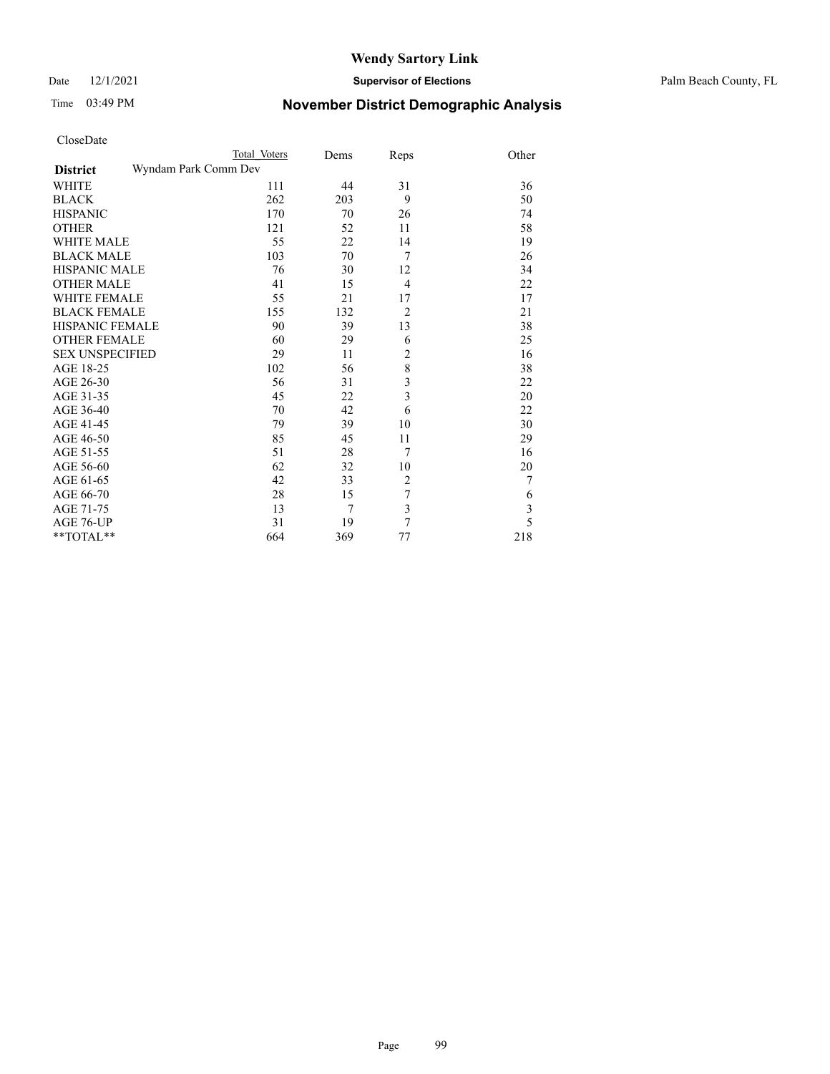## Time 03:49 PM **November District Demographic Analysis**

AGE 61-65

| CloseDate              |                      |      |                |       |
|------------------------|----------------------|------|----------------|-------|
|                        | Total Voters         | Dems | Reps           | Other |
| <b>District</b>        | Wyndam Park Comm Dev |      |                |       |
| <b>WHITE</b>           | 111                  | 44   | 31             | 36    |
| <b>BLACK</b>           | 262                  | 203  | 9              | 50    |
| <b>HISPANIC</b>        | 170                  | 70   | 26             | 74    |
| <b>OTHER</b>           | 121                  | 52   | 11             | 58    |
| <b>WHITE MALE</b>      | 55                   | 22   | 14             | 19    |
| <b>BLACK MALE</b>      | 103                  | 70   |                | 26    |
| <b>HISPANIC MALE</b>   | 76                   | 30   | 12             | 34    |
| <b>OTHER MALE</b>      | 41                   | 15   | 4              | 22    |
| <b>WHITE FEMALE</b>    | 55                   | 21   | 17             | 17    |
| <b>BLACK FEMALE</b>    | 155                  | 132  | $\overline{2}$ | 21    |
| <b>HISPANIC FEMALE</b> | 90                   | 39   | 13             | 38    |
| <b>OTHER FEMALE</b>    | 60                   | 29   | 6              | 25    |
| <b>SEX UNSPECIFIED</b> | 29                   | 11   | $\overline{2}$ | 16    |
| AGE 18-25              | 102                  | 56   | 8              | 38    |
| AGE 26-30              | 56                   | 31   | 3              | 22    |

AGE 26-30 56 31 3<br>AGE 31-35 45 22 3

\*\*TOTAL\*\* 664 369

AGE 31-35 45 22 3 20<br>AGE 36-40 70 42 6 22 AGE 36-40 70 42 6 22<br>AGE 41-45 79 39 10 30 AGE 41-45 79 39 10 30<br>AGE 46-50 85 45 11 29 AGE 46-50 85 45 11 29<br>AGE 51-55 51 28 7 16 AGE 51-55 51 28 7 16<br>AGE 56-60 62 32 10 20 AGE 56-60 <br>
AGE 61-65 <br>
AGE 66-70 <br>
AGE 66-70 <br>  $28$   $15$   $7$  6

AGE 66-70 28 15 7 6<br>AGE 71-75 13 7 3 3 AGE 71-75 13 7 3<br>AGE 76-UP 31 19 7 5 AGE 76-UP 31 19 7 5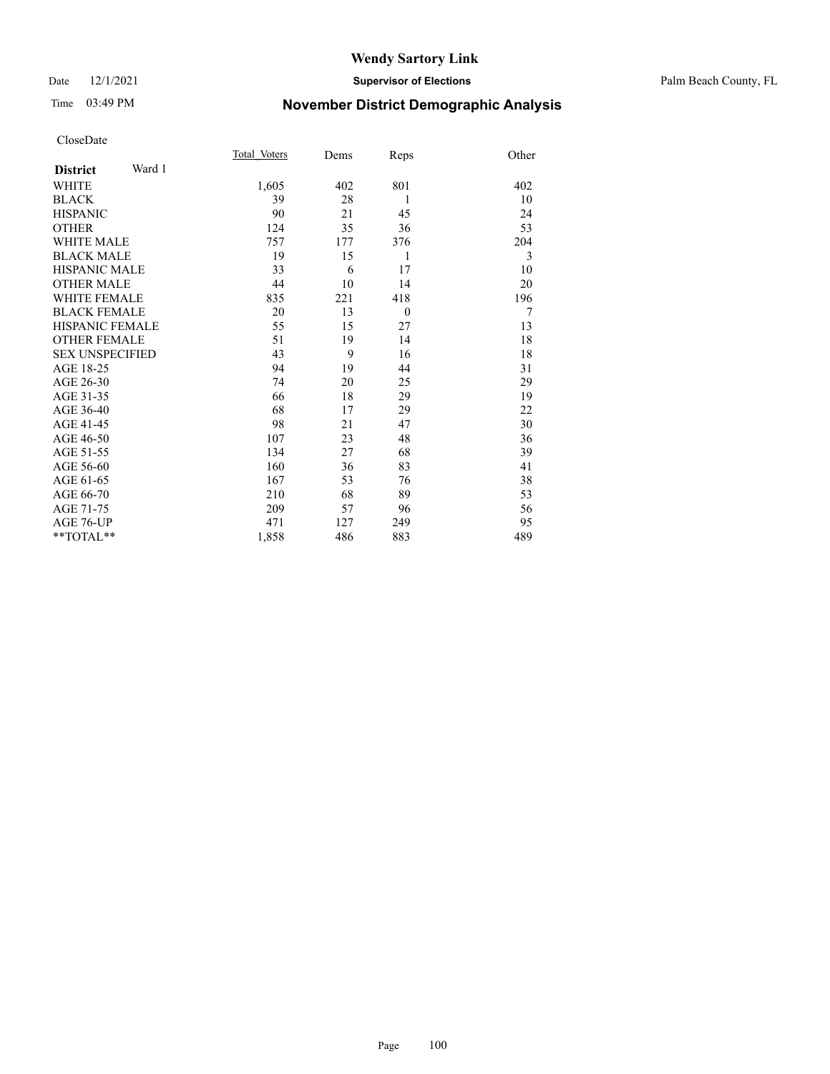### Date 12/1/2021 **Supervisor of Elections** Palm Beach County, FL

## Time 03:49 PM **November District Demographic Analysis**

|                           | Total Voters | Dems | Reps           | Other |
|---------------------------|--------------|------|----------------|-------|
| Ward 1<br><b>District</b> |              |      |                |       |
| WHITE                     | 1,605        | 402  | 801            | 402   |
| <b>BLACK</b>              | 39           | 28   | 1              | 10    |
| <b>HISPANIC</b>           | 90           | 21   | 45             | 24    |
| <b>OTHER</b>              | 124          | 35   | 36             | 53    |
| <b>WHITE MALE</b>         | 757          | 177  | 376            | 204   |
| <b>BLACK MALE</b>         | 19           | 15   | 1              | 3     |
| <b>HISPANIC MALE</b>      | 33           | 6    | 17             | 10    |
| <b>OTHER MALE</b>         | 44           | 10   | 14             | 20    |
| <b>WHITE FEMALE</b>       | 835          | 221  | 418            | 196   |
| <b>BLACK FEMALE</b>       | 20           | 13   | $\overline{0}$ | 7     |
| <b>HISPANIC FEMALE</b>    | 55           | 15   | 27             | 13    |
| <b>OTHER FEMALE</b>       | 51           | 19   | 14             | 18    |
| <b>SEX UNSPECIFIED</b>    | 43           | 9    | 16             | 18    |
| AGE 18-25                 | 94           | 19   | 44             | 31    |
| AGE 26-30                 | 74           | 20   | 25             | 29    |
| AGE 31-35                 | 66           | 18   | 29             | 19    |
| AGE 36-40                 | 68           | 17   | 29             | 22    |
| AGE 41-45                 | 98           | 21   | 47             | 30    |
| AGE 46-50                 | 107          | 23   | 48             | 36    |
| AGE 51-55                 | 134          | 27   | 68             | 39    |
| AGE 56-60                 | 160          | 36   | 83             | 41    |
| AGE 61-65                 | 167          | 53   | 76             | 38    |
| AGE 66-70                 | 210          | 68   | 89             | 53    |
| AGE 71-75                 | 209          | 57   | 96             | 56    |
| <b>AGE 76-UP</b>          | 471          | 127  | 249            | 95    |
| $*$ $TOTAL**$             | 1,858        | 486  | 883            | 489   |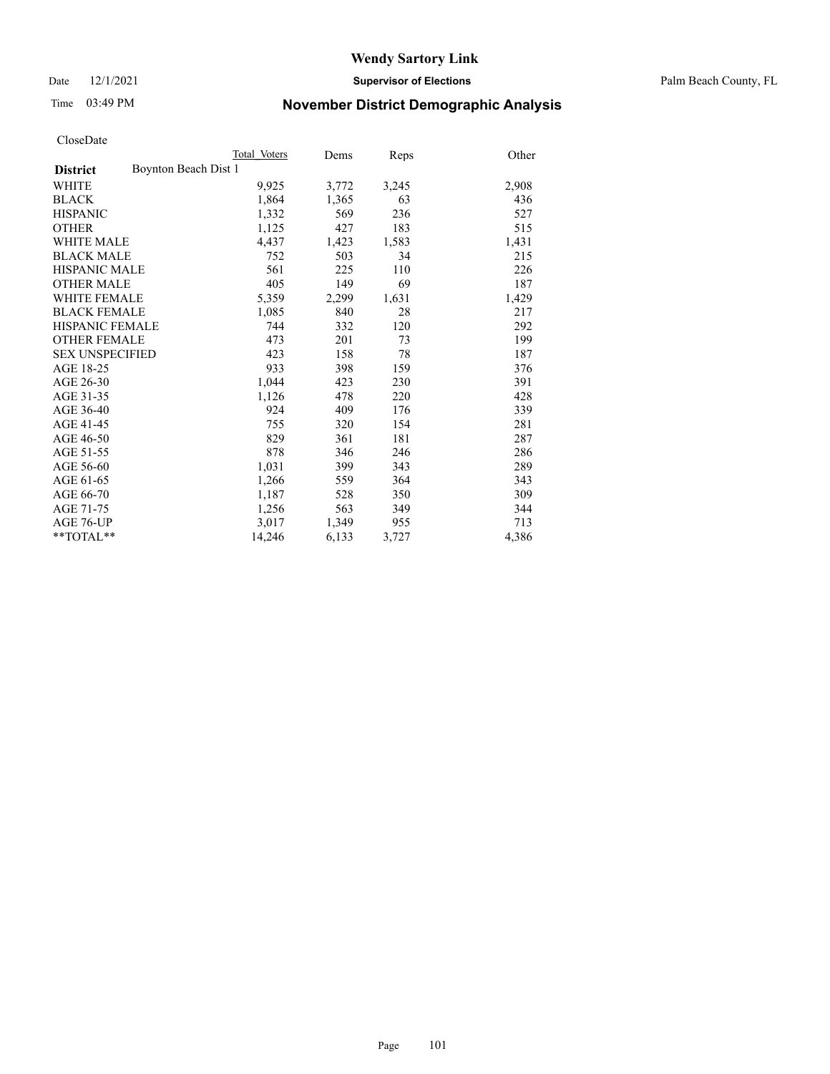Date 12/1/2021 **Supervisor of Elections** Palm Beach County, FL

# Time 03:49 PM **November District Demographic Analysis**

|                                         | Total Voters | Dems  | <b>Reps</b> | Other |
|-----------------------------------------|--------------|-------|-------------|-------|
| Boynton Beach Dist 1<br><b>District</b> |              |       |             |       |
| <b>WHITE</b>                            | 9,925        | 3,772 | 3,245       | 2,908 |
| <b>BLACK</b>                            | 1,864        | 1,365 | 63          | 436   |
| <b>HISPANIC</b>                         | 1,332        | 569   | 236         | 527   |
| <b>OTHER</b>                            | 1,125        | 427   | 183         | 515   |
| <b>WHITE MALE</b>                       | 4,437        | 1,423 | 1,583       | 1,431 |
| <b>BLACK MALE</b>                       | 752          | 503   | 34          | 215   |
| <b>HISPANIC MALE</b>                    | 561          | 225   | 110         | 226   |
| <b>OTHER MALE</b>                       | 405          | 149   | 69          | 187   |
| WHITE FEMALE                            | 5,359        | 2,299 | 1,631       | 1,429 |
| <b>BLACK FEMALE</b>                     | 1,085        | 840   | 28          | 217   |
| HISPANIC FEMALE                         | 744          | 332   | 120         | 292   |
| <b>OTHER FEMALE</b>                     | 473          | 201   | 73          | 199   |
| <b>SEX UNSPECIFIED</b>                  | 423          | 158   | 78          | 187   |
| AGE 18-25                               | 933          | 398   | 159         | 376   |
| AGE 26-30                               | 1,044        | 423   | 230         | 391   |
| AGE 31-35                               | 1,126        | 478   | 220         | 428   |
| AGE 36-40                               | 924          | 409   | 176         | 339   |
| AGE 41-45                               | 755          | 320   | 154         | 281   |
| AGE 46-50                               | 829          | 361   | 181         | 287   |
| AGE 51-55                               | 878          | 346   | 246         | 286   |
| AGE 56-60                               | 1,031        | 399   | 343         | 289   |
| AGE 61-65                               | 1,266        | 559   | 364         | 343   |
| AGE 66-70                               | 1,187        | 528   | 350         | 309   |
| AGE 71-75                               | 1,256        | 563   | 349         | 344   |
| AGE 76-UP                               | 3,017        | 1,349 | 955         | 713   |
| $*$ $TOTAL**$                           | 14,246       | 6,133 | 3,727       | 4,386 |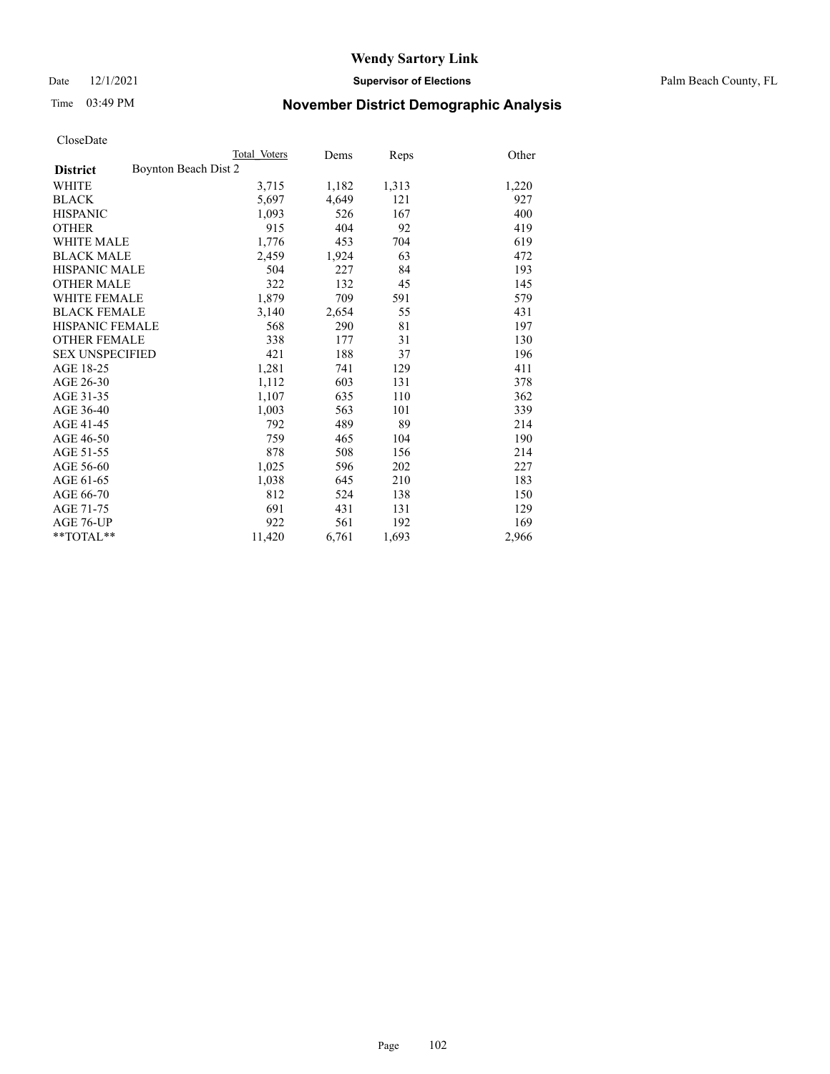Date 12/1/2021 **Supervisor of Elections** Palm Beach County, FL

# Time 03:49 PM **November District Demographic Analysis**

|                        | Total Voters         | Dems  | Reps  | Other |
|------------------------|----------------------|-------|-------|-------|
| <b>District</b>        | Boynton Beach Dist 2 |       |       |       |
| WHITE                  | 3,715                | 1,182 | 1,313 | 1,220 |
| <b>BLACK</b>           | 5,697                | 4,649 | 121   | 927   |
| <b>HISPANIC</b>        | 1,093                | 526   | 167   | 400   |
| <b>OTHER</b>           | 915                  | 404   | 92    | 419   |
| <b>WHITE MALE</b>      | 1,776                | 453   | 704   | 619   |
| <b>BLACK MALE</b>      | 2,459                | 1,924 | 63    | 472   |
| <b>HISPANIC MALE</b>   | 504                  | 227   | 84    | 193   |
| <b>OTHER MALE</b>      | 322                  | 132   | 45    | 145   |
| <b>WHITE FEMALE</b>    | 1,879                | 709   | 591   | 579   |
| <b>BLACK FEMALE</b>    | 3,140                | 2,654 | 55    | 431   |
| <b>HISPANIC FEMALE</b> | 568                  | 290   | 81    | 197   |
| <b>OTHER FEMALE</b>    | 338                  | 177   | 31    | 130   |
| <b>SEX UNSPECIFIED</b> | 421                  | 188   | 37    | 196   |
| AGE 18-25              | 1,281                | 741   | 129   | 411   |
| AGE 26-30              | 1,112                | 603   | 131   | 378   |
| AGE 31-35              | 1,107                | 635   | 110   | 362   |
| AGE 36-40              | 1,003                | 563   | 101   | 339   |
| AGE 41-45              | 792                  | 489   | 89    | 214   |
| AGE 46-50              | 759                  | 465   | 104   | 190   |
| AGE 51-55              | 878                  | 508   | 156   | 214   |
| AGE 56-60              | 1,025                | 596   | 202   | 227   |
| AGE 61-65              | 1,038                | 645   | 210   | 183   |
| AGE 66-70              | 812                  | 524   | 138   | 150   |
| AGE 71-75              | 691                  | 431   | 131   | 129   |
| AGE 76-UP              | 922                  | 561   | 192   | 169   |
| $*$ $TOTAL**$          | 11,420               | 6,761 | 1,693 | 2,966 |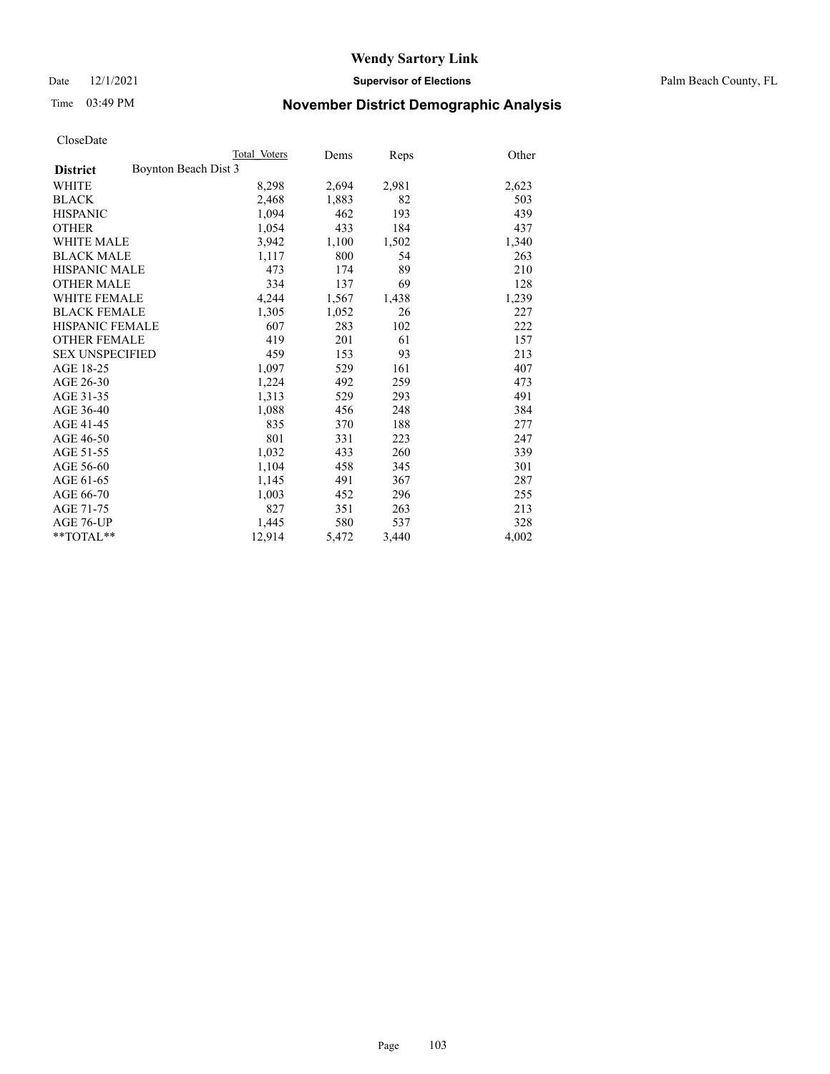Date 12/1/2021 **Supervisor of Elections** Palm Beach County, FL

# Time 03:49 PM **November District Demographic Analysis**

|                                         | Total Voters | Dems  | Reps  | Other |
|-----------------------------------------|--------------|-------|-------|-------|
| Boynton Beach Dist 3<br><b>District</b> |              |       |       |       |
| WHITE                                   | 8,298        | 2,694 | 2,981 | 2,623 |
| <b>BLACK</b>                            | 2,468        | 1,883 | 82    | 503   |
| <b>HISPANIC</b>                         | 1,094        | 462   | 193   | 439   |
| <b>OTHER</b>                            | 1,054        | 433   | 184   | 437   |
| <b>WHITE MALE</b>                       | 3,942        | 1,100 | 1,502 | 1,340 |
| <b>BLACK MALE</b>                       | 1,117        | 800   | 54    | 263   |
| <b>HISPANIC MALE</b>                    | 473          | 174   | 89    | 210   |
| <b>OTHER MALE</b>                       | 334          | 137   | 69    | 128   |
| <b>WHITE FEMALE</b>                     | 4,244        | 1,567 | 1,438 | 1,239 |
| <b>BLACK FEMALE</b>                     | 1,305        | 1,052 | 26    | 227   |
| HISPANIC FEMALE                         | 607          | 283   | 102   | 222   |
| <b>OTHER FEMALE</b>                     | 419          | 201   | 61    | 157   |
| <b>SEX UNSPECIFIED</b>                  | 459          | 153   | 93    | 213   |
| AGE 18-25                               | 1,097        | 529   | 161   | 407   |
| AGE 26-30                               | 1,224        | 492   | 259   | 473   |
| AGE 31-35                               | 1,313        | 529   | 293   | 491   |
| AGE 36-40                               | 1,088        | 456   | 248   | 384   |
| AGE 41-45                               | 835          | 370   | 188   | 277   |
| AGE 46-50                               | 801          | 331   | 223   | 247   |
| AGE 51-55                               | 1,032        | 433   | 260   | 339   |
| AGE 56-60                               | 1,104        | 458   | 345   | 301   |
| AGE 61-65                               | 1,145        | 491   | 367   | 287   |
| AGE 66-70                               | 1,003        | 452   | 296   | 255   |
| AGE 71-75                               | 827          | 351   | 263   | 213   |
| AGE 76-UP                               | 1,445        | 580   | 537   | 328   |
| $*$ $TOTAL**$                           | 12,914       | 5,472 | 3,440 | 4,002 |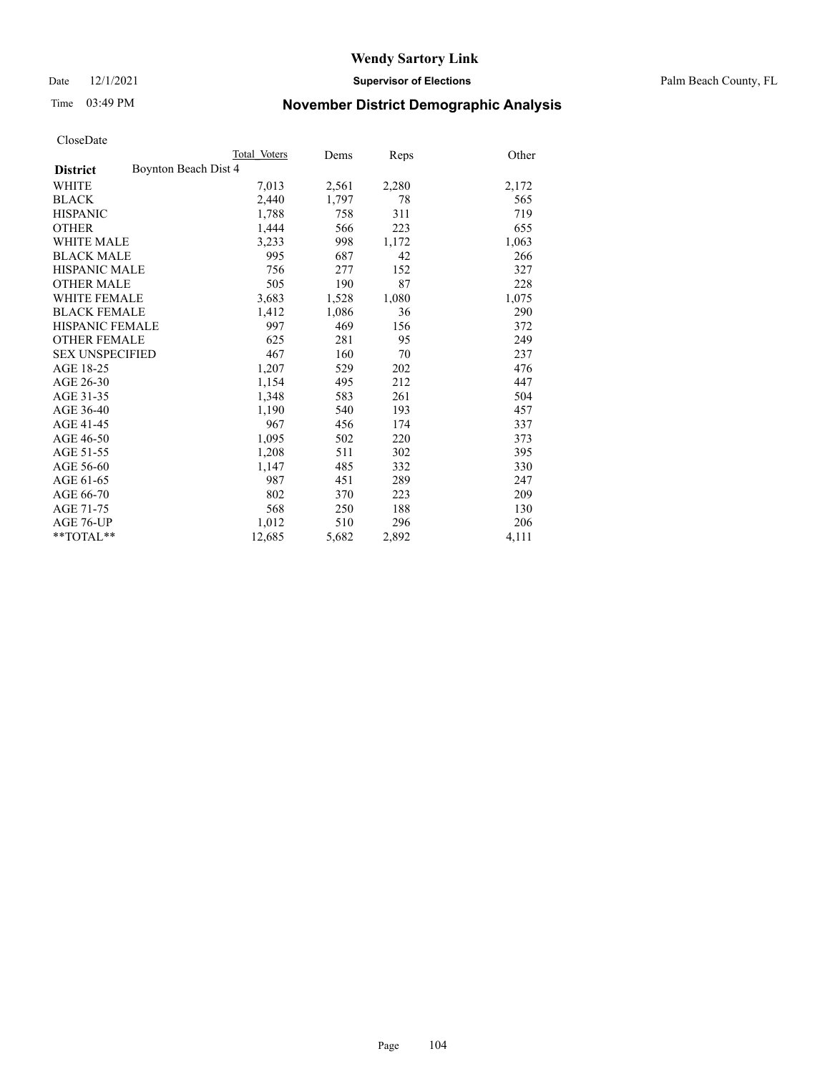Date 12/1/2021 **Supervisor of Elections** Palm Beach County, FL

# Time 03:49 PM **November District Demographic Analysis**

|                                         | Total Voters | Dems  | <b>Reps</b> | Other |
|-----------------------------------------|--------------|-------|-------------|-------|
| Boynton Beach Dist 4<br><b>District</b> |              |       |             |       |
| WHITE                                   | 7,013        | 2,561 | 2,280       | 2,172 |
| <b>BLACK</b>                            | 2,440        | 1,797 | 78          | 565   |
| <b>HISPANIC</b>                         | 1,788        | 758   | 311         | 719   |
| <b>OTHER</b>                            | 1,444        | 566   | 223         | 655   |
| <b>WHITE MALE</b>                       | 3,233        | 998   | 1,172       | 1,063 |
| <b>BLACK MALE</b>                       | 995          | 687   | 42          | 266   |
| <b>HISPANIC MALE</b>                    | 756          | 277   | 152         | 327   |
| <b>OTHER MALE</b>                       | 505          | 190   | 87          | 228   |
| WHITE FEMALE                            | 3,683        | 1,528 | 1,080       | 1,075 |
| <b>BLACK FEMALE</b>                     | 1,412        | 1,086 | 36          | 290   |
| <b>HISPANIC FEMALE</b>                  | 997          | 469   | 156         | 372   |
| <b>OTHER FEMALE</b>                     | 625          | 281   | 95          | 249   |
| <b>SEX UNSPECIFIED</b>                  | 467          | 160   | 70          | 237   |
| AGE 18-25                               | 1,207        | 529   | 202         | 476   |
| AGE 26-30                               | 1,154        | 495   | 212         | 447   |
| AGE 31-35                               | 1,348        | 583   | 261         | 504   |
| AGE 36-40                               | 1,190        | 540   | 193         | 457   |
| AGE 41-45                               | 967          | 456   | 174         | 337   |
| AGE 46-50                               | 1,095        | 502   | 220         | 373   |
| AGE 51-55                               | 1,208        | 511   | 302         | 395   |
| AGE 56-60                               | 1,147        | 485   | 332         | 330   |
| AGE 61-65                               | 987          | 451   | 289         | 247   |
| AGE 66-70                               | 802          | 370   | 223         | 209   |
| AGE 71-75                               | 568          | 250   | 188         | 130   |
| AGE 76-UP                               | 1,012        | 510   | 296         | 206   |
| $*$ $TOTAL**$                           | 12,685       | 5,682 | 2,892       | 4,111 |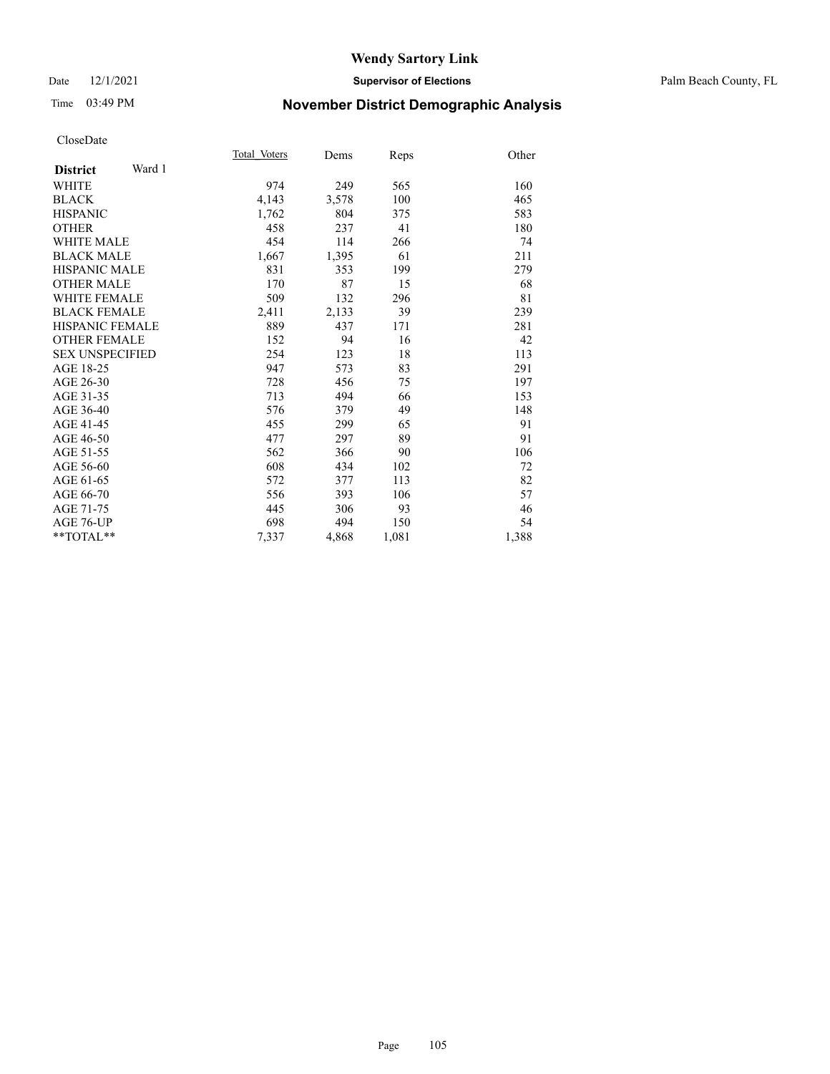### Date 12/1/2021 **Supervisor of Elections** Palm Beach County, FL

# Time 03:49 PM **November District Demographic Analysis**

|                           | Total Voters | Dems  | Reps  | Other |
|---------------------------|--------------|-------|-------|-------|
| Ward 1<br><b>District</b> |              |       |       |       |
| WHITE                     | 974          | 249   | 565   | 160   |
| <b>BLACK</b>              | 4,143        | 3,578 | 100   | 465   |
| <b>HISPANIC</b>           | 1,762        | 804   | 375   | 583   |
| <b>OTHER</b>              | 458          | 237   | 41    | 180   |
| WHITE MALE                | 454          | 114   | 266   | 74    |
| <b>BLACK MALE</b>         | 1,667        | 1,395 | 61    | 211   |
| <b>HISPANIC MALE</b>      | 831          | 353   | 199   | 279   |
| <b>OTHER MALE</b>         | 170          | 87    | 15    | 68    |
| <b>WHITE FEMALE</b>       | 509          | 132   | 296   | 81    |
| <b>BLACK FEMALE</b>       | 2,411        | 2,133 | 39    | 239   |
| <b>HISPANIC FEMALE</b>    | 889          | 437   | 171   | 281   |
| <b>OTHER FEMALE</b>       | 152          | 94    | 16    | 42    |
| <b>SEX UNSPECIFIED</b>    | 254          | 123   | 18    | 113   |
| AGE 18-25                 | 947          | 573   | 83    | 291   |
| AGE 26-30                 | 728          | 456   | 75    | 197   |
| AGE 31-35                 | 713          | 494   | 66    | 153   |
| AGE 36-40                 | 576          | 379   | 49    | 148   |
| AGE 41-45                 | 455          | 299   | 65    | 91    |
| AGE 46-50                 | 477          | 297   | 89    | 91    |
| AGE 51-55                 | 562          | 366   | 90    | 106   |
| AGE 56-60                 | 608          | 434   | 102   | 72    |
| AGE 61-65                 | 572          | 377   | 113   | 82    |
| AGE 66-70                 | 556          | 393   | 106   | 57    |
| AGE 71-75                 | 445          | 306   | 93    | 46    |
| AGE 76-UP                 | 698          | 494   | 150   | 54    |
| $*$ $TOTAL**$             | 7,337        | 4,868 | 1,081 | 1,388 |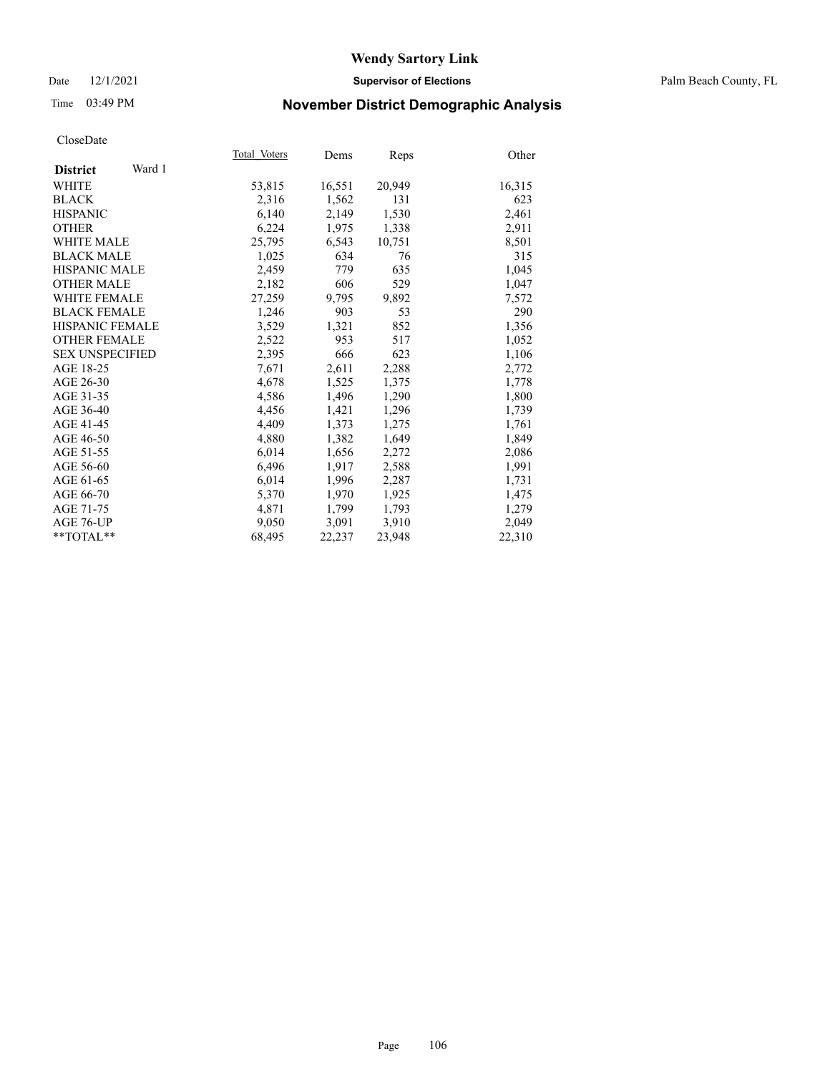### Date 12/1/2021 **Supervisor of Elections** Palm Beach County, FL

# Time 03:49 PM **November District Demographic Analysis**

|                           | Total Voters | Dems   | Reps   | Other  |
|---------------------------|--------------|--------|--------|--------|
| Ward 1<br><b>District</b> |              |        |        |        |
| WHITE                     | 53,815       | 16,551 | 20,949 | 16,315 |
| <b>BLACK</b>              | 2,316        | 1,562  | 131    | 623    |
| <b>HISPANIC</b>           | 6,140        | 2,149  | 1,530  | 2,461  |
| <b>OTHER</b>              | 6,224        | 1,975  | 1,338  | 2,911  |
| <b>WHITE MALE</b>         | 25,795       | 6,543  | 10,751 | 8,501  |
| <b>BLACK MALE</b>         | 1,025        | 634    | 76     | 315    |
| <b>HISPANIC MALE</b>      | 2,459        | 779    | 635    | 1,045  |
| <b>OTHER MALE</b>         | 2,182        | 606    | 529    | 1,047  |
| <b>WHITE FEMALE</b>       | 27,259       | 9,795  | 9,892  | 7,572  |
| <b>BLACK FEMALE</b>       | 1.246        | 903    | 53     | 290    |
| HISPANIC FEMALE           | 3,529        | 1,321  | 852    | 1,356  |
| <b>OTHER FEMALE</b>       | 2,522        | 953    | 517    | 1,052  |
| <b>SEX UNSPECIFIED</b>    | 2,395        | 666    | 623    | 1,106  |
| AGE 18-25                 | 7,671        | 2,611  | 2,288  | 2,772  |
| AGE 26-30                 | 4,678        | 1,525  | 1,375  | 1,778  |
| AGE 31-35                 | 4,586        | 1,496  | 1,290  | 1,800  |
| AGE 36-40                 | 4,456        | 1,421  | 1,296  | 1,739  |
| AGE 41-45                 | 4,409        | 1,373  | 1,275  | 1,761  |
| AGE 46-50                 | 4,880        | 1,382  | 1,649  | 1,849  |
| AGE 51-55                 | 6,014        | 1,656  | 2,272  | 2,086  |
| AGE 56-60                 | 6,496        | 1,917  | 2,588  | 1,991  |
| AGE 61-65                 | 6,014        | 1,996  | 2,287  | 1,731  |
| AGE 66-70                 | 5,370        | 1,970  | 1,925  | 1,475  |
| AGE 71-75                 | 4,871        | 1,799  | 1,793  | 1,279  |
| AGE 76-UP                 | 9,050        | 3,091  | 3,910  | 2,049  |
| $*$ $TOTAL**$             | 68,495       | 22,237 | 23,948 | 22,310 |
|                           |              |        |        |        |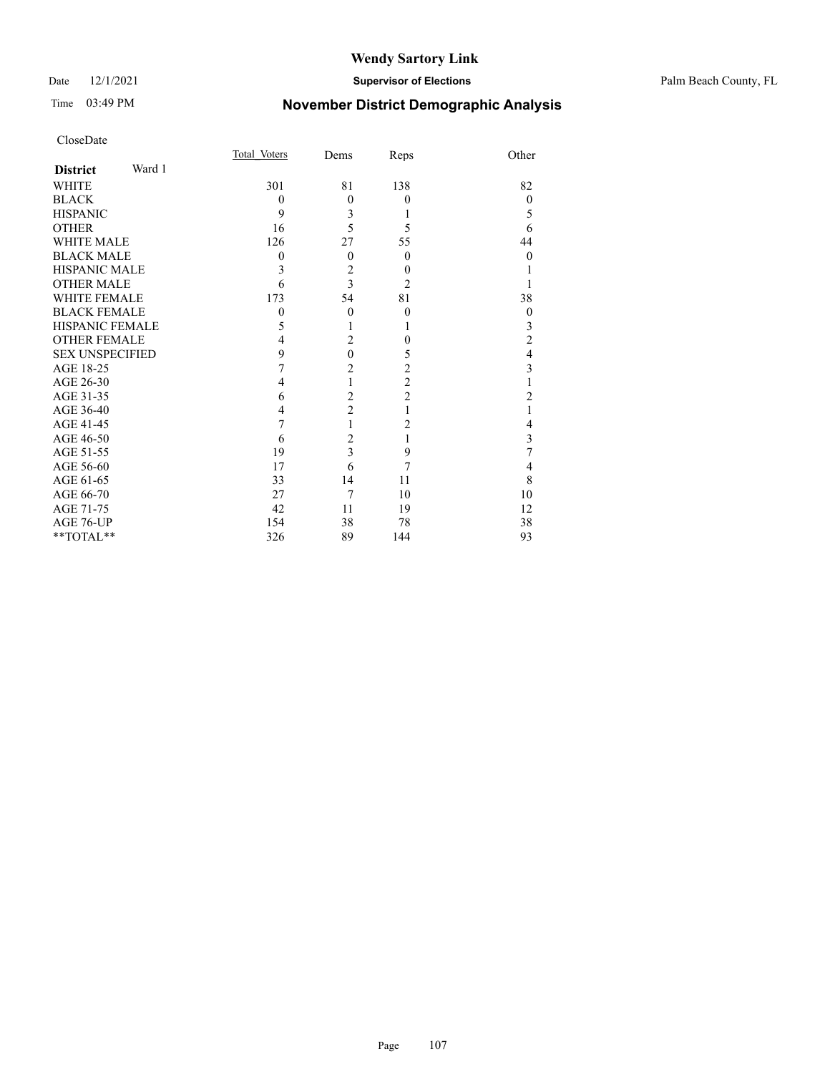## Date 12/1/2021 **Supervisor of Elections** Palm Beach County, FL

# Time 03:49 PM **November District Demographic Analysis**

|                        |        | Total Voters | Dems                    | Reps                    | Other            |
|------------------------|--------|--------------|-------------------------|-------------------------|------------------|
| <b>District</b>        | Ward 1 |              |                         |                         |                  |
| <b>WHITE</b>           |        | 301          | 81                      | 138                     | 82               |
| <b>BLACK</b>           |        | $\theta$     | $\theta$                | $\mathbf{0}$            | $\theta$         |
| <b>HISPANIC</b>        |        | 9            | 3                       | 1                       | 5                |
| <b>OTHER</b>           |        | 16           | 5                       | 5                       | 6                |
| <b>WHITE MALE</b>      |        | 126          | 27                      | 55                      | 44               |
| <b>BLACK MALE</b>      |        | $\theta$     | $\theta$                | $\theta$                | $\theta$         |
| <b>HISPANIC MALE</b>   |        | 3            | $\overline{2}$          | $\boldsymbol{0}$        |                  |
| <b>OTHER MALE</b>      |        | 6            | 3                       | $\overline{2}$          |                  |
| <b>WHITE FEMALE</b>    |        | 173          | 54                      | 81                      | 38               |
| <b>BLACK FEMALE</b>    |        | $\mathbf{0}$ | $\theta$                | $\boldsymbol{0}$        | $\boldsymbol{0}$ |
| HISPANIC FEMALE        |        | 5            |                         |                         | 3                |
| <b>OTHER FEMALE</b>    |        | 4            | $\overline{2}$          | $\theta$                | $\overline{c}$   |
| <b>SEX UNSPECIFIED</b> |        | 9            | $\mathbf{0}$            | 5                       | $\overline{4}$   |
| AGE 18-25              |        | 7            | $\overline{c}$          | $\overline{\mathbf{c}}$ | 3                |
| AGE 26-30              |        | 4            | $\mathbf{1}$            | $\overline{c}$          |                  |
| AGE 31-35              |        | 6            | $\overline{c}$          | $\overline{c}$          | $\overline{c}$   |
| AGE 36-40              |        | 4            | $\overline{c}$          |                         |                  |
| AGE 41-45              |        | 7            | 1                       | 2                       | 4                |
| AGE 46-50              |        | 6            | $\overline{2}$          |                         | 3                |
| AGE 51-55              |        | 19           | $\overline{\mathbf{3}}$ | 9                       | 7                |
| AGE 56-60              |        | 17           | 6                       | 7                       | 4                |
| AGE 61-65              |        | 33           | 14                      | 11                      | 8                |
| AGE 66-70              |        | 27           | 7                       | 10                      | 10               |
| AGE 71-75              |        | 42           | 11                      | 19                      | 12               |
| AGE 76-UP              |        | 154          | 38                      | 78                      | 38               |
| **TOTAL**              |        | 326          | 89                      | 144                     | 93               |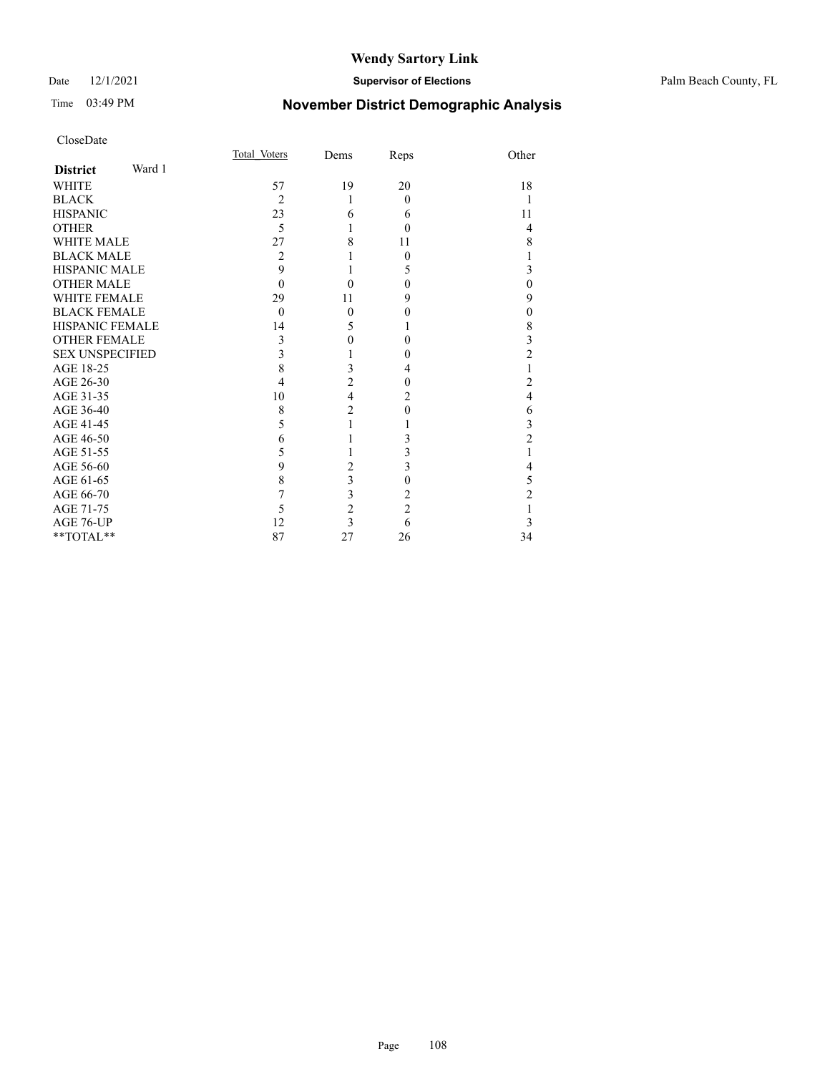## Date 12/1/2021 **Supervisor of Elections** Palm Beach County, FL

# Time 03:49 PM **November District Demographic Analysis**

| CloseDate              |        |              |                  |                |                         |
|------------------------|--------|--------------|------------------|----------------|-------------------------|
|                        |        | Total Voters | Dems             | Reps           | Other                   |
| <b>District</b>        | Ward 1 |              |                  |                |                         |
| <b>WHITE</b>           |        | 57           | 19               | 20             | 18                      |
| <b>BLACK</b>           |        | 2            | 1                | $\theta$       | 1                       |
| <b>HISPANIC</b>        |        | 23           | 6                | 6              | 11                      |
| <b>OTHER</b>           |        | 5            |                  | $\theta$       | 4                       |
| <b>WHITE MALE</b>      |        | 27           | 8                | 11             | 8                       |
| <b>BLACK MALE</b>      |        | 2            |                  | $\theta$       | 1                       |
| <b>HISPANIC MALE</b>   |        | 9            |                  | 5              | 3                       |
| <b>OTHER MALE</b>      |        | $\theta$     | 0                | 0              | $\boldsymbol{0}$        |
| <b>WHITE FEMALE</b>    |        | 29           | 11               | 9              | 9                       |
| <b>BLACK FEMALE</b>    |        | $\mathbf{0}$ | $\theta$         | 0              | $\boldsymbol{0}$        |
| <b>HISPANIC FEMALE</b> |        | 14           | 5                |                | $\,$ 8 $\,$             |
| <b>OTHER FEMALE</b>    |        | 3            | $\boldsymbol{0}$ | 0              | 3                       |
| <b>SEX UNSPECIFIED</b> |        | 3            |                  | 0              | $\overline{c}$          |
| AGE 18-25              |        | 8            | 3                | 4              | 1                       |
| AGE 26-30              |        | 4            | $\overline{c}$   | 0              | $\overline{\mathbf{c}}$ |
| AGE 31-35              |        | 10           | $\overline{4}$   | 2              | $\overline{4}$          |
| AGE 36-40              |        | 8            | $\overline{c}$   | 0              | 6                       |
| AGE 41-45              |        | 5            | 1                |                | 3                       |
| AGE 46-50              |        | 6            |                  | 3              | $\overline{2}$          |
| AGE 51-55              |        | 5            |                  | 3              | 1                       |
| AGE 56-60              |        | 9            | $\overline{c}$   | 3              | 4                       |
| AGE 61-65              |        | 8            | 3                | 0              | 5                       |
| AGE 66-70              |        | 7            | 3                | 2              | $\overline{c}$          |
| AGE 71-75              |        | 5            | $\overline{c}$   | $\overline{2}$ | 1                       |
| AGE 76-UP              |        | 12           | 3                | 6              | 3                       |
| **TOTAL**              |        | 87           | 27               | 26             | 34                      |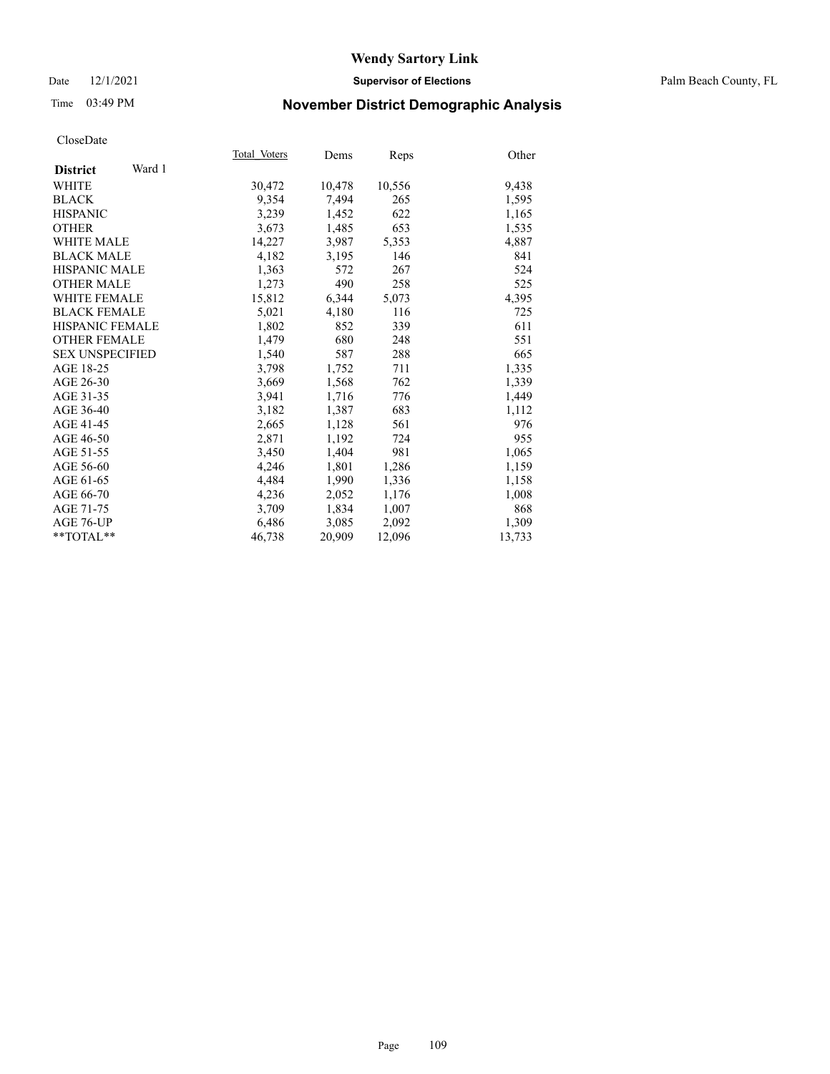### Date 12/1/2021 **Supervisor of Elections** Palm Beach County, FL

# Time 03:49 PM **November District Demographic Analysis**

|                           | Total Voters | Dems   | Reps   | Other  |
|---------------------------|--------------|--------|--------|--------|
| Ward 1<br><b>District</b> |              |        |        |        |
| WHITE                     | 30,472       | 10,478 | 10,556 | 9,438  |
| <b>BLACK</b>              | 9,354        | 7,494  | 265    | 1,595  |
| <b>HISPANIC</b>           | 3,239        | 1,452  | 622    | 1,165  |
| <b>OTHER</b>              | 3,673        | 1,485  | 653    | 1,535  |
| <b>WHITE MALE</b>         | 14,227       | 3,987  | 5,353  | 4,887  |
| <b>BLACK MALE</b>         | 4,182        | 3,195  | 146    | 841    |
| <b>HISPANIC MALE</b>      | 1,363        | 572    | 267    | 524    |
| <b>OTHER MALE</b>         | 1,273        | 490    | 258    | 525    |
| <b>WHITE FEMALE</b>       | 15,812       | 6,344  | 5,073  | 4,395  |
| <b>BLACK FEMALE</b>       | 5,021        | 4,180  | 116    | 725    |
| HISPANIC FEMALE           | 1,802        | 852    | 339    | 611    |
| <b>OTHER FEMALE</b>       | 1,479        | 680    | 248    | 551    |
| <b>SEX UNSPECIFIED</b>    | 1.540        | 587    | 288    | 665    |
| AGE 18-25                 | 3,798        | 1,752  | 711    | 1,335  |
| AGE 26-30                 | 3,669        | 1,568  | 762    | 1,339  |
| AGE 31-35                 | 3,941        | 1,716  | 776    | 1,449  |
| AGE 36-40                 | 3,182        | 1,387  | 683    | 1,112  |
| AGE 41-45                 | 2,665        | 1,128  | 561    | 976    |
| AGE 46-50                 | 2,871        | 1,192  | 724    | 955    |
| AGE 51-55                 | 3,450        | 1.404  | 981    | 1,065  |
| AGE 56-60                 | 4,246        | 1,801  | 1,286  | 1,159  |
| AGE 61-65                 | 4,484        | 1,990  | 1,336  | 1,158  |
| AGE 66-70                 | 4,236        | 2,052  | 1,176  | 1,008  |
| AGE 71-75                 | 3,709        | 1,834  | 1,007  | 868    |
| AGE 76-UP                 | 6,486        | 3,085  | 2,092  | 1,309  |
| $*$ TOTAL $*$             | 46,738       | 20,909 | 12,096 | 13,733 |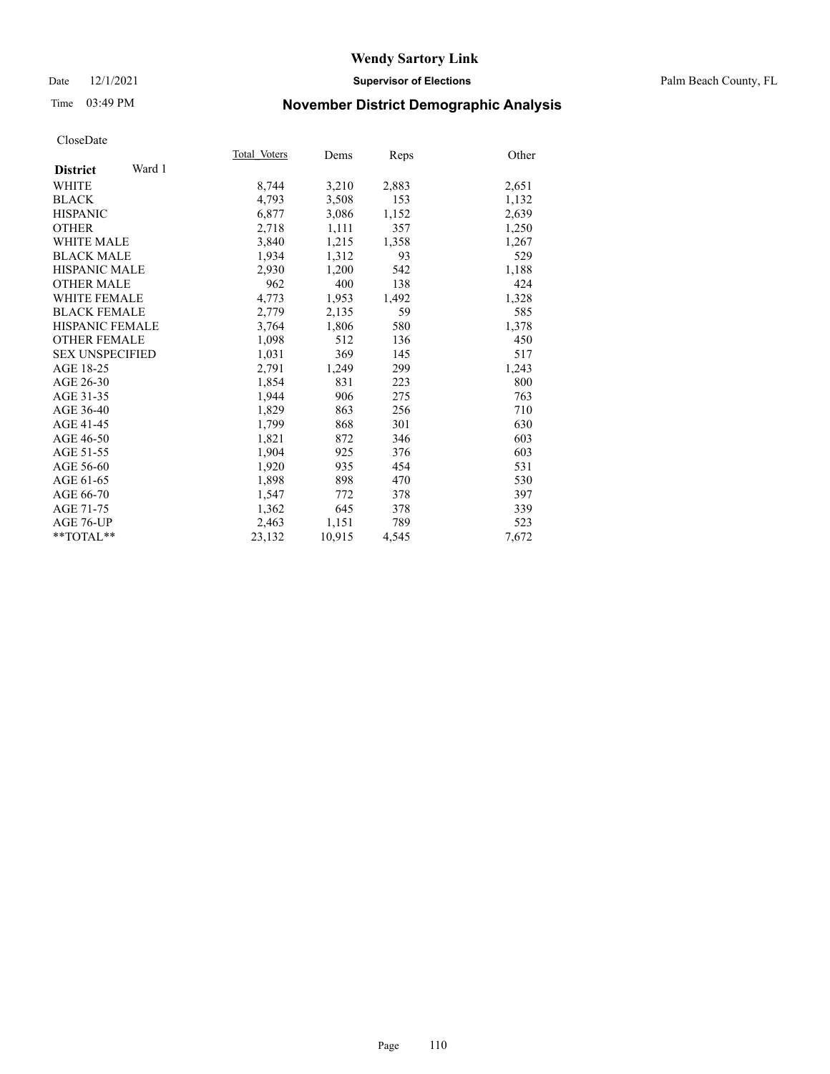### Date 12/1/2021 **Supervisor of Elections** Palm Beach County, FL

# Time 03:49 PM **November District Demographic Analysis**

|                           | Total Voters | Dems   | Reps  | Other |
|---------------------------|--------------|--------|-------|-------|
| Ward 1<br><b>District</b> |              |        |       |       |
| WHITE                     | 8,744        | 3,210  | 2,883 | 2,651 |
| <b>BLACK</b>              | 4,793        | 3,508  | 153   | 1,132 |
| <b>HISPANIC</b>           | 6,877        | 3,086  | 1,152 | 2,639 |
| <b>OTHER</b>              | 2,718        | 1,111  | 357   | 1,250 |
| <b>WHITE MALE</b>         | 3,840        | 1,215  | 1,358 | 1,267 |
| <b>BLACK MALE</b>         | 1,934        | 1,312  | 93    | 529   |
| HISPANIC MALE             | 2,930        | 1,200  | 542   | 1,188 |
| <b>OTHER MALE</b>         | 962          | 400    | 138   | 424   |
| <b>WHITE FEMALE</b>       | 4,773        | 1,953  | 1,492 | 1,328 |
| <b>BLACK FEMALE</b>       | 2,779        | 2,135  | 59    | 585   |
| HISPANIC FEMALE           | 3,764        | 1,806  | 580   | 1,378 |
| <b>OTHER FEMALE</b>       | 1,098        | 512    | 136   | 450   |
| <b>SEX UNSPECIFIED</b>    | 1,031        | 369    | 145   | 517   |
| AGE 18-25                 | 2,791        | 1,249  | 299   | 1,243 |
| AGE 26-30                 | 1,854        | 831    | 223   | 800   |
| AGE 31-35                 | 1,944        | 906    | 275   | 763   |
| AGE 36-40                 | 1,829        | 863    | 256   | 710   |
| AGE 41-45                 | 1,799        | 868    | 301   | 630   |
| AGE 46-50                 | 1,821        | 872    | 346   | 603   |
| AGE 51-55                 | 1,904        | 925    | 376   | 603   |
| AGE 56-60                 | 1,920        | 935    | 454   | 531   |
| AGE 61-65                 | 1,898        | 898    | 470   | 530   |
| AGE 66-70                 | 1,547        | 772    | 378   | 397   |
| AGE 71-75                 | 1,362        | 645    | 378   | 339   |
| AGE 76-UP                 | 2,463        | 1,151  | 789   | 523   |
| $*$ $TOTAL**$             | 23,132       | 10,915 | 4,545 | 7,672 |
|                           |              |        |       |       |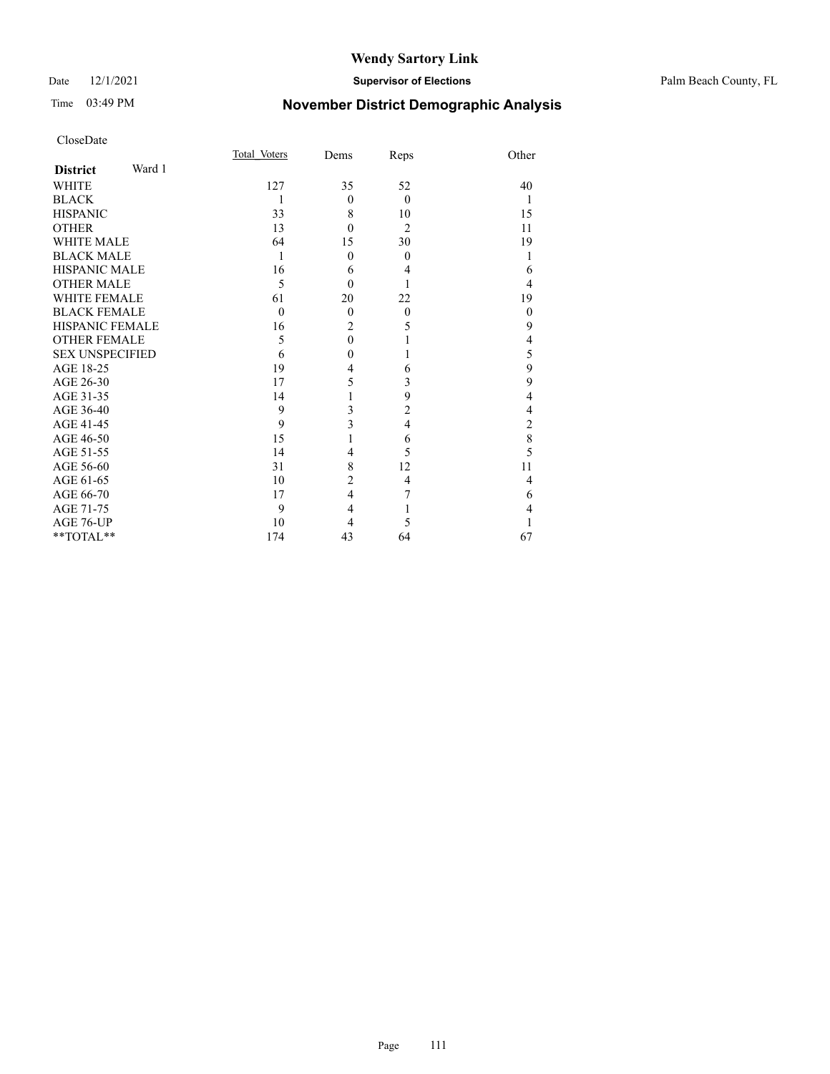### Date 12/1/2021 **Supervisor of Elections** Palm Beach County, FL

# Time 03:49 PM **November District Demographic Analysis**

| CloseDate |
|-----------|
|-----------|

|                        |        | Total Voters | Dems           | Reps           | Other          |
|------------------------|--------|--------------|----------------|----------------|----------------|
| <b>District</b>        | Ward 1 |              |                |                |                |
| <b>WHITE</b>           |        | 127          | 35             | 52             | 40             |
| <b>BLACK</b>           |        | 1            | $\Omega$       | $\theta$       |                |
| <b>HISPANIC</b>        |        | 33           | 8              | 10             | 15             |
| <b>OTHER</b>           |        | 13           | $\theta$       | $\overline{2}$ | 11             |
| <b>WHITE MALE</b>      |        | 64           | 15             | 30             | 19             |
| <b>BLACK MALE</b>      |        | 1            | $\theta$       | $\theta$       |                |
| <b>HISPANIC MALE</b>   |        | 16           | 6              | 4              | 6              |
| <b>OTHER MALE</b>      |        | 5            | $\theta$       |                | 4              |
| <b>WHITE FEMALE</b>    |        | 61           | 20             | 22             | 19             |
| <b>BLACK FEMALE</b>    |        | $\theta$     | $\theta$       | $\theta$       | $\theta$       |
| <b>HISPANIC FEMALE</b> |        | 16           | $\overline{2}$ | 5              | 9              |
| <b>OTHER FEMALE</b>    |        | 5            | $\theta$       | 1              | 4              |
| <b>SEX UNSPECIFIED</b> |        | 6            | 0              | 1              | 5              |
| AGE 18-25              |        | 19           | 4              | 6              | 9              |
| AGE 26-30              |        | 17           | 5              | 3              | 9              |
| AGE 31-35              |        | 14           |                | 9              | 4              |
| AGE 36-40              |        | 9            | 3              | $\overline{c}$ | 4              |
| AGE 41-45              |        | 9            | 3              | $\overline{4}$ | $\overline{c}$ |
| AGE 46-50              |        | 15           |                | 6              | 8              |
| AGE 51-55              |        | 14           | 4              | 5              | 5              |
| AGE 56-60              |        | 31           | 8              | 12             | 11             |
| AGE 61-65              |        | 10           | $\overline{2}$ | $\overline{4}$ | 4              |
| AGE 66-70              |        | 17           | $\overline{4}$ | 7              | 6              |
| AGE 71-75              |        | 9            | $\overline{4}$ | 1              | 4              |
| AGE 76-UP              |        | 10           | 4              | 5              |                |
| $*$ $TOTAL**$          |        | 174          | 43             | 64             | 67             |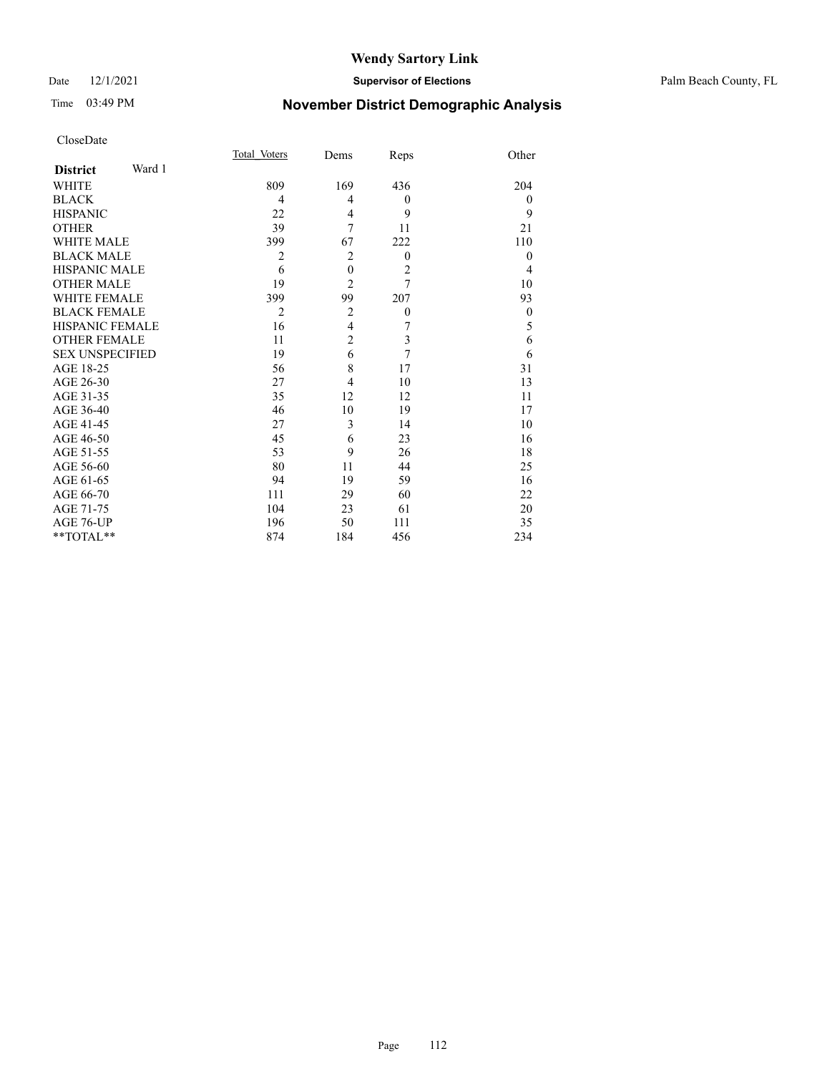### Date 12/1/2021 **Supervisor of Elections** Palm Beach County, FL

# Time 03:49 PM **November District Demographic Analysis**

|                           | Total Voters   | Dems             | Reps             | Other          |
|---------------------------|----------------|------------------|------------------|----------------|
| Ward 1<br><b>District</b> |                |                  |                  |                |
| WHITE                     | 809            | 169              | 436              | 204            |
| <b>BLACK</b>              | 4              | 4                | $\theta$         | $\overline{0}$ |
| <b>HISPANIC</b>           | 22             | 4                | 9                | 9              |
| <b>OTHER</b>              | 39             | 7                | 11               | 21             |
| <b>WHITE MALE</b>         | 399            | 67               | 222              | 110            |
| <b>BLACK MALE</b>         | 2              | $\overline{2}$   | $\overline{0}$   | $\overline{0}$ |
| <b>HISPANIC MALE</b>      | 6              | $\boldsymbol{0}$ | $\overline{c}$   | 4              |
| <b>OTHER MALE</b>         | 19             | $\overline{2}$   | 7                | 10             |
| <b>WHITE FEMALE</b>       | 399            | 99               | 207              | 93             |
| <b>BLACK FEMALE</b>       | $\overline{2}$ | $\overline{2}$   | $\boldsymbol{0}$ | $\theta$       |
| <b>HISPANIC FEMALE</b>    | 16             | $\overline{4}$   | 7                | 5              |
| <b>OTHER FEMALE</b>       | 11             | $\overline{2}$   | 3                | 6              |
| <b>SEX UNSPECIFIED</b>    | 19             | 6                | 7                | 6              |
| AGE 18-25                 | 56             | 8                | 17               | 31             |
| AGE 26-30                 | 27             | $\overline{4}$   | 10               | 13             |
| AGE 31-35                 | 35             | 12               | 12               | 11             |
| AGE 36-40                 | 46             | 10               | 19               | 17             |
| AGE 41-45                 | 27             | 3                | 14               | 10             |
| AGE 46-50                 | 45             | 6                | 23               | 16             |
| AGE 51-55                 | 53             | 9                | 26               | 18             |
| AGE 56-60                 | 80             | 11               | 44               | 25             |
| AGE 61-65                 | 94             | 19               | 59               | 16             |
| AGE 66-70                 | 111            | 29               | 60               | 22             |
| AGE 71-75                 | 104            | 23               | 61               | 20             |
| AGE 76-UP                 | 196            | 50               | 111              | 35             |
| **TOTAL**                 | 874            | 184              | 456              | 234            |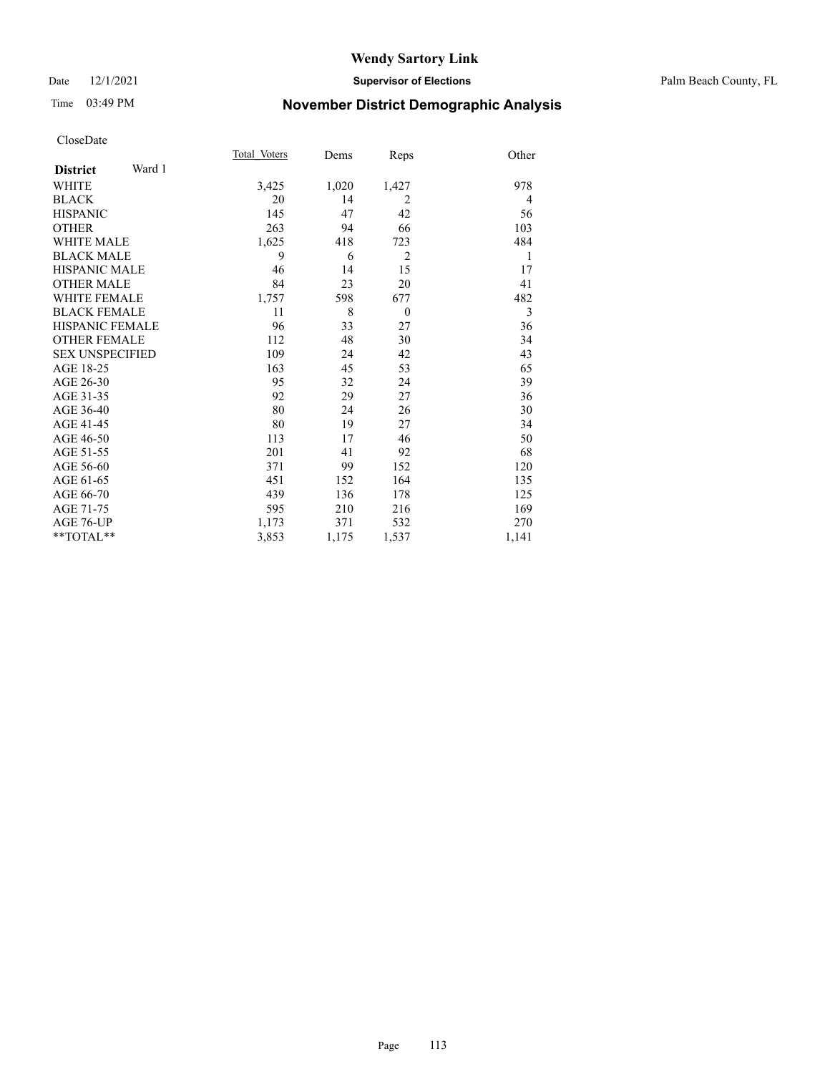### Date 12/1/2021 **Supervisor of Elections** Palm Beach County, FL

# Time 03:49 PM **November District Demographic Analysis**

|                           | Total Voters | Dems  | Reps           | Other |
|---------------------------|--------------|-------|----------------|-------|
| Ward 1<br><b>District</b> |              |       |                |       |
| WHITE                     | 3,425        | 1,020 | 1,427          | 978   |
| <b>BLACK</b>              | 20           | 14    | $\overline{2}$ | 4     |
| <b>HISPANIC</b>           | 145          | 47    | 42             | 56    |
| <b>OTHER</b>              | 263          | 94    | 66             | 103   |
| <b>WHITE MALE</b>         | 1,625        | 418   | 723            | 484   |
| <b>BLACK MALE</b>         | 9            | 6     | $\overline{2}$ | 1     |
| <b>HISPANIC MALE</b>      | 46           | 14    | 15             | 17    |
| <b>OTHER MALE</b>         | 84           | 23    | 20             | 41    |
| <b>WHITE FEMALE</b>       | 1,757        | 598   | 677            | 482   |
| <b>BLACK FEMALE</b>       | 11           | 8     | $\theta$       | 3     |
| HISPANIC FEMALE           | 96           | 33    | 27             | 36    |
| <b>OTHER FEMALE</b>       | 112          | 48    | 30             | 34    |
| <b>SEX UNSPECIFIED</b>    | 109          | 24    | 42             | 43    |
| AGE 18-25                 | 163          | 45    | 53             | 65    |
| AGE 26-30                 | 95           | 32    | 24             | 39    |
| AGE 31-35                 | 92           | 29    | 27             | 36    |
| AGE 36-40                 | 80           | 24    | 26             | 30    |
| AGE 41-45                 | 80           | 19    | 27             | 34    |
| AGE 46-50                 | 113          | 17    | 46             | 50    |
| AGE 51-55                 | 201          | 41    | 92             | 68    |
| AGE 56-60                 | 371          | 99    | 152            | 120   |
| AGE 61-65                 | 451          | 152   | 164            | 135   |
| AGE 66-70                 | 439          | 136   | 178            | 125   |
| AGE 71-75                 | 595          | 210   | 216            | 169   |
| AGE 76-UP                 | 1,173        | 371   | 532            | 270   |
| **TOTAL**                 | 3,853        | 1,175 | 1,537          | 1,141 |
|                           |              |       |                |       |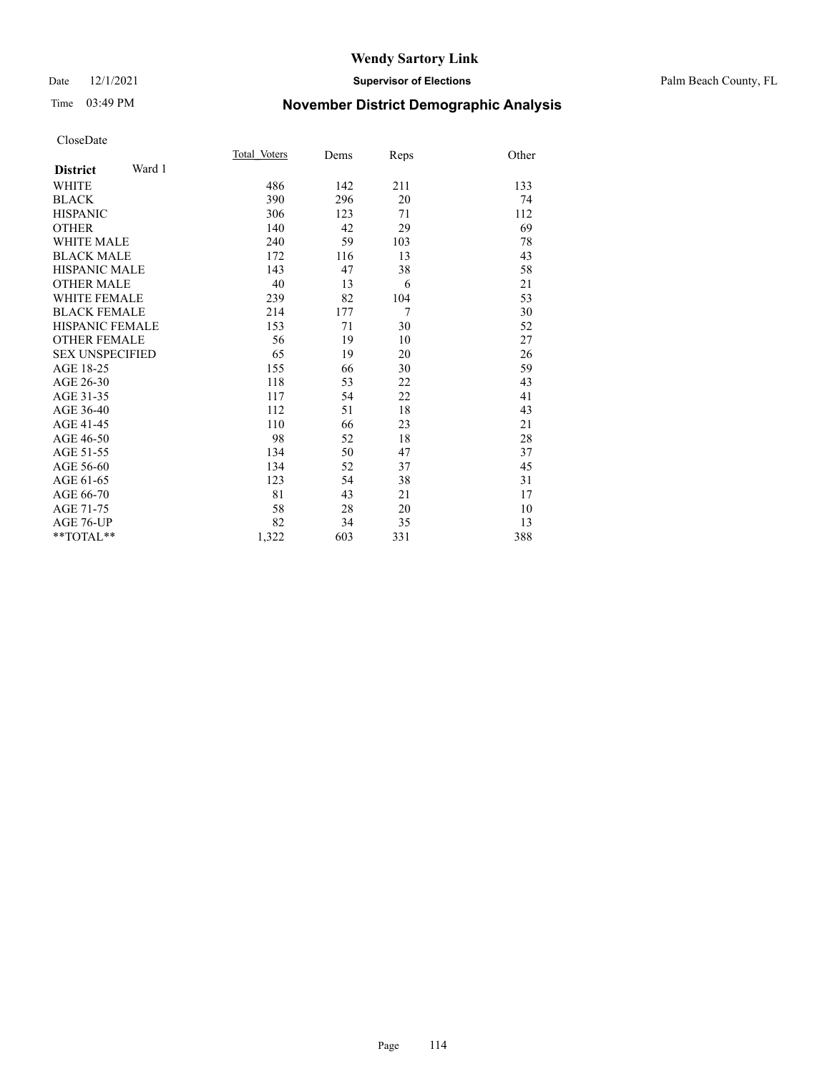### Date 12/1/2021 **Supervisor of Elections** Palm Beach County, FL

# Time 03:49 PM **November District Demographic Analysis**

|                           | Total Voters | Dems | Reps           | Other |
|---------------------------|--------------|------|----------------|-------|
| Ward 1<br><b>District</b> |              |      |                |       |
| WHITE                     | 486          | 142  | 211            | 133   |
| <b>BLACK</b>              | 390          | 296  | 20             | 74    |
| <b>HISPANIC</b>           | 306          | 123  | 71             | 112   |
| <b>OTHER</b>              | 140          | 42   | 29             | 69    |
| <b>WHITE MALE</b>         | 240          | 59   | 103            | 78    |
| <b>BLACK MALE</b>         | 172          | 116  | 13             | 43    |
| <b>HISPANIC MALE</b>      | 143          | 47   | 38             | 58    |
| <b>OTHER MALE</b>         | 40           | 13   | 6              | 21    |
| <b>WHITE FEMALE</b>       | 239          | 82   | 104            | 53    |
| <b>BLACK FEMALE</b>       | 214          | 177  | $\overline{7}$ | 30    |
| <b>HISPANIC FEMALE</b>    | 153          | 71   | 30             | 52    |
| <b>OTHER FEMALE</b>       | 56           | 19   | 10             | 27    |
| <b>SEX UNSPECIFIED</b>    | 65           | 19   | 20             | 26    |
| AGE 18-25                 | 155          | 66   | 30             | 59    |
| AGE 26-30                 | 118          | 53   | 22             | 43    |
| AGE 31-35                 | 117          | 54   | 22             | 41    |
| AGE 36-40                 | 112          | 51   | 18             | 43    |
| AGE 41-45                 | 110          | 66   | 23             | 21    |
| AGE 46-50                 | 98           | 52   | 18             | 28    |
| AGE 51-55                 | 134          | 50   | 47             | 37    |
| AGE 56-60                 | 134          | 52   | 37             | 45    |
| AGE 61-65                 | 123          | 54   | 38             | 31    |
| AGE 66-70                 | 81           | 43   | 21             | 17    |
| AGE 71-75                 | 58           | 28   | 20             | 10    |
| <b>AGE 76-UP</b>          | 82           | 34   | 35             | 13    |
| $*$ $TOTAL**$             | 1,322        | 603  | 331            | 388   |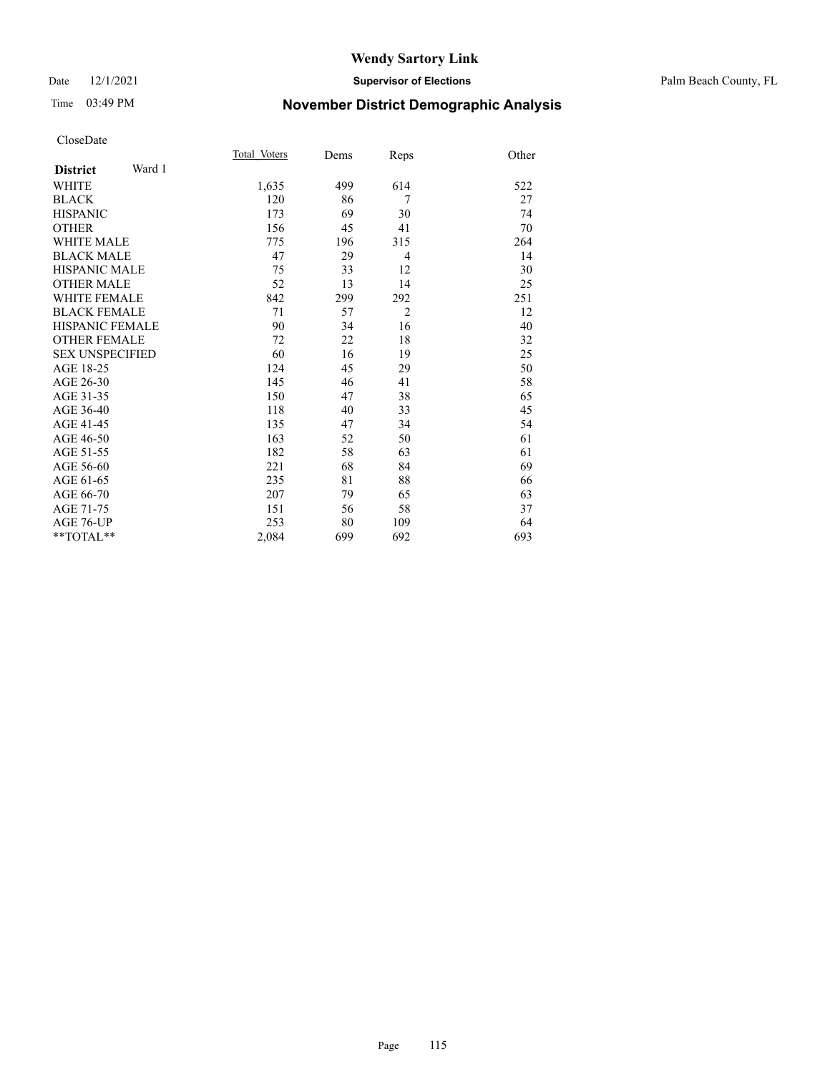### Date 12/1/2021 **Supervisor of Elections** Palm Beach County, FL

# Time 03:49 PM **November District Demographic Analysis**

|                        |        | Total Voters | Dems | Reps           | Other |
|------------------------|--------|--------------|------|----------------|-------|
| <b>District</b>        | Ward 1 |              |      |                |       |
| <b>WHITE</b>           |        | 1,635        | 499  | 614            | 522   |
| <b>BLACK</b>           |        | 120          | 86   | 7              | 27    |
| <b>HISPANIC</b>        |        | 173          | 69   | 30             | 74    |
| <b>OTHER</b>           |        | 156          | 45   | 41             | 70    |
| <b>WHITE MALE</b>      |        | 775          | 196  | 315            | 264   |
| <b>BLACK MALE</b>      |        | 47           | 29   | $\overline{4}$ | 14    |
| <b>HISPANIC MALE</b>   |        | 75           | 33   | 12             | 30    |
| <b>OTHER MALE</b>      |        | 52           | 13   | 14             | 25    |
| <b>WHITE FEMALE</b>    |        | 842          | 299  | 292            | 251   |
| <b>BLACK FEMALE</b>    |        | 71           | 57   | $\overline{2}$ | 12    |
| <b>HISPANIC FEMALE</b> |        | 90           | 34   | 16             | 40    |
| <b>OTHER FEMALE</b>    |        | 72           | 22   | 18             | 32    |
| <b>SEX UNSPECIFIED</b> |        | 60           | 16   | 19             | 25    |
| AGE 18-25              |        | 124          | 45   | 29             | 50    |
| AGE 26-30              |        | 145          | 46   | 41             | 58    |
| AGE 31-35              |        | 150          | 47   | 38             | 65    |
| AGE 36-40              |        | 118          | 40   | 33             | 45    |
| AGE 41-45              |        | 135          | 47   | 34             | 54    |
| AGE 46-50              |        | 163          | 52   | 50             | 61    |
| AGE 51-55              |        | 182          | 58   | 63             | 61    |
| AGE 56-60              |        | 221          | 68   | 84             | 69    |
| AGE 61-65              |        | 235          | 81   | 88             | 66    |
| AGE 66-70              |        | 207          | 79   | 65             | 63    |
| AGE 71-75              |        | 151          | 56   | 58             | 37    |
| AGE 76-UP              |        | 253          | 80   | 109            | 64    |
| $*$ $TOTAL**$          |        | 2,084        | 699  | 692            | 693   |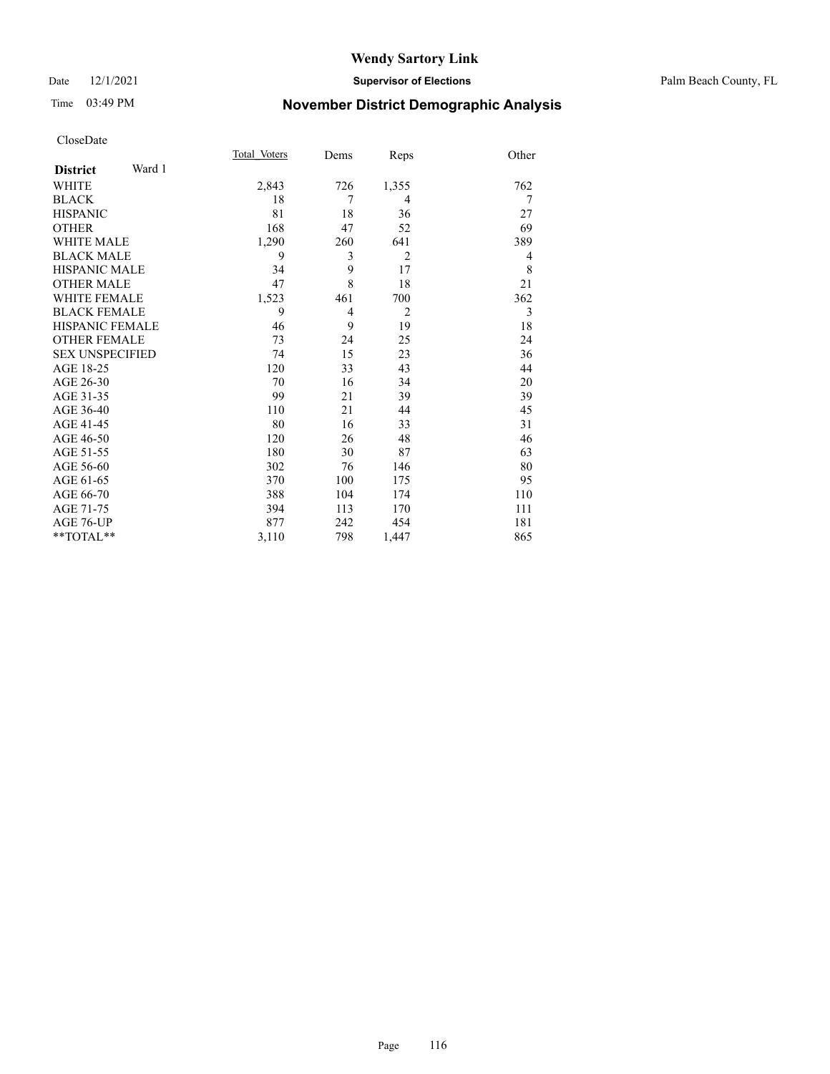### Date 12/1/2021 **Supervisor of Elections** Palm Beach County, FL

# Time 03:49 PM **November District Demographic Analysis**

|                           | Total Voters | Dems | Reps           | Other |
|---------------------------|--------------|------|----------------|-------|
| Ward 1<br><b>District</b> |              |      |                |       |
| WHITE                     | 2,843        | 726  | 1,355          | 762   |
| <b>BLACK</b>              | 18           | 7    | 4              | 7     |
| <b>HISPANIC</b>           | 81           | 18   | 36             | 27    |
| <b>OTHER</b>              | 168          | 47   | 52             | 69    |
| <b>WHITE MALE</b>         | 1,290        | 260  | 641            | 389   |
| <b>BLACK MALE</b>         | 9            | 3    | $\overline{2}$ | 4     |
| <b>HISPANIC MALE</b>      | 34           | 9    | 17             | 8     |
| <b>OTHER MALE</b>         | 47           | 8    | 18             | 21    |
| <b>WHITE FEMALE</b>       | 1,523        | 461  | 700            | 362   |
| <b>BLACK FEMALE</b>       | 9            | 4    | $\overline{2}$ | 3     |
| <b>HISPANIC FEMALE</b>    | 46           | 9    | 19             | 18    |
| <b>OTHER FEMALE</b>       | 73           | 24   | 25             | 24    |
| <b>SEX UNSPECIFIED</b>    | 74           | 15   | 23             | 36    |
| AGE 18-25                 | 120          | 33   | 43             | 44    |
| AGE 26-30                 | 70           | 16   | 34             | 20    |
| AGE 31-35                 | 99           | 21   | 39             | 39    |
| AGE 36-40                 | 110          | 21   | 44             | 45    |
| AGE 41-45                 | 80           | 16   | 33             | 31    |
| AGE 46-50                 | 120          | 26   | 48             | 46    |
| AGE 51-55                 | 180          | 30   | 87             | 63    |
| AGE 56-60                 | 302          | 76   | 146            | 80    |
| AGE 61-65                 | 370          | 100  | 175            | 95    |
| AGE 66-70                 | 388          | 104  | 174            | 110   |
| AGE 71-75                 | 394          | 113  | 170            | 111   |
| AGE 76-UP                 | 877          | 242  | 454            | 181   |
| $*$ $TOTAL**$             | 3,110        | 798  | 1,447          | 865   |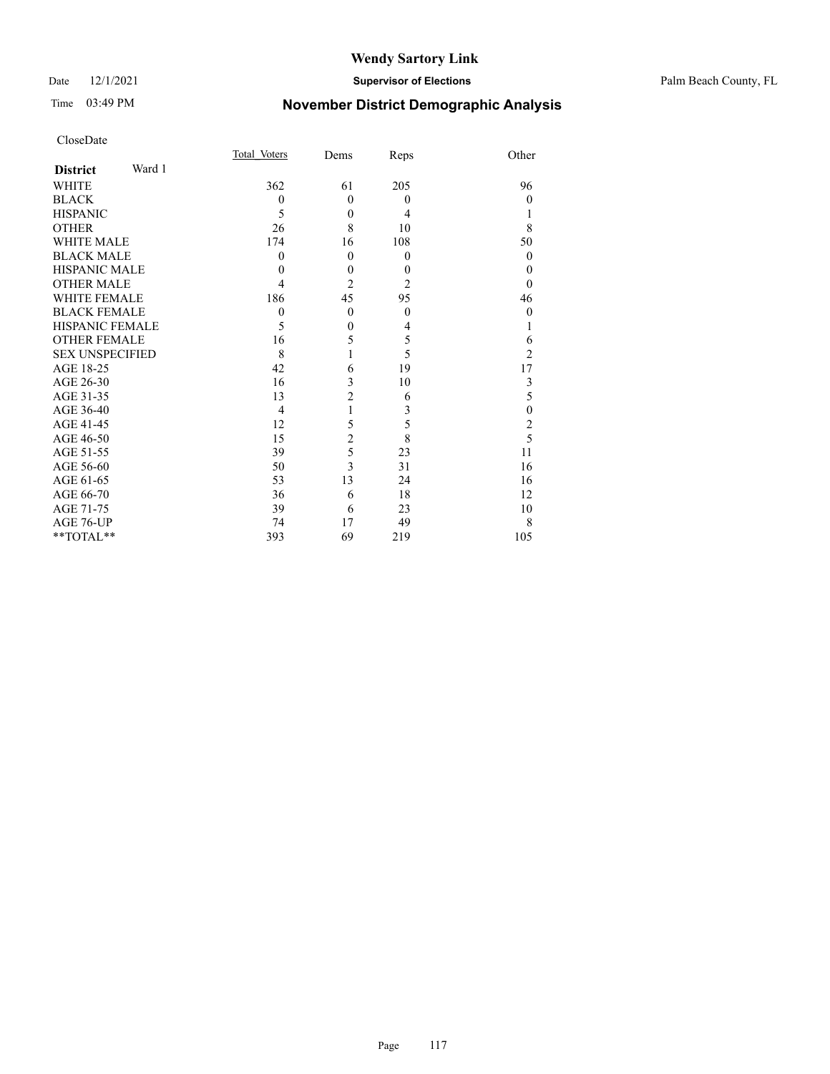### Date 12/1/2021 **Supervisor of Elections** Palm Beach County, FL

# Time 03:49 PM **November District Demographic Analysis**

|                        |        | Total Voters | Dems           | Reps           | Other            |
|------------------------|--------|--------------|----------------|----------------|------------------|
| <b>District</b>        | Ward 1 |              |                |                |                  |
| <b>WHITE</b>           |        | 362          | 61             | 205            | 96               |
| <b>BLACK</b>           |        | $\mathbf{0}$ | $\theta$       | $\theta$       | $\theta$         |
| <b>HISPANIC</b>        |        | 5            | $\theta$       | 4              |                  |
| <b>OTHER</b>           |        | 26           | 8              | 10             | 8                |
| <b>WHITE MALE</b>      |        | 174          | 16             | 108            | 50               |
| <b>BLACK MALE</b>      |        | 0            | $\theta$       | $\theta$       | $\theta$         |
| <b>HISPANIC MALE</b>   |        | $\theta$     | $\mathbf{0}$   | $\theta$       | $\theta$         |
| <b>OTHER MALE</b>      |        | 4            | $\overline{2}$ | $\overline{2}$ | 0                |
| <b>WHITE FEMALE</b>    |        | 186          | 45             | 95             | 46               |
| <b>BLACK FEMALE</b>    |        | $\mathbf{0}$ | $\theta$       | $\theta$       | $\theta$         |
| <b>HISPANIC FEMALE</b> |        | 5            | $\mathbf{0}$   | 4              |                  |
| <b>OTHER FEMALE</b>    |        | 16           | 5              | 5              | 6                |
| <b>SEX UNSPECIFIED</b> |        | 8            |                | 5              | $\overline{2}$   |
| AGE 18-25              |        | 42           | 6              | 19             | 17               |
| AGE 26-30              |        | 16           | 3              | 10             | 3                |
| AGE 31-35              |        | 13           | $\overline{c}$ | 6              | 5                |
| AGE 36-40              |        | 4            | 1              | 3              | $\boldsymbol{0}$ |
| AGE 41-45              |        | 12           | 5              | 5              | $\overline{c}$   |
| AGE 46-50              |        | 15           | $\overline{c}$ | 8              | 5                |
| AGE 51-55              |        | 39           | 5              | 23             | 11               |
| AGE 56-60              |        | 50           | 3              | 31             | 16               |
| AGE 61-65              |        | 53           | 13             | 24             | 16               |
| AGE 66-70              |        | 36           | 6              | 18             | 12               |
| AGE 71-75              |        | 39           | 6              | 23             | 10               |
| AGE 76-UP              |        | 74           | 17             | 49             | 8                |
| **TOTAL**              |        | 393          | 69             | 219            | 105              |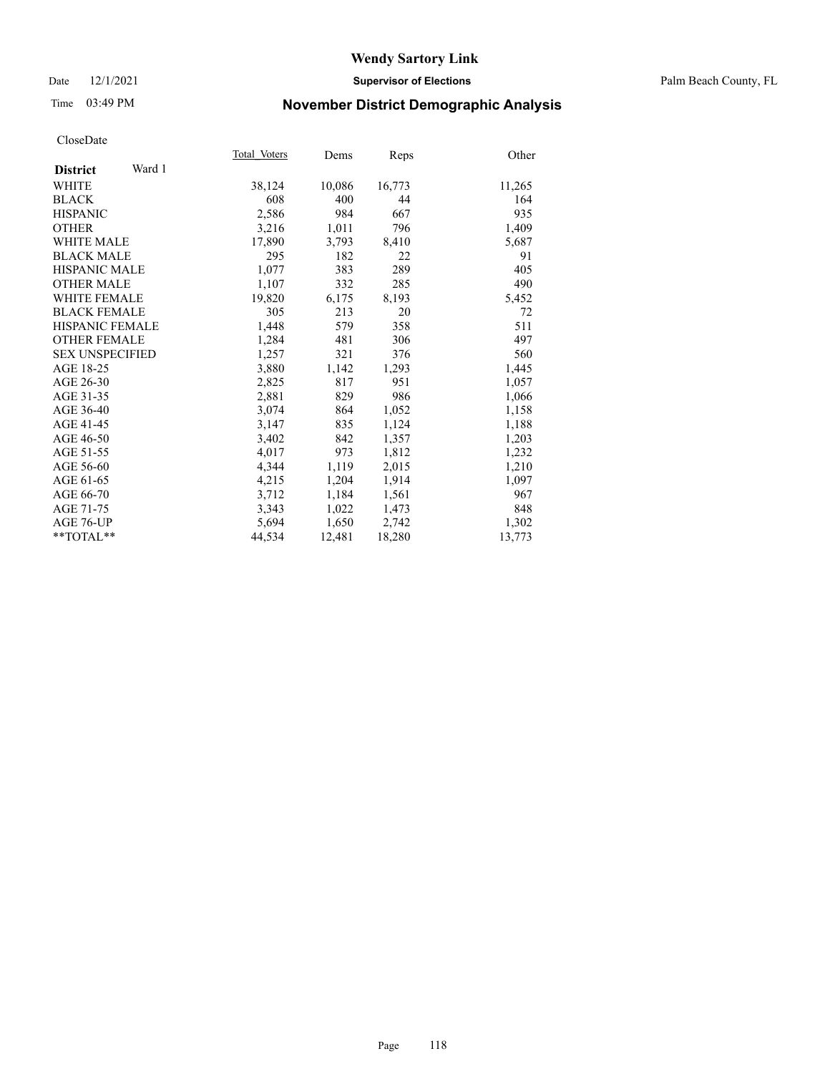### Date 12/1/2021 **Supervisor of Elections** Palm Beach County, FL

# Time 03:49 PM **November District Demographic Analysis**

|                           | Total Voters | Dems   | Reps   | Other  |
|---------------------------|--------------|--------|--------|--------|
| Ward 1<br><b>District</b> |              |        |        |        |
| WHITE                     | 38,124       | 10,086 | 16,773 | 11,265 |
| <b>BLACK</b>              | 608          | 400    | 44     | 164    |
| <b>HISPANIC</b>           | 2,586        | 984    | 667    | 935    |
| <b>OTHER</b>              | 3,216        | 1,011  | 796    | 1,409  |
| <b>WHITE MALE</b>         | 17,890       | 3,793  | 8,410  | 5,687  |
| <b>BLACK MALE</b>         | 295          | 182    | 22     | 91     |
| <b>HISPANIC MALE</b>      | 1,077        | 383    | 289    | 405    |
| <b>OTHER MALE</b>         | 1,107        | 332    | 285    | 490    |
| WHITE FEMALE              | 19,820       | 6,175  | 8,193  | 5,452  |
| <b>BLACK FEMALE</b>       | 305          | 213    | 20     | 72     |
| HISPANIC FEMALE           | 1,448        | 579    | 358    | 511    |
| <b>OTHER FEMALE</b>       | 1,284        | 481    | 306    | 497    |
| <b>SEX UNSPECIFIED</b>    | 1,257        | 321    | 376    | 560    |
| AGE 18-25                 | 3,880        | 1,142  | 1,293  | 1,445  |
| AGE 26-30                 | 2,825        | 817    | 951    | 1,057  |
| AGE 31-35                 | 2,881        | 829    | 986    | 1,066  |
| AGE 36-40                 | 3,074        | 864    | 1,052  | 1,158  |
| AGE 41-45                 | 3,147        | 835    | 1,124  | 1,188  |
| AGE 46-50                 | 3,402        | 842    | 1,357  | 1,203  |
| AGE 51-55                 | 4,017        | 973    | 1,812  | 1,232  |
| AGE 56-60                 | 4,344        | 1,119  | 2,015  | 1,210  |
| AGE 61-65                 | 4,215        | 1,204  | 1,914  | 1,097  |
| AGE 66-70                 | 3,712        | 1,184  | 1,561  | 967    |
| AGE 71-75                 | 3,343        | 1,022  | 1,473  | 848    |
| AGE 76-UP                 | 5,694        | 1,650  | 2,742  | 1,302  |
| $*$ $TOTAL**$             | 44,534       | 12,481 | 18,280 | 13,773 |
|                           |              |        |        |        |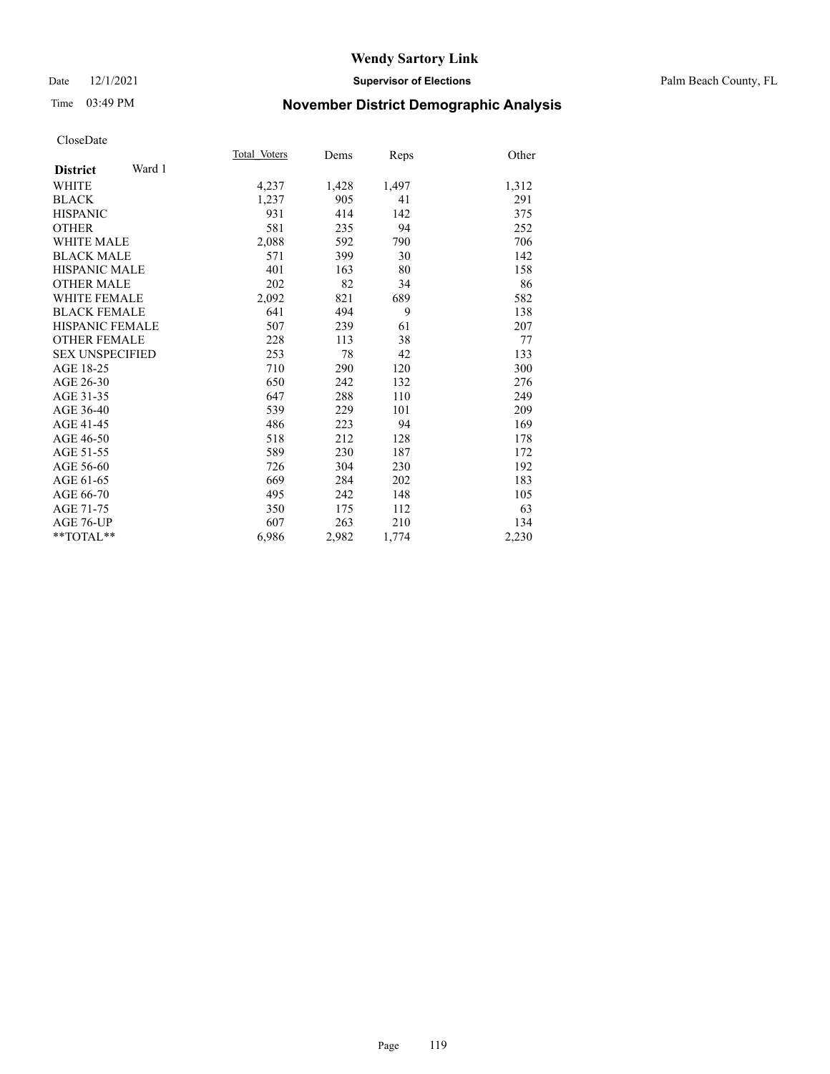### Date 12/1/2021 **Supervisor of Elections** Palm Beach County, FL

# Time 03:49 PM **November District Demographic Analysis**

|                           | Total Voters | Dems  | Reps  | Other |
|---------------------------|--------------|-------|-------|-------|
| Ward 1<br><b>District</b> |              |       |       |       |
| WHITE                     | 4,237        | 1,428 | 1,497 | 1,312 |
| <b>BLACK</b>              | 1,237        | 905   | 41    | 291   |
| <b>HISPANIC</b>           | 931          | 414   | 142   | 375   |
| <b>OTHER</b>              | 581          | 235   | 94    | 252   |
| WHITE MALE                | 2,088        | 592   | 790   | 706   |
| <b>BLACK MALE</b>         | 571          | 399   | 30    | 142   |
| <b>HISPANIC MALE</b>      | 401          | 163   | 80    | 158   |
| <b>OTHER MALE</b>         | 202          | 82    | 34    | 86    |
| <b>WHITE FEMALE</b>       | 2,092        | 821   | 689   | 582   |
| <b>BLACK FEMALE</b>       | 641          | 494   | 9     | 138   |
| <b>HISPANIC FEMALE</b>    | 507          | 239   | 61    | 207   |
| <b>OTHER FEMALE</b>       | 228          | 113   | 38    | 77    |
| <b>SEX UNSPECIFIED</b>    | 253          | 78    | 42    | 133   |
| AGE 18-25                 | 710          | 290   | 120   | 300   |
| AGE 26-30                 | 650          | 242   | 132   | 276   |
| AGE 31-35                 | 647          | 288   | 110   | 249   |
| AGE 36-40                 | 539          | 229   | 101   | 209   |
| AGE 41-45                 | 486          | 223   | 94    | 169   |
| AGE 46-50                 | 518          | 212   | 128   | 178   |
| AGE 51-55                 | 589          | 230   | 187   | 172   |
| AGE 56-60                 | 726          | 304   | 230   | 192   |
| AGE 61-65                 | 669          | 284   | 202   | 183   |
| AGE 66-70                 | 495          | 242   | 148   | 105   |
| AGE 71-75                 | 350          | 175   | 112   | 63    |
| <b>AGE 76-UP</b>          | 607          | 263   | 210   | 134   |
| $*$ $TOTAL**$             | 6,986        | 2,982 | 1,774 | 2,230 |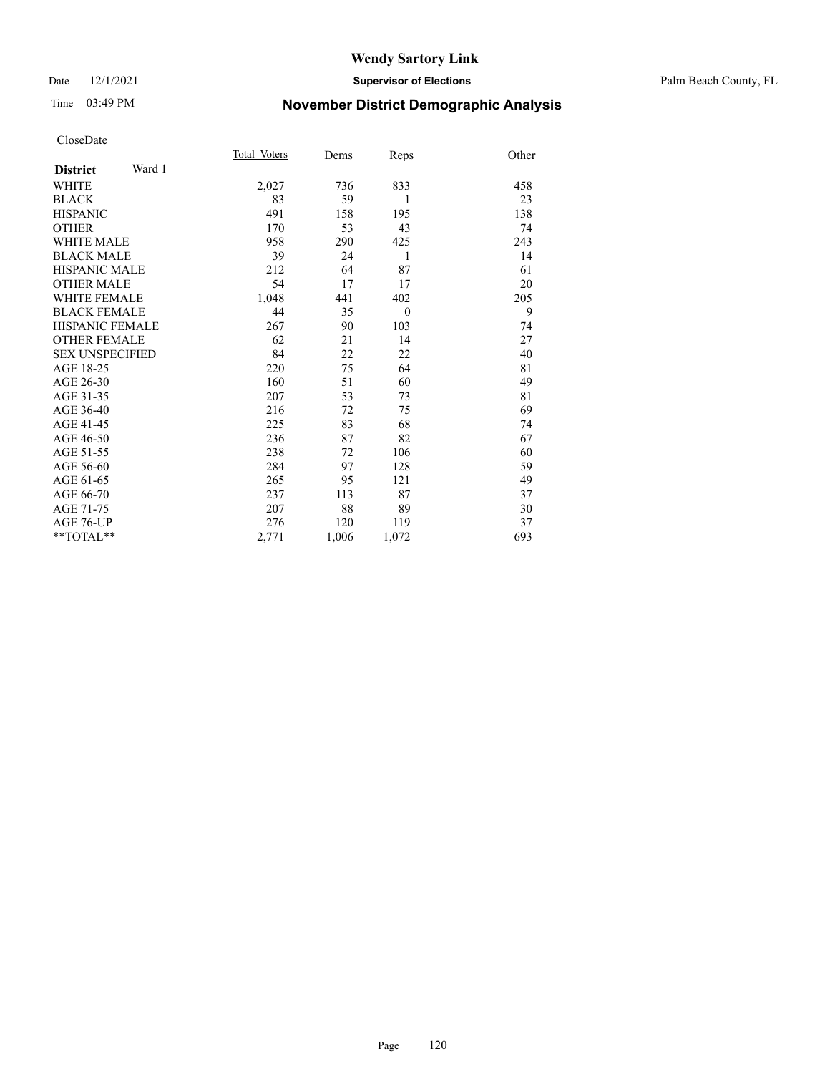### Date 12/1/2021 **Supervisor of Elections** Palm Beach County, FL

# Time 03:49 PM **November District Demographic Analysis**

|                           | Total Voters | Dems  | Reps         | Other |
|---------------------------|--------------|-------|--------------|-------|
| Ward 1<br><b>District</b> |              |       |              |       |
| <b>WHITE</b>              | 2,027        | 736   | 833          | 458   |
| <b>BLACK</b>              | 83           | 59    | 1            | 23    |
| <b>HISPANIC</b>           | 491          | 158   | 195          | 138   |
| <b>OTHER</b>              | 170          | 53    | 43           | 74    |
| <b>WHITE MALE</b>         | 958          | 290   | 425          | 243   |
| <b>BLACK MALE</b>         | 39           | 24    | 1            | 14    |
| <b>HISPANIC MALE</b>      | 212          | 64    | 87           | 61    |
| <b>OTHER MALE</b>         | 54           | 17    | 17           | 20    |
| <b>WHITE FEMALE</b>       | 1,048        | 441   | 402          | 205   |
| <b>BLACK FEMALE</b>       | 44           | 35    | $\mathbf{0}$ | 9     |
| <b>HISPANIC FEMALE</b>    | 267          | 90    | 103          | 74    |
| <b>OTHER FEMALE</b>       | 62           | 21    | 14           | 27    |
| <b>SEX UNSPECIFIED</b>    | 84           | 22    | 22           | 40    |
| AGE 18-25                 | 220          | 75    | 64           | 81    |
| AGE 26-30                 | 160          | 51    | 60           | 49    |
| AGE 31-35                 | 207          | 53    | 73           | 81    |
| AGE 36-40                 | 216          | 72    | 75           | 69    |
| AGE 41-45                 | 225          | 83    | 68           | 74    |
| AGE 46-50                 | 236          | 87    | 82           | 67    |
| AGE 51-55                 | 238          | 72    | 106          | 60    |
| AGE 56-60                 | 284          | 97    | 128          | 59    |
| AGE 61-65                 | 265          | 95    | 121          | 49    |
| AGE 66-70                 | 237          | 113   | 87           | 37    |
| AGE 71-75                 | 207          | 88    | 89           | 30    |
| AGE 76-UP                 | 276          | 120   | 119          | 37    |
| $*$ $TOTAL**$             | 2,771        | 1,006 | 1,072        | 693   |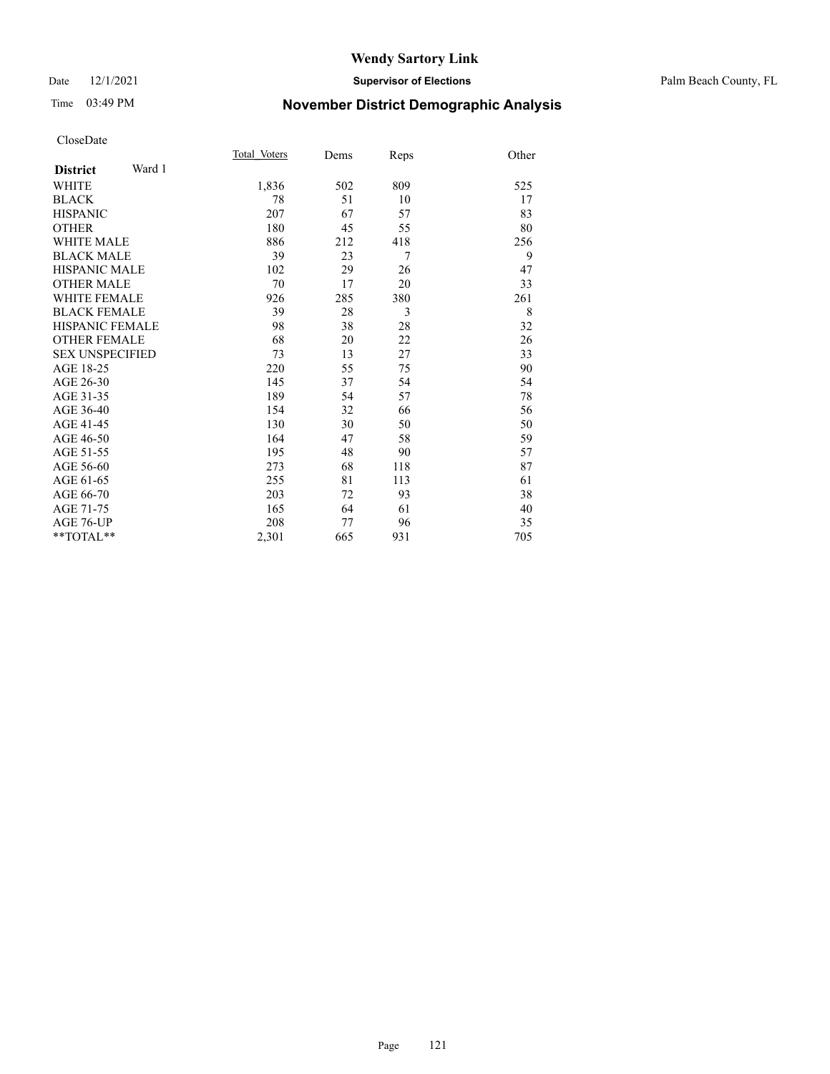### Date 12/1/2021 **Supervisor of Elections** Palm Beach County, FL

# Time 03:49 PM **November District Demographic Analysis**

|                           | Total Voters | Dems | Reps | Other |
|---------------------------|--------------|------|------|-------|
| Ward 1<br><b>District</b> |              |      |      |       |
| WHITE                     | 1,836        | 502  | 809  | 525   |
| <b>BLACK</b>              | 78           | 51   | 10   | 17    |
| <b>HISPANIC</b>           | 207          | 67   | 57   | 83    |
| <b>OTHER</b>              | 180          | 45   | 55   | 80    |
| <b>WHITE MALE</b>         | 886          | 212  | 418  | 256   |
| <b>BLACK MALE</b>         | 39           | 23   | 7    | 9     |
| <b>HISPANIC MALE</b>      | 102          | 29   | 26   | 47    |
| <b>OTHER MALE</b>         | 70           | 17   | 20   | 33    |
| <b>WHITE FEMALE</b>       | 926          | 285  | 380  | 261   |
| <b>BLACK FEMALE</b>       | 39           | 28   | 3    | 8     |
| <b>HISPANIC FEMALE</b>    | 98           | 38   | 28   | 32    |
| <b>OTHER FEMALE</b>       | 68           | 20   | 22   | 26    |
| <b>SEX UNSPECIFIED</b>    | 73           | 13   | 27   | 33    |
| AGE 18-25                 | 220          | 55   | 75   | 90    |
| AGE 26-30                 | 145          | 37   | 54   | 54    |
| AGE 31-35                 | 189          | 54   | 57   | 78    |
| AGE 36-40                 | 154          | 32   | 66   | 56    |
| AGE 41-45                 | 130          | 30   | 50   | 50    |
| AGE 46-50                 | 164          | 47   | 58   | 59    |
| AGE 51-55                 | 195          | 48   | 90   | 57    |
| AGE 56-60                 | 273          | 68   | 118  | 87    |
| AGE 61-65                 | 255          | 81   | 113  | 61    |
| AGE 66-70                 | 203          | 72   | 93   | 38    |
| AGE 71-75                 | 165          | 64   | 61   | 40    |
| AGE 76-UP                 | 208          | 77   | 96   | 35    |
| $*$ $TOTAL**$             | 2,301        | 665  | 931  | 705   |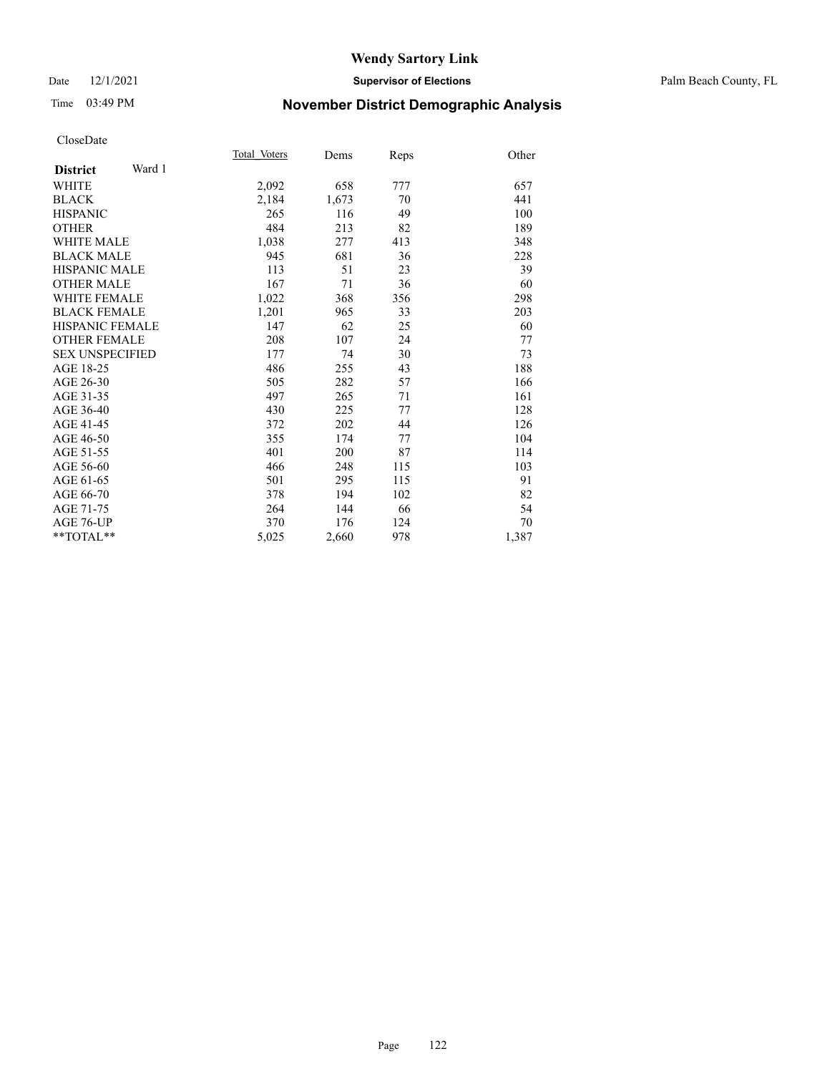### Date 12/1/2021 **Supervisor of Elections** Palm Beach County, FL

# Time 03:49 PM **November District Demographic Analysis**

|                           | Total Voters | Dems  | Reps | Other |
|---------------------------|--------------|-------|------|-------|
| Ward 1<br><b>District</b> |              |       |      |       |
| <b>WHITE</b>              | 2,092        | 658   | 777  | 657   |
| <b>BLACK</b>              | 2,184        | 1,673 | 70   | 441   |
| <b>HISPANIC</b>           | 265          | 116   | 49   | 100   |
| <b>OTHER</b>              | 484          | 213   | 82   | 189   |
| <b>WHITE MALE</b>         | 1,038        | 277   | 413  | 348   |
| <b>BLACK MALE</b>         | 945          | 681   | 36   | 228   |
| <b>HISPANIC MALE</b>      | 113          | 51    | 23   | 39    |
| <b>OTHER MALE</b>         | 167          | 71    | 36   | 60    |
| WHITE FEMALE              | 1,022        | 368   | 356  | 298   |
| <b>BLACK FEMALE</b>       | 1,201        | 965   | 33   | 203   |
| <b>HISPANIC FEMALE</b>    | 147          | 62    | 25   | 60    |
| <b>OTHER FEMALE</b>       | 208          | 107   | 24   | 77    |
| <b>SEX UNSPECIFIED</b>    | 177          | 74    | 30   | 73    |
| AGE 18-25                 | 486          | 255   | 43   | 188   |
| AGE 26-30                 | 505          | 282   | 57   | 166   |
| AGE 31-35                 | 497          | 265   | 71   | 161   |
| AGE 36-40                 | 430          | 225   | 77   | 128   |
| AGE 41-45                 | 372          | 202   | 44   | 126   |
| AGE 46-50                 | 355          | 174   | 77   | 104   |
| AGE 51-55                 | 401          | 200   | 87   | 114   |
| AGE 56-60                 | 466          | 248   | 115  | 103   |
| AGE 61-65                 | 501          | 295   | 115  | 91    |
| AGE 66-70                 | 378          | 194   | 102  | 82    |
| AGE 71-75                 | 264          | 144   | 66   | 54    |
| AGE 76-UP                 | 370          | 176   | 124  | 70    |
| $*$ $TOTAL**$             | 5,025        | 2,660 | 978  | 1,387 |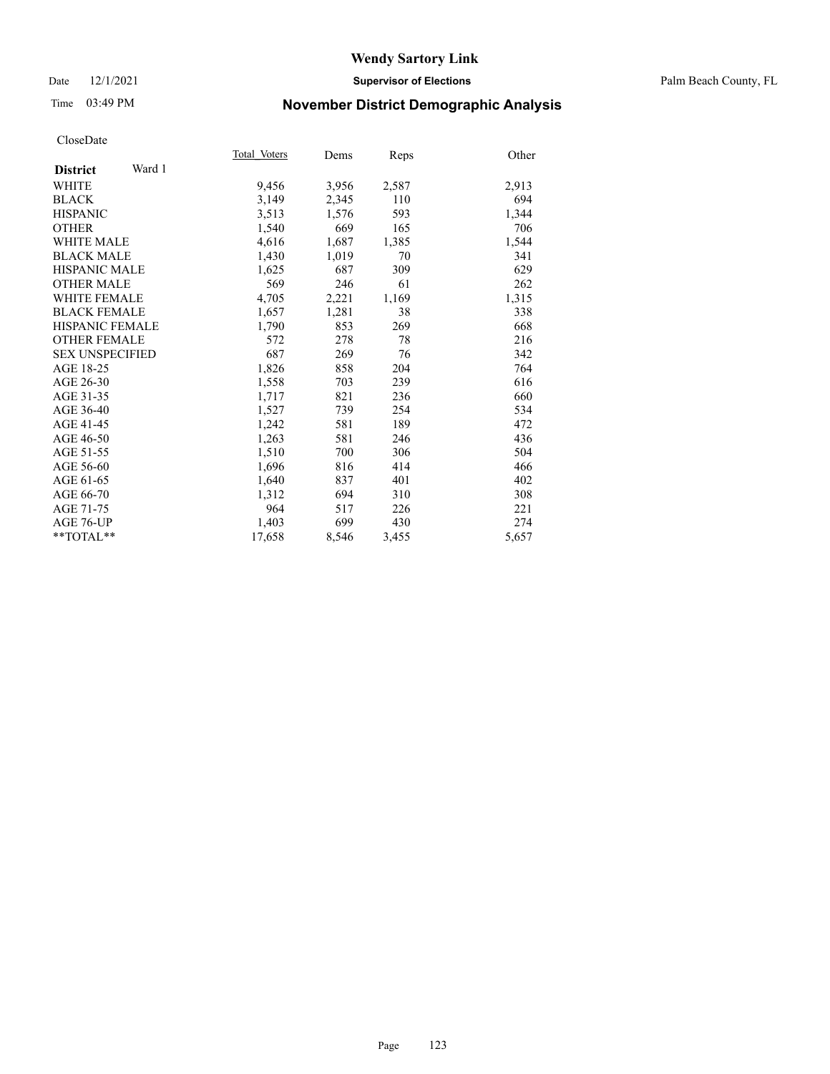### Date 12/1/2021 **Supervisor of Elections** Palm Beach County, FL

# Time 03:49 PM **November District Demographic Analysis**

| Other<br>Reps  |
|----------------|
|                |
| 2,587<br>2,913 |
| 694<br>110     |
| 1,344<br>593   |
| 165<br>706     |
| 1,544<br>1,385 |
| 341<br>70      |
| 629<br>309     |
| 61<br>262      |
| 1,315<br>1,169 |
| 338<br>38      |
| 269<br>668     |
| 78<br>216      |
| 342<br>76      |
| 204<br>764     |
| 239<br>616     |
| 236<br>660     |
| 254<br>534     |
| 189<br>472     |
| 436<br>246     |
| 504<br>306     |
| 414<br>466     |
| 401<br>402     |
| 308<br>310     |
| 221<br>226     |
| 430<br>274     |
| 5,657<br>3,455 |
|                |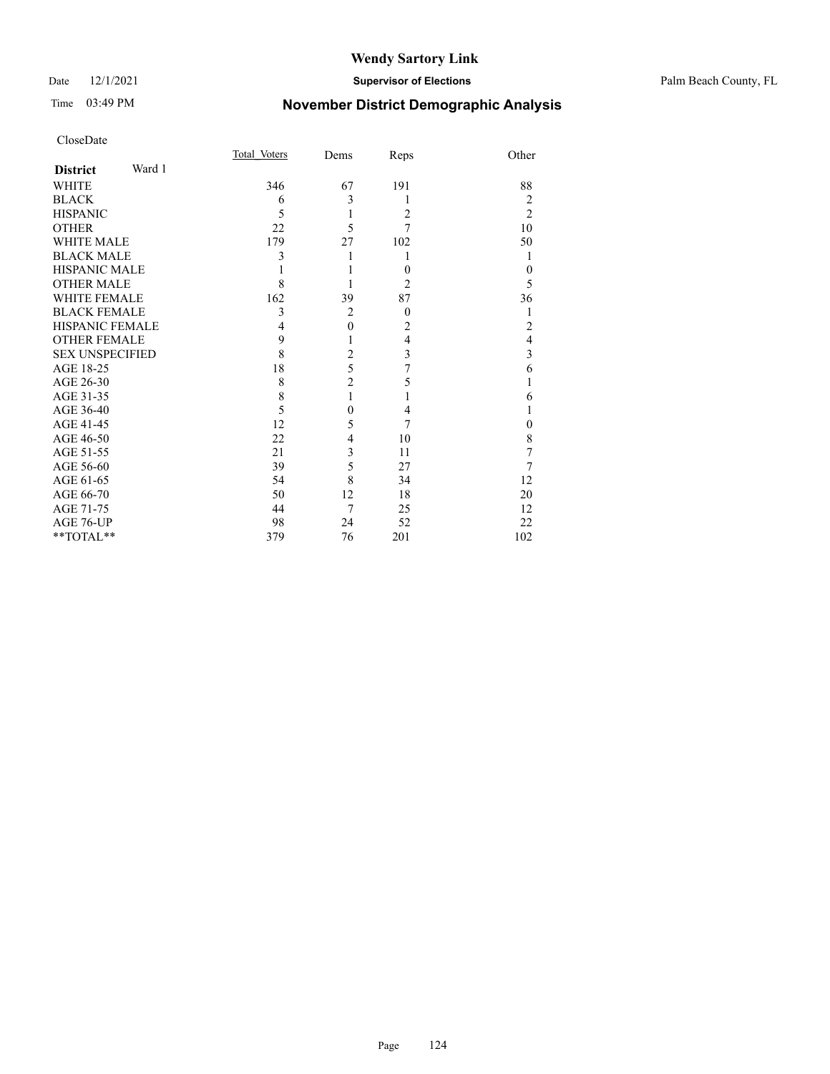### Date 12/1/2021 **Supervisor of Elections** Palm Beach County, FL

# Time 03:49 PM **November District Demographic Analysis**

|                        |        | Total Voters | Dems           | Reps           | Other          |
|------------------------|--------|--------------|----------------|----------------|----------------|
| <b>District</b>        | Ward 1 |              |                |                |                |
| <b>WHITE</b>           |        | 346          | 67             | 191            | 88             |
| <b>BLACK</b>           |        | 6            | 3              | 1              | 2              |
| <b>HISPANIC</b>        |        | 5            | 1              | 2              | $\overline{2}$ |
| <b>OTHER</b>           |        | 22           | 5              | 7              | 10             |
| <b>WHITE MALE</b>      |        | 179          | 27             | 102            | 50             |
| <b>BLACK MALE</b>      |        | 3            | 1              | 1              | 1              |
| HISPANIC MALE          |        |              |                | $\theta$       | $\theta$       |
| <b>OTHER MALE</b>      |        | 8            |                | $\overline{2}$ | 5              |
| <b>WHITE FEMALE</b>    |        | 162          | 39             | 87             | 36             |
| <b>BLACK FEMALE</b>    |        | 3            | $\overline{2}$ | $\overline{0}$ | 1              |
| HISPANIC FEMALE        |        | 4            | $\mathbf{0}$   | $\overline{c}$ | 2              |
| <b>OTHER FEMALE</b>    |        | 9            | 1              | $\overline{4}$ | $\overline{4}$ |
| <b>SEX UNSPECIFIED</b> |        | 8            | $\overline{c}$ | 3              | 3              |
| AGE 18-25              |        | 18           | 5              | 7              | 6              |
| AGE 26-30              |        | 8            | $\overline{c}$ | 5              | 1              |
| AGE 31-35              |        | 8            | $\mathbf{1}$   |                | 6              |
| AGE 36-40              |        | 5            | $\theta$       | 4              | 1              |
| AGE 41-45              |        | 12           | 5              | 7              | $\mathbf{0}$   |
| AGE 46-50              |        | 22           | 4              | 10             | 8              |
| AGE 51-55              |        | 21           | 3              | 11             | 7              |
| AGE 56-60              |        | 39           | 5              | 27             | 7              |
| AGE 61-65              |        | 54           | 8              | 34             | 12             |
| AGE 66-70              |        | 50           | 12             | 18             | 20             |
| AGE 71-75              |        | 44           | 7              | 25             | 12             |
| AGE 76-UP              |        | 98           | 24             | 52             | 22             |
| **TOTAL**              |        | 379          | 76             | 201            | 102            |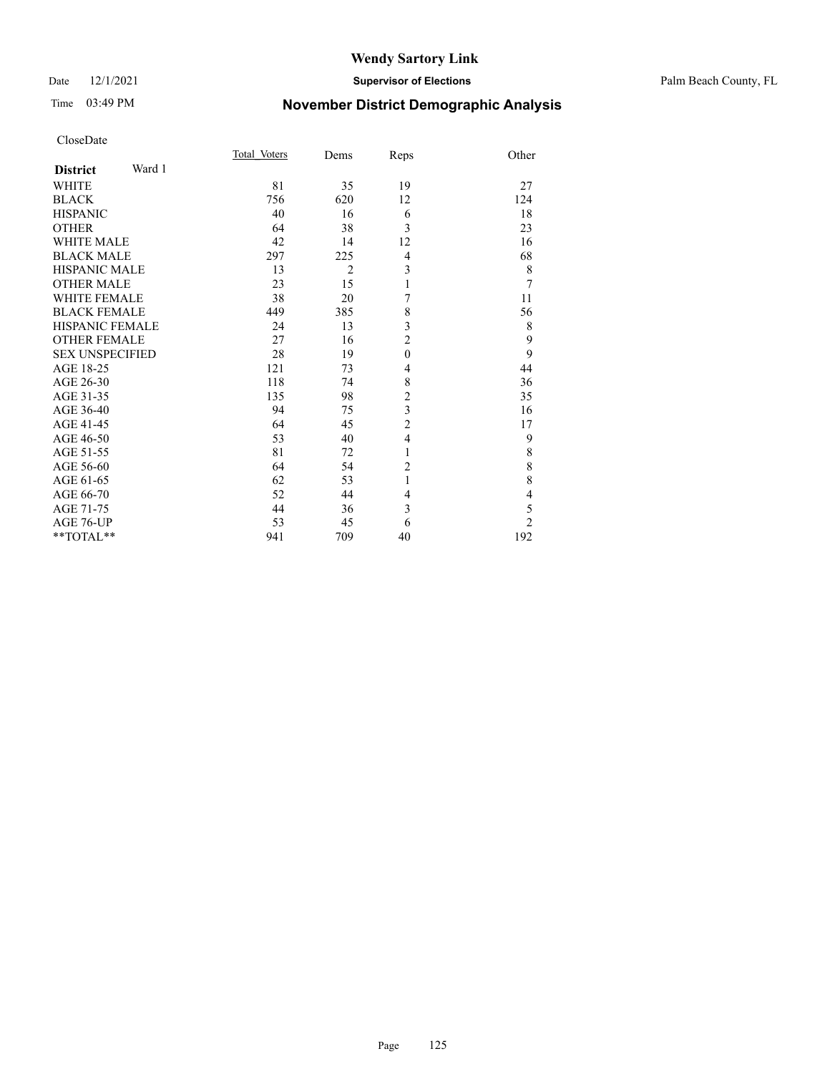### Date 12/1/2021 **Supervisor of Elections** Palm Beach County, FL

# Time 03:49 PM **November District Demographic Analysis**

|                        |        | Total Voters | Dems           | Reps           | Other          |
|------------------------|--------|--------------|----------------|----------------|----------------|
| <b>District</b>        | Ward 1 |              |                |                |                |
| WHITE                  |        | 81           | 35             | 19             | 27             |
| <b>BLACK</b>           |        | 756          | 620            | 12             | 124            |
| <b>HISPANIC</b>        |        | 40           | 16             | 6              | 18             |
| <b>OTHER</b>           |        | 64           | 38             | 3              | 23             |
| <b>WHITE MALE</b>      |        | 42           | 14             | 12             | 16             |
| <b>BLACK MALE</b>      |        | 297          | 225            | 4              | 68             |
| <b>HISPANIC MALE</b>   |        | 13           | $\overline{2}$ | 3              | 8              |
| <b>OTHER MALE</b>      |        | 23           | 15             | 1              | $\overline{7}$ |
| <b>WHITE FEMALE</b>    |        | 38           | 20             | 7              | 11             |
| <b>BLACK FEMALE</b>    |        | 449          | 385            | 8              | 56             |
| HISPANIC FEMALE        |        | 24           | 13             | 3              | 8              |
| <b>OTHER FEMALE</b>    |        | 27           | 16             | $\overline{c}$ | 9              |
| <b>SEX UNSPECIFIED</b> |        | 28           | 19             | $\mathbf{0}$   | 9              |
| AGE 18-25              |        | 121          | 73             | $\overline{4}$ | 44             |
| AGE 26-30              |        | 118          | 74             | 8              | 36             |
| AGE 31-35              |        | 135          | 98             | $\overline{c}$ | 35             |
| AGE 36-40              |        | 94           | 75             | 3              | 16             |
| AGE 41-45              |        | 64           | 45             | $\overline{c}$ | 17             |
| AGE 46-50              |        | 53           | 40             | $\overline{4}$ | 9              |
| AGE 51-55              |        | 81           | 72             | 1              | $\,$ $\,$      |
| AGE 56-60              |        | 64           | 54             | $\overline{c}$ | 8              |
| AGE 61-65              |        | 62           | 53             | 1              | 8              |
| AGE 66-70              |        | 52           | 44             | 4              | $\overline{4}$ |
| AGE 71-75              |        | 44           | 36             | 3              | 5              |
| AGE 76-UP              |        | 53           | 45             | 6              | $\overline{2}$ |
| $**TOTAL**$            |        | 941          | 709            | 40             | 192            |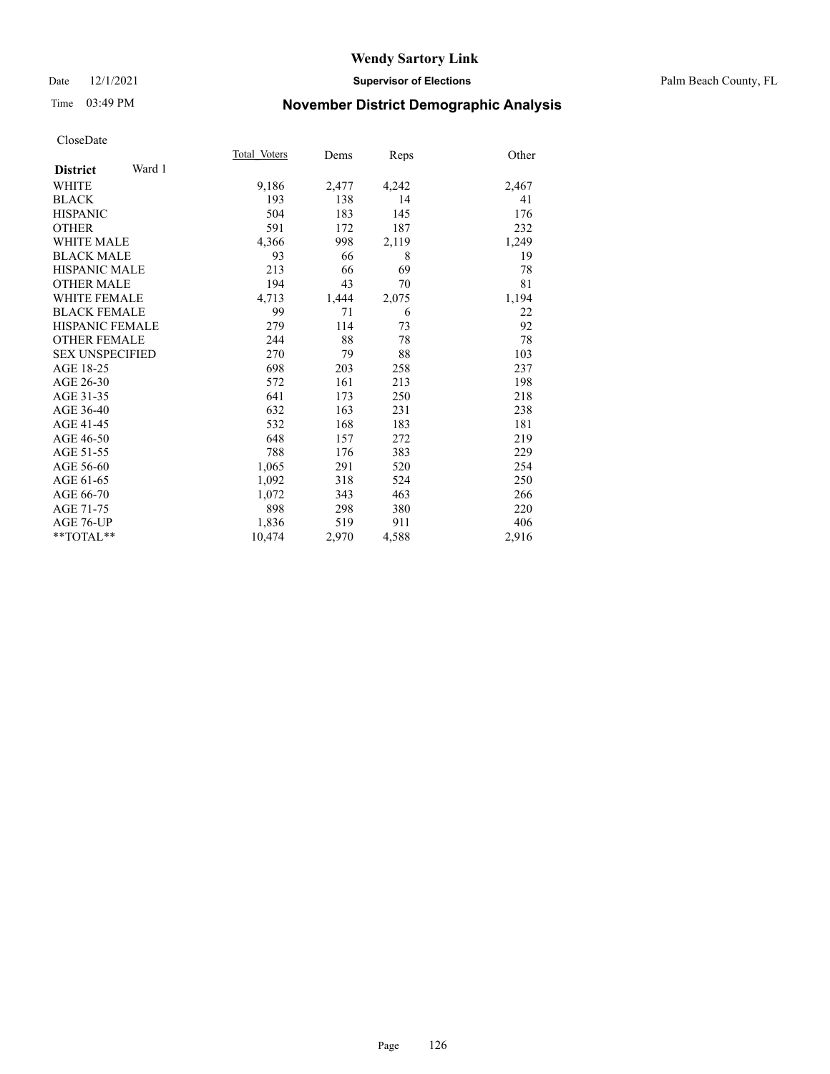### Date 12/1/2021 **Supervisor of Elections** Palm Beach County, FL

# Time 03:49 PM **November District Demographic Analysis**

|                        |        | Total Voters | Dems  | Reps  | Other |
|------------------------|--------|--------------|-------|-------|-------|
| <b>District</b>        | Ward 1 |              |       |       |       |
| <b>WHITE</b>           |        | 9,186        | 2,477 | 4,242 | 2,467 |
| <b>BLACK</b>           |        | 193          | 138   | 14    | 41    |
| <b>HISPANIC</b>        |        | 504          | 183   | 145   | 176   |
| <b>OTHER</b>           |        | 591          | 172   | 187   | 232   |
| <b>WHITE MALE</b>      |        | 4,366        | 998   | 2,119 | 1,249 |
| <b>BLACK MALE</b>      |        | 93           | 66    | 8     | 19    |
| <b>HISPANIC MALE</b>   |        | 213          | 66    | 69    | 78    |
| <b>OTHER MALE</b>      |        | 194          | 43    | 70    | 81    |
| <b>WHITE FEMALE</b>    |        | 4,713        | 1,444 | 2,075 | 1,194 |
| <b>BLACK FEMALE</b>    |        | 99           | 71    | 6     | 22    |
| HISPANIC FEMALE        |        | 279          | 114   | 73    | 92    |
| <b>OTHER FEMALE</b>    |        | 244          | 88    | 78    | 78    |
| <b>SEX UNSPECIFIED</b> |        | 270          | 79    | 88    | 103   |
| AGE 18-25              |        | 698          | 203   | 258   | 237   |
| AGE 26-30              |        | 572          | 161   | 213   | 198   |
| AGE 31-35              |        | 641          | 173   | 250   | 218   |
| AGE 36-40              |        | 632          | 163   | 231   | 238   |
| AGE 41-45              |        | 532          | 168   | 183   | 181   |
| AGE 46-50              |        | 648          | 157   | 272   | 219   |
| AGE 51-55              |        | 788          | 176   | 383   | 229   |
| AGE 56-60              |        | 1,065        | 291   | 520   | 254   |
| AGE 61-65              |        | 1,092        | 318   | 524   | 250   |
| AGE 66-70              |        | 1,072        | 343   | 463   | 266   |
| AGE 71-75              |        | 898          | 298   | 380   | 220   |
| AGE 76-UP              |        | 1,836        | 519   | 911   | 406   |
| $*$ $TOTAL**$          |        | 10,474       | 2,970 | 4,588 | 2,916 |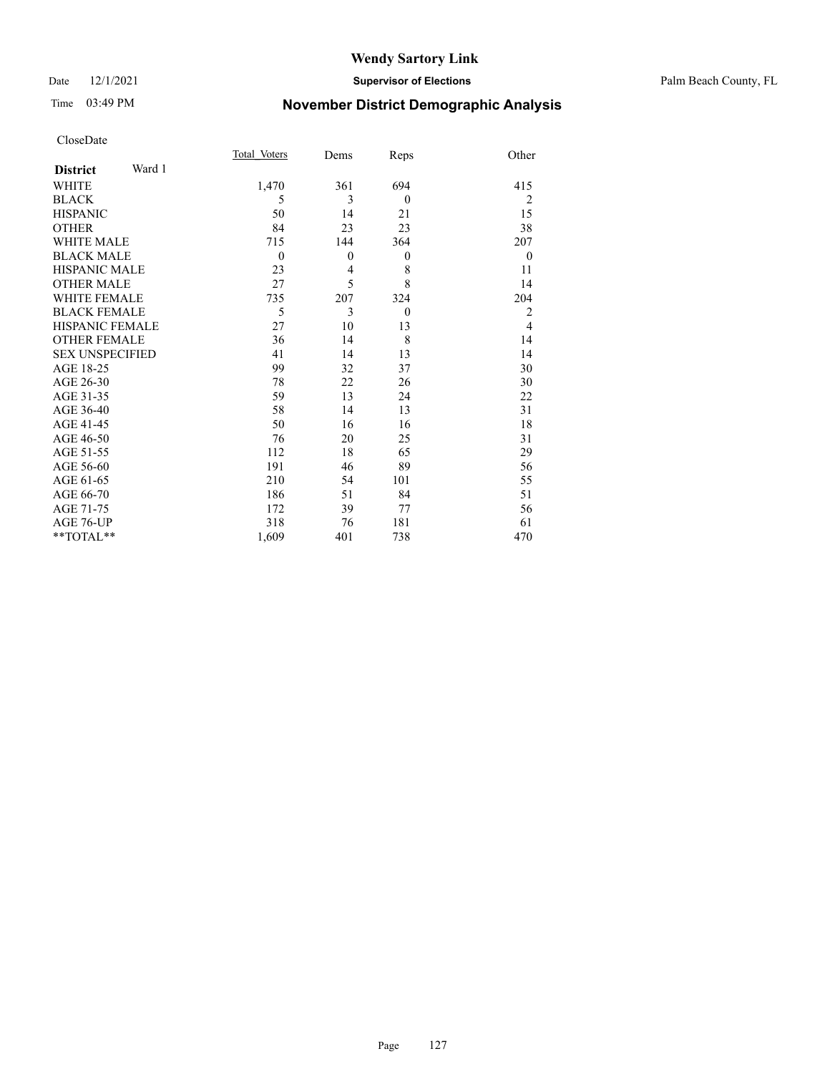### Date 12/1/2021 **Supervisor of Elections** Palm Beach County, FL

# Time 03:49 PM **November District Demographic Analysis**

|                           | Total Voters | Dems         | Reps     | Other        |
|---------------------------|--------------|--------------|----------|--------------|
| Ward 1<br><b>District</b> |              |              |          |              |
| WHITE                     | 1,470        | 361          | 694      | 415          |
| <b>BLACK</b>              | 5            | 3            | $\theta$ | 2            |
| <b>HISPANIC</b>           | 50           | 14           | 21       | 15           |
| <b>OTHER</b>              | 84           | 23           | 23       | 38           |
| <b>WHITE MALE</b>         | 715          | 144          | 364      | 207          |
| <b>BLACK MALE</b>         | $\mathbf{0}$ | $\mathbf{0}$ | $\theta$ | $\mathbf{0}$ |
| <b>HISPANIC MALE</b>      | 23           | 4            | 8        | 11           |
| <b>OTHER MALE</b>         | 27           | 5            | 8        | 14           |
| <b>WHITE FEMALE</b>       | 735          | 207          | 324      | 204          |
| <b>BLACK FEMALE</b>       | 5            | 3            | $\theta$ | 2            |
| <b>HISPANIC FEMALE</b>    | 27           | 10           | 13       | 4            |
| <b>OTHER FEMALE</b>       | 36           | 14           | 8        | 14           |
| <b>SEX UNSPECIFIED</b>    | 41           | 14           | 13       | 14           |
| AGE 18-25                 | 99           | 32           | 37       | 30           |
| AGE 26-30                 | 78           | 22           | 26       | 30           |
| AGE 31-35                 | 59           | 13           | 24       | 22           |
| AGE 36-40                 | 58           | 14           | 13       | 31           |
| AGE 41-45                 | 50           | 16           | 16       | 18           |
| AGE 46-50                 | 76           | 20           | 25       | 31           |
| AGE 51-55                 | 112          | 18           | 65       | 29           |
| AGE 56-60                 | 191          | 46           | 89       | 56           |
| AGE 61-65                 | 210          | 54           | 101      | 55           |
| AGE 66-70                 | 186          | 51           | 84       | 51           |
| AGE 71-75                 | 172          | 39           | 77       | 56           |
| AGE 76-UP                 | 318          | 76           | 181      | 61           |
| **TOTAL**                 | 1,609        | 401          | 738      | 470          |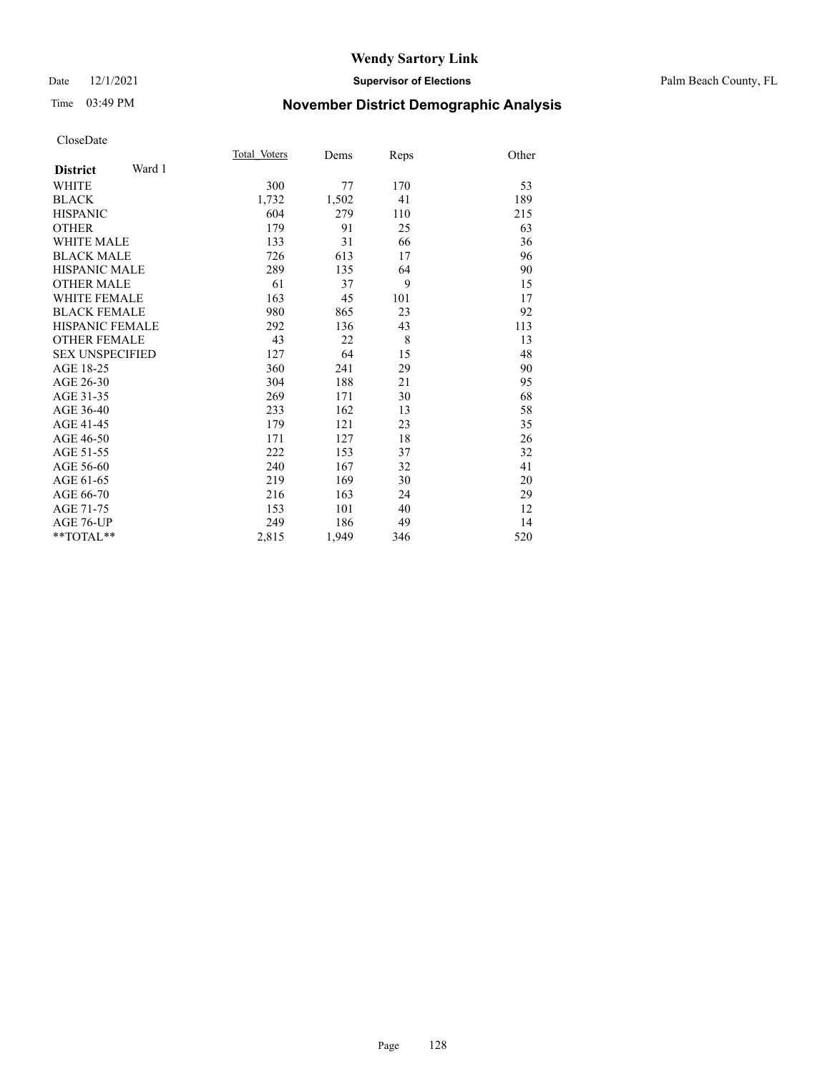# Time 03:49 PM **November District Demographic Analysis**

|                           | Total Voters | Dems  | Reps | Other |
|---------------------------|--------------|-------|------|-------|
| Ward 1<br><b>District</b> |              |       |      |       |
| <b>WHITE</b>              | 300          | 77    | 170  | 53    |
| <b>BLACK</b>              | 1,732        | 1,502 | 41   | 189   |
| <b>HISPANIC</b>           | 604          | 279   | 110  | 215   |
| <b>OTHER</b>              | 179          | 91    | 25   | 63    |
| WHITE MALE                | 133          | 31    | 66   | 36    |
| <b>BLACK MALE</b>         | 726          | 613   | 17   | 96    |
| <b>HISPANIC MALE</b>      | 289          | 135   | 64   | 90    |
| <b>OTHER MALE</b>         | 61           | 37    | 9    | 15    |
| <b>WHITE FEMALE</b>       | 163          | 45    | 101  | 17    |
| <b>BLACK FEMALE</b>       | 980          | 865   | 23   | 92    |
| <b>HISPANIC FEMALE</b>    | 292          | 136   | 43   | 113   |
| <b>OTHER FEMALE</b>       | 43           | 22    | 8    | 13    |
| <b>SEX UNSPECIFIED</b>    | 127          | 64    | 15   | 48    |
| AGE 18-25                 | 360          | 241   | 29   | 90    |
| AGE 26-30                 | 304          | 188   | 21   | 95    |
| AGE 31-35                 | 269          | 171   | 30   | 68    |
| AGE 36-40                 | 233          | 162   | 13   | 58    |
| AGE 41-45                 | 179          | 121   | 23   | 35    |
| AGE 46-50                 | 171          | 127   | 18   | 26    |
| AGE 51-55                 | 222          | 153   | 37   | 32    |
| AGE 56-60                 | 240          | 167   | 32   | 41    |
| AGE 61-65                 | 219          | 169   | 30   | 20    |
| AGE 66-70                 | 216          | 163   | 24   | 29    |
| AGE 71-75                 | 153          | 101   | 40   | 12    |
| AGE 76-UP                 | 249          | 186   | 49   | 14    |
| $*$ $TOTAL**$             | 2,815        | 1,949 | 346  | 520   |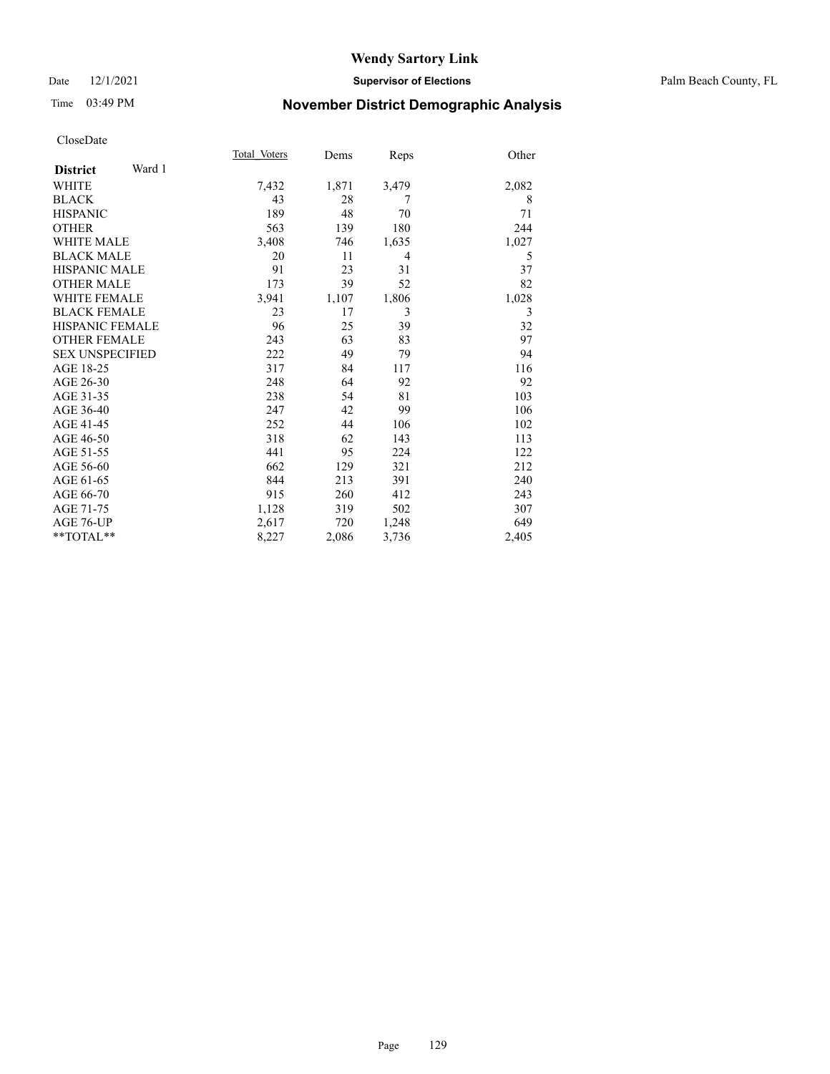### Date 12/1/2021 **Supervisor of Elections** Palm Beach County, FL

# Time 03:49 PM **November District Demographic Analysis**

|                        |        | Total Voters | Dems  | Reps  | Other |
|------------------------|--------|--------------|-------|-------|-------|
| <b>District</b>        | Ward 1 |              |       |       |       |
| <b>WHITE</b>           |        | 7,432        | 1,871 | 3,479 | 2,082 |
| <b>BLACK</b>           |        | 43           | 28    | 7     | 8     |
| <b>HISPANIC</b>        |        | 189          | 48    | 70    | 71    |
| <b>OTHER</b>           |        | 563          | 139   | 180   | 244   |
| <b>WHITE MALE</b>      |        | 3,408        | 746   | 1,635 | 1,027 |
| <b>BLACK MALE</b>      |        | 20           | 11    | 4     | 5     |
| <b>HISPANIC MALE</b>   |        | 91           | 23    | 31    | 37    |
| <b>OTHER MALE</b>      |        | 173          | 39    | 52    | 82    |
| <b>WHITE FEMALE</b>    |        | 3,941        | 1,107 | 1,806 | 1,028 |
| <b>BLACK FEMALE</b>    |        | 23           | 17    | 3     | 3     |
| <b>HISPANIC FEMALE</b> |        | 96           | 25    | 39    | 32    |
| <b>OTHER FEMALE</b>    |        | 243          | 63    | 83    | 97    |
| <b>SEX UNSPECIFIED</b> |        | 222          | 49    | 79    | 94    |
| AGE 18-25              |        | 317          | 84    | 117   | 116   |
| AGE 26-30              |        | 248          | 64    | 92    | 92    |
| AGE 31-35              |        | 238          | 54    | 81    | 103   |
| AGE 36-40              |        | 247          | 42    | 99    | 106   |
| AGE 41-45              |        | 252          | 44    | 106   | 102   |
| AGE 46-50              |        | 318          | 62    | 143   | 113   |
| AGE 51-55              |        | 441          | 95    | 224   | 122   |
| AGE 56-60              |        | 662          | 129   | 321   | 212   |
| AGE 61-65              |        | 844          | 213   | 391   | 240   |
| AGE 66-70              |        | 915          | 260   | 412   | 243   |
| AGE 71-75              |        | 1,128        | 319   | 502   | 307   |
| AGE 76-UP              |        | 2,617        | 720   | 1,248 | 649   |
| $*$ $TOTAL**$          |        | 8,227        | 2,086 | 3,736 | 2,405 |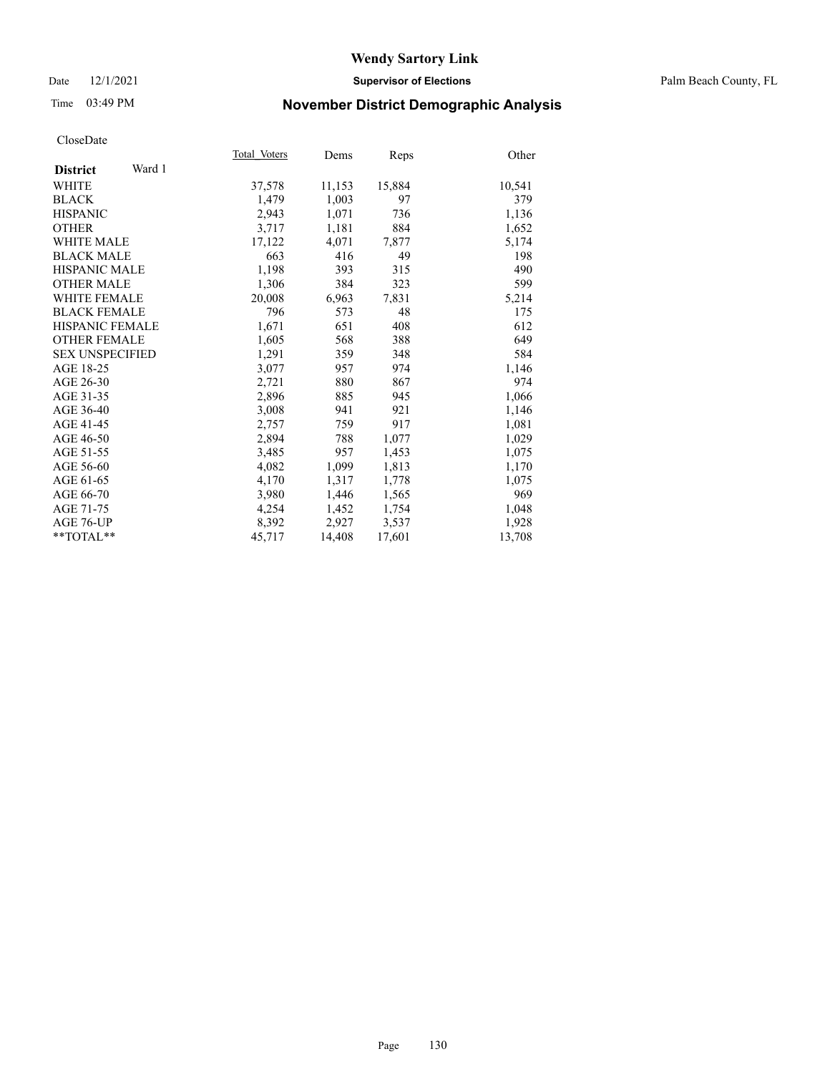### Date 12/1/2021 **Supervisor of Elections** Palm Beach County, FL

# Time 03:49 PM **November District Demographic Analysis**

|                           | Total Voters | Dems   | Reps   | Other  |
|---------------------------|--------------|--------|--------|--------|
| Ward 1<br><b>District</b> |              |        |        |        |
| <b>WHITE</b>              | 37,578       | 11,153 | 15,884 | 10,541 |
| <b>BLACK</b>              | 1,479        | 1,003  | 97     | 379    |
| <b>HISPANIC</b>           | 2,943        | 1,071  | 736    | 1,136  |
| <b>OTHER</b>              | 3,717        | 1,181  | 884    | 1,652  |
| <b>WHITE MALE</b>         | 17,122       | 4,071  | 7,877  | 5,174  |
| <b>BLACK MALE</b>         | 663          | 416    | 49     | 198    |
| <b>HISPANIC MALE</b>      | 1,198        | 393    | 315    | 490    |
| <b>OTHER MALE</b>         | 1,306        | 384    | 323    | 599    |
| <b>WHITE FEMALE</b>       | 20,008       | 6,963  | 7,831  | 5,214  |
| <b>BLACK FEMALE</b>       | 796          | 573    | 48     | 175    |
| HISPANIC FEMALE           | 1,671        | 651    | 408    | 612    |
| <b>OTHER FEMALE</b>       | 1,605        | 568    | 388    | 649    |
| <b>SEX UNSPECIFIED</b>    | 1,291        | 359    | 348    | 584    |
| AGE 18-25                 | 3,077        | 957    | 974    | 1,146  |
| AGE 26-30                 | 2,721        | 880    | 867    | 974    |
| AGE 31-35                 | 2,896        | 885    | 945    | 1,066  |
| AGE 36-40                 | 3,008        | 941    | 921    | 1,146  |
| AGE 41-45                 | 2,757        | 759    | 917    | 1,081  |
| AGE 46-50                 | 2,894        | 788    | 1,077  | 1,029  |
| AGE 51-55                 | 3,485        | 957    | 1,453  | 1,075  |
| AGE 56-60                 | 4,082        | 1,099  | 1,813  | 1,170  |
| AGE 61-65                 | 4,170        | 1,317  | 1,778  | 1,075  |
| AGE 66-70                 | 3,980        | 1,446  | 1,565  | 969    |
| AGE 71-75                 | 4,254        | 1,452  | 1,754  | 1,048  |
| AGE 76-UP                 | 8,392        | 2,927  | 3,537  | 1,928  |
| **TOTAL**                 | 45,717       | 14,408 | 17,601 | 13,708 |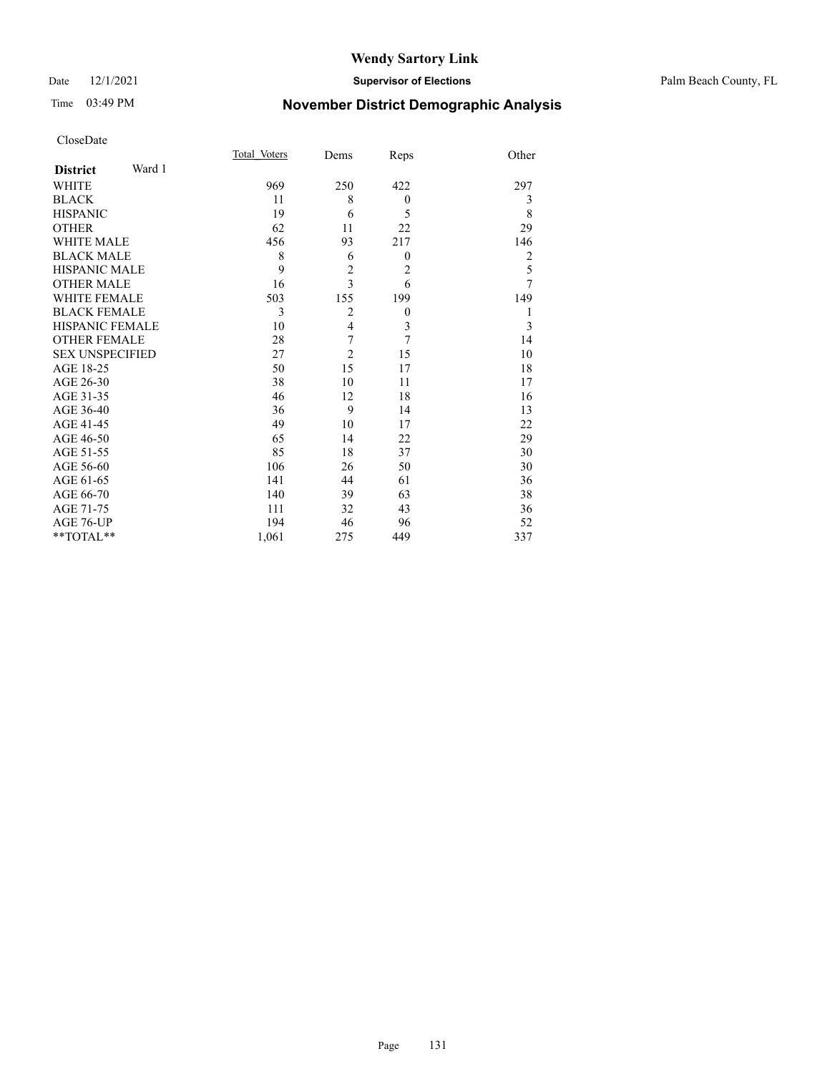# Time 03:49 PM **November District Demographic Analysis**

|                        |        | Total Voters | Dems           | Reps             | Other          |
|------------------------|--------|--------------|----------------|------------------|----------------|
| <b>District</b>        | Ward 1 |              |                |                  |                |
| <b>WHITE</b>           |        | 969          | 250            | 422              | 297            |
| <b>BLACK</b>           |        | 11           | 8              | $\boldsymbol{0}$ | 3              |
| <b>HISPANIC</b>        |        | 19           | 6              | 5                | 8              |
| <b>OTHER</b>           |        | 62           | 11             | 22               | 29             |
| <b>WHITE MALE</b>      |        | 456          | 93             | 217              | 146            |
| <b>BLACK MALE</b>      |        | 8            | 6              | $\boldsymbol{0}$ | $\overline{2}$ |
| <b>HISPANIC MALE</b>   |        | 9            | $\overline{c}$ | $\overline{2}$   | 5              |
| <b>OTHER MALE</b>      |        | 16           | $\overline{3}$ | 6                | $\overline{7}$ |
| <b>WHITE FEMALE</b>    |        | 503          | 155            | 199              | 149            |
| <b>BLACK FEMALE</b>    |        | 3            | $\overline{2}$ | $\boldsymbol{0}$ | 1              |
| HISPANIC FEMALE        |        | 10           | $\overline{4}$ | $\mathfrak{Z}$   | 3              |
| <b>OTHER FEMALE</b>    |        | 28           | 7              | 7                | 14             |
| <b>SEX UNSPECIFIED</b> |        | 27           | $\overline{2}$ | 15               | 10             |
| AGE 18-25              |        | 50           | 15             | 17               | 18             |
| AGE 26-30              |        | 38           | 10             | 11               | 17             |
| AGE 31-35              |        | 46           | 12             | 18               | 16             |
| AGE 36-40              |        | 36           | 9              | 14               | 13             |
| AGE 41-45              |        | 49           | 10             | 17               | 22             |
| AGE 46-50              |        | 65           | 14             | 22               | 29             |
| AGE 51-55              |        | 85           | 18             | 37               | 30             |
| AGE 56-60              |        | 106          | 26             | 50               | 30             |
| AGE 61-65              |        | 141          | 44             | 61               | 36             |
| AGE 66-70              |        | 140          | 39             | 63               | 38             |
| AGE 71-75              |        | 111          | 32             | 43               | 36             |
| AGE 76-UP              |        | 194          | 46             | 96               | 52             |
| $*$ TOTAL $*$          |        | 1,061        | 275            | 449              | 337            |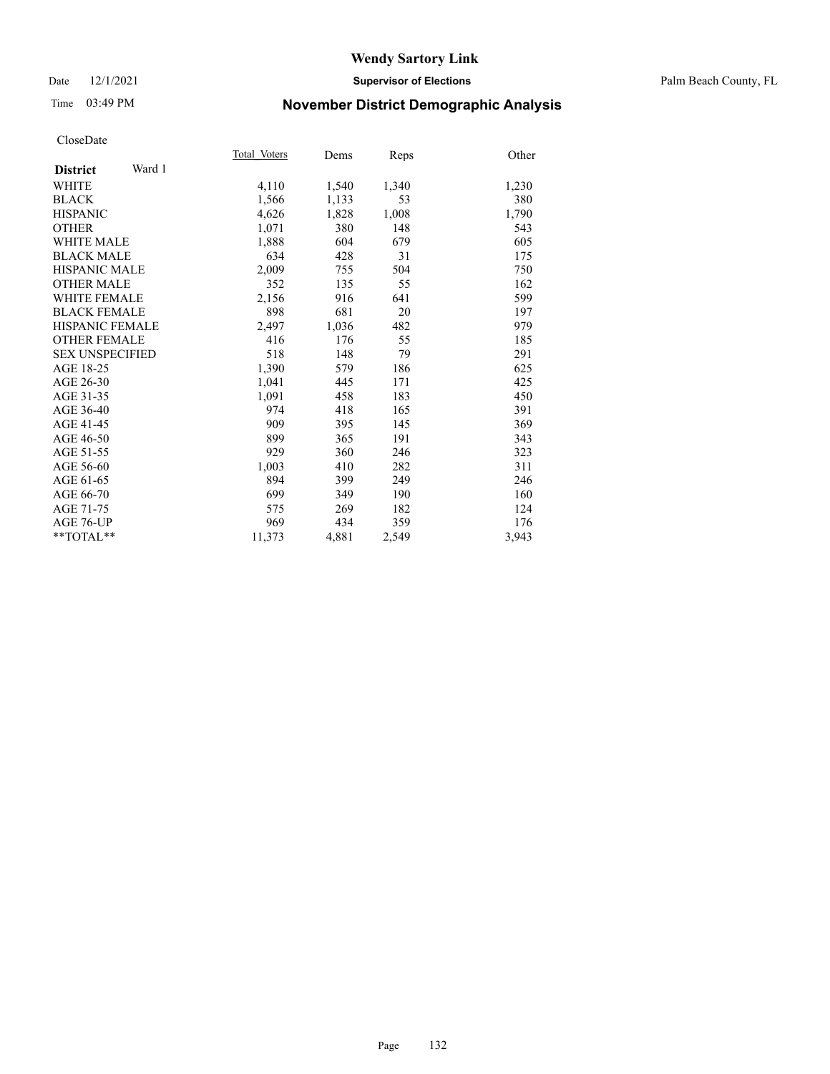### Date 12/1/2021 **Supervisor of Elections** Palm Beach County, FL

# Time 03:49 PM **November District Demographic Analysis**

|        |                       |               | Other         |
|--------|-----------------------|---------------|---------------|
|        |                       |               |               |
|        |                       |               | 1,230         |
| 1,566  | 1,133                 | 53            | 380           |
| 4,626  | 1,828                 | 1,008         | 1,790         |
| 1,071  | 380                   | 148           | 543           |
| 1,888  | 604                   | 679           | 605           |
| 634    | 428                   | 31            | 175           |
| 2,009  | 755                   | 504           | 750           |
| 352    | 135                   | 55            | 162           |
| 2,156  | 916                   | 641           | 599           |
| 898    | 681                   | 20            | 197           |
| 2,497  | 1,036                 | 482           | 979           |
| 416    | 176                   | 55            | 185           |
| 518    | 148                   | 79            | 291           |
| 1,390  | 579                   | 186           | 625           |
| 1,041  | 445                   | 171           | 425           |
| 1,091  | 458                   | 183           | 450           |
| 974    | 418                   | 165           | 391           |
| 909    | 395                   | 145           | 369           |
| 899    | 365                   | 191           | 343           |
| 929    | 360                   | 246           | 323           |
| 1,003  | 410                   | 282           | 311           |
| 894    | 399                   | 249           | 246           |
| 699    | 349                   | 190           | 160           |
| 575    | 269                   | 182           | 124           |
| 969    | 434                   | 359           | 176           |
| 11,373 | 4,881                 | 2,549         | 3,943         |
|        | Total Voters<br>4,110 | Dems<br>1,540 | Reps<br>1,340 |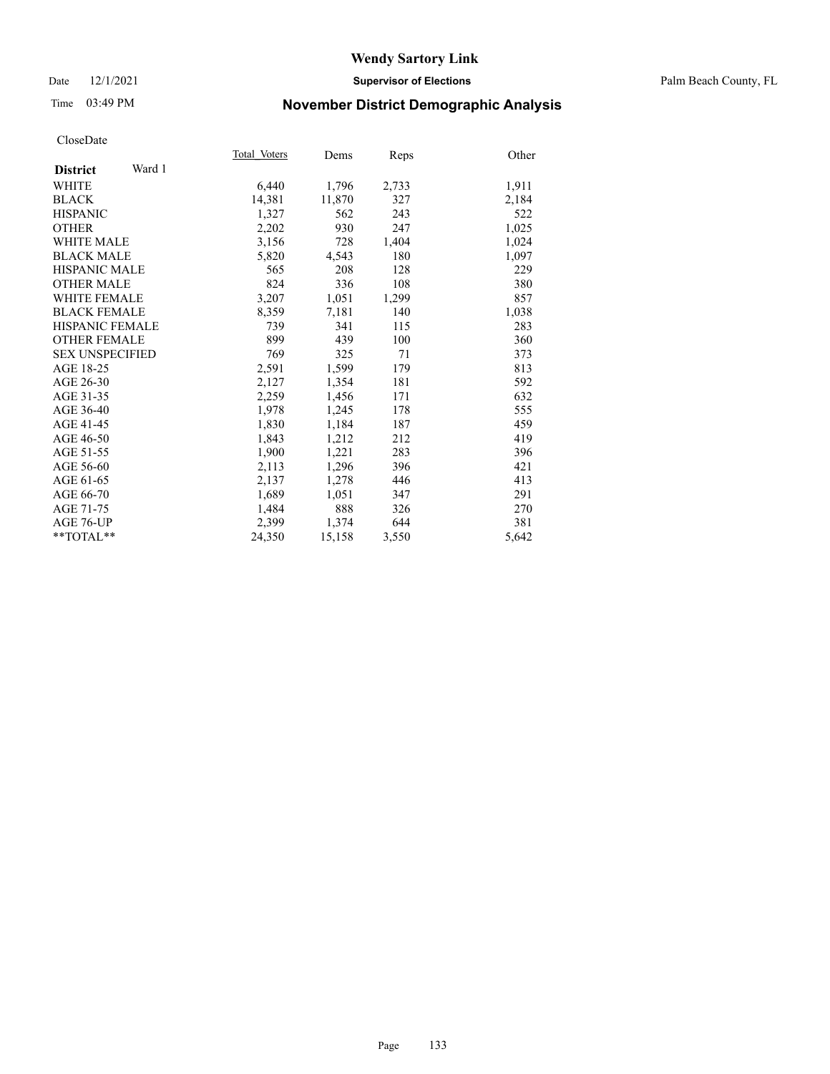### Date 12/1/2021 **Supervisor of Elections** Palm Beach County, FL

# Time 03:49 PM **November District Demographic Analysis**

|                           | Total Voters | Dems   | Reps  | Other |
|---------------------------|--------------|--------|-------|-------|
| Ward 1<br><b>District</b> |              |        |       |       |
| WHITE                     | 6,440        | 1,796  | 2,733 | 1,911 |
| <b>BLACK</b>              | 14,381       | 11,870 | 327   | 2,184 |
| <b>HISPANIC</b>           | 1,327        | 562    | 243   | 522   |
| <b>OTHER</b>              | 2,202        | 930    | 247   | 1,025 |
| WHITE MALE                | 3,156        | 728    | 1,404 | 1,024 |
| <b>BLACK MALE</b>         | 5,820        | 4,543  | 180   | 1,097 |
| <b>HISPANIC MALE</b>      | 565          | 208    | 128   | 229   |
| <b>OTHER MALE</b>         | 824          | 336    | 108   | 380   |
| <b>WHITE FEMALE</b>       | 3,207        | 1,051  | 1,299 | 857   |
| <b>BLACK FEMALE</b>       | 8,359        | 7,181  | 140   | 1,038 |
| <b>HISPANIC FEMALE</b>    | 739          | 341    | 115   | 283   |
| <b>OTHER FEMALE</b>       | 899          | 439    | 100   | 360   |
| <b>SEX UNSPECIFIED</b>    | 769          | 325    | 71    | 373   |
| AGE 18-25                 | 2,591        | 1,599  | 179   | 813   |
| AGE 26-30                 | 2,127        | 1,354  | 181   | 592   |
| AGE 31-35                 | 2,259        | 1,456  | 171   | 632   |
| AGE 36-40                 | 1,978        | 1,245  | 178   | 555   |
| AGE 41-45                 | 1,830        | 1,184  | 187   | 459   |
| AGE 46-50                 | 1,843        | 1,212  | 212   | 419   |
| AGE 51-55                 | 1,900        | 1,221  | 283   | 396   |
| AGE 56-60                 | 2,113        | 1,296  | 396   | 421   |
| AGE 61-65                 | 2,137        | 1,278  | 446   | 413   |
| AGE 66-70                 | 1,689        | 1,051  | 347   | 291   |
| AGE 71-75                 | 1,484        | 888    | 326   | 270   |
| AGE 76-UP                 | 2.399        | 1,374  | 644   | 381   |
| **TOTAL**                 | 24,350       | 15,158 | 3,550 | 5,642 |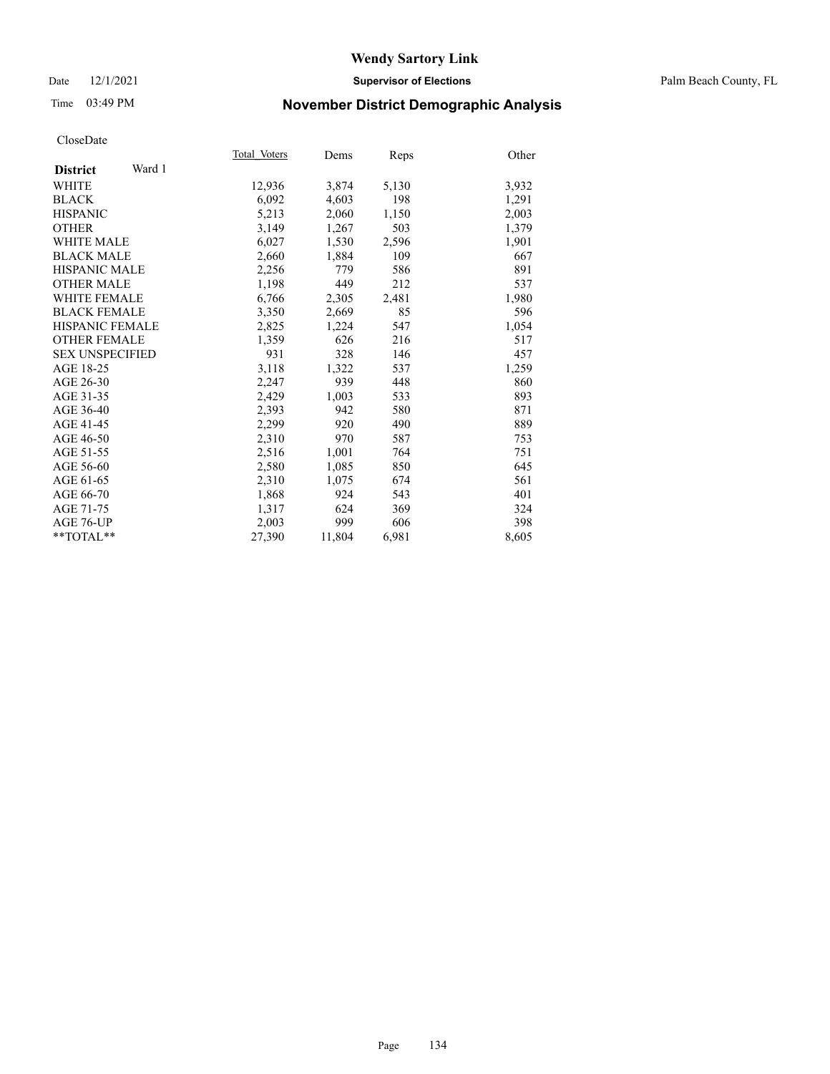### Date 12/1/2021 **Supervisor of Elections** Palm Beach County, FL

# Time 03:49 PM **November District Demographic Analysis**

|                           | Total Voters | Dems   | Reps  | Other |
|---------------------------|--------------|--------|-------|-------|
| Ward 1<br><b>District</b> |              |        |       |       |
| WHITE                     | 12,936       | 3,874  | 5,130 | 3,932 |
| <b>BLACK</b>              | 6,092        | 4,603  | 198   | 1,291 |
| <b>HISPANIC</b>           | 5,213        | 2,060  | 1,150 | 2,003 |
| <b>OTHER</b>              | 3,149        | 1,267  | 503   | 1,379 |
| <b>WHITE MALE</b>         | 6,027        | 1,530  | 2,596 | 1,901 |
| <b>BLACK MALE</b>         | 2,660        | 1,884  | 109   | 667   |
| <b>HISPANIC MALE</b>      | 2,256        | 779    | 586   | 891   |
| <b>OTHER MALE</b>         | 1,198        | 449    | 212   | 537   |
| <b>WHITE FEMALE</b>       | 6,766        | 2,305  | 2,481 | 1,980 |
| <b>BLACK FEMALE</b>       | 3,350        | 2.669  | 85    | 596   |
| <b>HISPANIC FEMALE</b>    | 2,825        | 1,224  | 547   | 1,054 |
| <b>OTHER FEMALE</b>       | 1,359        | 626    | 216   | 517   |
| <b>SEX UNSPECIFIED</b>    | 931          | 328    | 146   | 457   |
| AGE 18-25                 | 3,118        | 1,322  | 537   | 1,259 |
| AGE 26-30                 | 2,247        | 939    | 448   | 860   |
| AGE 31-35                 | 2,429        | 1,003  | 533   | 893   |
| AGE 36-40                 | 2,393        | 942    | 580   | 871   |
| AGE 41-45                 | 2,299        | 920    | 490   | 889   |
| AGE 46-50                 | 2,310        | 970    | 587   | 753   |
| AGE 51-55                 | 2,516        | 1,001  | 764   | 751   |
| AGE 56-60                 | 2,580        | 1,085  | 850   | 645   |
| AGE 61-65                 | 2,310        | 1,075  | 674   | 561   |
| AGE 66-70                 | 1,868        | 924    | 543   | 401   |
| AGE 71-75                 | 1,317        | 624    | 369   | 324   |
| AGE 76-UP                 | 2,003        | 999    | 606   | 398   |
| $*$ $TOTAL**$             | 27,390       | 11,804 | 6,981 | 8,605 |
|                           |              |        |       |       |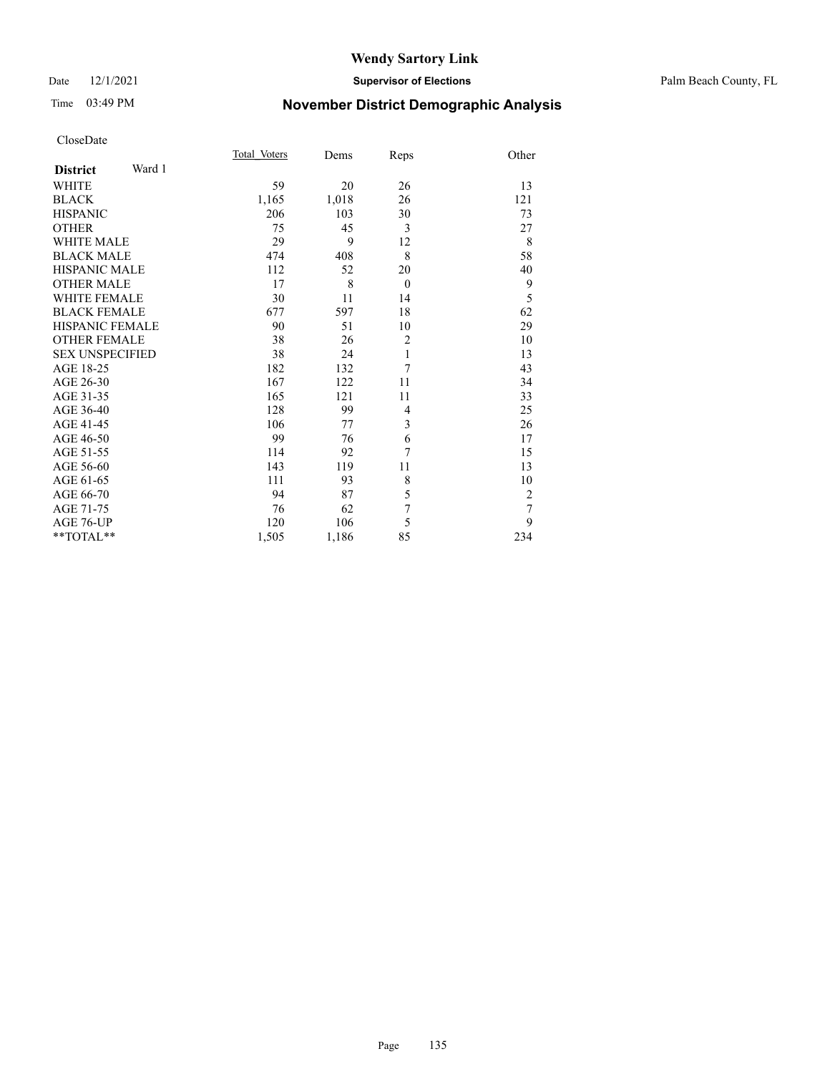### Date 12/1/2021 **Supervisor of Elections** Palm Beach County, FL

# Time 03:49 PM **November District Demographic Analysis**

|                        |        | Total Voters | Dems  | Reps           | Other          |
|------------------------|--------|--------------|-------|----------------|----------------|
| <b>District</b>        | Ward 1 |              |       |                |                |
| <b>WHITE</b>           |        | 59           | 20    | 26             | 13             |
| <b>BLACK</b>           |        | 1,165        | 1,018 | 26             | 121            |
| <b>HISPANIC</b>        |        | 206          | 103   | 30             | 73             |
| <b>OTHER</b>           |        | 75           | 45    | 3              | 27             |
| <b>WHITE MALE</b>      |        | 29           | 9     | 12             | 8              |
| <b>BLACK MALE</b>      |        | 474          | 408   | 8              | 58             |
| <b>HISPANIC MALE</b>   |        | 112          | 52    | 20             | 40             |
| <b>OTHER MALE</b>      |        | 17           | 8     | $\theta$       | 9              |
| <b>WHITE FEMALE</b>    |        | 30           | 11    | 14             | 5              |
| <b>BLACK FEMALE</b>    |        | 677          | 597   | 18             | 62             |
| HISPANIC FEMALE        |        | 90           | 51    | 10             | 29             |
| <b>OTHER FEMALE</b>    |        | 38           | 26    | $\overline{2}$ | 10             |
| <b>SEX UNSPECIFIED</b> |        | 38           | 24    | $\mathbf{1}$   | 13             |
| AGE 18-25              |        | 182          | 132   | 7              | 43             |
| AGE 26-30              |        | 167          | 122   | 11             | 34             |
| AGE 31-35              |        | 165          | 121   | 11             | 33             |
| AGE 36-40              |        | 128          | 99    | 4              | 25             |
| AGE 41-45              |        | 106          | 77    | 3              | 26             |
| AGE 46-50              |        | 99           | 76    | 6              | 17             |
| AGE 51-55              |        | 114          | 92    | 7              | 15             |
| AGE 56-60              |        | 143          | 119   | 11             | 13             |
| AGE 61-65              |        | 111          | 93    | 8              | 10             |
| AGE 66-70              |        | 94           | 87    | 5              | $\overline{2}$ |
| AGE 71-75              |        | 76           | 62    | $\overline{7}$ | $\overline{7}$ |
| AGE 76-UP              |        | 120          | 106   | 5              | 9              |
| **TOTAL**              |        | 1,505        | 1,186 | 85             | 234            |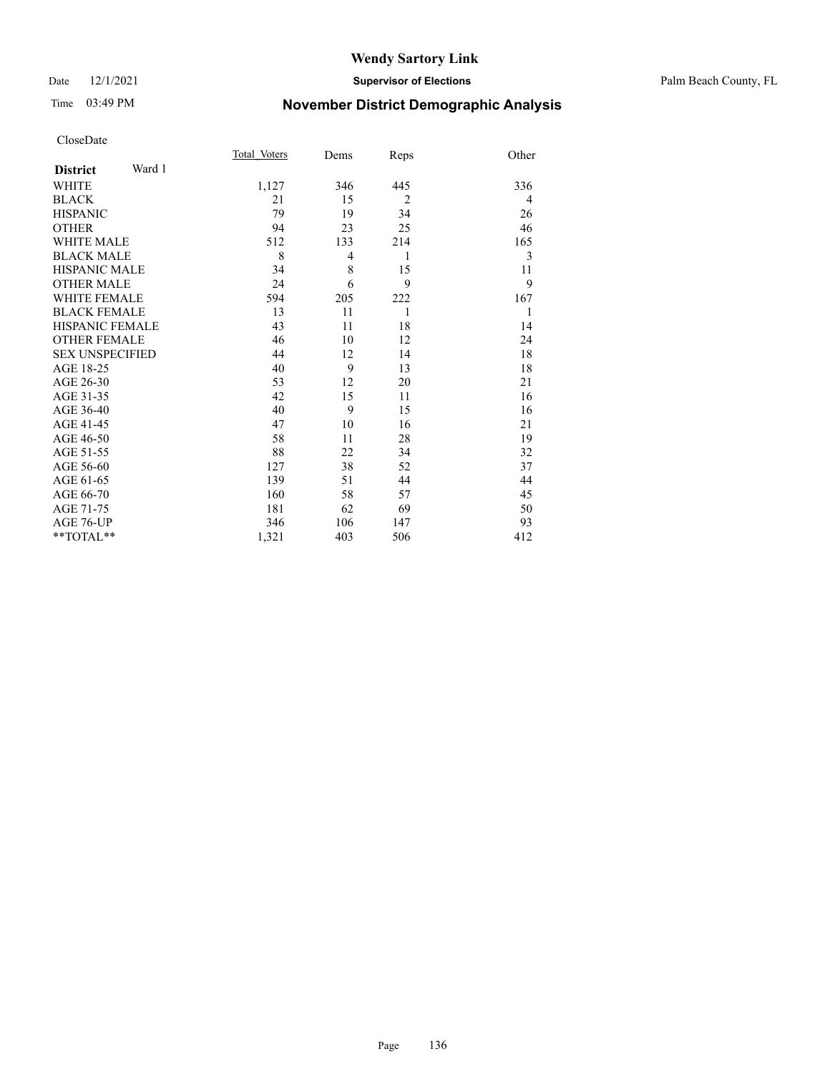# Time 03:49 PM **November District Demographic Analysis**

|                        |        | Total Voters | Dems | Reps           | Other |
|------------------------|--------|--------------|------|----------------|-------|
| <b>District</b>        | Ward 1 |              |      |                |       |
| WHITE                  |        | 1,127        | 346  | 445            | 336   |
| <b>BLACK</b>           |        | 21           | 15   | $\overline{2}$ | 4     |
| <b>HISPANIC</b>        |        | 79           | 19   | 34             | 26    |
| <b>OTHER</b>           |        | 94           | 23   | 25             | 46    |
| <b>WHITE MALE</b>      |        | 512          | 133  | 214            | 165   |
| <b>BLACK MALE</b>      |        | 8            | 4    | 1              | 3     |
| <b>HISPANIC MALE</b>   |        | 34           | 8    | 15             | 11    |
| <b>OTHER MALE</b>      |        | 24           | 6    | 9              | 9     |
| <b>WHITE FEMALE</b>    |        | 594          | 205  | 222            | 167   |
| <b>BLACK FEMALE</b>    |        | 13           | 11   | 1              | 1     |
| <b>HISPANIC FEMALE</b> |        | 43           | 11   | 18             | 14    |
| <b>OTHER FEMALE</b>    |        | 46           | 10   | 12             | 24    |
| <b>SEX UNSPECIFIED</b> |        | 44           | 12   | 14             | 18    |
| AGE 18-25              |        | 40           | 9    | 13             | 18    |
| AGE 26-30              |        | 53           | 12   | 20             | 21    |
| AGE 31-35              |        | 42           | 15   | 11             | 16    |
| AGE 36-40              |        | 40           | 9    | 15             | 16    |
| AGE 41-45              |        | 47           | 10   | 16             | 21    |
| AGE 46-50              |        | 58           | 11   | 28             | 19    |
| AGE 51-55              |        | 88           | 22   | 34             | 32    |
| AGE 56-60              |        | 127          | 38   | 52             | 37    |
| AGE 61-65              |        | 139          | 51   | 44             | 44    |
| AGE 66-70              |        | 160          | 58   | 57             | 45    |
| AGE 71-75              |        | 181          | 62   | 69             | 50    |
| AGE 76-UP              |        | 346          | 106  | 147            | 93    |
| **TOTAL**              |        | 1,321        | 403  | 506            | 412   |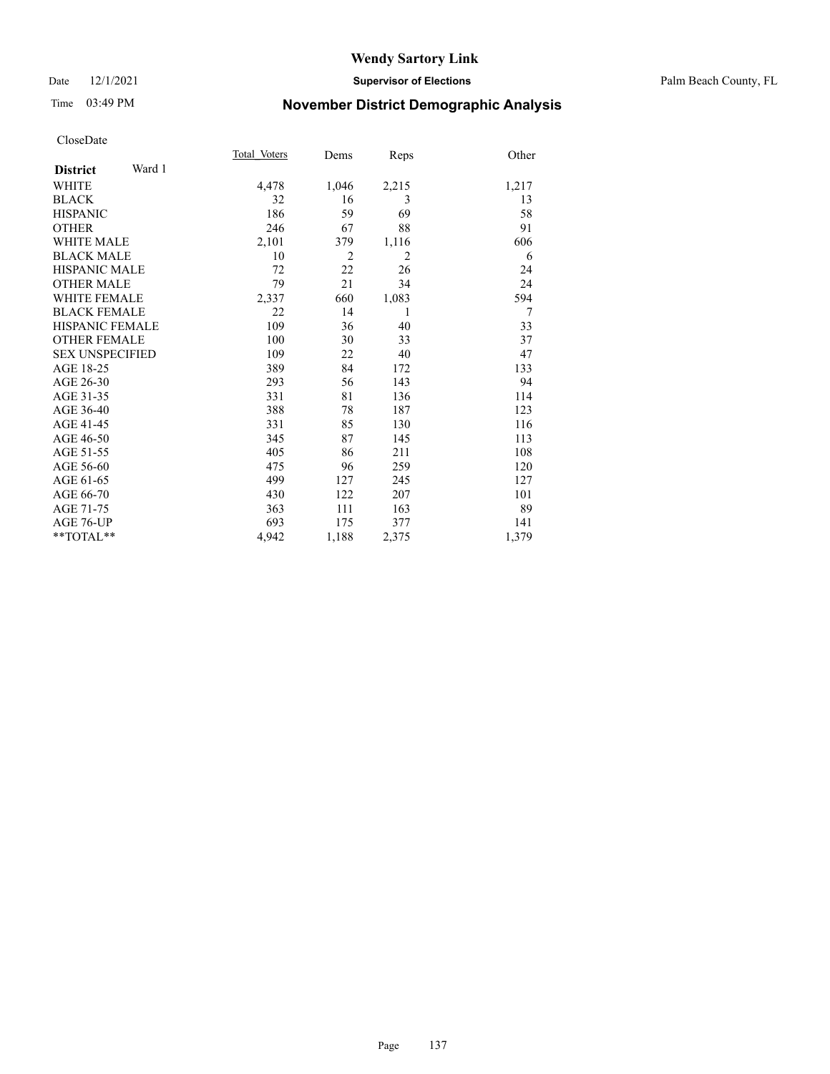### Date 12/1/2021 **Supervisor of Elections** Palm Beach County, FL

# Time 03:49 PM **November District Demographic Analysis**

|                        |        | Total Voters | Dems           | Reps           | Other |
|------------------------|--------|--------------|----------------|----------------|-------|
| <b>District</b>        | Ward 1 |              |                |                |       |
| <b>WHITE</b>           |        | 4,478        | 1,046          | 2,215          | 1,217 |
| <b>BLACK</b>           |        | 32           | 16             | 3              | 13    |
| <b>HISPANIC</b>        |        | 186          | 59             | 69             | 58    |
| <b>OTHER</b>           |        | 246          | 67             | 88             | 91    |
| <b>WHITE MALE</b>      |        | 2,101        | 379            | 1,116          | 606   |
| <b>BLACK MALE</b>      |        | 10           | $\overline{2}$ | $\overline{2}$ | 6     |
| <b>HISPANIC MALE</b>   |        | 72           | 22             | 26             | 24    |
| <b>OTHER MALE</b>      |        | 79           | 21             | 34             | 24    |
| <b>WHITE FEMALE</b>    |        | 2,337        | 660            | 1,083          | 594   |
| <b>BLACK FEMALE</b>    |        | 22           | 14             | 1              | 7     |
| <b>HISPANIC FEMALE</b> |        | 109          | 36             | 40             | 33    |
| <b>OTHER FEMALE</b>    |        | 100          | 30             | 33             | 37    |
| <b>SEX UNSPECIFIED</b> |        | 109          | 22             | 40             | 47    |
| AGE 18-25              |        | 389          | 84             | 172            | 133   |
| AGE 26-30              |        | 293          | 56             | 143            | 94    |
| AGE 31-35              |        | 331          | 81             | 136            | 114   |
| AGE 36-40              |        | 388          | 78             | 187            | 123   |
| AGE 41-45              |        | 331          | 85             | 130            | 116   |
| AGE 46-50              |        | 345          | 87             | 145            | 113   |
| AGE 51-55              |        | 405          | 86             | 211            | 108   |
| AGE 56-60              |        | 475          | 96             | 259            | 120   |
| AGE 61-65              |        | 499          | 127            | 245            | 127   |
| AGE 66-70              |        | 430          | 122            | 207            | 101   |
| AGE 71-75              |        | 363          | 111            | 163            | 89    |
| AGE 76-UP              |        | 693          | 175            | 377            | 141   |
| $*$ $TOTAL**$          |        | 4,942        | 1,188          | 2,375          | 1,379 |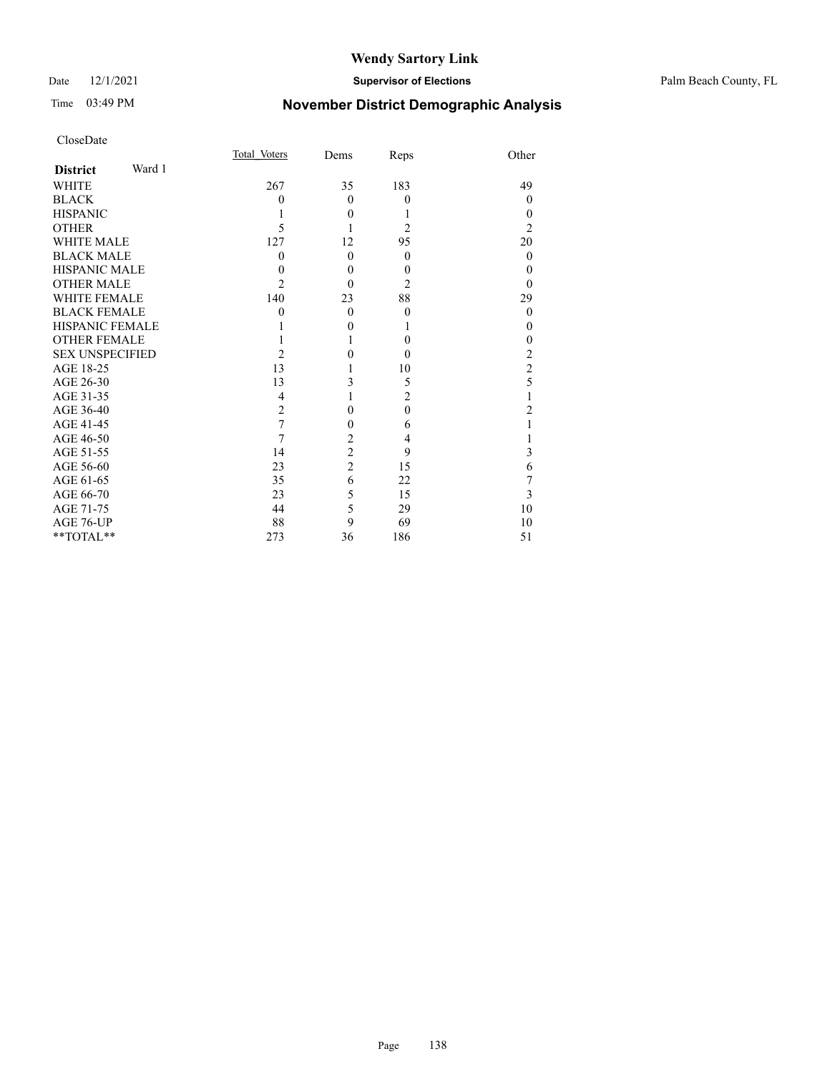# Time 03:49 PM **November District Demographic Analysis**

|                        |        | Total Voters   | Dems           | Reps           | Other          |
|------------------------|--------|----------------|----------------|----------------|----------------|
| <b>District</b>        | Ward 1 |                |                |                |                |
| <b>WHITE</b>           |        | 267            | 35             | 183            | 49             |
| <b>BLACK</b>           |        | 0              | $\theta$       | $\theta$       | $\theta$       |
| <b>HISPANIC</b>        |        |                | $\theta$       |                | $\theta$       |
| <b>OTHER</b>           |        | 5              |                | $\overline{2}$ | $\overline{2}$ |
| <b>WHITE MALE</b>      |        | 127            | 12             | 95             | 20             |
| <b>BLACK MALE</b>      |        | 0              | $\theta$       | $\theta$       | $\theta$       |
| <b>HISPANIC MALE</b>   |        | $\theta$       | $\theta$       | $\theta$       | $\theta$       |
| <b>OTHER MALE</b>      |        | 2              | $\theta$       | $\overline{c}$ | 0              |
| <b>WHITE FEMALE</b>    |        | 140            | 23             | 88             | 29             |
| <b>BLACK FEMALE</b>    |        | 0              | $\theta$       | $\theta$       | $\theta$       |
| <b>HISPANIC FEMALE</b> |        |                | $\theta$       |                | 0              |
| <b>OTHER FEMALE</b>    |        |                |                | $\theta$       | 0              |
| <b>SEX UNSPECIFIED</b> |        | $\overline{2}$ | 0              | $\Omega$       | 2              |
| AGE 18-25              |        | 13             |                | 10             | $\overline{2}$ |
| AGE 26-30              |        | 13             | 3              | 5              | 5              |
| AGE 31-35              |        | 4              |                | $\overline{2}$ |                |
| AGE 36-40              |        | $\overline{2}$ | 0              | $\theta$       | 2              |
| AGE 41-45              |        | 7              | 0              | 6              |                |
| AGE 46-50              |        | 7              | $\overline{2}$ | 4              |                |
| AGE 51-55              |        | 14             | $\overline{c}$ | 9              | 3              |
| AGE 56-60              |        | 23             | $\overline{c}$ | 15             | 6              |
| AGE 61-65              |        | 35             | 6              | 22             | 7              |
| AGE 66-70              |        | 23             | 5              | 15             | 3              |
| AGE 71-75              |        | 44             | 5              | 29             | 10             |
| AGE 76-UP              |        | 88             | 9              | 69             | 10             |
| **TOTAL**              |        | 273            | 36             | 186            | 51             |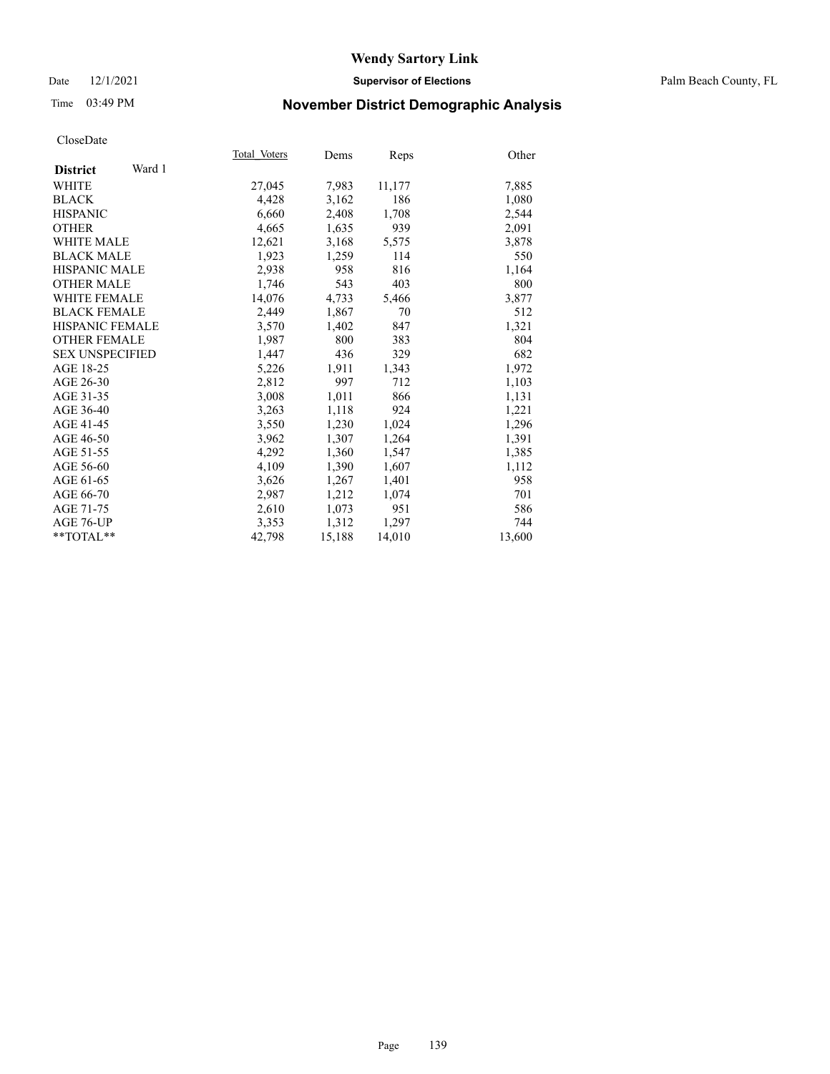### Date 12/1/2021 **Supervisor of Elections** Palm Beach County, FL

# Time 03:49 PM **November District Demographic Analysis**

|                        | Total Voters |        |        |        |
|------------------------|--------------|--------|--------|--------|
| Ward 1                 |              | Dems   | Reps   | Other  |
| <b>District</b>        |              |        |        |        |
| WHITE                  | 27,045       | 7,983  | 11,177 | 7,885  |
| <b>BLACK</b>           | 4,428        | 3,162  | 186    | 1,080  |
| <b>HISPANIC</b>        | 6,660        | 2,408  | 1,708  | 2,544  |
| <b>OTHER</b>           | 4,665        | 1,635  | 939    | 2,091  |
| <b>WHITE MALE</b>      | 12,621       | 3,168  | 5,575  | 3,878  |
| <b>BLACK MALE</b>      | 1,923        | 1,259  | 114    | 550    |
| <b>HISPANIC MALE</b>   | 2,938        | 958    | 816    | 1,164  |
| <b>OTHER MALE</b>      | 1.746        | 543    | 403    | 800    |
| <b>WHITE FEMALE</b>    | 14,076       | 4,733  | 5,466  | 3,877  |
| <b>BLACK FEMALE</b>    | 2,449        | 1,867  | 70     | 512    |
| <b>HISPANIC FEMALE</b> | 3,570        | 1,402  | 847    | 1,321  |
| <b>OTHER FEMALE</b>    | 1,987        | 800    | 383    | 804    |
| <b>SEX UNSPECIFIED</b> | 1,447        | 436    | 329    | 682    |
| AGE 18-25              | 5,226        | 1,911  | 1,343  | 1,972  |
| AGE 26-30              | 2,812        | 997    | 712    | 1,103  |
| AGE 31-35              | 3,008        | 1,011  | 866    | 1,131  |
| AGE 36-40              | 3,263        | 1,118  | 924    | 1,221  |
| AGE 41-45              | 3,550        | 1,230  | 1,024  | 1,296  |
| AGE 46-50              | 3,962        | 1,307  | 1,264  | 1,391  |
| AGE 51-55              | 4,292        | 1,360  | 1,547  | 1,385  |
| AGE 56-60              | 4,109        | 1,390  | 1,607  | 1,112  |
| AGE 61-65              | 3,626        | 1,267  | 1,401  | 958    |
| AGE 66-70              | 2,987        | 1,212  | 1,074  | 701    |
| AGE 71-75              | 2,610        | 1,073  | 951    | 586    |
| AGE 76-UP              | 3.353        | 1,312  | 1,297  | 744    |
| $*$ $TOTAL**$          | 42.798       | 15,188 | 14,010 | 13,600 |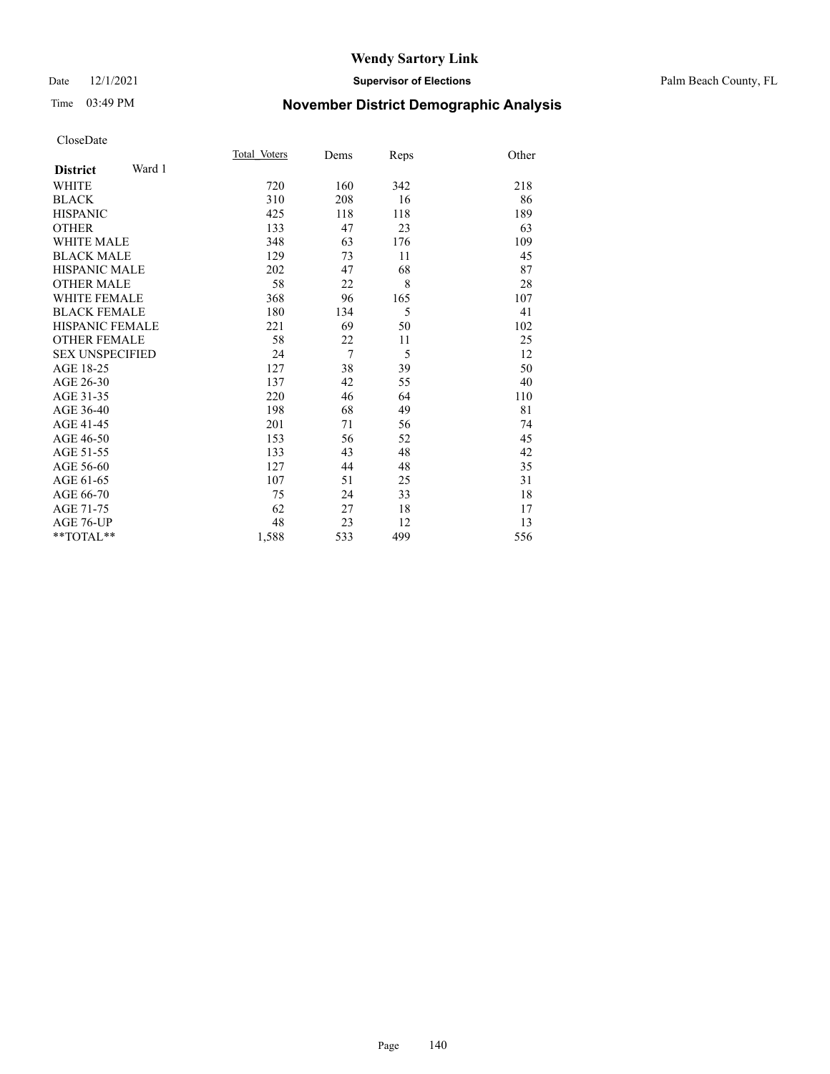### Date 12/1/2021 **Supervisor of Elections** Palm Beach County, FL

# Time 03:49 PM **November District Demographic Analysis**

|                           | Total Voters | Dems           | Reps | Other |
|---------------------------|--------------|----------------|------|-------|
| Ward 1<br><b>District</b> |              |                |      |       |
| <b>WHITE</b>              | 720          | 160            | 342  | 218   |
| <b>BLACK</b>              | 310          | 208            | 16   | 86    |
| <b>HISPANIC</b>           | 425          | 118            | 118  | 189   |
| <b>OTHER</b>              | 133          | 47             | 23   | 63    |
| <b>WHITE MALE</b>         | 348          | 63             | 176  | 109   |
| <b>BLACK MALE</b>         | 129          | 73             | 11   | 45    |
| <b>HISPANIC MALE</b>      | 202          | 47             | 68   | 87    |
| <b>OTHER MALE</b>         | 58           | 22             | 8    | 28    |
| <b>WHITE FEMALE</b>       | 368          | 96             | 165  | 107   |
| <b>BLACK FEMALE</b>       | 180          | 134            | 5    | 41    |
| <b>HISPANIC FEMALE</b>    | 221          | 69             | 50   | 102   |
| <b>OTHER FEMALE</b>       | 58           | 22             | 11   | 25    |
| <b>SEX UNSPECIFIED</b>    | 24           | $\overline{7}$ | 5    | 12    |
| AGE 18-25                 | 127          | 38             | 39   | 50    |
| AGE 26-30                 | 137          | 42             | 55   | 40    |
| AGE 31-35                 | 220          | 46             | 64   | 110   |
| AGE 36-40                 | 198          | 68             | 49   | 81    |
| AGE 41-45                 | 201          | 71             | 56   | 74    |
| AGE 46-50                 | 153          | 56             | 52   | 45    |
| AGE 51-55                 | 133          | 43             | 48   | 42    |
| AGE 56-60                 | 127          | 44             | 48   | 35    |
| AGE 61-65                 | 107          | 51             | 25   | 31    |
| AGE 66-70                 | 75           | 24             | 33   | 18    |
| AGE 71-75                 | 62           | 27             | 18   | 17    |
| <b>AGE 76-UP</b>          | 48           | 23             | 12   | 13    |
| $**TOTAL**$               | 1,588        | 533            | 499  | 556   |